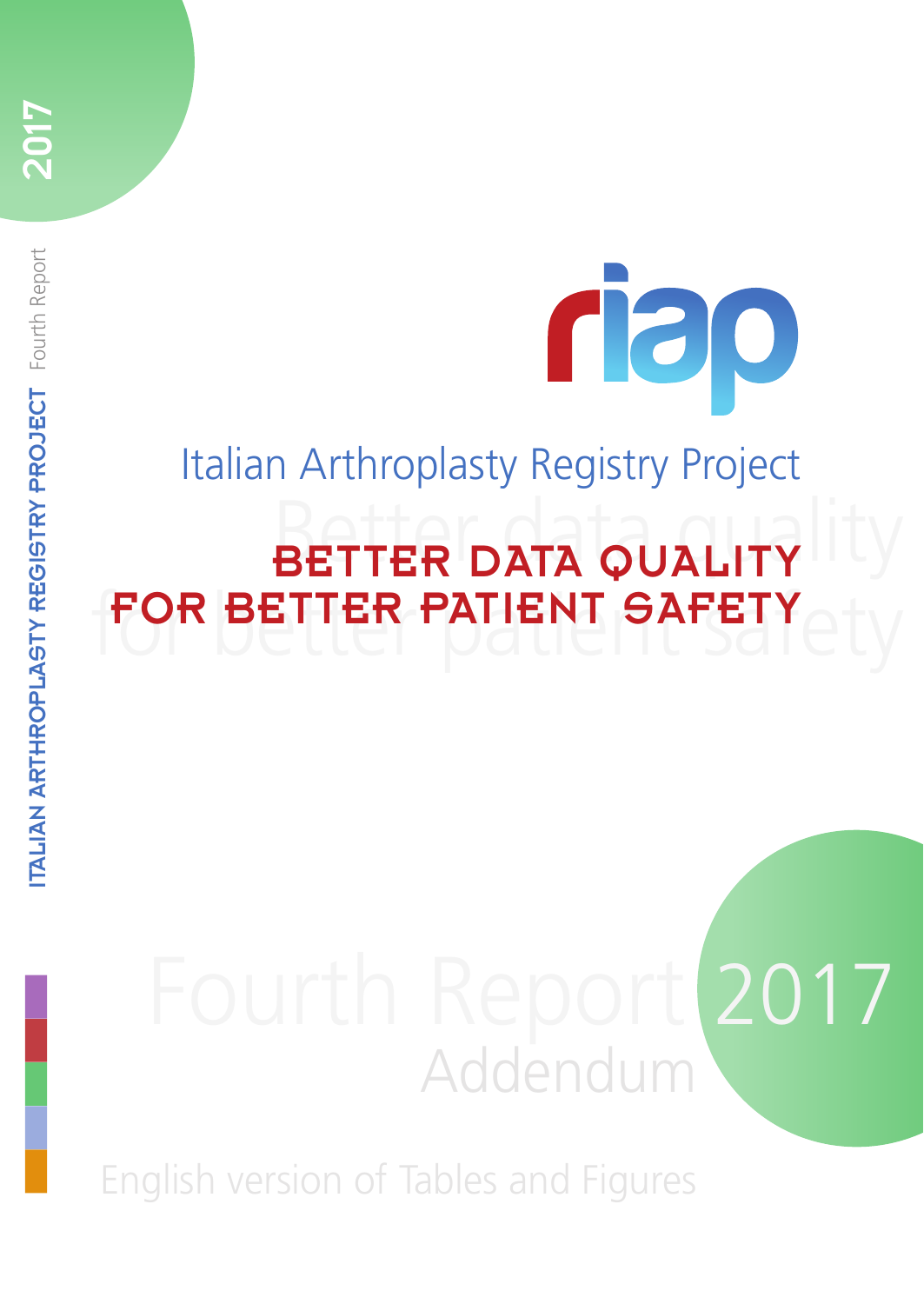# Better data quality BETTER DATA QUALITY for better patient safety FOR BETTER PATIENT SAFETY Italian Arthroplasty Registry Project

rap

# Fourth Report 2017 Addendum

English version of Tables and Figures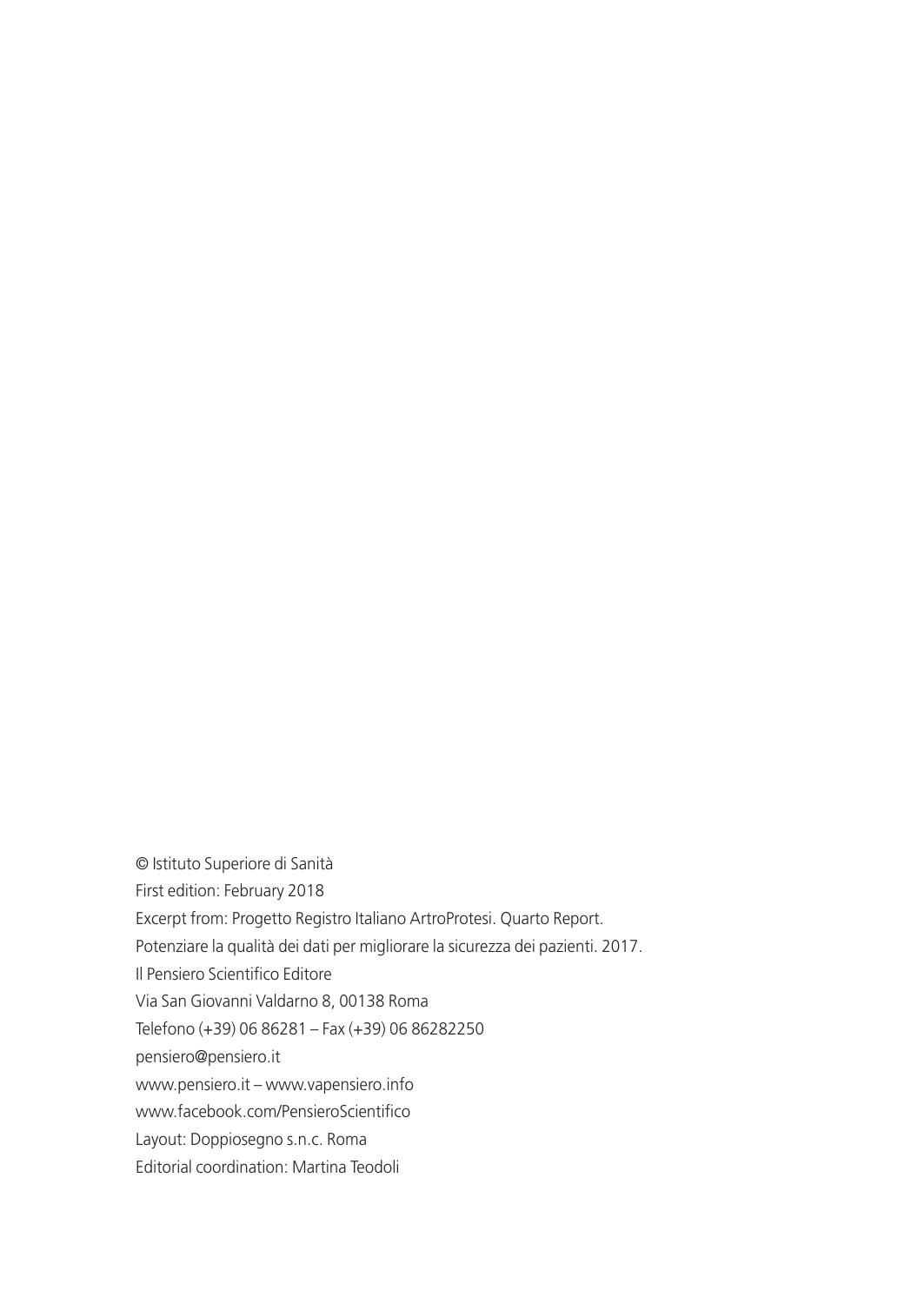© Istituto Superiore di Sanità First edition: February 2018 Excerpt from: Progetto Registro Italiano ArtroProtesi. Quarto Report. Potenziare la qualità dei dati per migliorare la sicurezza dei pazienti. 2017. Il Pensiero Scientifico Editore Via San Giovanni Valdarno 8, 00138 Roma Telefono (+39) 06 86281 – Fax (+39) 06 86282250 pensiero@pensiero.it www.pensiero.it – www.vapensiero.info www.facebook.com/PensieroScientifico Layout: Doppiosegno s.n.c. Roma

Editorial coordination: Martina Teodoli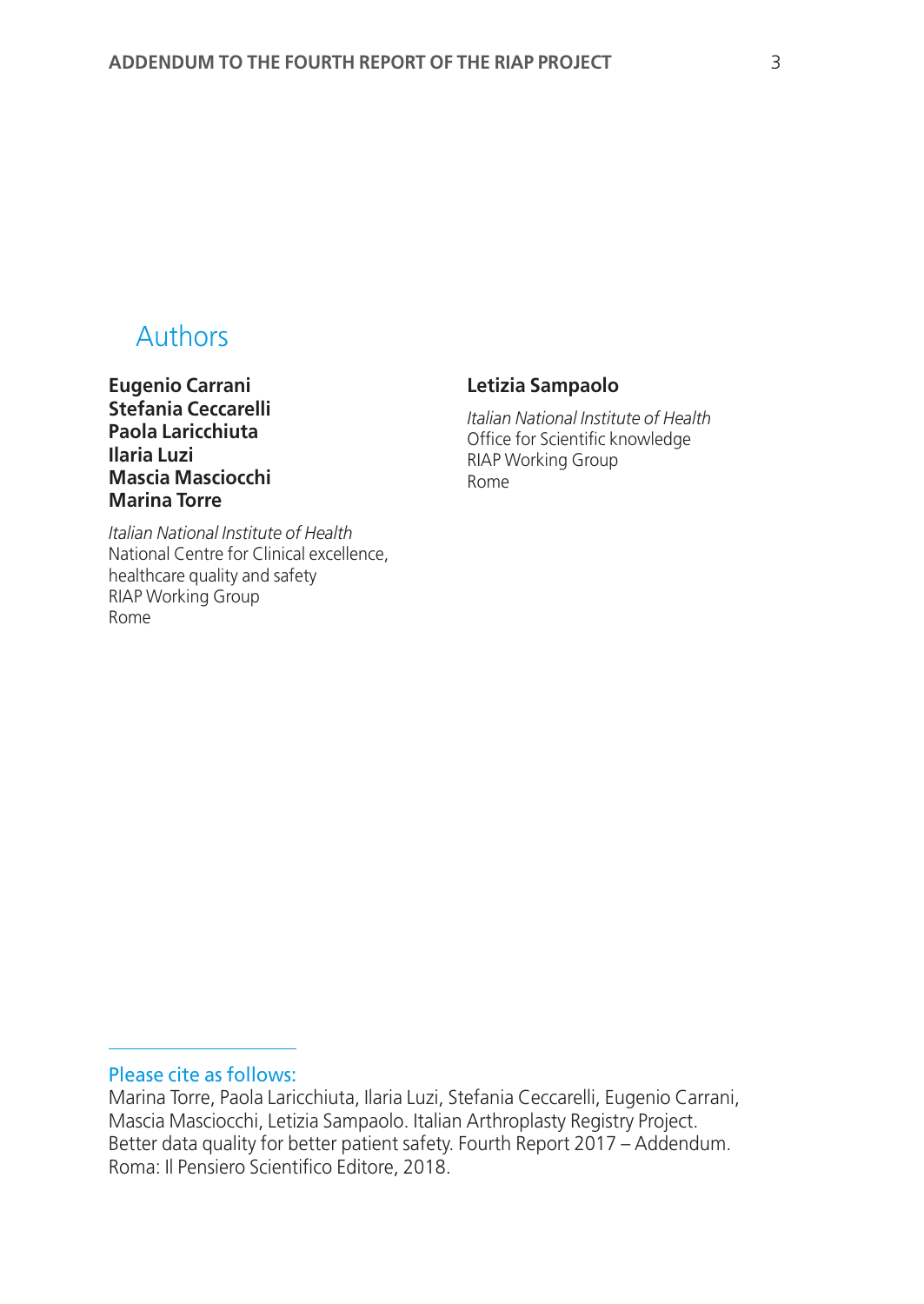# Authors

**Eugenio Carrani Stefania Ceccarelli Paola Laricchiuta Ilaria Luzi Mascia Masciocchi Marina Torre**

# **Letizia Sampaolo**

*Italian National Institute of Health* Office for Scientific knowledge RIAP Working Group Rome

*Italian National Institute of Health* National Centre for Clinical excellence, healthcare quality and safety RIAP Working Group Rome

# Please cite as follows:

Marina Torre, Paola Laricchiuta, Ilaria Luzi, Stefania Ceccarelli, Eugenio Carrani, Mascia Masciocchi, Letizia Sampaolo. Italian Arthroplasty Registry Project. Better data quality for better patient safety. Fourth Report 2017 – Addendum. Roma: Il Pensiero Scientifico Editore, 2018.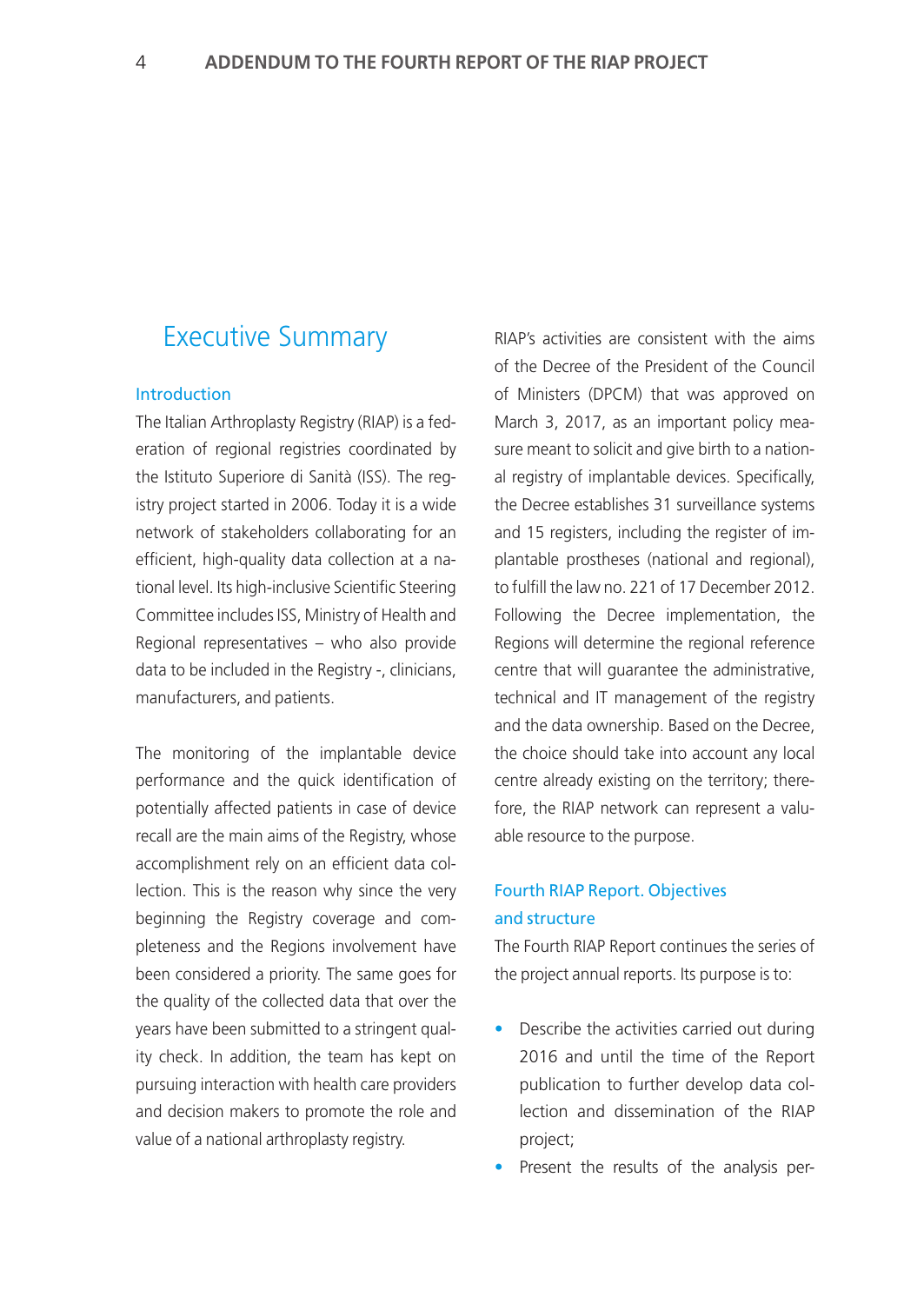# Executive Summary

## Introduction

The Italian Arthroplasty Registry (RIAP) is a federation of regional registries coordinated by the Istituto Superiore di Sanità (ISS). The registry project started in 2006. Today it is a wide network of stakeholders collaborating for an efficient, high-quality data collection at a national level. Its high-inclusive Scientific Steering Committee includes ISS, Ministry of Health and Regional representatives – who also provide data to be included in the Registry -, clinicians, manufacturers, and patients.

The monitoring of the implantable device performance and the quick identification of potentially affected patients in case of device recall are the main aims of the Registry, whose accomplishment rely on an efficient data collection. This is the reason why since the very beginning the Registry coverage and completeness and the Regions involvement have been considered a priority. The same goes for the quality of the collected data that over the years have been submitted to a stringent quality check. In addition, the team has kept on pursuing interaction with health care providers and decision makers to promote the role and value of a national arthroplasty registry.

RIAP's activities are consistent with the aims of the Decree of the President of the Council of Ministers (DPCM) that was approved on March 3, 2017, as an important policy measure meant to solicit and give birth to a national registry of implantable devices. Specifically, the Decree establishes 31 surveillance systems and 15 registers, including the register of implantable prostheses (national and regional), to fulfill the law no. 221 of 17 December 2012. Following the Decree implementation, the Regions will determine the regional reference centre that will guarantee the administrative, technical and IT management of the registry and the data ownership. Based on the Decree, the choice should take into account any local centre already existing on the territory; therefore, the RIAP network can represent a valuable resource to the purpose.

# Fourth RIAP Report. Objectives and structure

The Fourth RIAP Report continues the series of the project annual reports. Its purpose is to:

- Describe the activities carried out during 2016 and until the time of the Report publication to further develop data collection and dissemination of the RIAP project;
- Present the results of the analysis per-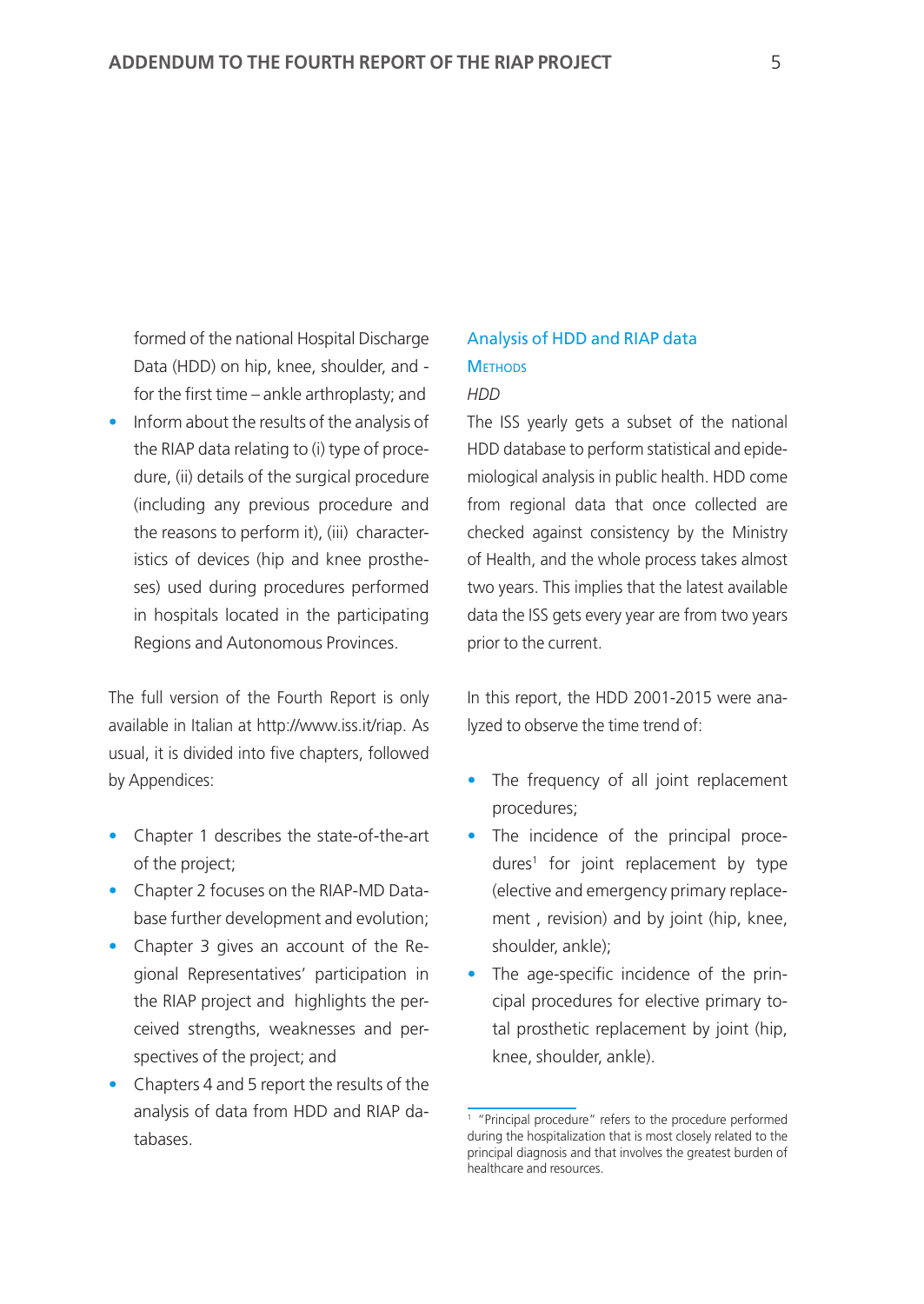formed of the national Hospital Discharge Data (HDD) on hip, knee, shoulder, and for the first time – ankle arthroplasty; and

• Inform about the results of the analysis of the RIAP data relating to (i) type of procedure, (ii) details of the surgical procedure (including any previous procedure and the reasons to perform it), (iii) characteristics of devices (hip and knee prostheses) used during procedures performed in hospitals located in the participating Regions and Autonomous Provinces.

The full version of the Fourth Report is only available in Italian at http://www.iss.it/riap. As usual, it is divided into five chapters, followed by Appendices:

- Chapter 1 describes the state-of-the-art of the project;
- Chapter 2 focuses on the RIAP-MD Database further development and evolution;
- Chapter 3 gives an account of the Regional Representatives' participation in the RIAP project and highlights the perceived strengths, weaknesses and perspectives of the project; and
- Chapters 4 and 5 report the results of the analysis of data from HDD and RIAP databases.

# Analysis of HDD and RIAP data **METHODS**

#### *HDD*

The ISS yearly gets a subset of the national HDD database to perform statistical and epidemiological analysis in public health. HDD come from regional data that once collected are checked against consistency by the Ministry of Health, and the whole process takes almost two years. This implies that the latest available data the ISS gets every year are from two years prior to the current.

In this report, the HDD 2001-2015 were analyzed to observe the time trend of:

- The frequency of all joint replacement procedures;
- The incidence of the principal procedures1 for joint replacement by type (elective and emergency primary replacement , revision) and by joint (hip, knee, shoulder, ankle);
- The age-specific incidence of the principal procedures for elective primary total prosthetic replacement by joint (hip, knee, shoulder, ankle).

<sup>1</sup> "Principal procedure" refers to the procedure performed during the hospitalization that is most closely related to the principal diagnosis and that involves the greatest burden of healthcare and resources.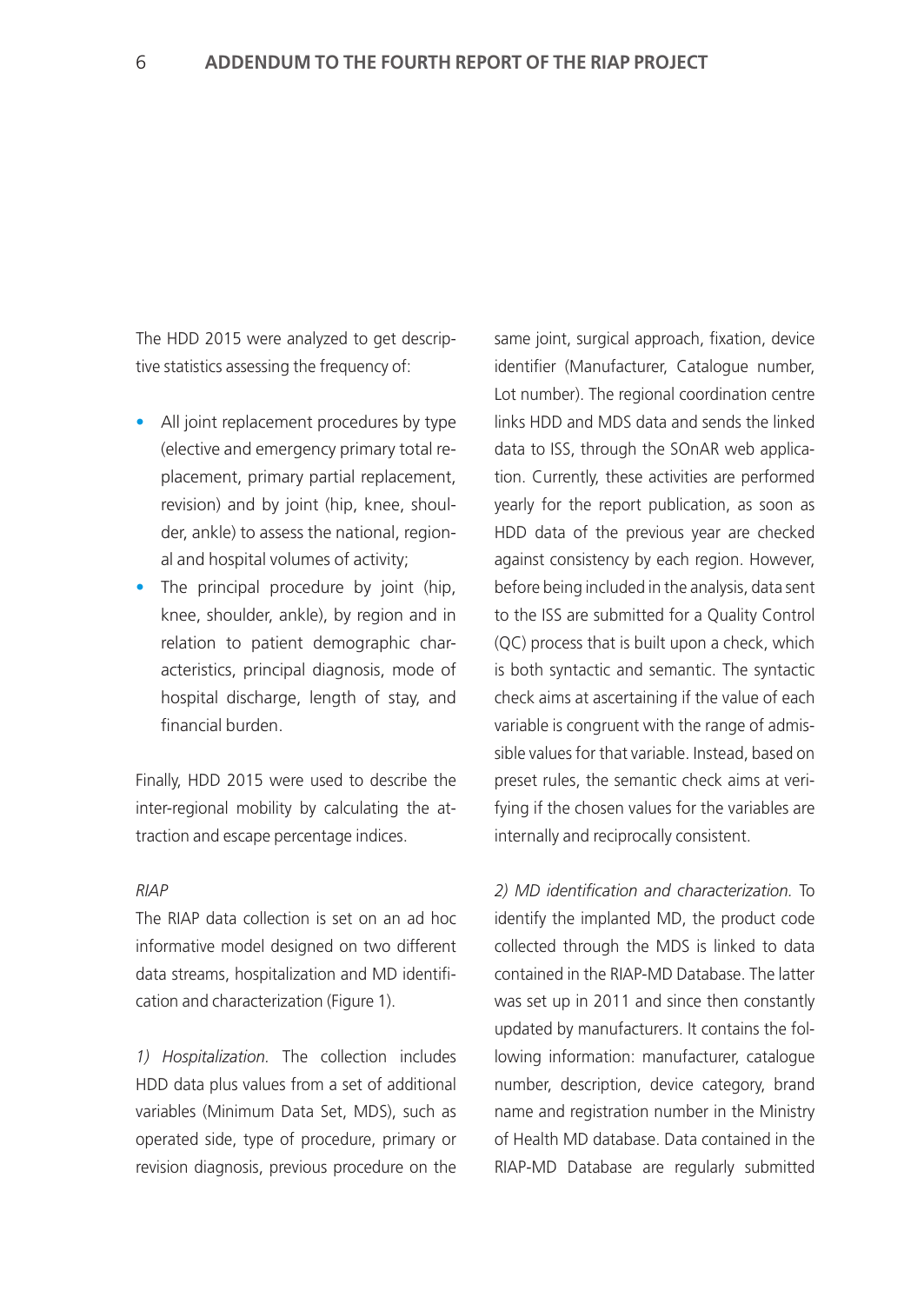The HDD 2015 were analyzed to get descriptive statistics assessing the frequency of:

- All joint replacement procedures by type (elective and emergency primary total replacement, primary partial replacement, revision) and by joint (hip, knee, shoulder, ankle) to assess the national, regional and hospital volumes of activity;
- The principal procedure by joint (hip, knee, shoulder, ankle), by region and in relation to patient demographic characteristics, principal diagnosis, mode of hospital discharge, length of stay, and financial burden.

Finally, HDD 2015 were used to describe the inter-regional mobility by calculating the attraction and escape percentage indices.

## *RIAP*

The RIAP data collection is set on an ad hoc informative model designed on two different data streams, hospitalization and MD identification and characterization (Figure 1).

*1) Hospitalization.* The collection includes HDD data plus values from a set of additional variables (Minimum Data Set, MDS), such as operated side, type of procedure, primary or revision diagnosis, previous procedure on the same joint, surgical approach, fixation, device identifier (Manufacturer, Catalogue number, Lot number). The regional coordination centre links HDD and MDS data and sends the linked data to ISS, through the SOnAR web application. Currently, these activities are performed yearly for the report publication, as soon as HDD data of the previous year are checked against consistency by each region. However, before being included in the analysis, data sent to the ISS are submitted for a Quality Control (QC) process that is built upon a check, which is both syntactic and semantic. The syntactic check aims at ascertaining if the value of each variable is congruent with the range of admissible values for that variable. Instead, based on preset rules, the semantic check aims at verifying if the chosen values for the variables are internally and reciprocally consistent.

*2) MD identification and characterization.* To identify the implanted MD, the product code collected through the MDS is linked to data contained in the RIAP-MD Database. The latter was set up in 2011 and since then constantly updated by manufacturers. It contains the following information: manufacturer, catalogue number, description, device category, brand name and registration number in the Ministry of Health MD database. Data contained in the RIAP-MD Database are regularly submitted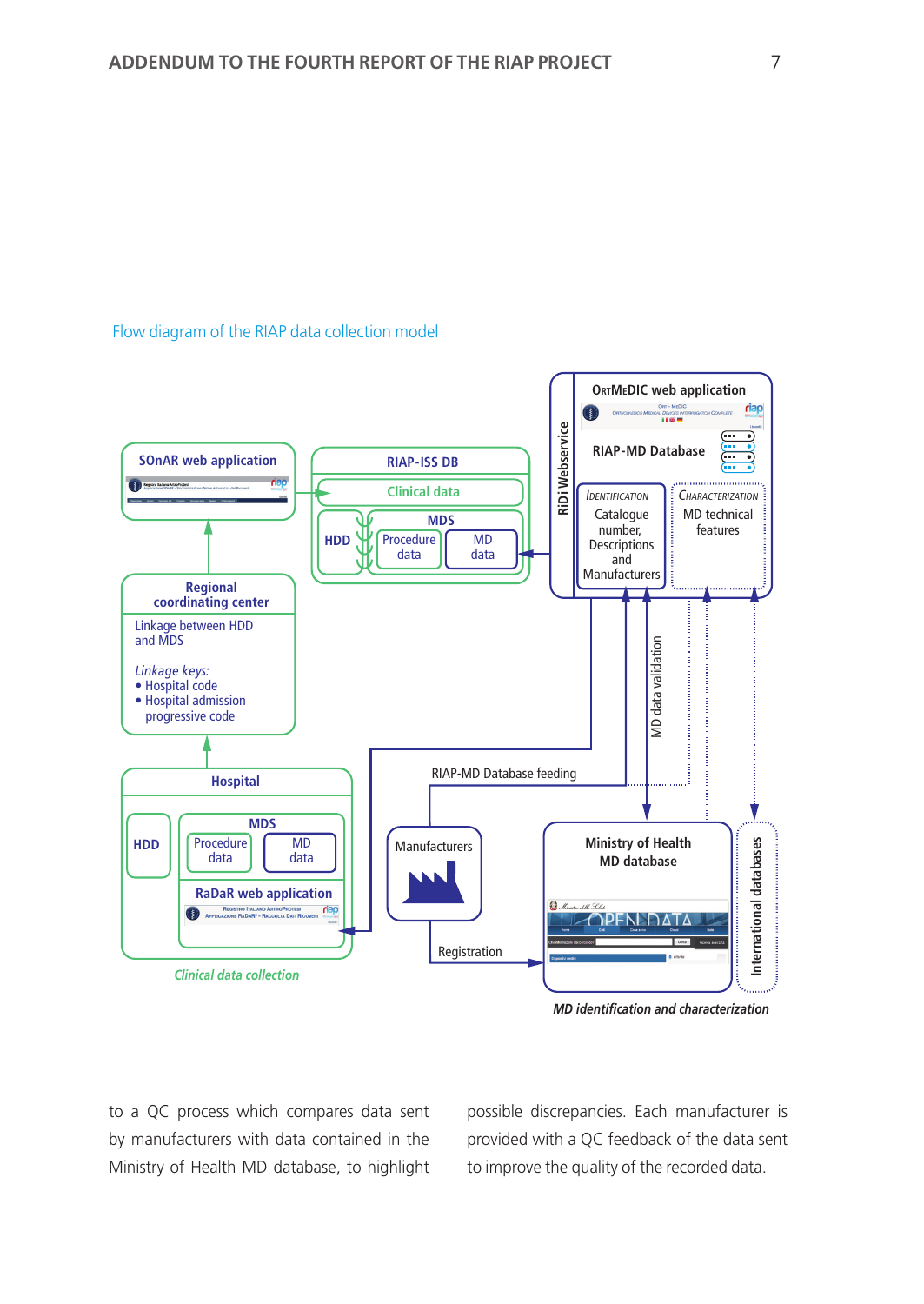#### Flow diagram of the RIAP data collection model



*MD identification and characterization*

to a QC process which compares data sent by manufacturers with data contained in the Ministry of Health MD database, to highlight

possible discrepancies. Each manufacturer is provided with a QC feedback of the data sent to improve the quality of the recorded data.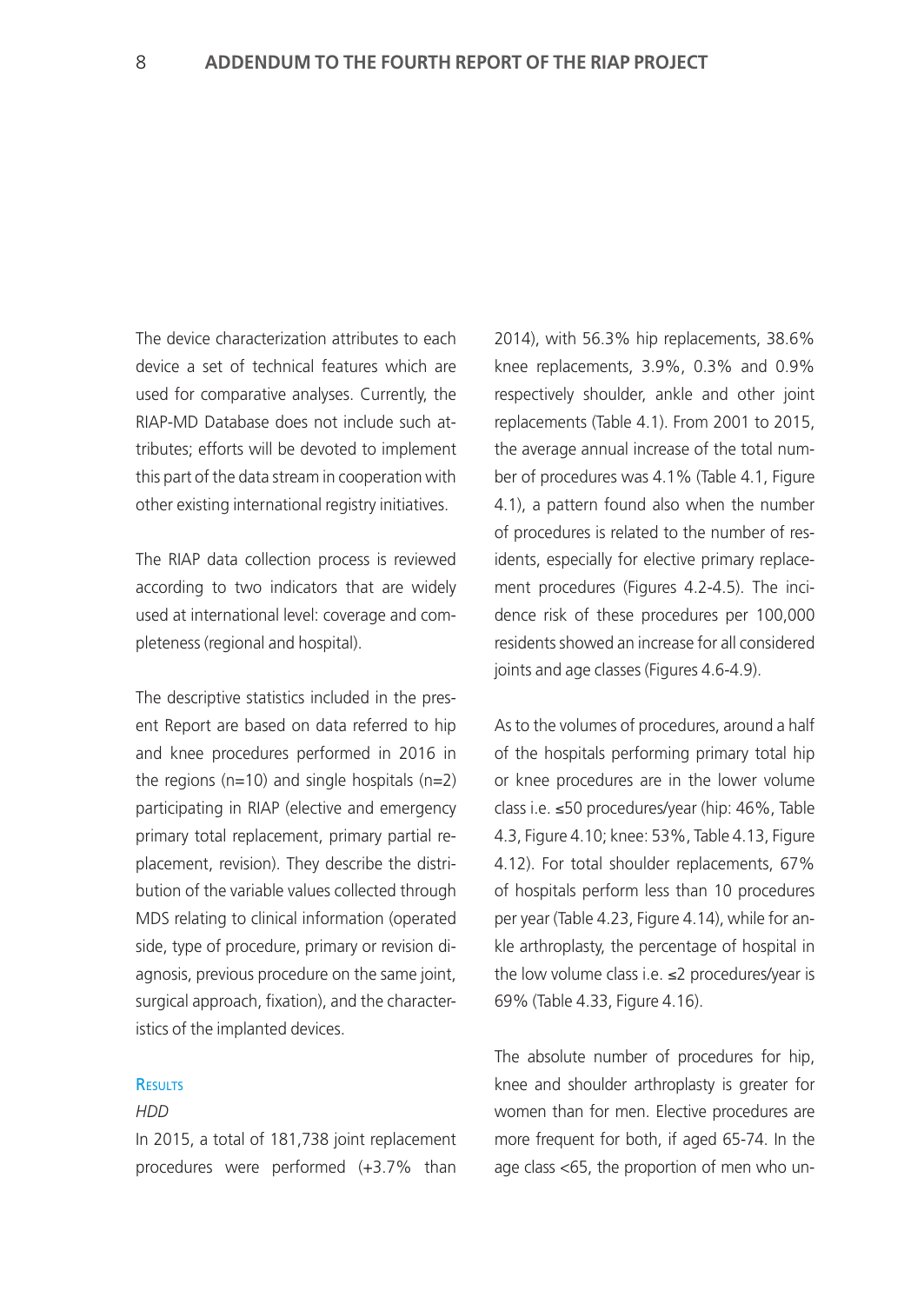The device characterization attributes to each device a set of technical features which are used for comparative analyses. Currently, the RIAP-MD Database does not include such attributes; efforts will be devoted to implement this part of the data stream in cooperation with other existing international registry initiatives.

The RIAP data collection process is reviewed according to two indicators that are widely used at international level: coverage and completeness (regional and hospital).

The descriptive statistics included in the present Report are based on data referred to hip and knee procedures performed in 2016 in the regions ( $n=10$ ) and single hospitals ( $n=2$ ) participating in RIAP (elective and emergency primary total replacement, primary partial replacement, revision). They describe the distribution of the variable values collected through MDS relating to clinical information (operated side, type of procedure, primary or revision diagnosis, previous procedure on the same joint, surgical approach, fixation), and the characteristics of the implanted devices.

## **RESULTS**

## *HDD*

In 2015, a total of 181,738 joint replacement procedures were performed (+3.7% than 2014), with 56.3% hip replacements, 38.6% knee replacements, 3.9%, 0.3% and 0.9% respectively shoulder, ankle and other joint replacements (Table 4.1). From 2001 to 2015, the average annual increase of the total number of procedures was 4.1% (Table 4.1, Figure 4.1), a pattern found also when the number of procedures is related to the number of residents, especially for elective primary replacement procedures (Figures 4.2-4.5). The incidence risk of these procedures per 100,000 residents showed an increase for all considered joints and age classes (Figures 4.6-4.9).

As to the volumes of procedures, around a half of the hospitals performing primary total hip or knee procedures are in the lower volume class i.e. ≤50 procedures/year (hip: 46%, Table 4.3, Figure 4.10; knee: 53%, Table 4.13, Figure 4.12). For total shoulder replacements, 67% of hospitals perform less than 10 procedures per year (Table 4.23, Figure 4.14), while for ankle arthroplasty, the percentage of hospital in the low volume class i.e. ≤2 procedures/year is 69% (Table 4.33, Figure 4.16).

The absolute number of procedures for hip, knee and shoulder arthroplasty is greater for women than for men. Elective procedures are more frequent for both, if aged 65-74. In the age class <65, the proportion of men who un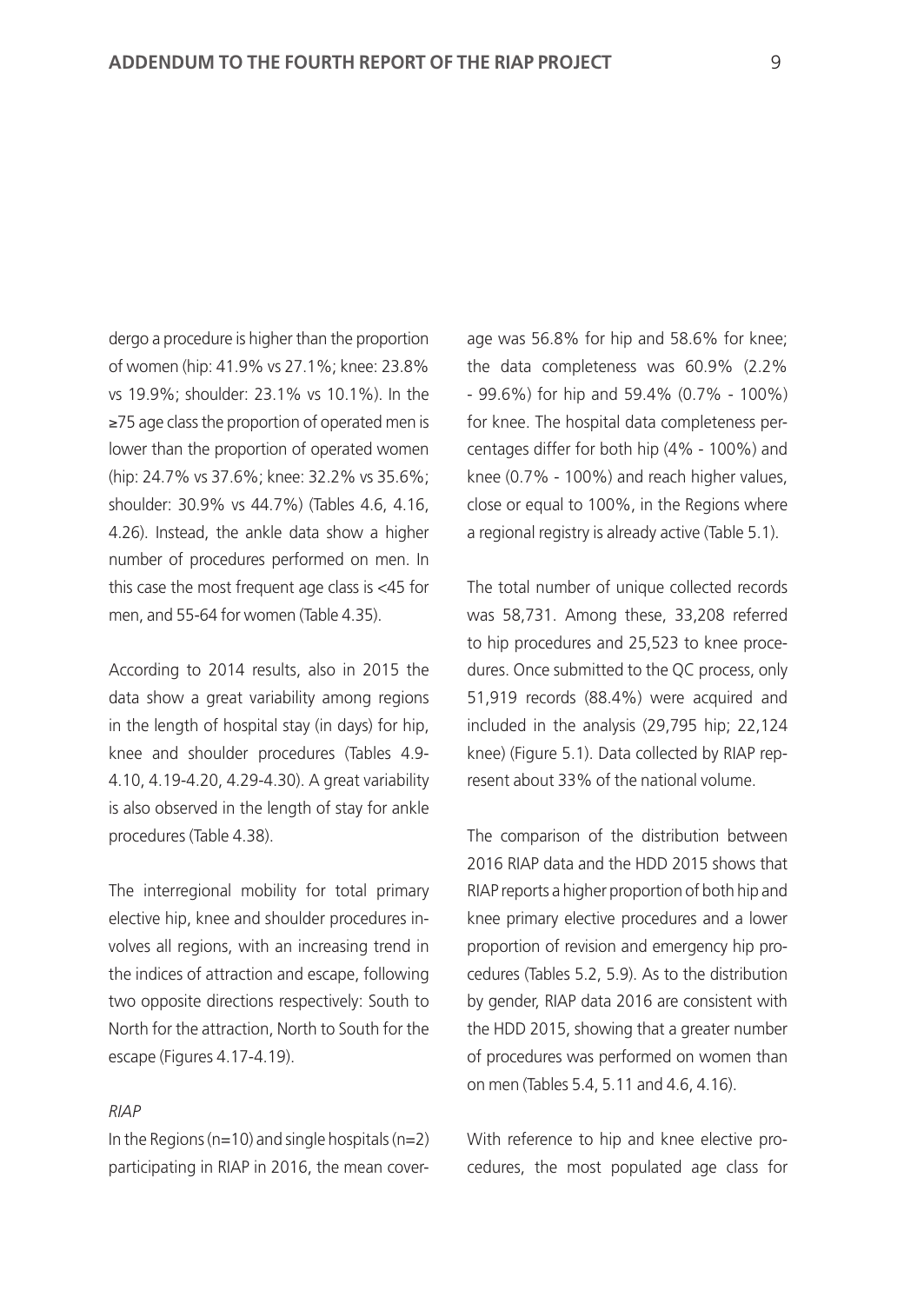dergo a procedure is higher than the proportion of women (hip: 41.9% vs 27.1%; knee: 23.8% vs 19.9%; shoulder: 23.1% vs 10.1%). In the ≥75 age class the proportion of operated men is lower than the proportion of operated women (hip: 24.7% vs 37.6%; knee: 32.2% vs 35.6%; shoulder: 30.9% vs 44.7%) (Tables 4.6, 4.16, 4.26). Instead, the ankle data show a higher number of procedures performed on men. In this case the most frequent age class is <45 for men, and 55-64 for women (Table 4.35).

According to 2014 results, also in 2015 the data show a great variability among regions in the length of hospital stay (in days) for hip, knee and shoulder procedures (Tables 4.9- 4.10, 4.19-4.20, 4.29-4.30). A great variability is also observed in the length of stay for ankle procedures (Table 4.38).

The interregional mobility for total primary elective hip, knee and shoulder procedures involves all regions, with an increasing trend in the indices of attraction and escape, following two opposite directions respectively: South to North for the attraction, North to South for the escape (Figures 4.17-4.19).

#### *RIAP*

In the Regions ( $n=10$ ) and single hospitals ( $n=2$ ) participating in RIAP in 2016, the mean coverage was 56.8% for hip and 58.6% for knee; the data completeness was 60.9% (2.2% - 99.6%) for hip and 59.4% (0.7% - 100%) for knee. The hospital data completeness percentages differ for both hip (4% - 100%) and knee (0.7% - 100%) and reach higher values, close or equal to 100%, in the Regions where a regional registry is already active (Table 5.1).

The total number of unique collected records was 58,731. Among these, 33,208 referred to hip procedures and 25,523 to knee procedures. Once submitted to the QC process, only 51,919 records (88.4%) were acquired and included in the analysis (29,795 hip; 22,124 knee) (Figure 5.1). Data collected by RIAP represent about 33% of the national volume.

The comparison of the distribution between 2016 RIAP data and the HDD 2015 shows that RIAP reports a higher proportion of both hip and knee primary elective procedures and a lower proportion of revision and emergency hip procedures (Tables 5.2, 5.9). As to the distribution by gender, RIAP data 2016 are consistent with the HDD 2015, showing that a greater number of procedures was performed on women than on men (Tables 5.4, 5.11 and 4.6, 4.16).

With reference to hip and knee elective procedures, the most populated age class for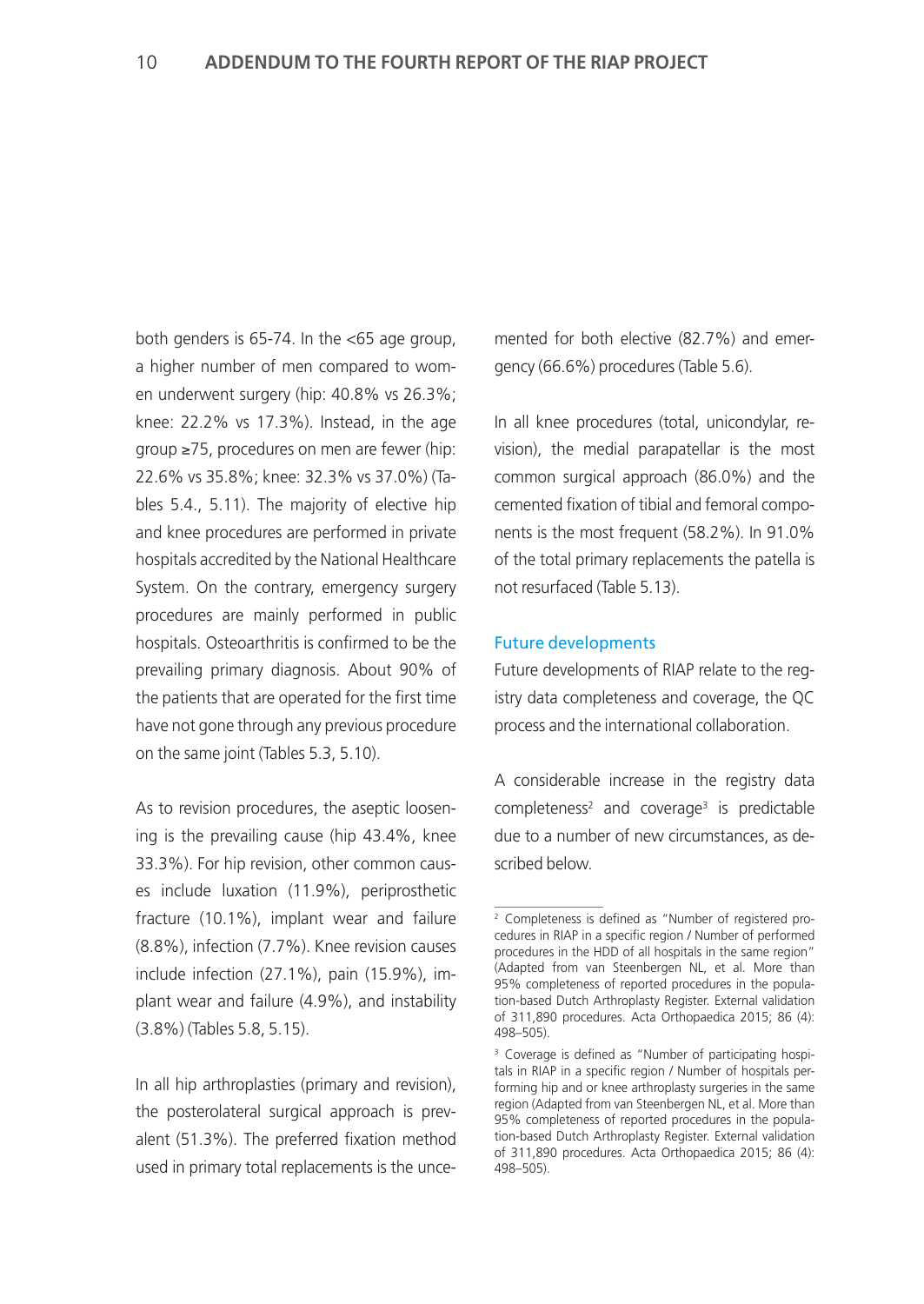both genders is 65-74. In the <65 age group, a higher number of men compared to women underwent surgery (hip: 40.8% vs 26.3%; knee: 22.2% vs 17.3%). Instead, in the age group ≥75, procedures on men are fewer (hip: 22.6% vs 35.8%; knee: 32.3% vs 37.0%) (Tables 5.4., 5.11). The majority of elective hip and knee procedures are performed in private hospitals accredited by the National Healthcare System. On the contrary, emergency surgery procedures are mainly performed in public hospitals. Osteoarthritis is confirmed to be the prevailing primary diagnosis. About 90% of the patients that are operated for the first time have not gone through any previous procedure on the same joint (Tables 5.3, 5.10).

As to revision procedures, the aseptic loosening is the prevailing cause (hip 43.4%, knee 33.3%). For hip revision, other common causes include luxation (11.9%), periprosthetic fracture (10.1%), implant wear and failure (8.8%), infection (7.7%). Knee revision causes include infection (27.1%), pain (15.9%), implant wear and failure (4.9%), and instability (3.8%) (Tables 5.8, 5.15).

In all hip arthroplasties (primary and revision), the posterolateral surgical approach is prevalent (51.3%). The preferred fixation method used in primary total replacements is the uncemented for both elective (82.7%) and emergency (66.6%) procedures (Table 5.6).

In all knee procedures (total, unicondylar, revision), the medial parapatellar is the most common surgical approach (86.0%) and the cemented fixation of tibial and femoral components is the most frequent (58.2%). In 91.0% of the total primary replacements the patella is not resurfaced (Table 5.13).

## Future developments

Future developments of RIAP relate to the registry data completeness and coverage, the QC process and the international collaboration.

A considerable increase in the registry data completeness<sup>2</sup> and coverage<sup>3</sup> is predictable due to a number of new circumstances, as described below.

<sup>2</sup> Completeness is defined as "Number of registered procedures in RIAP in a specific region / Number of performed procedures in the HDD of all hospitals in the same region" (Adapted from van Steenbergen NL, et al. More than 95% completeness of reported procedures in the population-based Dutch Arthroplasty Register. External validation of 311,890 procedures. Acta Orthopaedica 2015; 86 (4): 498–505).

<sup>&</sup>lt;sup>3</sup> Coverage is defined as "Number of participating hospitals in RIAP in a specific region / Number of hospitals performing hip and or knee arthroplasty surgeries in the same region (Adapted from van Steenbergen NL, et al. More than 95% completeness of reported procedures in the population-based Dutch Arthroplasty Register. External validation of 311,890 procedures. Acta Orthopaedica 2015; 86 (4): 498–505).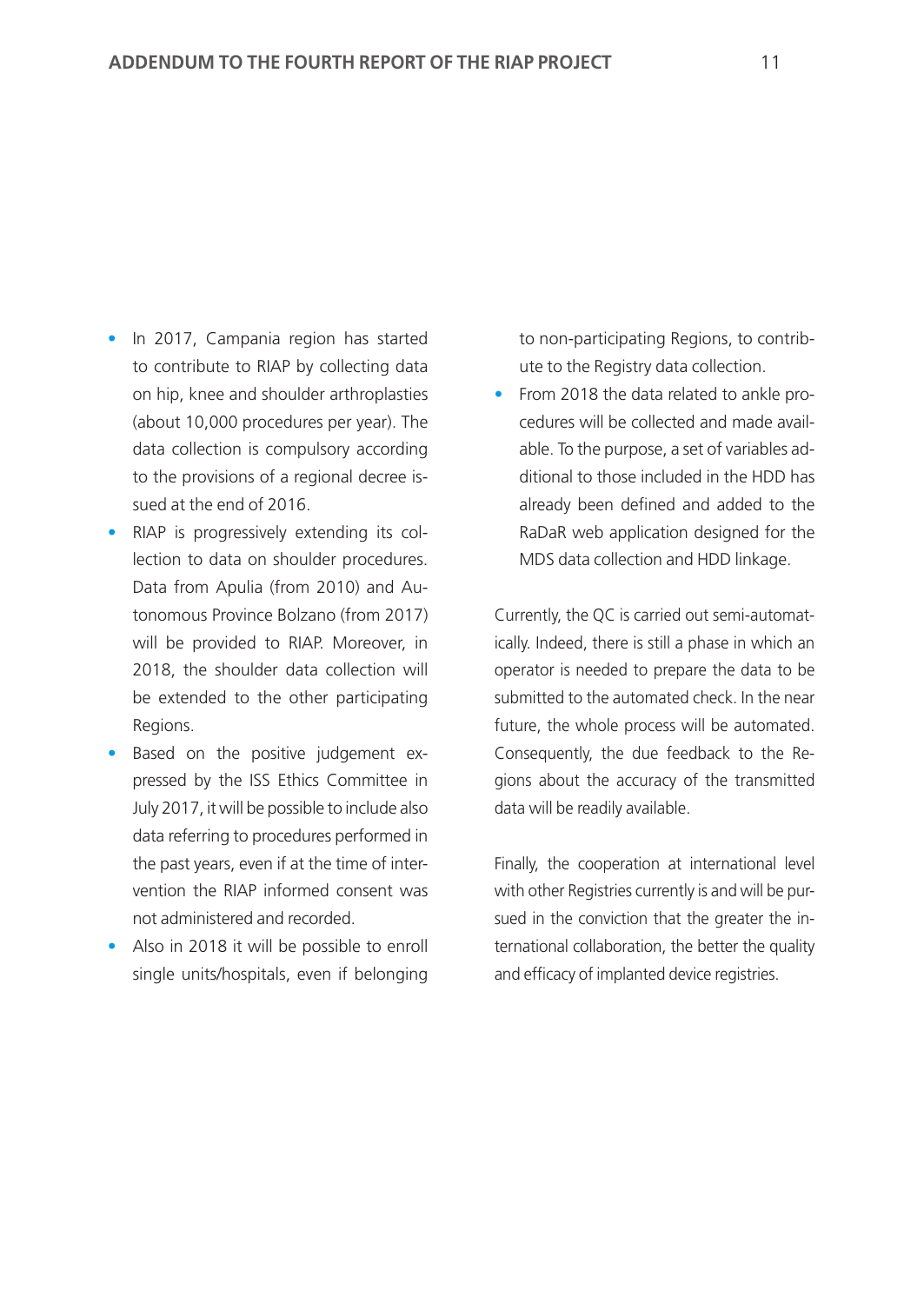- In 2017, Campania region has started to contribute to RIAP by collecting data on hip, knee and shoulder arthroplasties (about 10,000 procedures per year). The data collection is compulsory according to the provisions of a regional decree issued at the end of 2016.
- RIAP is progressively extending its collection to data on shoulder procedures. Data from Apulia (from 2010) and Autonomous Province Bolzano (from 2017) will be provided to RIAP. Moreover, in 2018, the shoulder data collection will be extended to the other participating Regions.
- Based on the positive judgement expressed by the ISS Ethics Committee in July 2017, it will be possible to include also data referring to procedures performed in the past years, even if at the time of intervention the RIAP informed consent was not administered and recorded.
- Also in 2018 it will be possible to enroll single units/hospitals, even if belonging

to non-participating Regions, to contribute to the Registry data collection.

• From 2018 the data related to ankle procedures will be collected and made available. To the purpose, a set of variables additional to those included in the HDD has already been defined and added to the RaDaR web application designed for the MDS data collection and HDD linkage.

Currently, the QC is carried out semi-automatically. Indeed, there is still a phase in which an operator is needed to prepare the data to be submitted to the automated check. In the near future, the whole process will be automated. Consequently, the due feedback to the Regions about the accuracy of the transmitted data will be readily available.

Finally, the cooperation at international level with other Registries currently is and will be pursued in the conviction that the greater the international collaboration, the better the quality and efficacy of implanted device registries.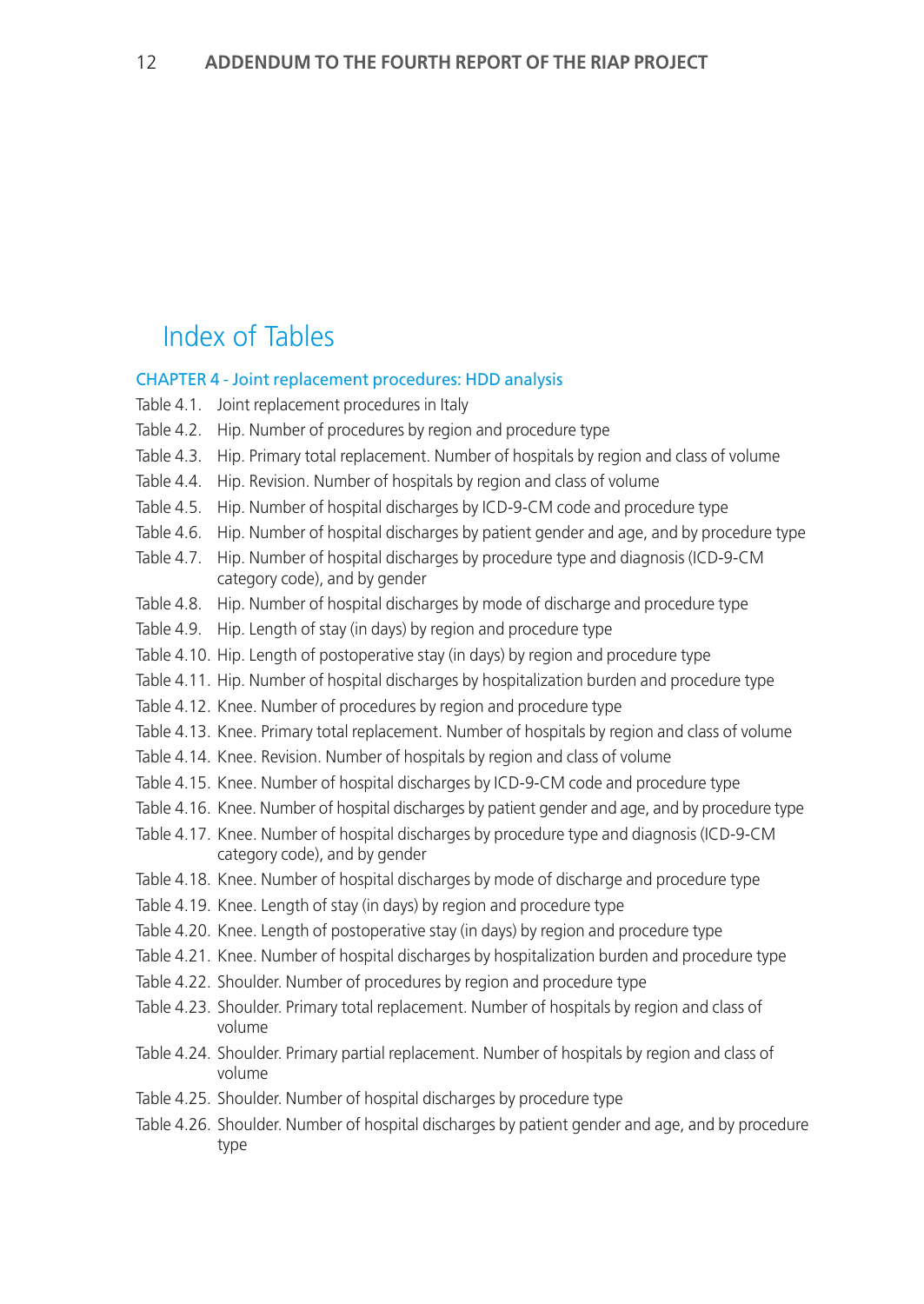# Index of Tables

## CHAPTER 4 - Joint replacement procedures: HDD analysis

- Table 4.1. Joint replacement procedures in Italy
- Table 4.2. Hip. Number of procedures by region and procedure type
- Table 4.3. Hip. Primary total replacement. Number of hospitals by region and class of volume
- Table 4.4. Hip. Revision. Number of hospitals by region and class of volume
- Table 4.5. Hip. Number of hospital discharges by ICD-9-CM code and procedure type
- Table 4.6. Hip. Number of hospital discharges by patient gender and age, and by procedure type
- Table 4.7. Hip. Number of hospital discharges by procedure type and diagnosis (ICD-9-CM category code), and by gender
- Table 4.8. Hip. Number of hospital discharges by mode of discharge and procedure type
- Table 4.9. Hip. Length of stay (in days) by region and procedure type
- Table 4.10. Hip. Length of postoperative stay (in days) by region and procedure type
- Table 4.11. Hip. Number of hospital discharges by hospitalization burden and procedure type
- Table 4.12. Knee. Number of procedures by region and procedure type
- Table 4.13. Knee. Primary total replacement. Number of hospitals by region and class of volume
- Table 4.14. Knee. Revision. Number of hospitals by region and class of volume
- Table 4.15. Knee. Number of hospital discharges by ICD-9-CM code and procedure type
- Table 4.16. Knee. Number of hospital discharges by patient gender and age, and by procedure type
- Table 4.17. Knee. Number of hospital discharges by procedure type and diagnosis (ICD-9-CM category code), and by gender
- Table 4.18. Knee. Number of hospital discharges by mode of discharge and procedure type
- Table 4.19. Knee. Length of stay (in days) by region and procedure type
- Table 4.20. Knee. Length of postoperative stay (in days) by region and procedure type
- Table 4.21. Knee. Number of hospital discharges by hospitalization burden and procedure type
- Table 4.22. Shoulder. Number of procedures by region and procedure type
- Table 4.23. Shoulder. Primary total replacement. Number of hospitals by region and class of volume
- Table 4.24. Shoulder. Primary partial replacement. Number of hospitals by region and class of volume
- Table 4.25. Shoulder. Number of hospital discharges by procedure type
- Table 4.26. Shoulder. Number of hospital discharges by patient gender and age, and by procedure type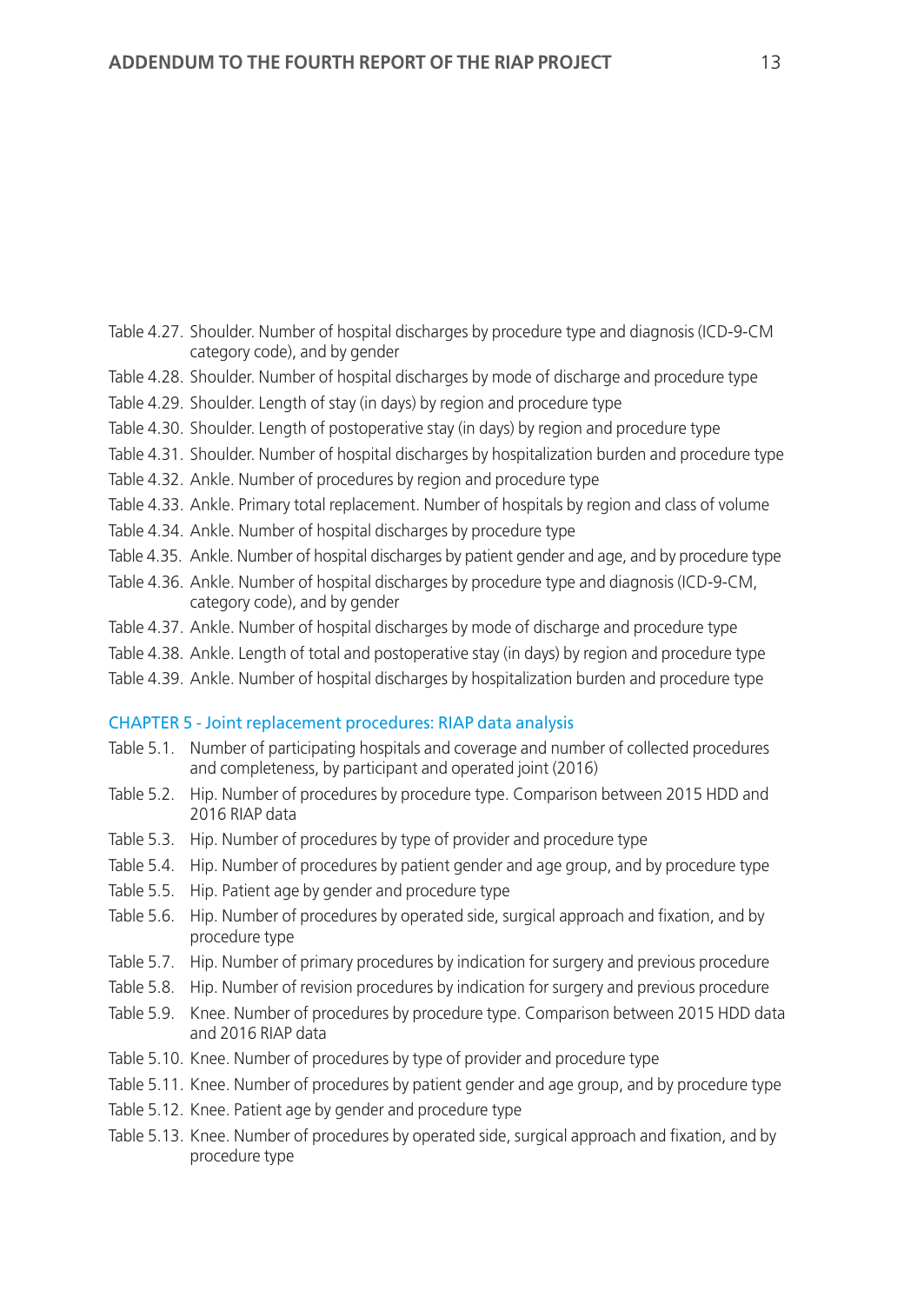- Table 4.27. Shoulder. Number of hospital discharges by procedure type and diagnosis (ICD-9-CM category code), and by gender
- Table 4.28. Shoulder. Number of hospital discharges by mode of discharge and procedure type
- Table 4.29. Shoulder. Length of stay (in days) by region and procedure type
- Table 4.30. Shoulder. Length of postoperative stay (in days) by region and procedure type
- Table 4.31. Shoulder. Number of hospital discharges by hospitalization burden and procedure type
- Table 4.32. Ankle. Number of procedures by region and procedure type
- Table 4.33. Ankle. Primary total replacement. Number of hospitals by region and class of volume
- Table 4.34. Ankle. Number of hospital discharges by procedure type
- Table 4.35. Ankle. Number of hospital discharges by patient gender and age, and by procedure type
- Table 4.36. Ankle. Number of hospital discharges by procedure type and diagnosis (ICD-9-CM, category code), and by gender
- Table 4.37. Ankle. Number of hospital discharges by mode of discharge and procedure type
- Table 4.38. Ankle. Length of total and postoperative stay (in days) by region and procedure type
- Table 4.39. Ankle. Number of hospital discharges by hospitalization burden and procedure type

## CHAPTER 5 - Joint replacement procedures: RIAP data analysis

- Table 5.1. Number of participating hospitals and coverage and number of collected procedures and completeness, by participant and operated joint (2016)
- Table 5.2. Hip. Number of procedures by procedure type. Comparison between 2015 HDD and 2016 RIAP data
- Table 5.3. Hip. Number of procedures by type of provider and procedure type
- Table 5.4. Hip. Number of procedures by patient gender and age group, and by procedure type
- Table 5.5. Hip. Patient age by gender and procedure type
- Table 5.6. Hip. Number of procedures by operated side, surgical approach and fixation, and by procedure type
- Table 5.7. Hip. Number of primary procedures by indication for surgery and previous procedure
- Table 5.8. Hip. Number of revision procedures by indication for surgery and previous procedure
- Table 5.9. Knee. Number of procedures by procedure type. Comparison between 2015 HDD data and 2016 RIAP data
- Table 5.10. Knee. Number of procedures by type of provider and procedure type
- Table 5.11. Knee. Number of procedures by patient gender and age group, and by procedure type
- Table 5.12. Knee. Patient age by gender and procedure type
- Table 5.13. Knee. Number of procedures by operated side, surgical approach and fixation, and by procedure type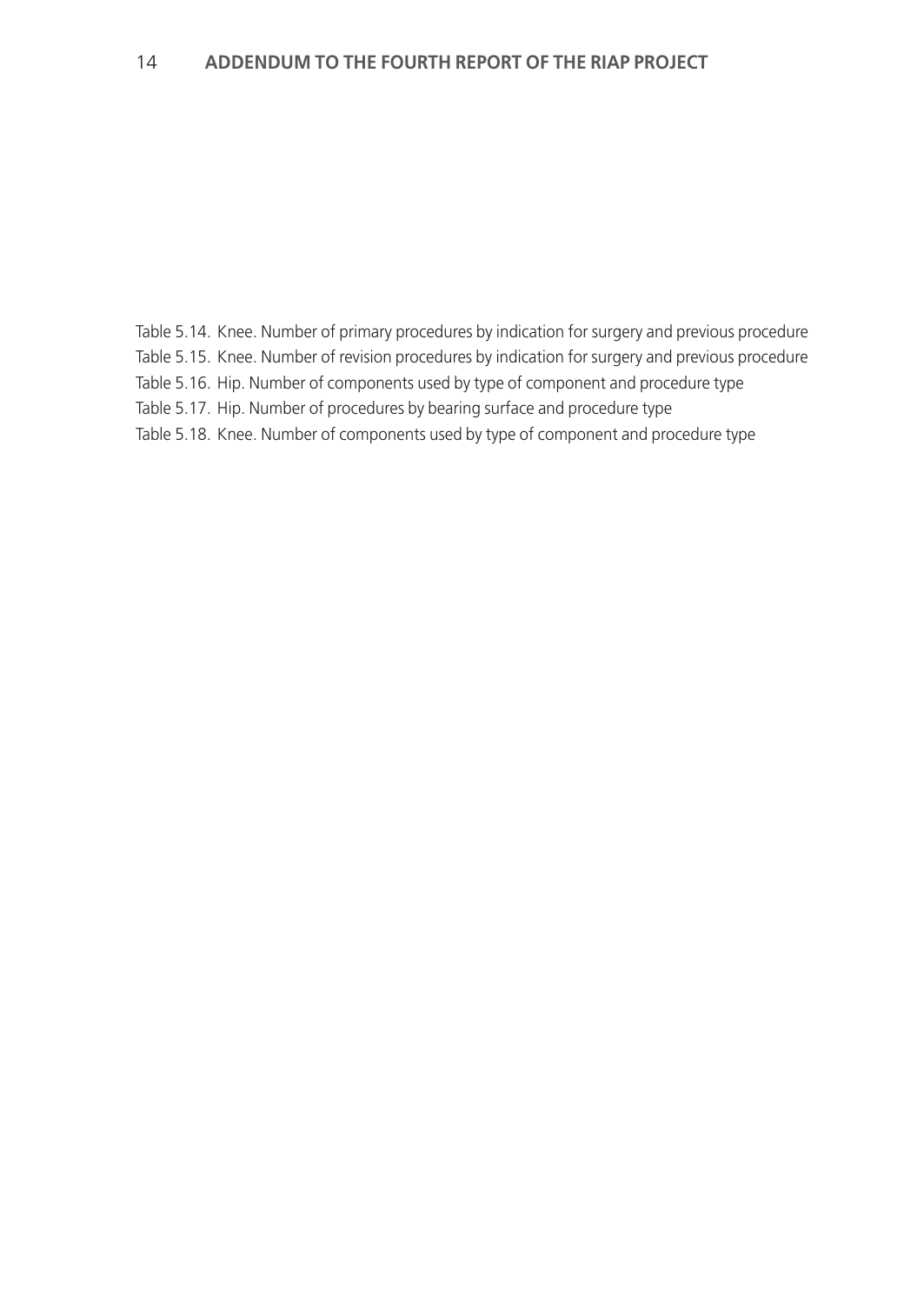Table 5.14. Knee. Number of primary procedures by indication for surgery and previous procedure Table 5.15. Knee. Number of revision procedures by indication for surgery and previous procedure Table 5.16. Hip. Number of components used by type of component and procedure type Table 5.17. Hip. Number of procedures by bearing surface and procedure type Table 5.18. Knee. Number of components used by type of component and procedure type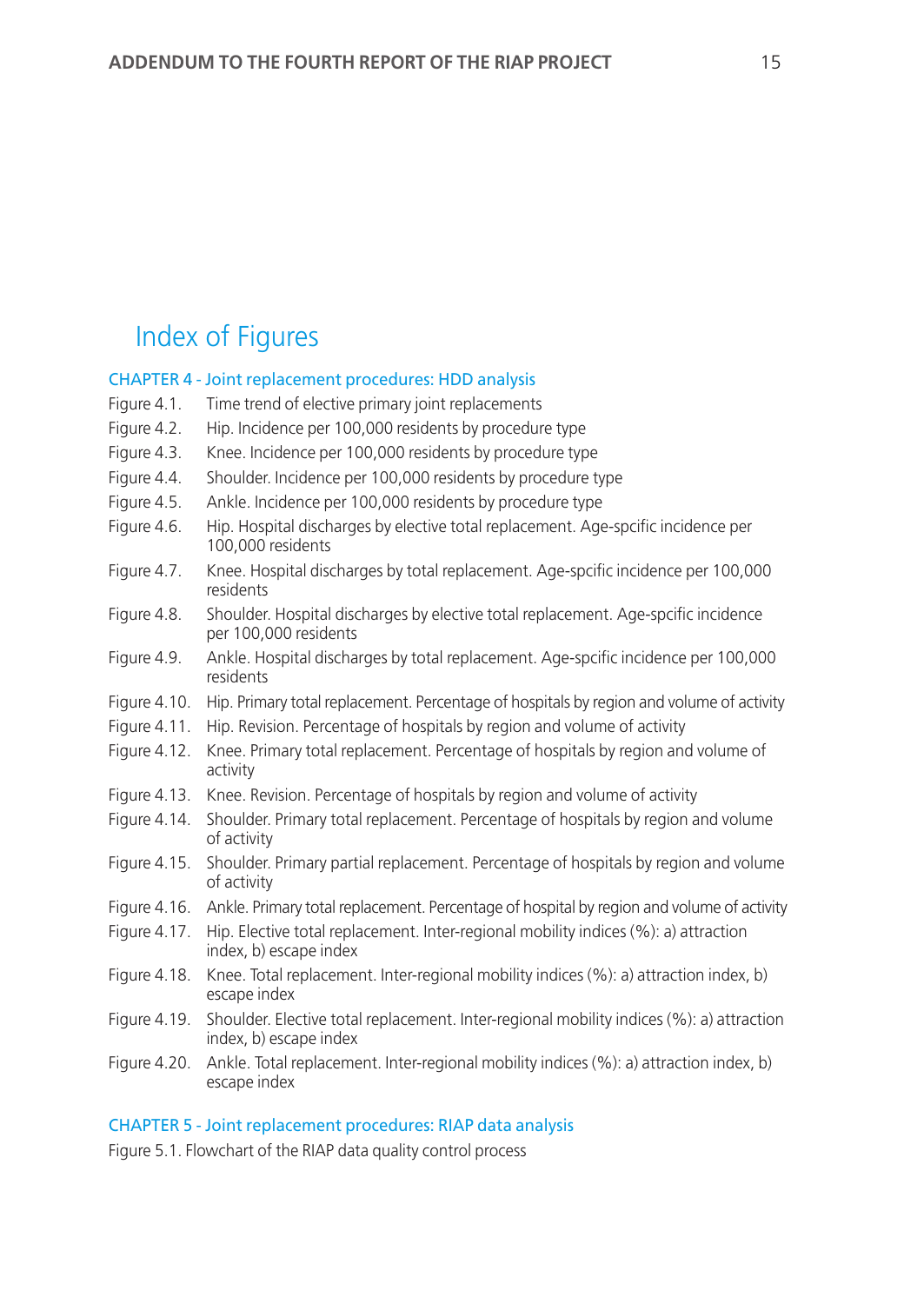# Index of Figures

## CHAPTER 4 - Joint replacement procedures: HDD analysis

- Figure 4.1. Time trend of elective primary joint replacements
- Figure 4.2. Hip. Incidence per 100,000 residents by procedure type
- Figure 4.3. Knee. Incidence per 100,000 residents by procedure type
- Figure 4.4. Shoulder. Incidence per 100,000 residents by procedure type
- Figure 4.5. Ankle. Incidence per 100,000 residents by procedure type
- Figure 4.6. Hip. Hospital discharges by elective total replacement. Age-spcific incidence per 100,000 residents
- Figure 4.7. Knee. Hospital discharges by total replacement. Age-spcific incidence per 100,000 residents
- Figure 4.8. Shoulder. Hospital discharges by elective total replacement. Age-spcific incidence per 100,000 residents
- Figure 4.9. Ankle. Hospital discharges by total replacement. Age-spcific incidence per 100,000 residents
- Figure 4.10. Hip. Primary total replacement. Percentage of hospitals by region and volume of activity
- Figure 4.11. Hip. Revision. Percentage of hospitals by region and volume of activity
- Figure 4.12. Knee. Primary total replacement. Percentage of hospitals by region and volume of activity
- Figure 4.13. Knee. Revision. Percentage of hospitals by region and volume of activity
- Figure 4.14. Shoulder. Primary total replacement. Percentage of hospitals by region and volume of activity
- Figure 4.15. Shoulder. Primary partial replacement. Percentage of hospitals by region and volume of activity
- Figure 4.16. Ankle. Primary total replacement. Percentage of hospital by region and volume of activity
- Figure 4.17. Hip. Elective total replacement. Inter-regional mobility indices (%): a) attraction index, b) escape index
- Figure 4.18. Knee. Total replacement. Inter-regional mobility indices (%): a) attraction index, b) escape index
- Figure 4.19. Shoulder. Elective total replacement. Inter-regional mobility indices (%): a) attraction index, b) escape index
- Figure 4.20. Ankle. Total replacement. Inter-regional mobility indices (%): a) attraction index, b) escape index

## CHAPTER 5 - Joint replacement procedures: RIAP data analysis

Figure 5.1. Flowchart of the RIAP data quality control process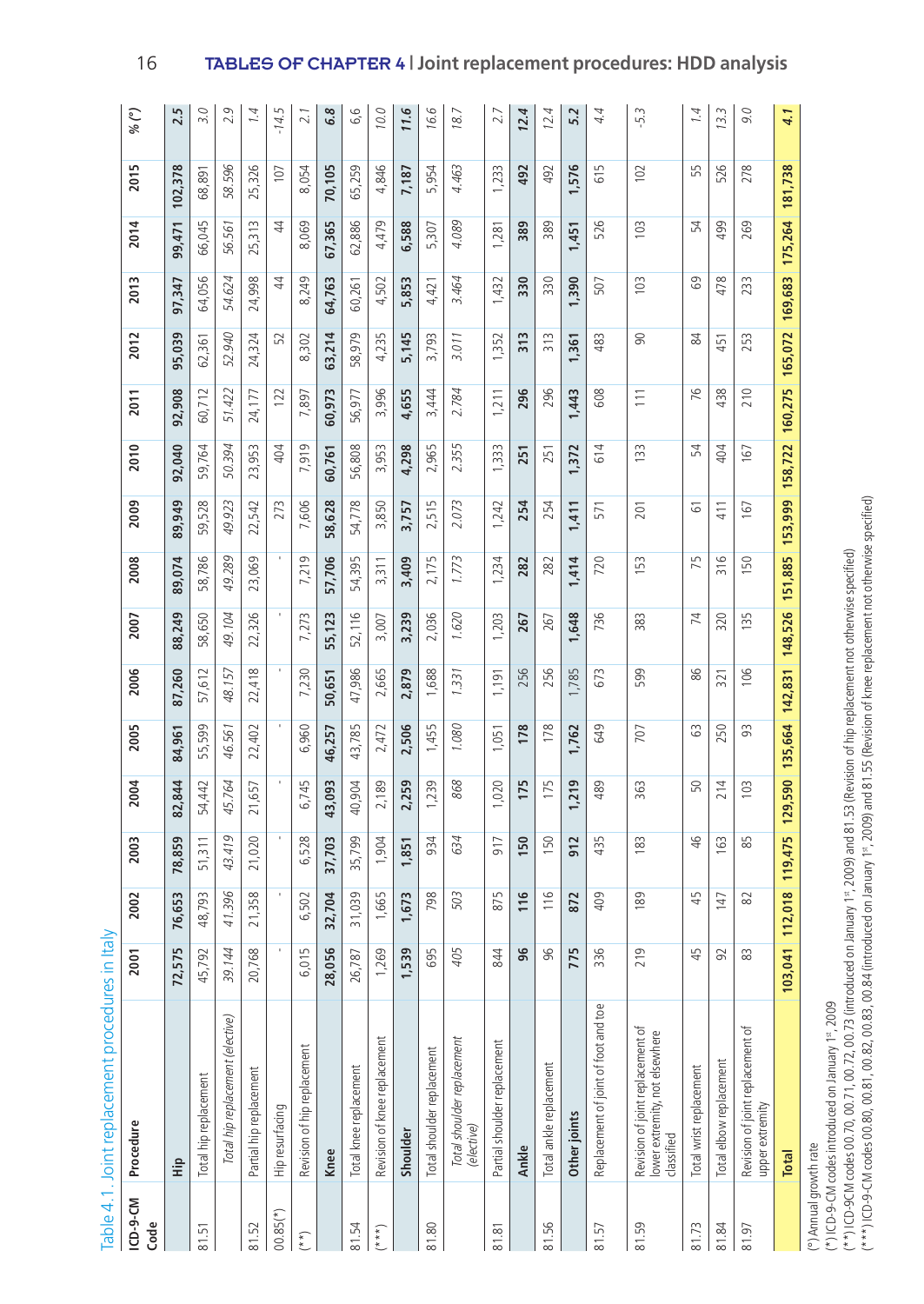| ICD-9-CM<br>Code | Procedure                                                                        | 2001                 | 2002      | 2003           | 2004    | 2005   | 2006            | 2007    | 2008            | 2009            | 2010          | 2011           | 2012            | 2013           | 2014    | 2015        | $\binom{6}{2}$ |
|------------------|----------------------------------------------------------------------------------|----------------------|-----------|----------------|---------|--------|-----------------|---------|-----------------|-----------------|---------------|----------------|-----------------|----------------|---------|-------------|----------------|
|                  | ÷і                                                                               | īυ.<br>72,57         | 76,653    | 78,859         | 82,844  | 84,961 | 87,260          | 88,249  | 89,074          | 89,949          | 92,040        | 92,908         | 95,039          | 97,347         | 99,471  | 102,378     | 2.5            |
| 81.51            | Total hip replacement                                                            | $\tilde{z}$<br>45,79 | 48,793    | 51,311         | 54,442  | 55,599 | 612<br>57,      | 58,650  | 58,786          | 59,528          | 59,764        | 60,712         | 62,361          | 64,056         | 66,045  | 68,891      | 3.0            |
|                  | Total hip replacement (elective)                                                 | 39.144               | 41.396    | 43.419         | 45.764  | 46.561 | 48.157          | 49.104  | 49.289          | 49.923          | 50.394        | 51.422         | 52.940          | 54.624         | 56.561  | 58.596      | 2.9            |
| 81.52            | Partial hip replacement                                                          | $\infty$<br>20,76    | 21,358    | 21,020         | 21,657  | 22,402 | 22,418          | 22,326  | 23,069          | 22,542          | 953<br>23,    | 24,177         | 24,324          | 24,998         | 25,313  | 25,326      | 1.4            |
| $00.85(*)$       | Hip resurfacing                                                                  | r.                   |           |                |         |        |                 |         |                 | 273             | 404           | 122            | 52              | $\overline{4}$ | 4       | 107         | $-14.5$        |
| $(**)$           | Revision of hip replacement                                                      | LN<br>6,01           | 6,502     | 6,528          | 6,745   | 6,960  | 7,230           | 7,273   | 7,219           | 7,606           | 7,919         | 7,897          | 8,302           | 8,249          | 8,069   | 8,054       | 2.1            |
|                  | Knee                                                                             | ي.<br>28,05          | 32,704    | 37,703         | 43,093  | 46,257 | 50,651          | 55,123  | 57,706          | 58,628          | 60,761        | 60,973         | 63,214          | 64,763         | 67,365  | 70,105      | 6.8            |
| 81.54            | Total knee replacement                                                           | 26,787               | 31,039    | 35,799         | 40,904  | 43,785 | 47,986          | 52,116  | 54,395          | 54,778          | 56,808        | 56,977         | 58,979          | 60,261         | 62,886  | 65,259      | 6,6            |
| $(* * *')$       | Revision of knee replacement                                                     | ഉ<br>1,26            | 1,665     | 1,904          | 2,189   | 2,472  | 2,665           | 3,007   | 3,311           | 3,850           | 3,953         | 3,996          | 4,235           | 4,502          | 4,479   | 4,846       | 10.0           |
|                  | Shoulder                                                                         | ൭<br>1,53            | 1,673     | 1,851          | 2,259   | 2,506  | 2,879           | 3,239   | 3,409           | 3,757           | 4,298         | 4,655          | 5,145           | 5,853          | 6,588   | 7,187       | 11.6           |
| 81.80            | Total shoulder replacement                                                       | ம<br>3               | 798       | 934            | 1,239   | 1,455  | 1,688           | 2,036   | 2,175           | 2,515           | 965<br>$\sim$ | 3,444          | 3,793           | 4,421          | 5,307   | 5,954       | 16.6           |
|                  | Total shoulder replacement<br>(elective)                                         | Σί<br>$\breve{=}$    | 503       | 634            | 868     | 1.080  | 1.331           | 1.620   | 1.773           | 2.073           | 2.355         | 2.784          | 3.011           | 3.464          | 4.089   | 4.463       | 18.7           |
| 81.81            | Partial shoulder replacement                                                     | 844                  | 875       | 917            | 020     | 1,051  | 1,191           | 1,203   | 234             | 1,242           | 333           | 1,211          | 352             | 1,432          | 1,281   | <b>1233</b> | 2.7            |
|                  | Ankle                                                                            | ي                    | 116       | 150            | 175     | 178    | 256             | 267     | 282             | 254             | 251           | 296            | 313             | 330            | 389     | 492         | 12.4           |
| 81.56            | Total ankle replacement                                                          | 96                   | 116       | 50             | 175     | 178    | 256             | 267     | 282             | 254             | 251           | 296            | $\frac{313}{2}$ | 330            | 389     | 492         | 12.4           |
|                  | Other joints                                                                     | Ē٥<br>77             | 872       | 912            | 219     | 1,762  | 1,785           | 1,648   | 1,414           | 1,411           | 1,372         | 1,443          | 1,361           | 1,390          | 1,451   | 576         | 5.2            |
| 81.57            | Replacement of joint of foot and toe                                             | ي<br>$\approx$       | 409       | 435            | 489     | 649    | 673             | 736     | 720             | 571             | 614           | 608            | 483             | 507            | 526     | 615         | 4.4            |
| 81.59            | Revision of joint replacement of<br>lower extremity, not elsewhere<br>classified | G<br>న               | 189       | $\frac{83}{2}$ | 363     | 707    | 599             | 383     | 153             | 201             | 133           | $\frac{1}{11}$ | 8               | 103            | 103     | 102         | $-5.3$         |
| 81.73            | Total wrist replacement                                                          | Ę                    | 45        | $\frac{1}{2}$  | 50      | ය      | 86              | 74      | 75              | 61              | 54            | 76             | 84              | 69             | 54      | 55          | 1.4            |
| 81.84            | Total elbow replacement                                                          | 2                    | 147       | G <sub>3</sub> | 214     | 250    | 321             | 320     | $\frac{316}{5}$ | 411             | 404           | 438            | 451             | 478            | 499     | 526         | 13.3           |
| 81.97            | Revision of joint replacement of<br>upper extremity                              | æ                    | $\approx$ | 85             | 103     | 93     | 106             | 135     | 150             | 167             | 167           | 210            | 253             | 233            | 269     | 278         | 9.0            |
|                  | Total                                                                            | 103,041              | 112,018   | 119,475        | 129,590 |        | 135,664 142,831 | 148,526 | 151,885         | 153,999 158,722 |               | 160,275        | 165,072         | 169,683        | 175,264 | 181,738     | 4.1            |

Table 4.1. Joint replacement procedures in Italy Table 4.1. Joint replacement procedures in Italy

(°) Annual growth rate (°) Annual growth rate

(\*) ICD-9-CM codes introduced on January 1<sup>st</sup>, 2009 (\*) ICD-9-CM codes introduced on January 1st, 2009

(\*\*\*) ICD-9-CM codes 00.80, 00.81, 00.82, 00.83, 00.84 (introduced on January 1\*, 2009) and 81.55 (Revision of knee replacement not otherwise specified) (\*\*\*) ICD-9-CM codes 00.80, 00.81, 00.82, 00.83, 00.84 (introduced on January 1st, 2009) and 81.55 (Revision of knee replacement not otherwise specified)(\*\*)ICD-9CM codes 00.70, 00.71, 00.72, 00.73 (introduced on January 1\*, 2009) and 81.53 (Revision of hip replacement not otherwise specified) (\*\*) ICD-9CM codes 00.70, 00.71, 00.72, 00.73 (introduced on January 1st, 2009) and 81.53 (Revision of hip replacement not otherwise specified)

16 TABLES OF CHAPTER 4 **| Joint replacement procedures: HDD analysis**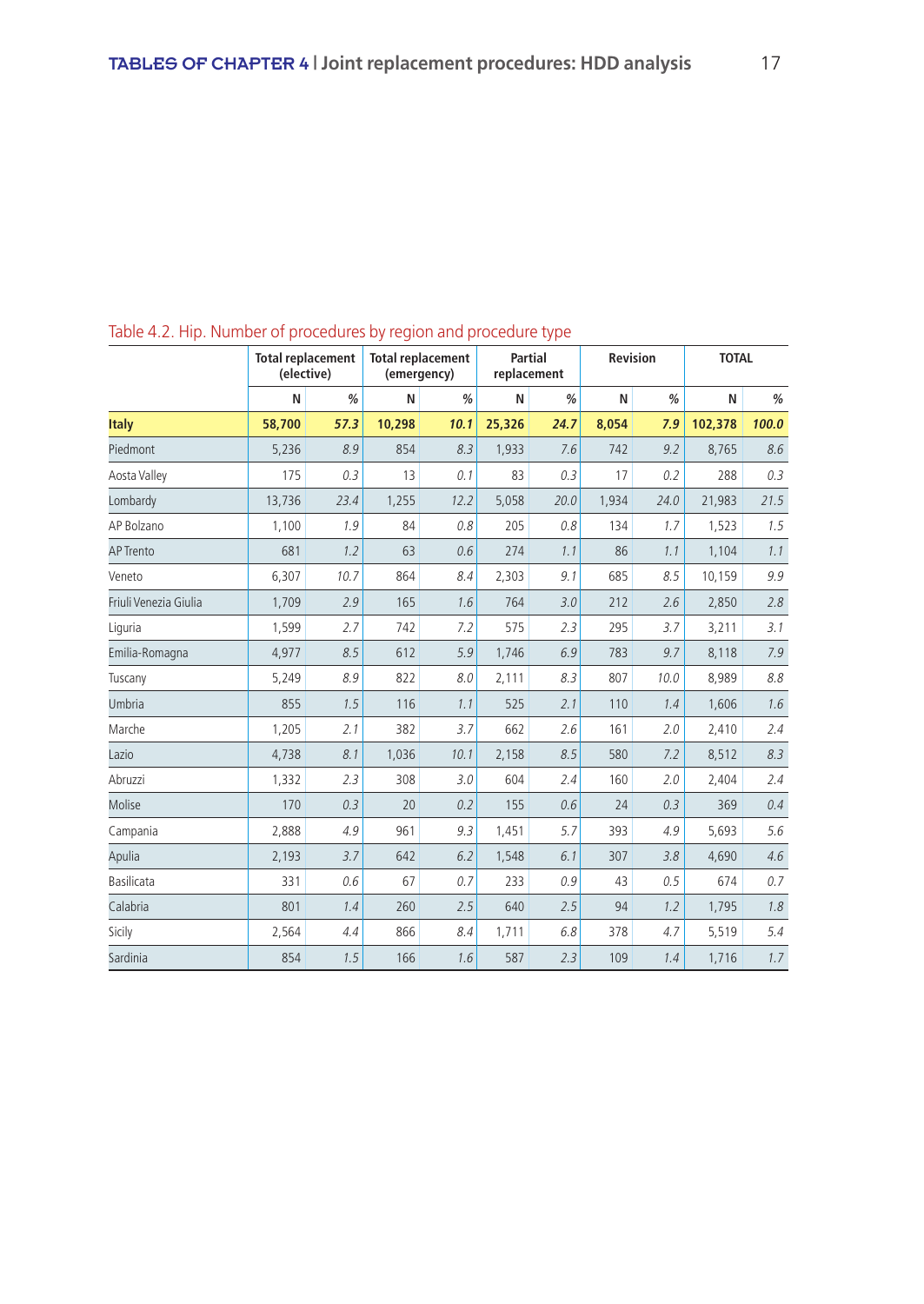| able the rile. Ramber of procedures by region and procedure type | <b>Total replacement</b><br>(elective) |      | <b>Total replacement</b><br>(emergency) |      |        | <b>Partial</b><br>replacement |       | Revision | <b>TOTAL</b> |       |
|------------------------------------------------------------------|----------------------------------------|------|-----------------------------------------|------|--------|-------------------------------|-------|----------|--------------|-------|
|                                                                  | N                                      | %    | N                                       | %    | N      | %                             | N     | %        | N            | $\%$  |
| <b>Italy</b>                                                     | 58,700                                 | 57.3 | 10,298                                  | 10.1 | 25,326 | 24.7                          | 8,054 | 7.9      | 102,378      | 100.0 |
| Piedmont                                                         | 5,236                                  | 8.9  | 854                                     | 8.3  | 1,933  | 7.6                           | 742   | 9.2      | 8,765        | 8.6   |
| Aosta Valley                                                     | 175                                    | 0.3  | 13                                      | 0.1  | 83     | 0.3                           | 17    | 0.2      | 288          | 0.3   |
| Lombardy                                                         | 13,736                                 | 23.4 | 1,255                                   | 12.2 | 5,058  | 20.0                          | 1,934 | 24.0     | 21,983       | 21.5  |
| AP Bolzano                                                       | 1,100                                  | 1.9  | 84                                      | 0.8  | 205    | 0.8                           | 134   | 1.7      | 1,523        | 1.5   |
| <b>AP Trento</b>                                                 | 681                                    | 1.2  | 63                                      | 0.6  | 274    | 1.1                           | 86    | 1.1      | 1,104        | 1.1   |
| Veneto                                                           | 6,307                                  | 10.7 | 864                                     | 8.4  | 2,303  | 9.1                           | 685   | 8.5      | 10,159       | 9.9   |
| Friuli Venezia Giulia                                            | 1,709                                  | 2.9  | 165                                     | 1.6  | 764    | 3.0                           | 212   | 2.6      | 2,850        | 2.8   |
| Liguria                                                          | 1,599                                  | 2.7  | 742                                     | 7.2  | 575    | 2.3                           | 295   | 3.7      | 3,211        | 3.1   |
| Emilia-Romagna                                                   | 4,977                                  | 8.5  | 612                                     | 5.9  | 1,746  | 6.9                           | 783   | 9.7      | 8,118        | 7.9   |
| Tuscany                                                          | 5,249                                  | 8.9  | 822                                     | 8.0  | 2,111  | 8.3                           | 807   | 10.0     | 8,989        | 8.8   |
| Umbria                                                           | 855                                    | 1.5  | 116                                     | 1.1  | 525    | 2.1                           | 110   | 1.4      | 1,606        | 1.6   |
| Marche                                                           | 1,205                                  | 2.1  | 382                                     | 3.7  | 662    | 2.6                           | 161   | 2.0      | 2,410        | 2.4   |
| Lazio                                                            | 4,738                                  | 8.1  | 1,036                                   | 10.1 | 2,158  | 8.5                           | 580   | 7.2      | 8,512        | 8.3   |
| Abruzzi                                                          | 1,332                                  | 2.3  | 308                                     | 3.0  | 604    | 2.4                           | 160   | 2.0      | 2,404        | 2.4   |
| Molise                                                           | 170                                    | 0.3  | 20                                      | 0.2  | 155    | 0.6                           | 24    | 0.3      | 369          | 0.4   |
| Campania                                                         | 2,888                                  | 4.9  | 961                                     | 9.3  | 1,451  | 5.7                           | 393   | 4.9      | 5,693        | 5.6   |
| Apulia                                                           | 2,193                                  | 3.7  | 642                                     | 6.2  | 1,548  | 6.1                           | 307   | 3.8      | 4,690        | 4.6   |
| <b>Basilicata</b>                                                | 331                                    | 0.6  | 67                                      | 0.7  | 233    | 0.9                           | 43    | 0.5      | 674          | 0.7   |
| Calabria                                                         | 801                                    | 1.4  | 260                                     | 2.5  | 640    | 2.5                           | 94    | 1.2      | 1,795        | 1.8   |
| Sicily                                                           | 2,564                                  | 4.4  | 866                                     | 8.4  | 1,711  | 6.8                           | 378   | 4.7      | 5,519        | 5.4   |
| Sardinia                                                         | 854                                    | 1.5  | 166                                     | 1.6  | 587    | 2.3                           | 109   | 1.4      | 1,716        | 1.7   |

Table 4.2. Hip. Number of procedures by region and procedure type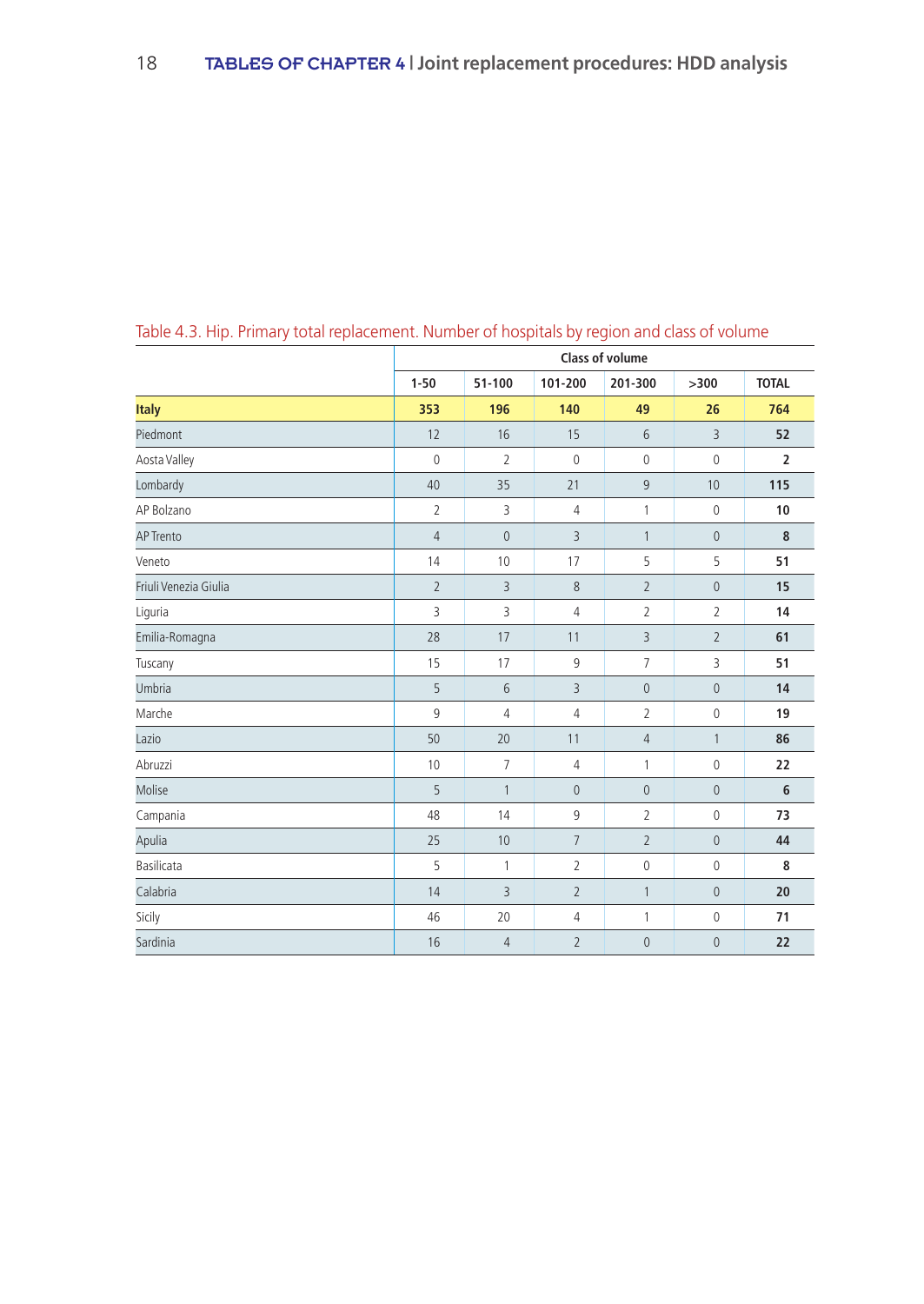|                       |                |                |                | <b>Class of volume</b> |                |                         |
|-----------------------|----------------|----------------|----------------|------------------------|----------------|-------------------------|
|                       | $1 - 50$       | 51-100         | 101-200        | 201-300                | >300           | <b>TOTAL</b>            |
| <b>Italy</b>          | 353            | 196            | 140            | 49                     | 26             | 764                     |
| Piedmont              | 12             | 16             | 15             | 6                      | $\overline{3}$ | 52                      |
| Aosta Valley          | $\mathbb O$    | $\overline{2}$ | $\mathbb O$    | $\mathbb O$            | $\mathbb O$    | $\overline{\mathbf{2}}$ |
| Lombardy              | 40             | 35             | 21             | $\overline{9}$         | 10             | 115                     |
| AP Bolzano            | $\overline{2}$ | 3              | 4              | 1                      | $\mathbb O$    | 10                      |
| <b>AP Trento</b>      | $\overline{4}$ | $\mathbf{0}$   | 3              | $\mathbf{1}$           | $\overline{0}$ | 8                       |
| Veneto                | 14             | 10             | 17             | 5                      | 5              | 51                      |
| Friuli Venezia Giulia | $\overline{2}$ | $\overline{3}$ | 8              | $\overline{2}$         | $\overline{0}$ | 15                      |
| Liguria               | 3              | 3              | 4              | $\overline{2}$         | $\overline{2}$ | 14                      |
| Emilia-Romagna        | 28             | 17             | 11             | 3                      | $\overline{2}$ | 61                      |
| Tuscany               | 15             | 17             | 9              | $\overline{7}$         | 3              | 51                      |
| Umbria                | 5              | 6              | 3              | $\mathsf{O}\xspace$    | $\mathbf 0$    | 14                      |
| Marche                | 9              | $\overline{4}$ | 4              | $\overline{2}$         | $\mathbb O$    | 19                      |
| Lazio                 | 50             | 20             | 11             | $\overline{4}$         | $\mathbf{1}$   | 86                      |
| Abruzzi               | 10             | $\overline{7}$ | 4              | 1                      | $\mathbf 0$    | 22                      |
| Molise                | 5              | $\mathbf{1}$   | $\bf 0$        | $\mathsf{O}\xspace$    | $\mathbf{0}$   | 6                       |
| Campania              | 48             | 14             | 9              | $\overline{2}$         | $\mathbb O$    | 73                      |
| Apulia                | 25             | 10             | $\overline{7}$ | $\overline{2}$         | $\mathbf 0$    | 44                      |
| Basilicata            | 5              | $\mathbf{1}$   | 2              | $\mathbb O$            | $\mathbb O$    | 8                       |
| Calabria              | 14             | 3              | $\overline{2}$ | $\mathbf{1}$           | $\mathbf{0}$   | 20                      |
| Sicily                | 46             | 20             | 4              | 1                      | $\mathbb O$    | 71                      |
| Sardinia              | 16             | $\overline{4}$ | $\overline{2}$ | $\mathsf{O}\xspace$    | $\mathbf 0$    | 22                      |

Table 4.3. Hip. Primary total replacement. Number of hospitals by region and class of volume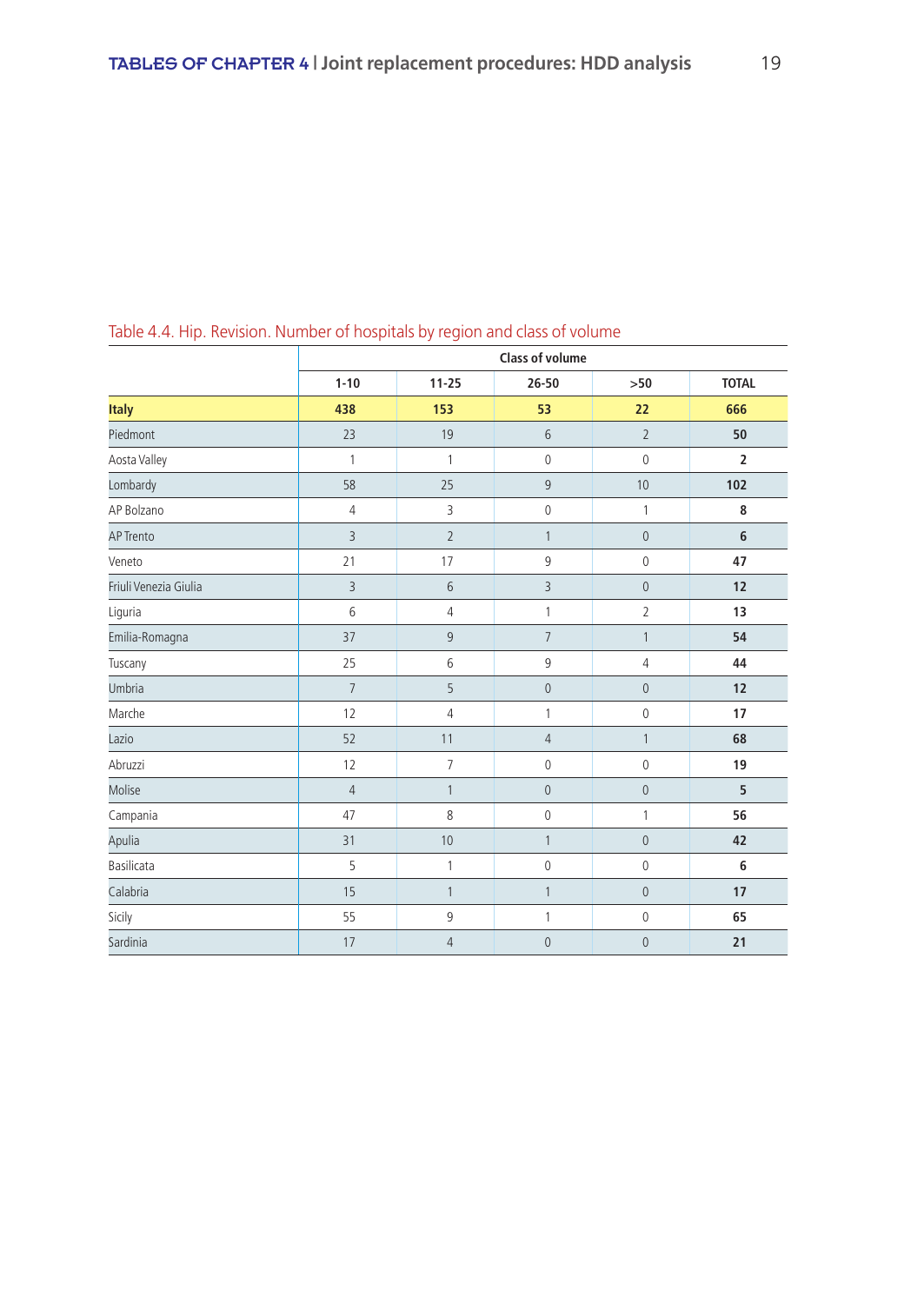|                       |                |                | <b>Class of volume</b> |                     |                |
|-----------------------|----------------|----------------|------------------------|---------------------|----------------|
|                       | $1 - 10$       | $11 - 25$      | $26 - 50$              | >50                 | <b>TOTAL</b>   |
| <b>Italy</b>          | 438            | 153            | 53                     | 22                  | 666            |
| Piedmont              | 23             | 19             | 6                      | $\overline{2}$      | 50             |
| Aosta Valley          | 1              | 1              | $\mathbf 0$            | 0                   | $\overline{2}$ |
| Lombardy              | 58             | 25             | 9                      | 10                  | 102            |
| AP Bolzano            | $\overline{4}$ | 3              | $\mathbf 0$            | $\mathbf{1}$        | 8              |
| <b>AP Trento</b>      | $\overline{3}$ | $\overline{2}$ | $\mathbf{1}$           | $\mathsf{O}\xspace$ | $6\phantom{1}$ |
| Veneto                | 21             | 17             | 9                      | 0                   | 47             |
| Friuli Venezia Giulia | $\overline{3}$ | 6              | $\overline{3}$         | $\overline{0}$      | 12             |
| Liguria               | 6              | $\overline{4}$ | $\mathbf{1}$           | $\overline{2}$      | 13             |
| Emilia-Romagna        | 37             | 9              | $\overline{7}$         | $\mathbf{1}$        | 54             |
| Tuscany               | 25             | 6              | 9                      | 4                   | 44             |
| Umbria                | $\overline{7}$ | 5              | $\mathbf 0$            | $\mathsf{O}\xspace$ | 12             |
| Marche                | 12             | $\overline{4}$ | 1                      | 0                   | 17             |
| Lazio                 | 52             | 11             | $\sqrt{4}$             | 1                   | 68             |
| Abruzzi               | 12             | $\overline{7}$ | $\mathbb O$            | 0                   | 19             |
| Molise                | $\overline{4}$ | $\mathbf{1}$   | $\mathbf 0$            | $\mathsf{O}\xspace$ | 5              |
| Campania              | 47             | 8              | $\mathbb O$            | 1                   | 56             |
| Apulia                | 31             | 10             | $\mathbf{1}$           | $\mathbf 0$         | 42             |
| Basilicata            | 5              | $\mathbf{1}$   | $\mathbb O$            | 0                   | 6              |
| Calabria              | 15             | $\mathbf{1}$   | $\mathbf{1}$           | $\overline{0}$      | 17             |
| Sicily                | 55             | 9              | $\mathbf{1}$           | $\mathbb O$         | 65             |
| Sardinia              | 17             | $\overline{4}$ | $\mathbf 0$            | $\mathbf 0$         | 21             |

Table 4.4. Hip. Revision. Number of hospitals by region and class of volume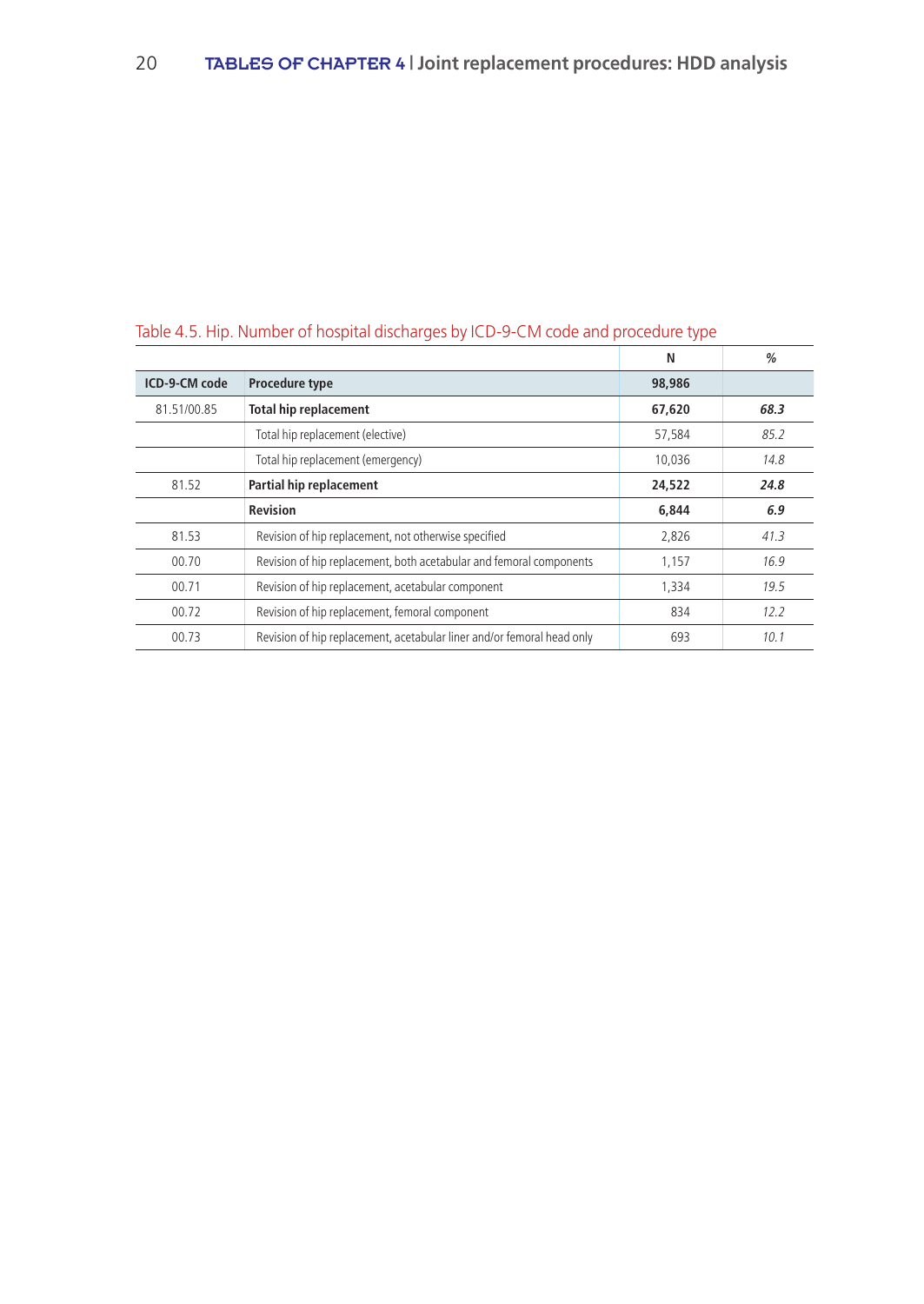|                      |                                                                        | N      | %    |
|----------------------|------------------------------------------------------------------------|--------|------|
| <b>ICD-9-CM code</b> | Procedure type                                                         | 98,986 |      |
| 81.51/00.85          | <b>Total hip replacement</b>                                           | 67,620 | 68.3 |
|                      | Total hip replacement (elective)                                       | 57,584 | 85.2 |
|                      | Total hip replacement (emergency)                                      | 10,036 | 14.8 |
| 81.52                | Partial hip replacement                                                | 24,522 | 24.8 |
|                      | <b>Revision</b>                                                        | 6,844  | 6.9  |
| 81.53                | Revision of hip replacement, not otherwise specified                   | 2,826  | 41.3 |
| 00.70                | Revision of hip replacement, both acetabular and femoral components    | 1,157  | 16.9 |
| 00.71                | Revision of hip replacement, acetabular component                      | 1,334  | 19.5 |
| 00.72                | Revision of hip replacement, femoral component                         | 834    | 12.2 |
| 00.73                | Revision of hip replacement, acetabular liner and/or femoral head only | 693    | 10.1 |

# Table 4.5. Hip. Number of hospital discharges by ICD-9-CM code and procedure type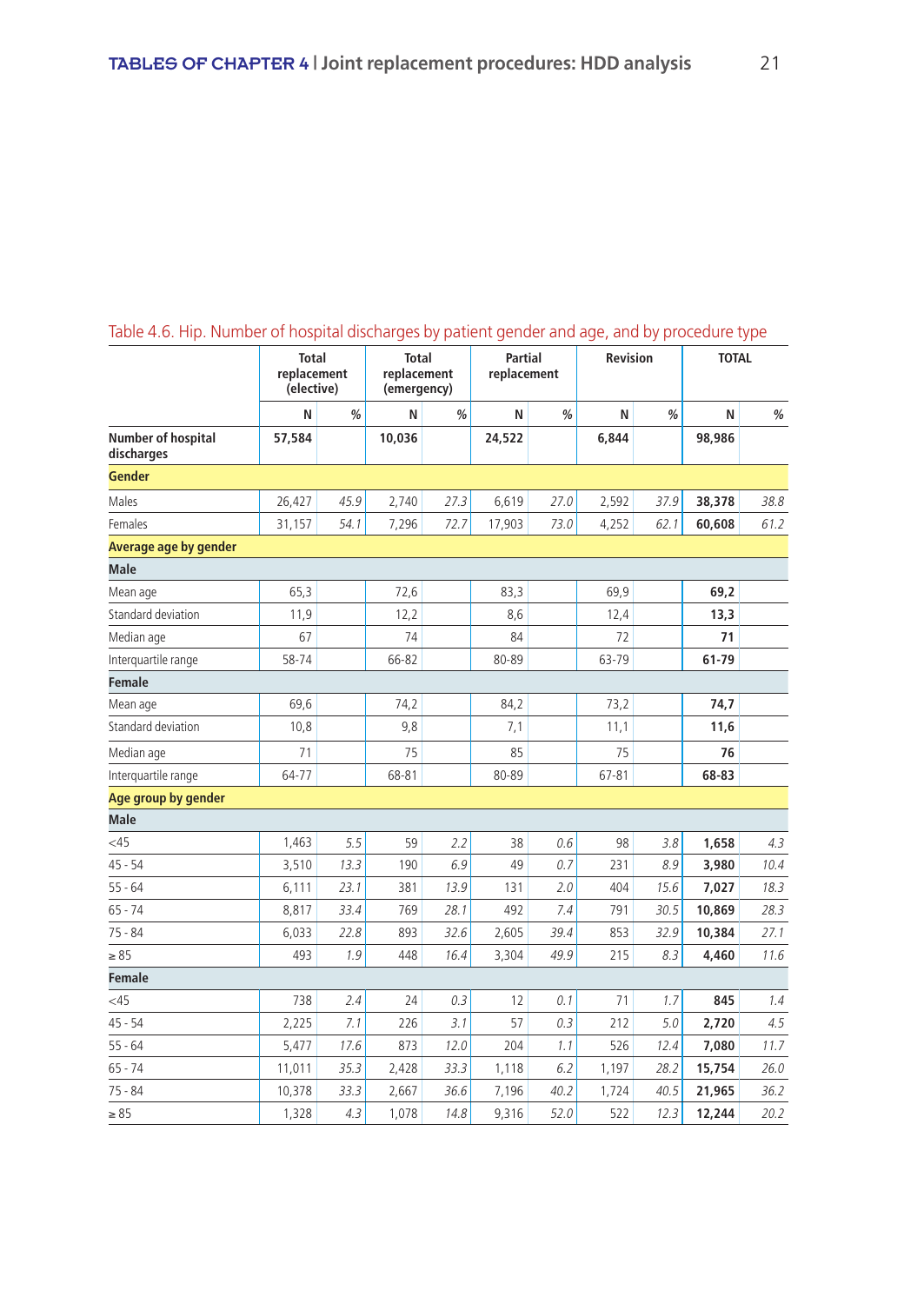|                                  | <b>Total</b><br>replacement<br>(elective) |      | <b>Total</b><br>replacement<br>(emergency) |      | <b>Partial</b><br>replacement |      | Revision  |      | <b>TOTAL</b> |      |
|----------------------------------|-------------------------------------------|------|--------------------------------------------|------|-------------------------------|------|-----------|------|--------------|------|
|                                  | N                                         | %    | N                                          | %    | N                             | %    | N         | %    | N            | %    |
| Number of hospital<br>discharges | 57,584                                    |      | 10,036                                     |      | 24,522                        |      | 6,844     |      | 98,986       |      |
| <b>Gender</b>                    |                                           |      |                                            |      |                               |      |           |      |              |      |
| Males                            | 26,427                                    | 45.9 | 2,740                                      | 27.3 | 6,619                         | 27.0 | 2,592     | 37.9 | 38,378       | 38.8 |
| Females                          | 31,157                                    | 54.1 | 7,296                                      | 72.7 | 17,903                        | 73.0 | 4,252     | 62.1 | 60,608       | 61.2 |
| Average age by gender            |                                           |      |                                            |      |                               |      |           |      |              |      |
| <b>Male</b>                      |                                           |      |                                            |      |                               |      |           |      |              |      |
| Mean age                         | 65,3                                      |      | 72,6                                       |      | 83,3                          |      | 69,9      |      | 69,2         |      |
| Standard deviation               | 11,9                                      |      | 12,2                                       |      | 8,6                           |      | 12,4      |      | 13,3         |      |
| Median age                       | 67                                        |      | 74                                         |      | 84                            |      | 72        |      | 71           |      |
| Interguartile range              | 58-74                                     |      | 66-82                                      |      | 80-89                         |      | 63-79     |      | 61-79        |      |
| <b>Female</b>                    |                                           |      |                                            |      |                               |      |           |      |              |      |
| Mean age                         | 69,6                                      |      | 74,2                                       |      | 84,2                          |      | 73,2      |      | 74,7         |      |
| Standard deviation               | 10,8                                      |      | 9,8                                        |      | 7,1                           |      | 11,1      |      | 11,6         |      |
| Median age                       | 71                                        |      | 75                                         |      | 85                            |      | 75        |      | 76           |      |
| Interquartile range              | 64-77                                     |      | 68-81                                      |      | 80-89                         |      | $67 - 81$ |      | 68-83        |      |
| Age group by gender              |                                           |      |                                            |      |                               |      |           |      |              |      |
| <b>Male</b>                      |                                           |      |                                            |      |                               |      |           |      |              |      |
| <45                              | 1,463                                     | 5.5  | 59                                         | 2.2  | 38                            | 0.6  | 98        | 3.8  | 1,658        | 4.3  |
| $45 - 54$                        | 3,510                                     | 13.3 | 190                                        | 6.9  | 49                            | 0.7  | 231       | 8.9  | 3,980        | 10.4 |
| $55 - 64$                        | 6,111                                     | 23.1 | 381                                        | 13.9 | 131                           | 2.0  | 404       | 15.6 | 7,027        | 18.3 |
| $65 - 74$                        | 8,817                                     | 33.4 | 769                                        | 28.1 | 492                           | 7.4  | 791       | 30.5 | 10,869       | 28.3 |
| $75 - 84$                        | 6,033                                     | 22.8 | 893                                        | 32.6 | 2,605                         | 39.4 | 853       | 32.9 | 10,384       | 27.1 |
| $\geq 85$                        | 493                                       | 1.9  | 448                                        | 16.4 | 3,304                         | 49.9 | 215       | 8.3  | 4,460        | 11.6 |
| <b>Female</b>                    |                                           |      |                                            |      |                               |      |           |      |              |      |
| <45                              | 738                                       | 2.4  | 24                                         | 0.3  | 12                            | 0.1  | 71        | 1.7  | 845          | 1.4  |
| $45 - 54$                        | 2,225                                     | 7.1  | 226                                        | 3.1  | 57                            | 0.3  | 212       | 5.0  | 2,720        | 4.5  |
| $55 - 64$                        | 5,477                                     | 17.6 | 873                                        | 12.0 | 204                           | 1.1  | 526       | 12.4 | 7,080        | 11.7 |
| $65 - 74$                        | 11,011                                    | 35.3 | 2,428                                      | 33.3 | 1,118                         | 6.2  | 1,197     | 28.2 | 15,754       | 26.0 |
| 75 - 84                          | 10,378                                    | 33.3 | 2,667                                      | 36.6 | 7,196                         | 40.2 | 1,724     | 40.5 | 21,965       | 36.2 |
| $\geq 85$                        | 1,328                                     | 4.3  | 1,078                                      | 14.8 | 9,316                         | 52.0 | 522       | 12.3 | 12,244       | 20.2 |

# Table 4.6. Hip. Number of hospital discharges by patient gender and age, and by procedure type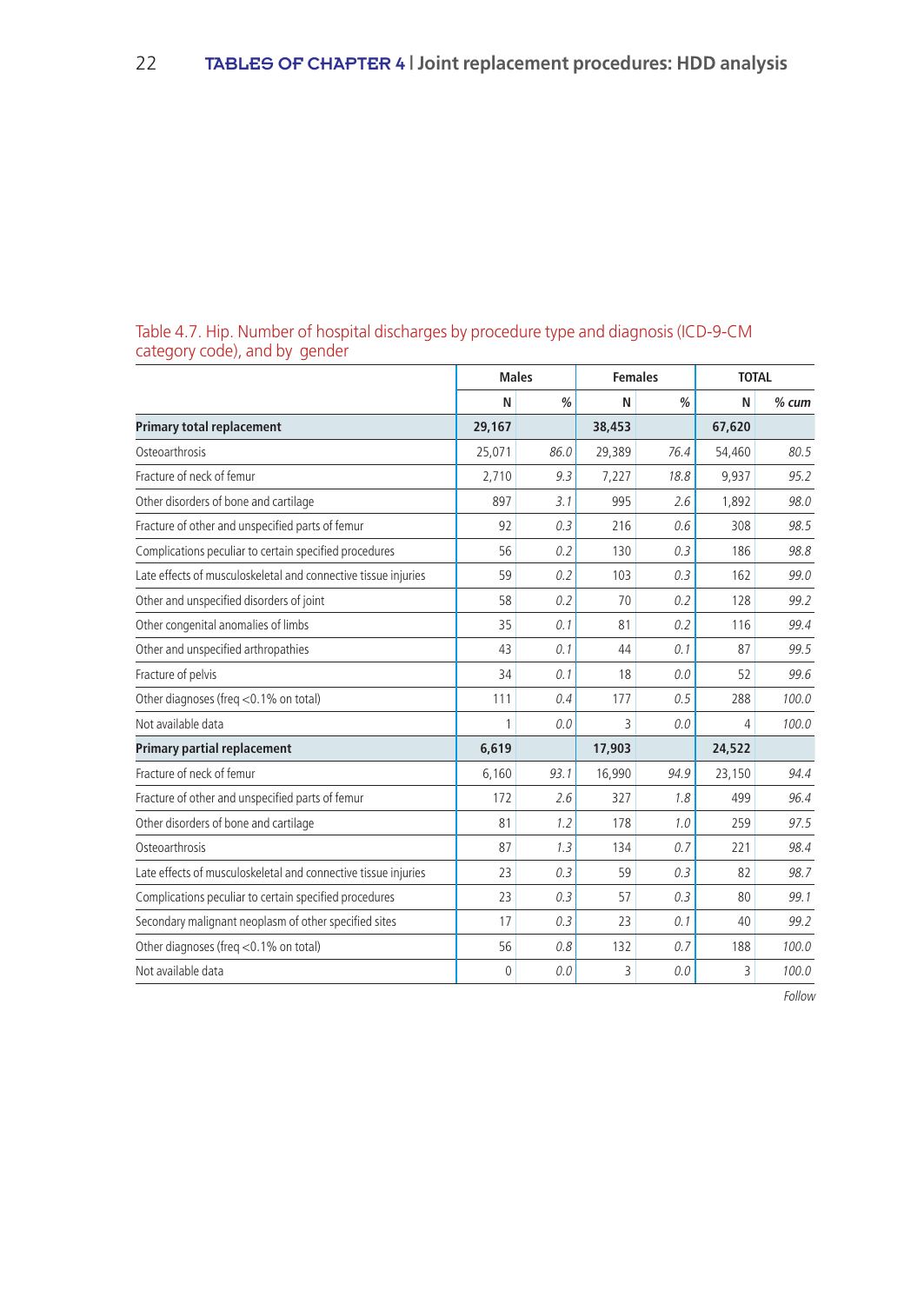|                                                                | <b>Males</b> |      | <b>Females</b> |      | <b>TOTAL</b> |         |
|----------------------------------------------------------------|--------------|------|----------------|------|--------------|---------|
|                                                                | N            | %    | N              | %    | N            | $%$ cum |
| <b>Primary total replacement</b>                               | 29,167       |      | 38,453         |      | 67,620       |         |
| Osteoarthrosis                                                 | 25,071       | 86.0 | 29,389         | 76.4 | 54,460       | 80.5    |
| Fracture of neck of femur                                      | 2,710        | 9.3  | 7,227          | 18.8 | 9,937        | 95.2    |
| Other disorders of bone and cartilage                          | 897          | 3.1  | 995            | 2.6  | 1.892        | 98.0    |
| Fracture of other and unspecified parts of femur               | 92           | 0.3  | 216            | 0.6  | 308          | 98.5    |
| Complications peculiar to certain specified procedures         | 56           | 0.2  | 130            | 0.3  | 186          | 98.8    |
| Late effects of musculoskeletal and connective tissue injuries | 59           | 0.2  | 103            | 0.3  | 162          | 99.0    |
| Other and unspecified disorders of joint                       | 58           | 0.2  | 70             | 0.2  | 128          | 99.2    |
| Other congenital anomalies of limbs                            | 35           | 0.1  | 81             | 0.2  | 116          | 99.4    |
| Other and unspecified arthropathies                            | 43           | 0.1  | 44             | 0.1  | 87           | 99.5    |
| Fracture of pelvis                                             | 34           | 0.1  | 18             | 0.0  | 52           | 99.6    |
| Other diagnoses (freg <0.1% on total)                          | 111          | 0.4  | 177            | 0.5  | 288          | 100.0   |
| Not available data                                             | 1            | 0.0  | 3              | 0.0  | 4            | 100.0   |
| <b>Primary partial replacement</b>                             | 6,619        |      | 17,903         |      | 24,522       |         |
| Fracture of neck of femur                                      | 6,160        | 93.1 | 16,990         | 94.9 | 23,150       | 94.4    |
| Fracture of other and unspecified parts of femur               | 172          | 2.6  | 327            | 1.8  | 499          | 96.4    |
| Other disorders of bone and cartilage                          | 81           | 1.2  | 178            | 1.0  | 259          | 97.5    |
| Osteoarthrosis                                                 | 87           | 1.3  | 134            | 0.7  | 221          | 98.4    |
| Late effects of musculoskeletal and connective tissue injuries | 23           | 0.3  | 59             | 0.3  | 82           | 98.7    |
| Complications peculiar to certain specified procedures         | 23           | 0.3  | 57             | 0.3  | 80           | 99.1    |
| Secondary malignant neoplasm of other specified sites          | 17           | 0.3  | 23             | 0.1  | 40           | 99.2    |
| Other diagnoses (freq <0.1% on total)                          | 56           | 0.8  | 132            | 0.7  | 188          | 100.0   |
| Not available data                                             | $\theta$     | 0.0  | 3              | 0.0  | 3            | 100.0   |

## Table 4.7. Hip. Number of hospital discharges by procedure type and diagnosis (ICD-9-CM category code), and by gender

Follow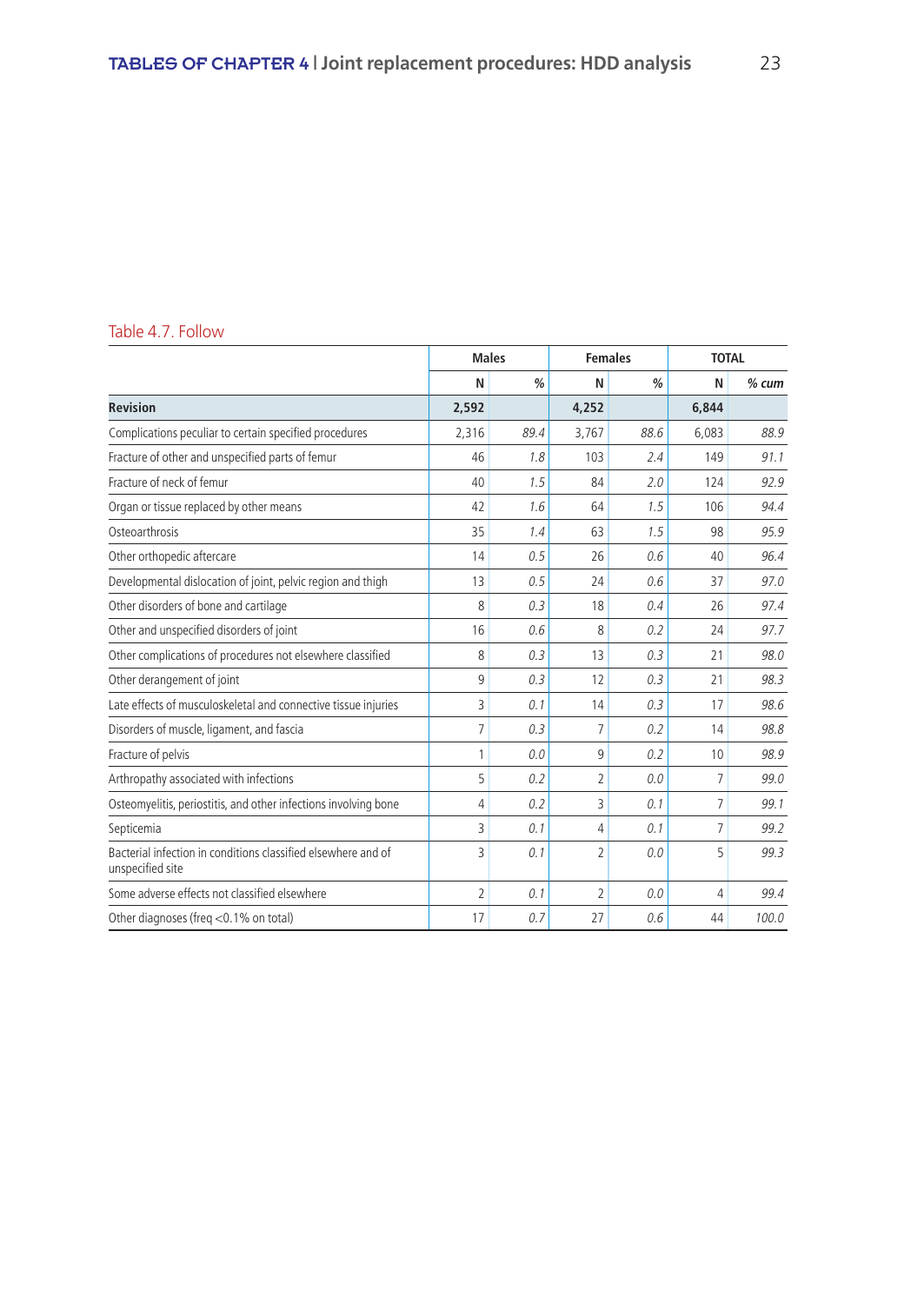# Table 4.7. Follow

|                                                                                   |                | <b>Males</b>  | <b>Females</b> |               | <b>TOTAL</b> |         |
|-----------------------------------------------------------------------------------|----------------|---------------|----------------|---------------|--------------|---------|
|                                                                                   | N              | $\frac{0}{0}$ | N              | $\frac{0}{0}$ | N            | $%$ cum |
| <b>Revision</b>                                                                   | 2,592          |               | 4,252          |               | 6,844        |         |
| Complications peculiar to certain specified procedures                            | 2,316          | 89.4          | 3,767          | 88.6          | 6,083        | 88.9    |
| Fracture of other and unspecified parts of femur                                  | 46             | 1.8           | 103            | 2.4           | 149          | 91.1    |
| Fracture of neck of femur                                                         | 40             | 1.5           | 84             | 2.0           | 124          | 92.9    |
| Organ or tissue replaced by other means                                           | 42             | 1.6           | 64             | 1.5           | 106          | 94.4    |
| Osteoarthrosis                                                                    | 35             | 1.4           | 63             | 1.5           | 98           | 95.9    |
| Other orthopedic aftercare                                                        | 14             | 0.5           | 26             | 0.6           | 40           | 96.4    |
| Developmental dislocation of joint, pelvic region and thigh                       | 13             | 0.5           | 24             | 0.6           | 37           | 97.0    |
| Other disorders of bone and cartilage                                             | 8              | 0.3           | 18             | 0.4           | 26           | 97.4    |
| Other and unspecified disorders of joint                                          | 16             | 0.6           | 8              | 0.2           | 24           | 97.7    |
| Other complications of procedures not elsewhere classified                        | 8              | 0.3           | 13             | 0.3           | 21           | 98.0    |
| Other derangement of joint                                                        | 9              | 0.3           | 12             | 0.3           | 21           | 98.3    |
| Late effects of musculoskeletal and connective tissue injuries                    | 3              | 0.1           | 14             | 0.3           | 17           | 98.6    |
| Disorders of muscle, ligament, and fascia                                         | 7              | 0.3           | 7              | 0.2           | 14           | 98.8    |
| Fracture of pelvis                                                                | 1              | 0.0           | 9              | 0.2           | 10           | 98.9    |
| Arthropathy associated with infections                                            | 5              | 0.2           | $\overline{2}$ | 0.0           | 7            | 99.0    |
| Osteomyelitis, periostitis, and other infections involving bone                   | 4              | 0.2           | 3              | 0.1           | 7            | 99.1    |
| Septicemia                                                                        | 3              | 0.1           | 4              | 0.1           | 7            | 99.2    |
| Bacterial infection in conditions classified elsewhere and of<br>unspecified site | 3              | 0.1           | $\overline{2}$ | 0.0           | 5            | 99.3    |
| Some adverse effects not classified elsewhere                                     | $\overline{2}$ | 0.1           | $\overline{2}$ | 0.0           | 4            | 99.4    |
| Other diagnoses (freg <0.1% on total)                                             | 17             | 0.7           | 27             | 0.6           | 44           | 100.0   |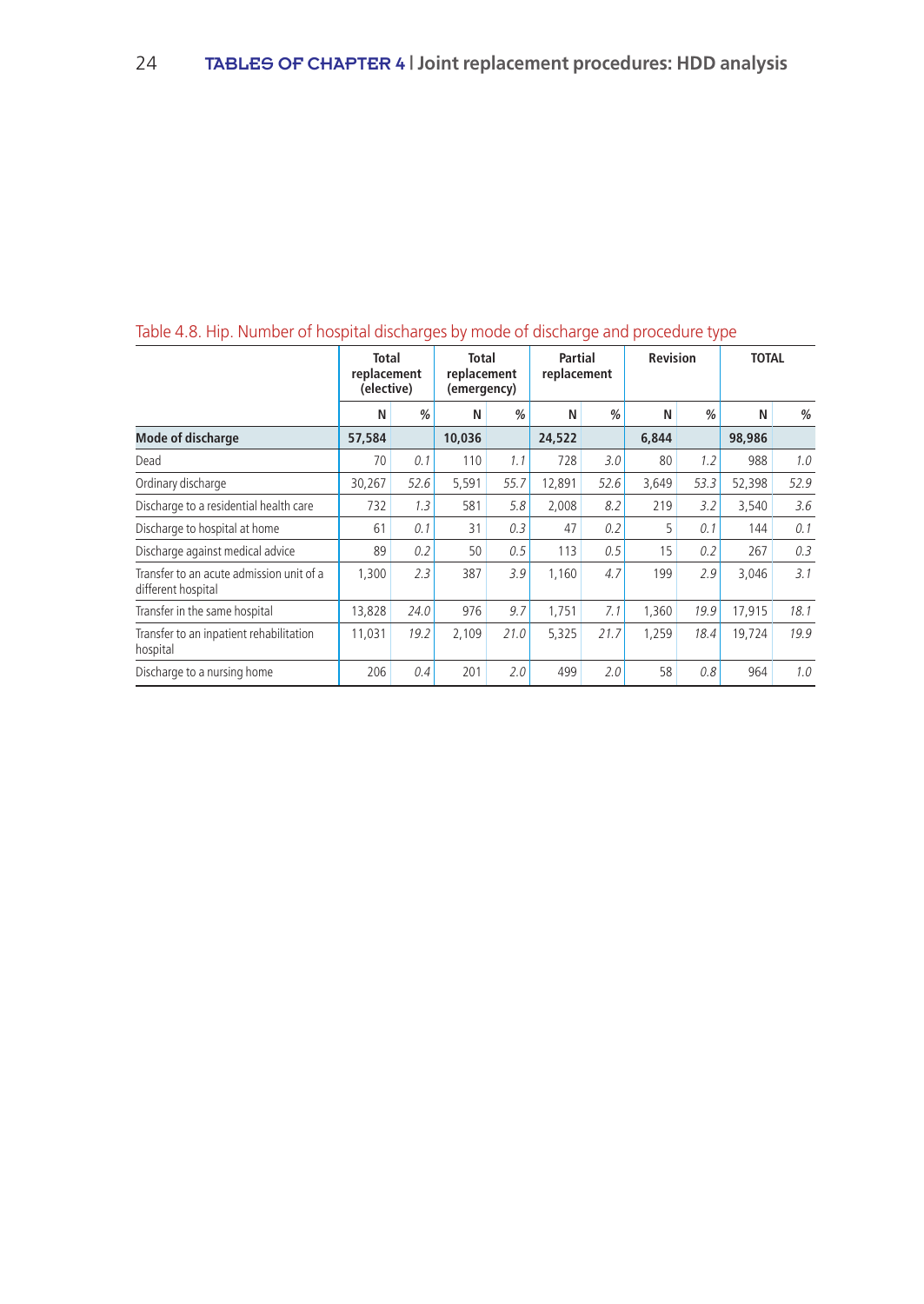|                                                                | Total<br>replacement<br>(elective) |      | <b>Total</b><br>replacement<br>(emergency) |      | Partial<br>replacement |      | <b>Revision</b> |               | <b>TOTAL</b> |      |
|----------------------------------------------------------------|------------------------------------|------|--------------------------------------------|------|------------------------|------|-----------------|---------------|--------------|------|
|                                                                | Ν                                  | %    | N                                          | %    | N                      | %    | N               | $\frac{0}{0}$ | Ν            | %    |
| <b>Mode of discharge</b>                                       | 57,584                             |      | 10,036                                     |      | 24,522                 |      | 6,844           |               | 98,986       |      |
| Dead                                                           | 70                                 | 0.1  | 110                                        | 1.1  | 728                    | 3.0  | 80              | 1.2           | 988          | 1.0  |
| Ordinary discharge                                             | 30,267                             | 52.6 | 5,591                                      | 55.7 | 12,891                 | 52.6 | 3,649           | 53.3          | 52,398       | 52.9 |
| Discharge to a residential health care                         | 732                                | 1.3  | 581                                        | 5.8  | 2,008                  | 8.2  | 219             | 3.2           | 3.540        | 3.6  |
| Discharge to hospital at home                                  | 61                                 | 0.1  | 31                                         | 0.3  | 47                     | 0.2  | 5               | 0.1           | 144          | 0.1  |
| Discharge against medical advice                               | 89                                 | 0.2  | 50                                         | 0.5  | 113                    | 0.5  | 15              | 0.2           | 267          | 0.3  |
| Transfer to an acute admission unit of a<br>different hospital | 1.300                              | 2.3  | 387                                        | 3.9  | 1,160                  | 4.7  | 199             | 2.9           | 3,046        | 3.1  |
| Transfer in the same hospital                                  | 13,828                             | 24.0 | 976                                        | 9.7  | 1,751                  | 7.1  | 1,360           | 19.9          | 17,915       | 18.1 |
| Transfer to an inpatient rehabilitation<br>hospital            | 11,031                             | 19.2 | 2.109                                      | 21.0 | 5,325                  | 21.7 | 1,259           | 18.4          | 19.724       | 19.9 |
| Discharge to a nursing home                                    | 206                                | 0.4  | 201                                        | 2.0  | 499                    | 2.0  | 58              | 0.8           | 964          | 1.0  |

# Table 4.8. Hip. Number of hospital discharges by mode of discharge and procedure type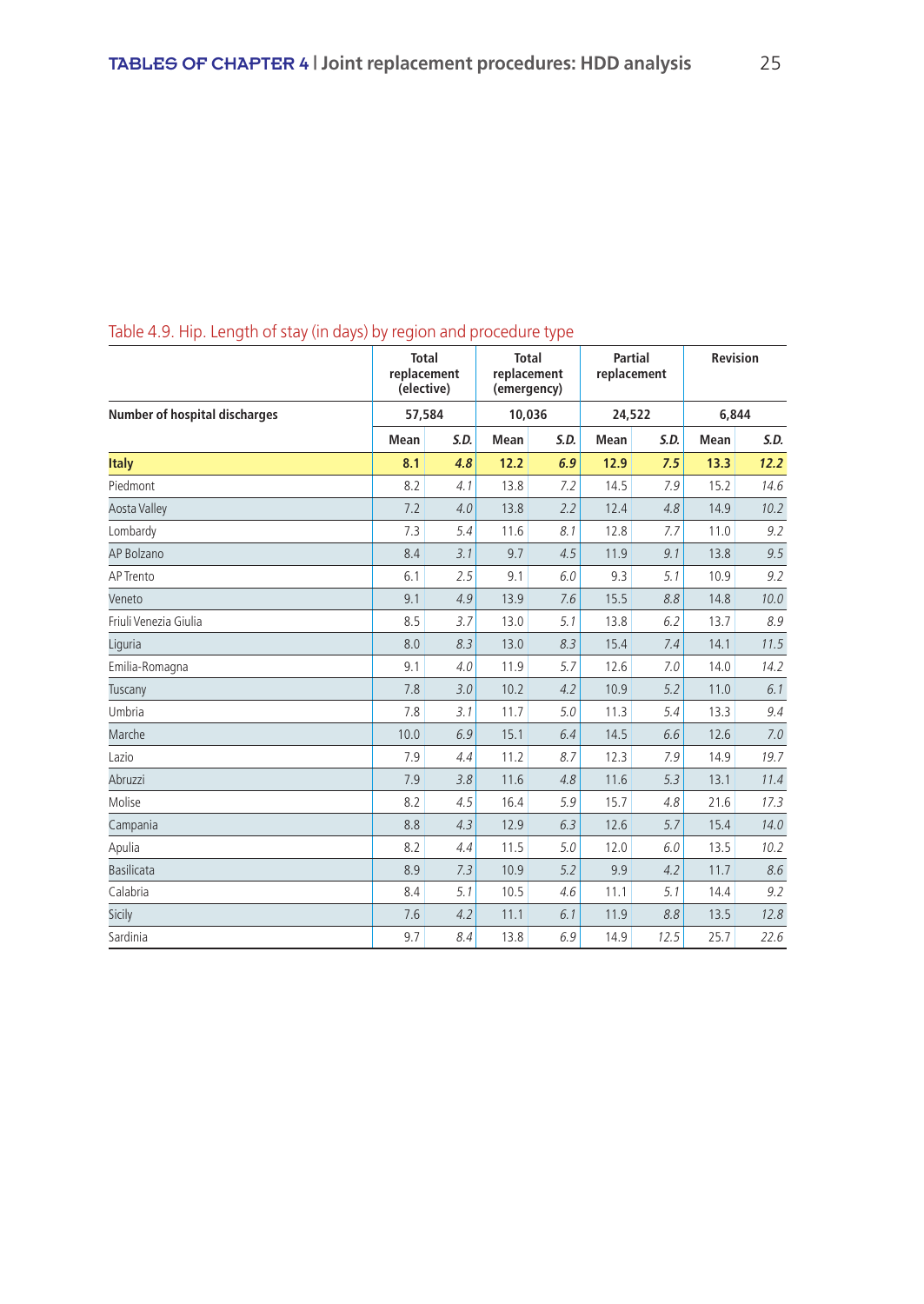|                                      |      | <b>Total</b><br>replacement<br>(elective) | <b>Total</b><br>replacement<br>(emergency) |        |      | <b>Partial</b><br>replacement | <b>Revision</b> |      |
|--------------------------------------|------|-------------------------------------------|--------------------------------------------|--------|------|-------------------------------|-----------------|------|
| <b>Number of hospital discharges</b> |      | 57,584                                    |                                            | 10,036 |      | 24,522                        | 6,844           |      |
|                                      | Mean | S.D.                                      | Mean                                       | S.D.   | Mean | S.D.                          | Mean            | S.D. |
| <b>Italy</b>                         | 8.1  | 4.8                                       | 12.2                                       | 6.9    | 12.9 | 7.5                           | 13.3            | 12.2 |
| Piedmont                             | 8.2  | 4.1                                       | 13.8                                       | 7.2    | 14.5 | 7.9                           | 15.2            | 14.6 |
| <b>Aosta Valley</b>                  | 7.2  | 4.0                                       | 13.8                                       | 2.2    | 12.4 | 4.8                           | 14.9            | 10.2 |
| Lombardy                             | 7.3  | 5.4                                       | 11.6                                       | 8.1    | 12.8 | 7.7                           | 11.0            | 9.2  |
| AP Bolzano                           | 8.4  | 3.1                                       | 9.7                                        | 4.5    | 11.9 | 9.1                           | 13.8            | 9.5  |
| AP Trento                            | 6.1  | 2.5                                       | 9.1                                        | 6.0    | 9.3  | 5.1                           | 10.9            | 9.2  |
| Veneto                               | 9.1  | 4.9                                       | 13.9                                       | 7.6    | 15.5 | 8.8                           | 14.8            | 10.0 |
| Friuli Venezia Giulia                | 8.5  | 3.7                                       | 13.0                                       | 5.1    | 13.8 | 6.2                           | 13.7            | 8.9  |
| Liguria                              | 8.0  | 8.3                                       | 13.0                                       | 8.3    | 15.4 | 7.4                           | 14.1            | 11.5 |
| Emilia-Romagna                       | 9.1  | 4.0                                       | 11.9                                       | 5.7    | 12.6 | 7.0                           | 14.0            | 14.2 |
| Tuscany                              | 7.8  | 3.0                                       | 10.2                                       | 4.2    | 10.9 | 5.2                           | 11.0            | 6.1  |
| Umbria                               | 7.8  | 3.1                                       | 11.7                                       | 5.0    | 11.3 | 5.4                           | 13.3            | 9.4  |
| Marche                               | 10.0 | 6.9                                       | 15.1                                       | 6.4    | 14.5 | 6.6                           | 12.6            | 7.0  |
| Lazio                                | 7.9  | 4.4                                       | 11.2                                       | 8.7    | 12.3 | 7.9                           | 14.9            | 19.7 |
| Abruzzi                              | 7.9  | 3.8                                       | 11.6                                       | 4.8    | 11.6 | 5.3                           | 13.1            | 11.4 |
| Molise                               | 8.2  | 4.5                                       | 16.4                                       | 5.9    | 15.7 | 4.8                           | 21.6            | 17.3 |
| Campania                             | 8.8  | 4.3                                       | 12.9                                       | 6.3    | 12.6 | 5.7                           | 15.4            | 14.0 |
| Apulia                               | 8.2  | 4.4                                       | 11.5                                       | 5.0    | 12.0 | 6.0                           | 13.5            | 10.2 |
| <b>Basilicata</b>                    | 8.9  | 7.3                                       | 10.9                                       | 5.2    | 9.9  | 4.2                           | 11.7            | 8.6  |
| Calabria                             | 8.4  | 5.1                                       | 10.5                                       | 4.6    | 11.1 | 5.1                           | 14.4            | 9.2  |
| Sicily                               | 7.6  | 4.2                                       | 11.1                                       | 6.1    | 11.9 | 8.8                           | 13.5            | 12.8 |
| Sardinia                             | 9.7  | 8.4                                       | 13.8                                       | 6.9    | 14.9 | 12.5                          | 25.7            | 22.6 |

# Table 4.9. Hip. Length of stay (in days) by region and procedure type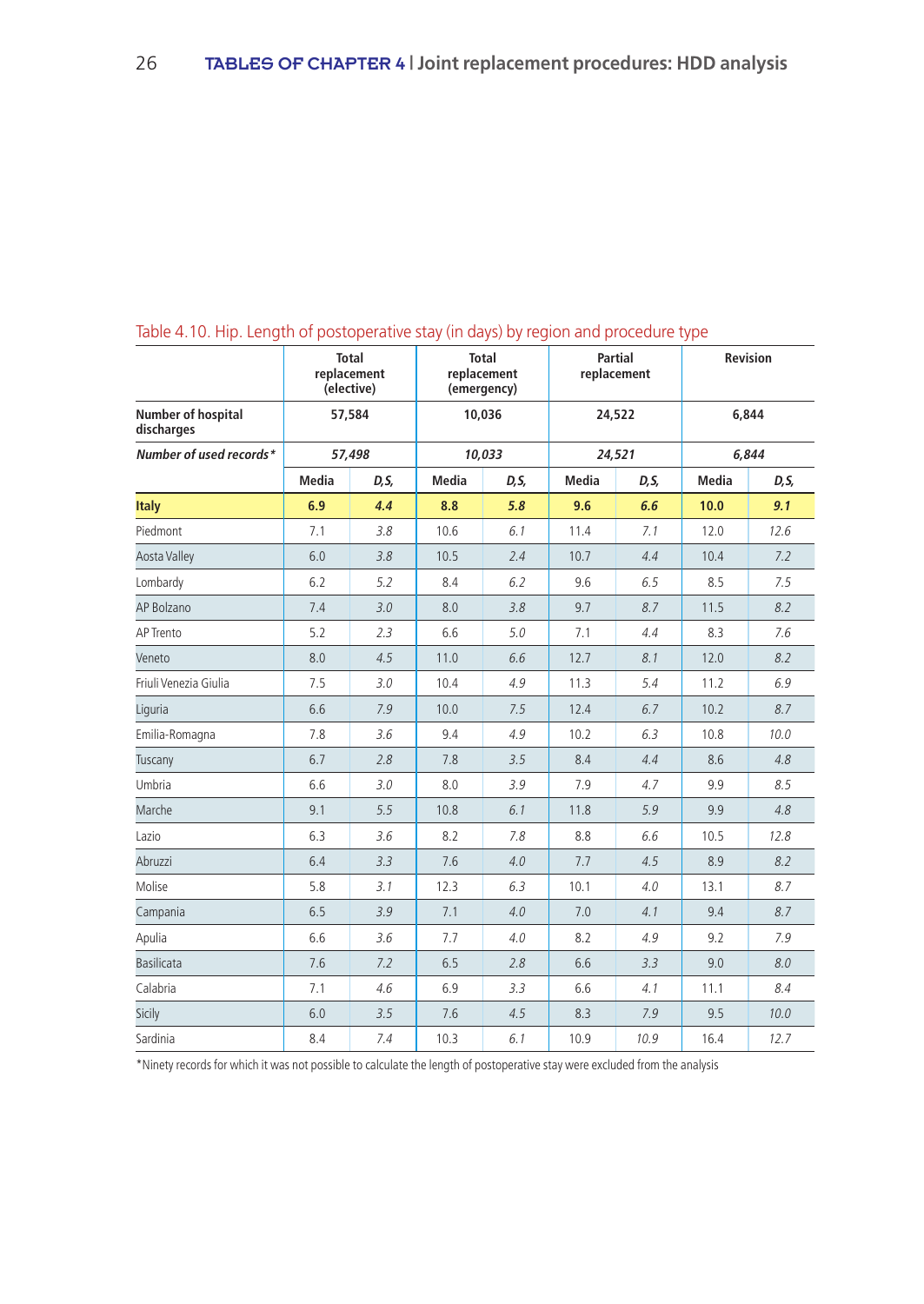|                                  |              | <b>Total</b><br>replacement<br>(elective) |              | <b>Total</b><br>replacement<br>(emergency) |              | <b>Partial</b><br>replacement |              | Revision |
|----------------------------------|--------------|-------------------------------------------|--------------|--------------------------------------------|--------------|-------------------------------|--------------|----------|
| Number of hospital<br>discharges |              | 57,584                                    |              | 10,036                                     |              | 24,522                        |              | 6,844    |
| Number of used records*          |              | 57,498                                    |              | 10.033                                     |              | 24,521                        |              | 6.844    |
|                                  | <b>Media</b> | D, S,                                     | <b>Media</b> | D, S,                                      | <b>Media</b> | D, S,                         | <b>Media</b> | D, S,    |
| <b>Italy</b>                     | 6.9          | 4.4                                       | 8.8          | 5.8                                        | 9.6          | 6.6                           | 10.0         | 9.1      |
| Piedmont                         | 7.1          | 3.8                                       | 10.6         | 6.1                                        | 11.4         | 7.1                           | 12.0         | 12.6     |
| <b>Aosta Valley</b>              | 6.0          | 3.8                                       | 10.5         | 2.4                                        | 10.7         | 4.4                           | 10.4         | 7.2      |
| Lombardy                         | 6.2          | 5.2                                       | 8.4          | 6.2                                        | 9.6          | 6.5                           | 8.5          | 7.5      |
| AP Bolzano                       | 7.4          | 3.0                                       | 8.0          | 3.8                                        | 9.7          | 8.7                           | 11.5         | 8.2      |
| AP Trento                        | 5.2          | 2.3                                       | 6.6          | 5.0                                        | 7.1          | 4.4                           | 8.3          | 7.6      |
| Veneto                           | 8.0          | 4.5                                       | 11.0         | 6.6                                        | 12.7         | 8.1                           | 12.0         | 8.2      |
| Friuli Venezia Giulia            | 7.5          | 3.0                                       | 10.4         | 4.9                                        | 11.3         | 5.4                           | 11.2         | 6.9      |
| Liguria                          | 6.6          | 7.9                                       | 10.0         | 7.5                                        | 12.4         | 6.7                           | 10.2         | 8.7      |
| Emilia-Romagna                   | 7.8          | 3.6                                       | 9.4          | 4.9                                        | 10.2         | 6.3                           | 10.8         | 10.0     |
| Tuscany                          | 6.7          | 2.8                                       | 7.8          | 3.5                                        | 8.4          | 4.4                           | 8.6          | 4.8      |
| Umbria                           | 6.6          | 3.0                                       | 8.0          | 3.9                                        | 7.9          | 4.7                           | 9.9          | 8.5      |
| Marche                           | 9.1          | 5.5                                       | 10.8         | 6.1                                        | 11.8         | 5.9                           | 9.9          | 4.8      |
| Lazio                            | 6.3          | 3.6                                       | 8.2          | 7.8                                        | 8.8          | 6.6                           | 10.5         | 12.8     |
| Abruzzi                          | 6.4          | 3.3                                       | 7.6          | 4.0                                        | 7.7          | 4.5                           | 8.9          | 8.2      |
| Molise                           | 5.8          | 3.1                                       | 12.3         | 6.3                                        | 10.1         | 4.0                           | 13.1         | 8.7      |
| Campania                         | 6.5          | 3.9                                       | 7.1          | 4.0                                        | 7.0          | 4.1                           | 9.4          | 8.7      |
| Apulia                           | 6.6          | 3.6                                       | 7.7          | 4.0                                        | 8.2          | 4.9                           | 9.2          | 7.9      |
| <b>Basilicata</b>                | 7.6          | 7.2                                       | 6.5          | 2.8                                        | 6.6          | 3.3                           | 9.0          | 8.0      |
| Calabria                         | 7.1          | 4.6                                       | 6.9          | 3.3                                        | 6.6          | 4.1                           | 11.1         | 8.4      |
| Sicily                           | 6.0          | 3.5                                       | 7.6          | 4.5                                        | 8.3          | 7.9                           | 9.5          | 10.0     |
| Sardinia                         | 8.4          | 7.4                                       | 10.3         | 6.1                                        | 10.9         | 10.9                          | 16.4         | 12.7     |

# Table 4.10. Hip. Length of postoperative stay (in days) by region and procedure type

\*Ninety records for which it was not possible to calculate the length of postoperative stay were excluded from the analysis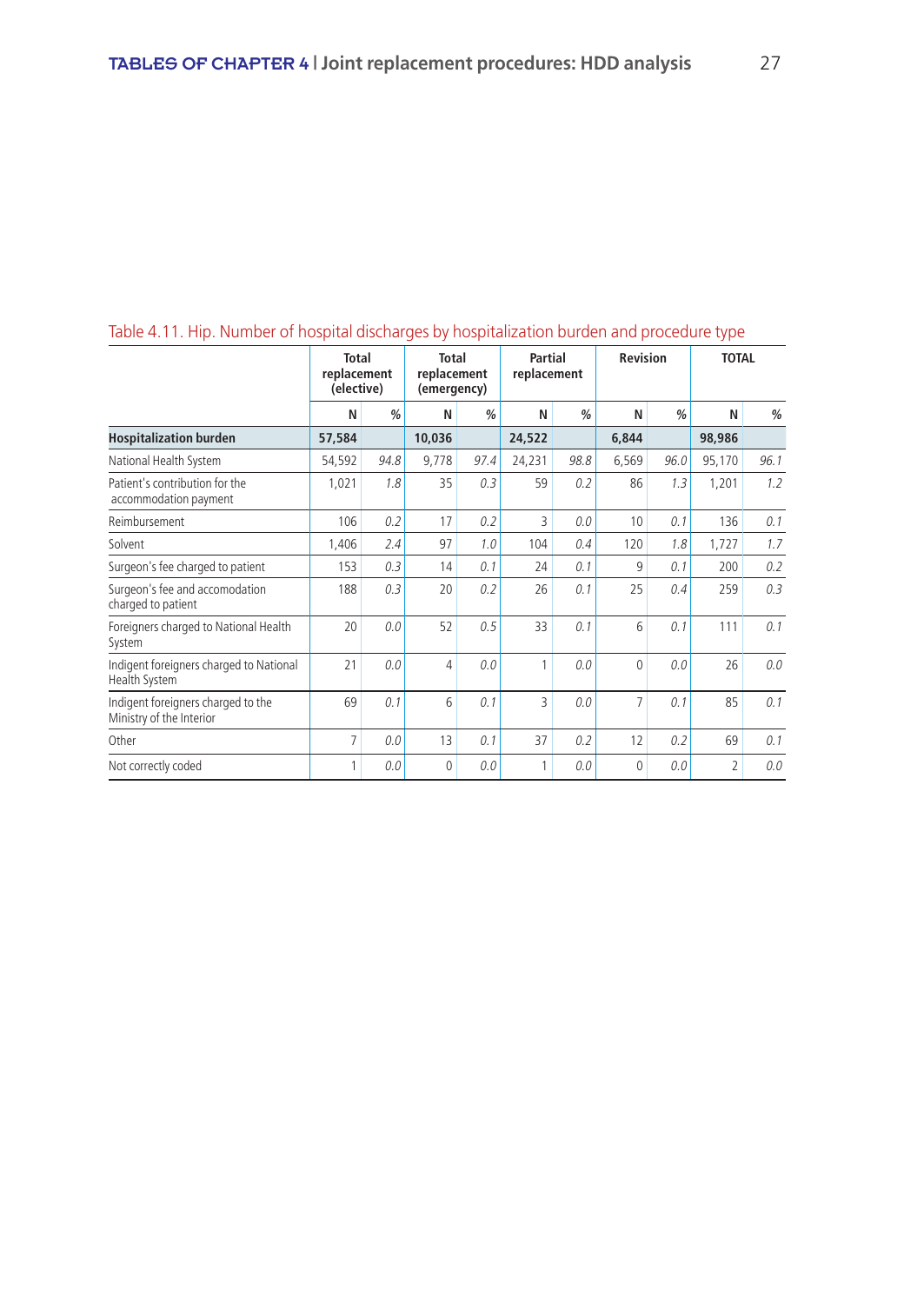|                                                                |                                           |               |                                            |               |                        |               |                 |               | ╯                        |               |
|----------------------------------------------------------------|-------------------------------------------|---------------|--------------------------------------------|---------------|------------------------|---------------|-----------------|---------------|--------------------------|---------------|
|                                                                | <b>Total</b><br>replacement<br>(elective) |               | <b>Total</b><br>replacement<br>(emergency) |               | Partial<br>replacement |               | <b>Revision</b> |               | <b>TOTAL</b>             |               |
|                                                                | N                                         | $\frac{0}{0}$ | N                                          | $\frac{0}{0}$ | N                      | $\frac{0}{0}$ | N               | $\frac{0}{0}$ | N                        | $\frac{0}{0}$ |
| <b>Hospitalization burden</b>                                  | 57,584                                    |               | 10,036                                     |               | 24,522                 |               | 6,844           |               | 98,986                   |               |
| National Health System                                         | 54,592                                    | 94.8          | 9,778                                      | 97.4          | 24,231                 | 98.8          | 6,569           | 96.0          | 95,170                   | 96.1          |
| Patient's contribution for the<br>accommodation payment        | 1,021                                     | 1.8           | 35                                         | 0.3           | 59                     | 0.2           | 86              | 1.3           | 1,201                    | 1.2           |
| Reimbursement                                                  | 106                                       | 0.2           | 17                                         | 0.2           | 3                      | 0.0           | 10              | 0.1           | 136                      | 0.1           |
| Solvent                                                        | 1,406                                     | 2.4           | 97                                         | 1.0           | 104                    | 0.4           | 120             | 1.8           | 1,727                    | 1.7           |
| Surgeon's fee charged to patient                               | 153                                       | 0.3           | 14                                         | 0.1           | 24                     | 0.1           | 9               | 0.1           | 200                      | 0.2           |
| Surgeon's fee and accomodation<br>charged to patient           | 188                                       | 0.3           | 20                                         | 0.2           | 26                     | 0.1           | 25              | 0.4           | 259                      | 0.3           |
| Foreigners charged to National Health<br>System                | 20                                        | 0.0           | 52                                         | 0.5           | 33                     | 0.1           | 6               | 0.1           | 111                      | 0.1           |
| Indigent foreigners charged to National<br>Health System       | 21                                        | 0.0           | 4                                          | 0.0           | 1                      | 0.0           | $\mathbf{0}$    | 0.0           | 26                       | 0.0           |
| Indigent foreigners charged to the<br>Ministry of the Interior | 69                                        | 0.1           | 6                                          | 0.1           | 3                      | 0.0           | 7               | 0.1           | 85                       | 0.1           |
| Other                                                          | $\overline{7}$                            | 0.0           | 13                                         | 0.1           | 37                     | 0.2           | 12              | 0.2           | 69                       | 0.1           |
| Not correctly coded                                            | 1                                         | 0.0           | $\Omega$                                   | 0.0           | 1                      | 0.0           | $\theta$        | 0.0           | $\overline{\phantom{a}}$ | 0.0           |

# Table 4.11. Hip. Number of hospital discharges by hospitalization burden and procedure type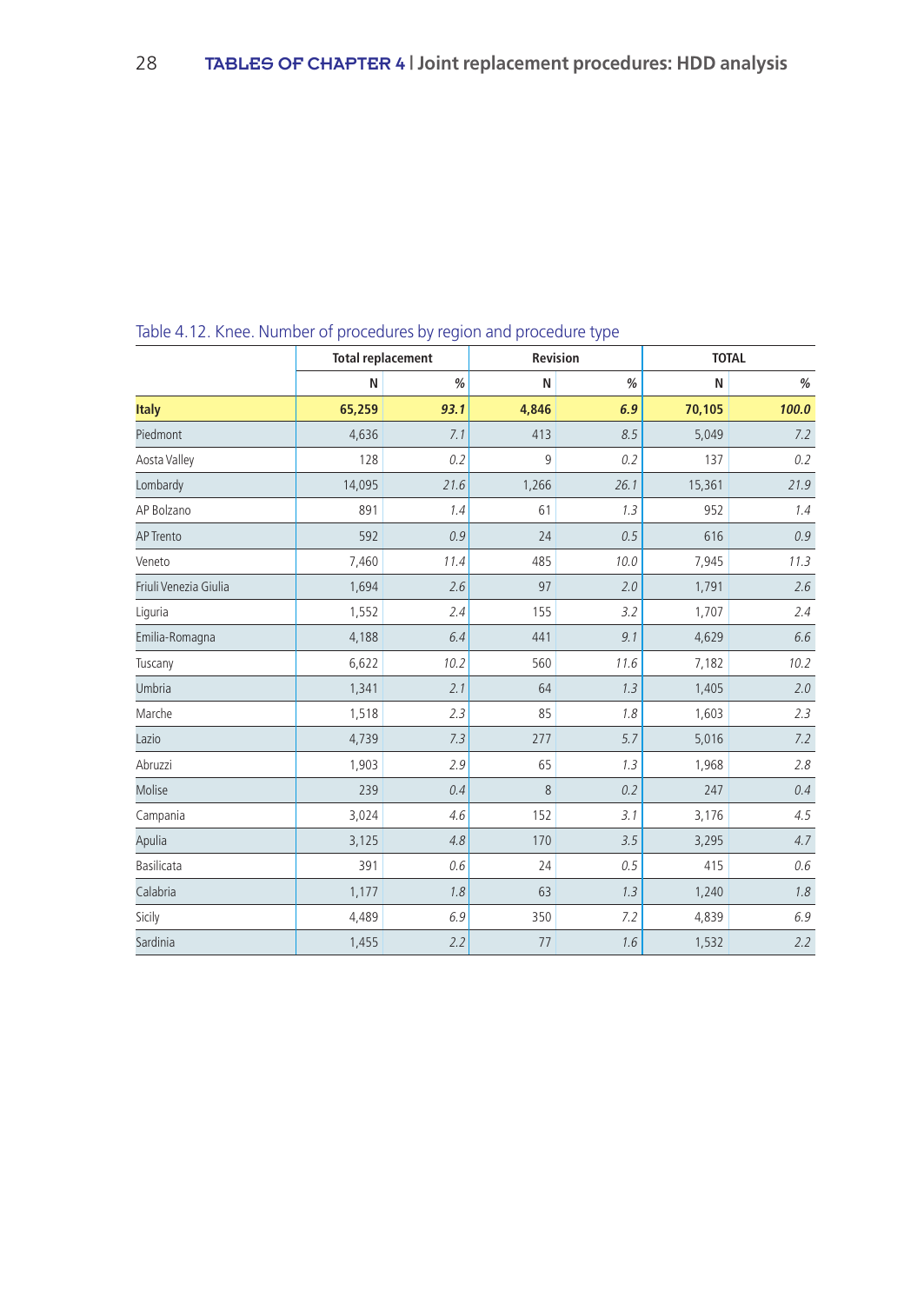|                       | ◡<br><b>Total replacement</b> |      | Revision | - 11 | <b>TOTAL</b> |       |  |
|-----------------------|-------------------------------|------|----------|------|--------------|-------|--|
|                       | N                             | $\%$ | N        | $\%$ | N            | $\%$  |  |
| <b>Italy</b>          | 65,259                        | 93.1 | 4,846    | 6.9  | 70,105       | 100.0 |  |
| Piedmont              | 4,636                         | 7.1  | 413      | 8.5  | 5,049        | 7.2   |  |
| Aosta Valley          | 128                           | 0.2  | 9        | 0.2  | 137          | 0.2   |  |
| Lombardy              | 14,095                        | 21.6 | 1,266    | 26.1 | 15,361       | 21.9  |  |
| AP Bolzano            | 891                           | 1.4  | 61       | 1.3  | 952          | 1.4   |  |
| <b>AP Trento</b>      | 592                           | 0.9  | 24       | 0.5  | 616          | 0.9   |  |
| Veneto                | 7,460                         | 11.4 | 485      | 10.0 | 7,945        | 11.3  |  |
| Friuli Venezia Giulia | 1,694                         | 2.6  | 97       | 2.0  | 1,791        | 2.6   |  |
| Liguria               | 1,552                         | 2.4  | 155      | 3.2  | 1,707        | 2.4   |  |
| Emilia-Romagna        | 4,188                         | 6.4  | 441      | 9.1  | 4,629        | 6.6   |  |
| Tuscany               | 6,622                         | 10.2 | 560      | 11.6 | 7,182        | 10.2  |  |
| Umbria                | 1,341                         | 2.1  | 64       | 1.3  | 1,405        | 2.0   |  |
| Marche                | 1,518                         | 2.3  | 85       | 1.8  | 1,603        | 2.3   |  |
| Lazio                 | 4,739                         | 7.3  | 277      | 5.7  | 5,016        | 7.2   |  |
| Abruzzi               | 1,903                         | 2.9  | 65       | 1.3  | 1,968        | 2.8   |  |
| Molise                | 239                           | 0.4  | $\,8\,$  | 0.2  | 247          | 0.4   |  |
| Campania              | 3,024                         | 4.6  | 152      | 3.1  | 3,176        | 4.5   |  |
| Apulia                | 3,125                         | 4.8  | 170      | 3.5  | 3,295        | 4.7   |  |
| Basilicata            | 391                           | 0.6  | 24       | 0.5  | 415          | 0.6   |  |
| Calabria              | 1,177                         | 1.8  | 63       | 1.3  | 1,240        | 1.8   |  |
| Sicily                | 4,489                         | 6.9  | 350      | 7.2  | 4,839        | 6.9   |  |
| Sardinia              | 1,455                         | 2.2  | 77       | 1.6  | 1,532        | 2.2   |  |

Table 4.12. Knee. Number of procedures by region and procedure type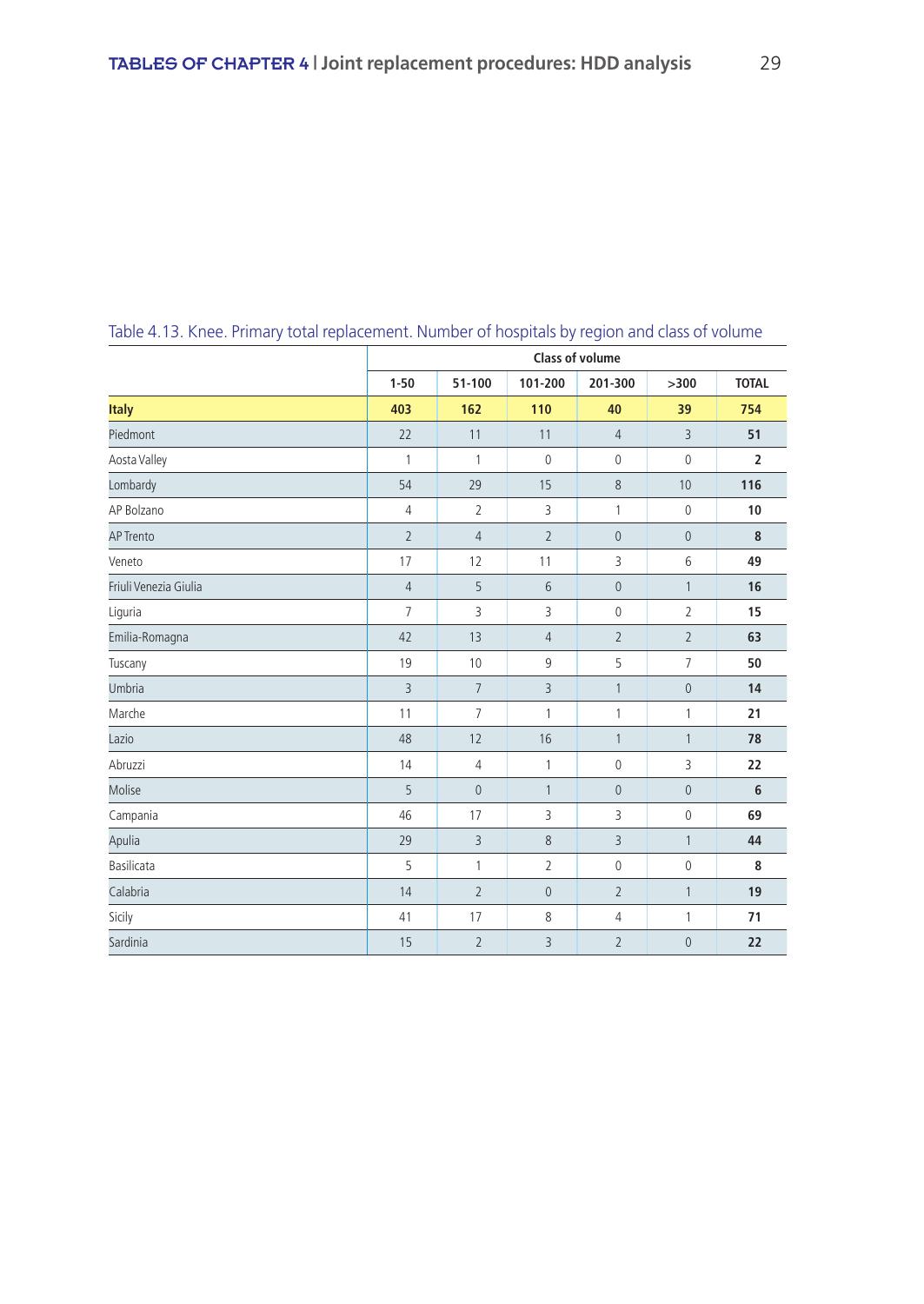|                       | <b>Class of volume</b> |                |                 |                |                |                |  |  |  |
|-----------------------|------------------------|----------------|-----------------|----------------|----------------|----------------|--|--|--|
|                       | $1 - 50$               | 51-100         | 101-200         | 201-300        | >300           | <b>TOTAL</b>   |  |  |  |
| <b>Italy</b>          | 403                    | 162            | 110             | 40             | 39             | 754            |  |  |  |
| Piedmont              | 22                     | 11             | 11              | 4              | $\overline{3}$ | 51             |  |  |  |
| Aosta Valley          | 1                      | 1              | $\mathbb O$     | 0              | $\mathbf 0$    | $\overline{2}$ |  |  |  |
| Lombardy              | 54                     | 29             | 15              | 8              | 10             | 116            |  |  |  |
| AP Bolzano            | $\overline{4}$         | $\overline{2}$ | 3               | $\mathbf{1}$   | $\mathbf 0$    | 10             |  |  |  |
| <b>AP Trento</b>      | $\overline{2}$         | $\sqrt{4}$     | $\overline{2}$  | $\overline{0}$ | $\overline{0}$ | 8              |  |  |  |
| Veneto                | 17                     | 12             | 11              | 3              | $6\,$          | 49             |  |  |  |
| Friuli Venezia Giulia | $\overline{4}$         | 5              | $6\phantom{1}6$ | $\mathbf 0$    | $\mathbf{1}$   | 16             |  |  |  |
| Liguria               | $\overline{7}$         | 3              | 3               | 0              | $\overline{2}$ | 15             |  |  |  |
| Emilia-Romagna        | 42                     | 13             | $\sqrt{4}$      | $\overline{2}$ | $\overline{2}$ | 63             |  |  |  |
| Tuscany               | 19                     | 10             | 9               | 5              | $\overline{7}$ | 50             |  |  |  |
| Umbria                | 3                      | $\overline{7}$ | $\overline{3}$  | $\mathbf{1}$   | $\mathbb O$    | 14             |  |  |  |
| Marche                | 11                     | $\overline{7}$ | 1               | 1              | 1              | 21             |  |  |  |
| Lazio                 | 48                     | 12             | 16              | $\mathbf{1}$   | $\mathbf{1}$   | 78             |  |  |  |
| Abruzzi               | 14                     | $\sqrt{4}$     | 1               | $\mathbf 0$    | 3              | 22             |  |  |  |
| Molise                | 5                      | $\mathbb O$    | $\mathbf{1}$    | $\pmb{0}$      | $\mathbf 0$    | 6              |  |  |  |
| Campania              | 46                     | 17             | 3               | 3              | $\mathbf 0$    | 69             |  |  |  |
| Apulia                | 29                     | $\overline{3}$ | $\,8\,$         | 3              | $\mathbf{1}$   | 44             |  |  |  |
| Basilicata            | 5                      | 1              | $\overline{2}$  | 0              | $\mathbb O$    | 8              |  |  |  |
| Calabria              | 14                     | $\overline{2}$ | $\mathbf 0$     | $\overline{2}$ | $\mathbf{1}$   | 19             |  |  |  |
| Sicily                | 41                     | 17             | $\,8\,$         | 4              | 1              | 71             |  |  |  |
| Sardinia              | 15                     | $\overline{2}$ | 3               | $\overline{2}$ | $\mathbf 0$    | 22             |  |  |  |

Table 4.13. Knee. Primary total replacement. Number of hospitals by region and class of volume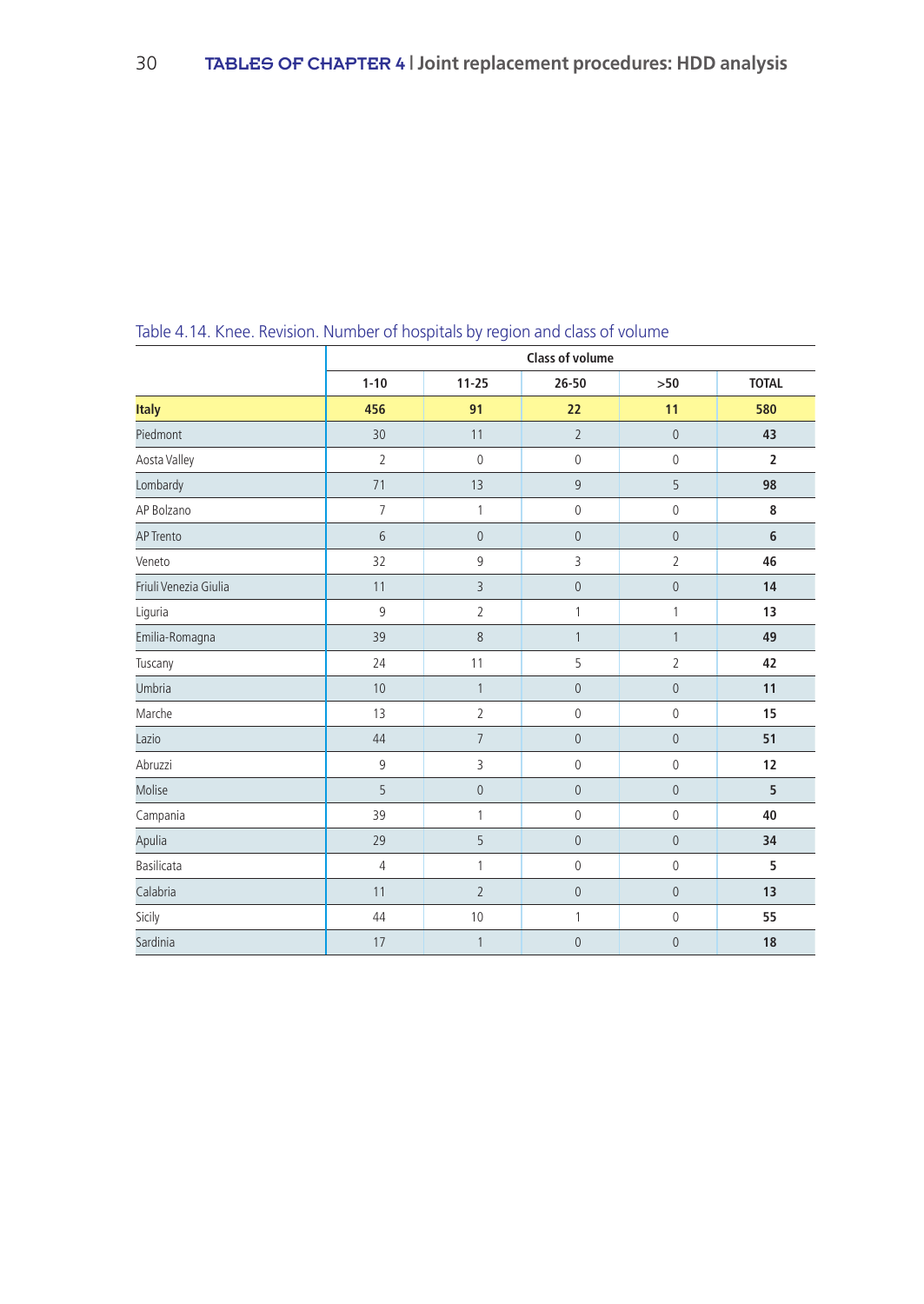|                       | <b>Class of volume</b> |                 |                |                |                |  |  |  |  |
|-----------------------|------------------------|-----------------|----------------|----------------|----------------|--|--|--|--|
|                       | $1 - 10$               | $11 - 25$       | $26 - 50$      | >50            | <b>TOTAL</b>   |  |  |  |  |
| <b>Italy</b>          | 456                    | 91              | 22             | 11             | 580            |  |  |  |  |
| Piedmont              | 30                     | 11              | $\overline{2}$ | $\mathbf 0$    | 43             |  |  |  |  |
| Aosta Valley          | $\overline{2}$         | $\mathbf 0$     | $\mathbb O$    | $\mathbb O$    | $\overline{2}$ |  |  |  |  |
| Lombardy              | 71                     | 13              | $\overline{9}$ | 5              | 98             |  |  |  |  |
| AP Bolzano            | $\overline{7}$         | $\mathbf{1}$    | $\mathbb O$    | $\mathbb O$    | 8              |  |  |  |  |
| <b>AP Trento</b>      | 6                      | $\mathbb O$     | $\mathbf 0$    | $\mathbf 0$    | 6              |  |  |  |  |
| Veneto                | 32                     | 9               | 3              | $\overline{2}$ | 46             |  |  |  |  |
| Friuli Venezia Giulia | 11                     | $\overline{3}$  | $\mathbf 0$    | $\mathbf{0}$   | 14             |  |  |  |  |
| Liguria               | 9                      | $\overline{2}$  | $\mathbf{1}$   | 1              | 13             |  |  |  |  |
| Emilia-Romagna        | 39                     | $\,8\,$         | $\mathbf{1}$   | $\mathbf{1}$   | 49             |  |  |  |  |
| Tuscany               | 24                     | 11              | 5              | $\overline{2}$ | 42             |  |  |  |  |
| Umbria                | 10                     | $\mathbf{1}$    | $\mathbf 0$    | $\mathbf 0$    | 11             |  |  |  |  |
| Marche                | 13                     | $\overline{2}$  | $\mathbb O$    | $\mathbb O$    | 15             |  |  |  |  |
| Lazio                 | 44                     | $7\overline{ }$ | $\mathbb O$    | $\mathbf 0$    | 51             |  |  |  |  |
| Abruzzi               | 9                      | 3               | $\mathbb O$    | $\mathbb O$    | 12             |  |  |  |  |
| Molise                | 5                      | $\mathbb O$     | $\mathbb O$    | $\mathbf 0$    | 5              |  |  |  |  |
| Campania              | 39                     | 1               | $\mathbb O$    | $\mathbb O$    | 40             |  |  |  |  |
| Apulia                | 29                     | 5               | $\mathbb O$    | $\mathbf 0$    | 34             |  |  |  |  |
| Basilicata            | $\overline{4}$         | 1               | $\mathbb O$    | $\mathbb O$    | 5              |  |  |  |  |
| Calabria              | 11                     | $\overline{2}$  | $\mathbb O$    | $\mathbf 0$    | 13             |  |  |  |  |
| Sicily                | 44                     | 10              | 1              | $\mathbf 0$    | 55             |  |  |  |  |
| Sardinia              | 17                     | 1               | $\mathbf{0}$   | $\mathbf 0$    | 18             |  |  |  |  |

# Table 4.14. Knee. Revision. Number of hospitals by region and class of volume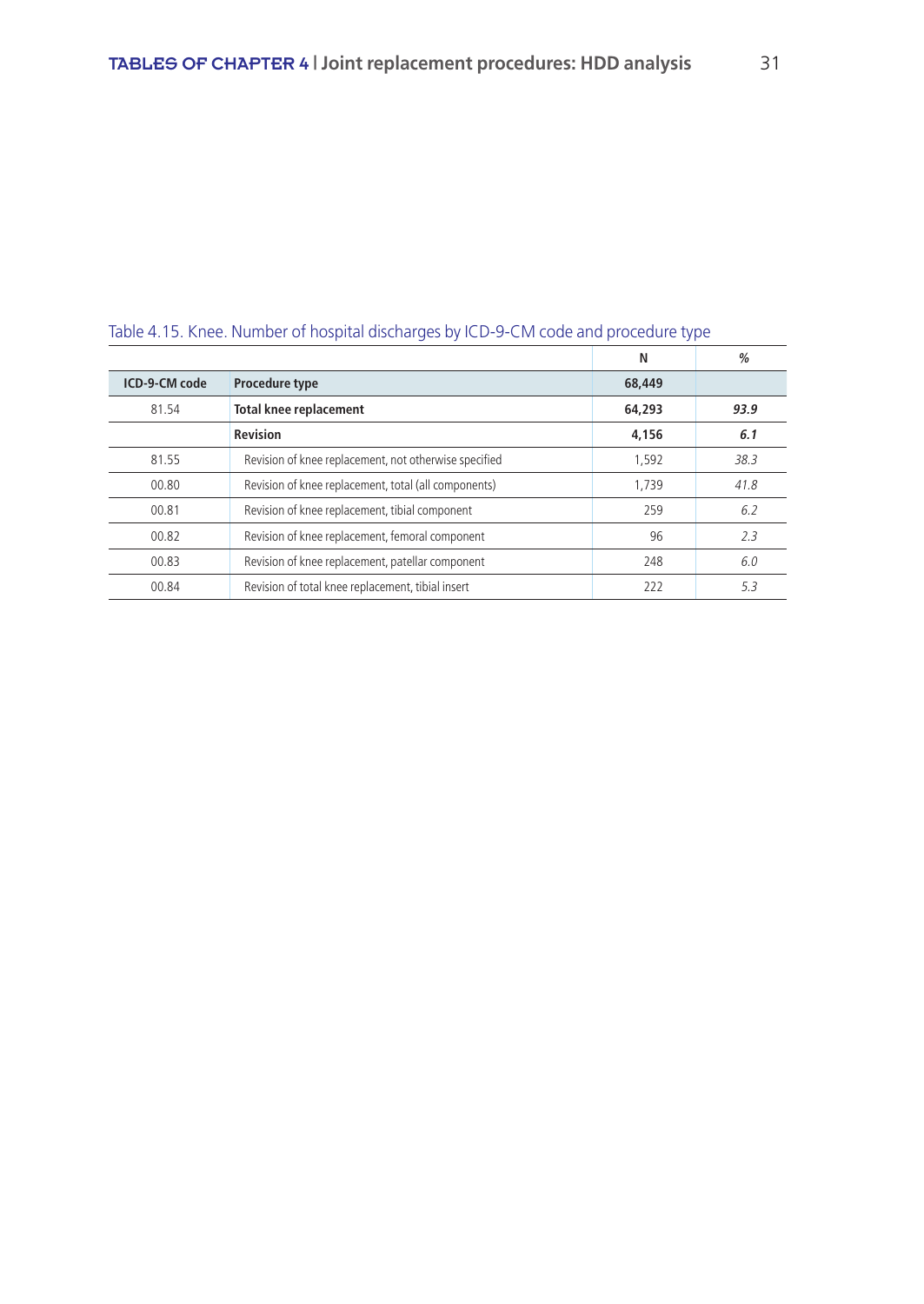| <u>RODIC HELD. INTICC. I VALITIOLE OF HOSPITAL AISCHALGES BY TCD-S-CIVI COUC AITA PROCCAATE TYPE</u> |                                                       |        |      |  |  |  |  |
|------------------------------------------------------------------------------------------------------|-------------------------------------------------------|--------|------|--|--|--|--|
|                                                                                                      |                                                       | N      | $\%$ |  |  |  |  |
| ICD-9-CM code                                                                                        | Procedure type                                        | 68,449 |      |  |  |  |  |
| 81.54                                                                                                | <b>Total knee replacement</b>                         | 64,293 | 93.9 |  |  |  |  |
|                                                                                                      | <b>Revision</b>                                       | 4,156  | 6.1  |  |  |  |  |
| 81.55                                                                                                | Revision of knee replacement, not otherwise specified | 1,592  | 38.3 |  |  |  |  |
| 00.80                                                                                                | Revision of knee replacement, total (all components)  | 1.739  | 41.8 |  |  |  |  |
| 00.81                                                                                                | Revision of knee replacement, tibial component        | 259    | 6.2  |  |  |  |  |
| 00.82                                                                                                | Revision of knee replacement, femoral component       | 96     | 2.3  |  |  |  |  |
| 00.83                                                                                                | Revision of knee replacement, patellar component      | 248    | 6.0  |  |  |  |  |
| 00.84                                                                                                | Revision of total knee replacement, tibial insert     | 222    | 5.3  |  |  |  |  |

## Table 4.15. Knee. Number of hospital discharges by ICD-9-CM code and procedure type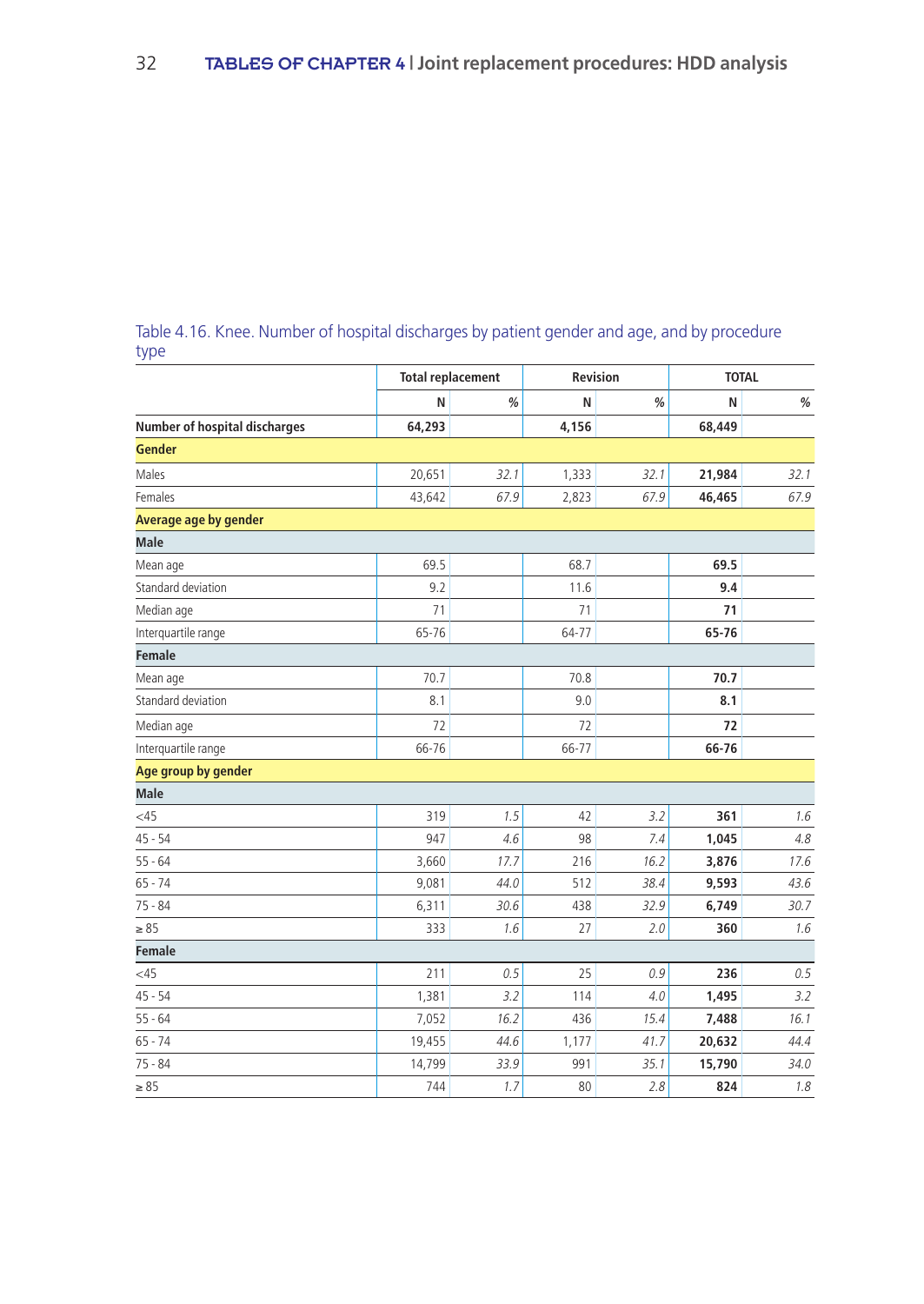|                                      |        | <b>Total replacement</b> |       | <b>Revision</b> | <b>TOTAL</b> |      |  |
|--------------------------------------|--------|--------------------------|-------|-----------------|--------------|------|--|
|                                      | N      | %                        | N     | %               | N            | $\%$ |  |
| <b>Number of hospital discharges</b> | 64,293 |                          | 4,156 |                 | 68,449       |      |  |
| <b>Gender</b>                        |        |                          |       |                 |              |      |  |
| Males                                | 20,651 | 32.1                     | 1,333 | 32.1            | 21,984       | 32.1 |  |
| Females                              | 43,642 | 67.9                     | 2,823 | 67.9            | 46,465       | 67.9 |  |
| Average age by gender                |        |                          |       |                 |              |      |  |
| <b>Male</b>                          |        |                          |       |                 |              |      |  |
| Mean age                             | 69.5   |                          | 68.7  |                 | 69.5         |      |  |
| Standard deviation                   | 9.2    |                          | 11.6  |                 | 9.4          |      |  |
| Median age                           | 71     |                          | 71    |                 | 71           |      |  |
| Interquartile range                  | 65-76  |                          | 64-77 |                 | 65-76        |      |  |
| <b>Female</b>                        |        |                          |       |                 |              |      |  |
| Mean age                             | 70.7   |                          | 70.8  |                 | 70.7         |      |  |
| Standard deviation                   | 8.1    |                          | 9.0   |                 | 8.1          |      |  |
| Median age                           | 72     |                          | 72    |                 | 72           |      |  |
| Interquartile range                  | 66-76  |                          | 66-77 |                 | 66-76        |      |  |
| Age group by gender                  |        |                          |       |                 |              |      |  |
| <b>Male</b>                          |        |                          |       |                 |              |      |  |
| <45                                  | 319    | 1.5                      | 42    | 3.2             | 361          | 1.6  |  |
| $45 - 54$                            | 947    | 4.6                      | 98    | 7.4             | 1,045        | 4.8  |  |
| $55 - 64$                            | 3,660  | 17.7                     | 216   | 16.2            | 3,876        | 17.6 |  |
| $65 - 74$                            | 9,081  | 44.0                     | 512   | 38.4            | 9,593        | 43.6 |  |
| $75 - 84$                            | 6,311  | 30.6                     | 438   | 32.9            | 6,749        | 30.7 |  |
| $\geq 85$                            | 333    | 1.6                      | 27    | 2.0             | 360          | 1.6  |  |
| Female                               |        |                          |       |                 |              |      |  |
| <45                                  | 211    | 0.5                      | 25    | 0.9             | 236          | 0.5  |  |
| $45 - 54$                            | 1,381  | 3.2                      | 114   | 4.0             | 1,495        | 3.2  |  |
| $55 - 64$                            | 7,052  | 16.2                     | 436   | 15.4            | 7,488        | 16.1 |  |
| $65 - 74$                            | 19,455 | 44.6                     | 1,177 | 41.7            | 20,632       | 44.4 |  |
| $75 - 84$                            | 14,799 | 33.9                     | 991   | 35.1            | 15,790       | 34.0 |  |
| $\geq 85$                            | 744    | 1.7                      | 80    | 2.8             | 824          | 1.8  |  |

## Table 4.16. Knee. Number of hospital discharges by patient gender and age, and by procedure type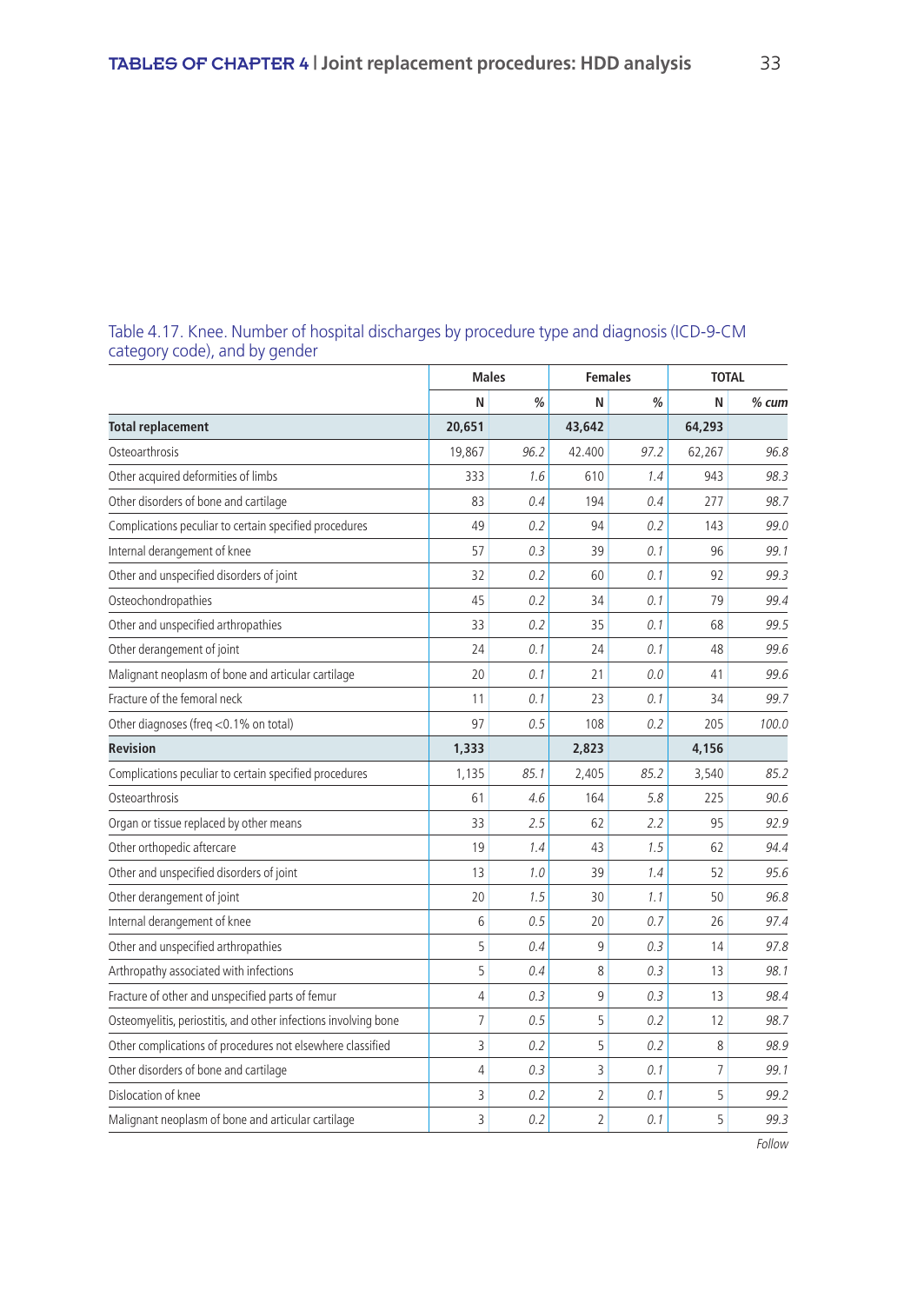|                                                                 |                | <b>Males</b> |                | <b>Females</b> |        | <b>TOTAL</b> |  |
|-----------------------------------------------------------------|----------------|--------------|----------------|----------------|--------|--------------|--|
|                                                                 | N              | %            | N              | %              | N      | $%$ cum      |  |
| <b>Total replacement</b>                                        | 20,651         |              | 43,642         |                | 64,293 |              |  |
| Osteoarthrosis                                                  | 19,867         | 96.2         | 42.400         | 97.2           | 62,267 | 96.8         |  |
| Other acquired deformities of limbs                             | 333            | 1.6          | 610            | 1.4            | 943    | 98.3         |  |
| Other disorders of bone and cartilage                           | 83             | 0.4          | 194            | 0.4            | 277    | 98.7         |  |
| Complications peculiar to certain specified procedures          | 49             | 0.2          | 94             | 0.2            | 143    | 99.0         |  |
| Internal derangement of knee                                    | 57             | 0.3          | 39             | 0.1            | 96     | 99.1         |  |
| Other and unspecified disorders of joint                        | 32             | 0.2          | 60             | 0.1            | 92     | 99.3         |  |
| Osteochondropathies                                             | 45             | 0.2          | 34             | 0.1            | 79     | 99.4         |  |
| Other and unspecified arthropathies                             | 33             | 0.2          | 35             | 0.1            | 68     | 99.5         |  |
| Other derangement of joint                                      | 24             | 0.1          | 24             | 0.1            | 48     | 99.6         |  |
| Malignant neoplasm of bone and articular cartilage              | 20             | 0.1          | 21             | 0.0            | 41     | 99.6         |  |
| Fracture of the femoral neck                                    | 11             | 0.1          | 23             | 0.1            | 34     | 99.7         |  |
| Other diagnoses (freg <0.1% on total)                           | 97             | 0.5          | 108            | 0.2            | 205    | 100.0        |  |
| <b>Revision</b>                                                 | 1,333          |              | 2,823          |                | 4,156  |              |  |
| Complications peculiar to certain specified procedures          | 1,135          | 85.1         | 2,405          | 85.2           | 3,540  | 85.2         |  |
| Osteoarthrosis                                                  | 61             | 4.6          | 164            | 5.8            | 225    | 90.6         |  |
| Organ or tissue replaced by other means                         | 33             | 2.5          | 62             | 2.2            | 95     | 92.9         |  |
| Other orthopedic aftercare                                      | 19             | 1.4          | 43             | 1.5            | 62     | 94.4         |  |
| Other and unspecified disorders of joint                        | 13             | 1.0          | 39             | 1.4            | 52     | 95.6         |  |
| Other derangement of joint                                      | 20             | 1.5          | 30             | 1.1            | 50     | 96.8         |  |
| Internal derangement of knee                                    | 6              | 0.5          | 20             | 0.7            | 26     | 97.4         |  |
| Other and unspecified arthropathies                             | 5              | 0.4          | 9              | 0.3            | 14     | 97.8         |  |
| Arthropathy associated with infections                          | 5              | 0.4          | 8              | 0.3            | 13     | 98.1         |  |
| Fracture of other and unspecified parts of femur                | $\overline{4}$ | 0.3          | 9              | 0.3            | 13     | 98.4         |  |
| Osteomyelitis, periostitis, and other infections involving bone | $\overline{7}$ | 0.5          | 5              | 0.2            | 12     | 98.7         |  |
| Other complications of procedures not elsewhere classified      | 3              | 0.2          | 5              | 0.2            | 8      | 98.9         |  |
| Other disorders of bone and cartilage                           | $\overline{4}$ | 0.3          | 3              | 0.1            | 7      | 99.1         |  |
| Dislocation of knee                                             | 3              | 0.2          | $\overline{2}$ | 0.1            | 5      | 99.2         |  |
| Malignant neoplasm of bone and articular cartilage              | 3              | 0.2          | $\overline{2}$ | 0.1            | 5      | 99.3         |  |

Table 4.17. Knee. Number of hospital discharges by procedure type and diagnosis (ICD-9-CM category code), and by gender

Follow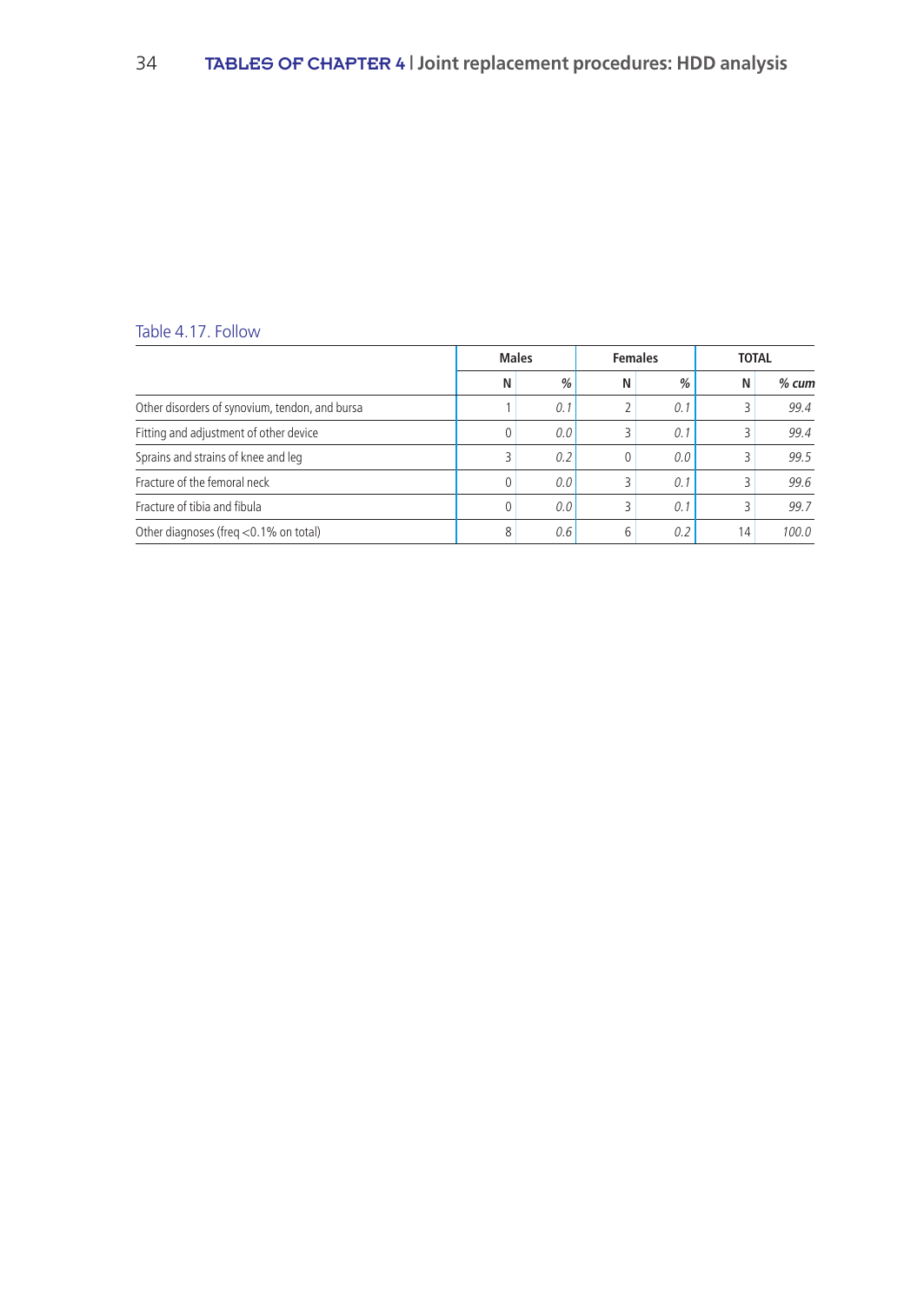# Table 4.17. Follow

|                                                | <b>Males</b> |               | <b>Females</b> |     | <b>TOTAL</b> |         |
|------------------------------------------------|--------------|---------------|----------------|-----|--------------|---------|
|                                                | N            | $\frac{0}{0}$ | N              | %   | N            | $%$ cum |
| Other disorders of synovium, tendon, and bursa |              | 0.1           | 2              | 0.1 |              | 99.4    |
| Fitting and adjustment of other device         |              | 0.0           | 3              | 0.1 |              | 99.4    |
| Sprains and strains of knee and leg            |              | 0.2           | 0              | 0.0 |              | 99.5    |
| Fracture of the femoral neck                   |              | 0.0           | 3              | 0.1 |              | 99.6    |
| Fracture of tibia and fibula                   |              | 0.0           | 3              | 0.1 |              | 99.7    |
| Other diagnoses (freg <0.1% on total)          | 8            | 0.6           | 6              | 0.2 | 14           | 100.0   |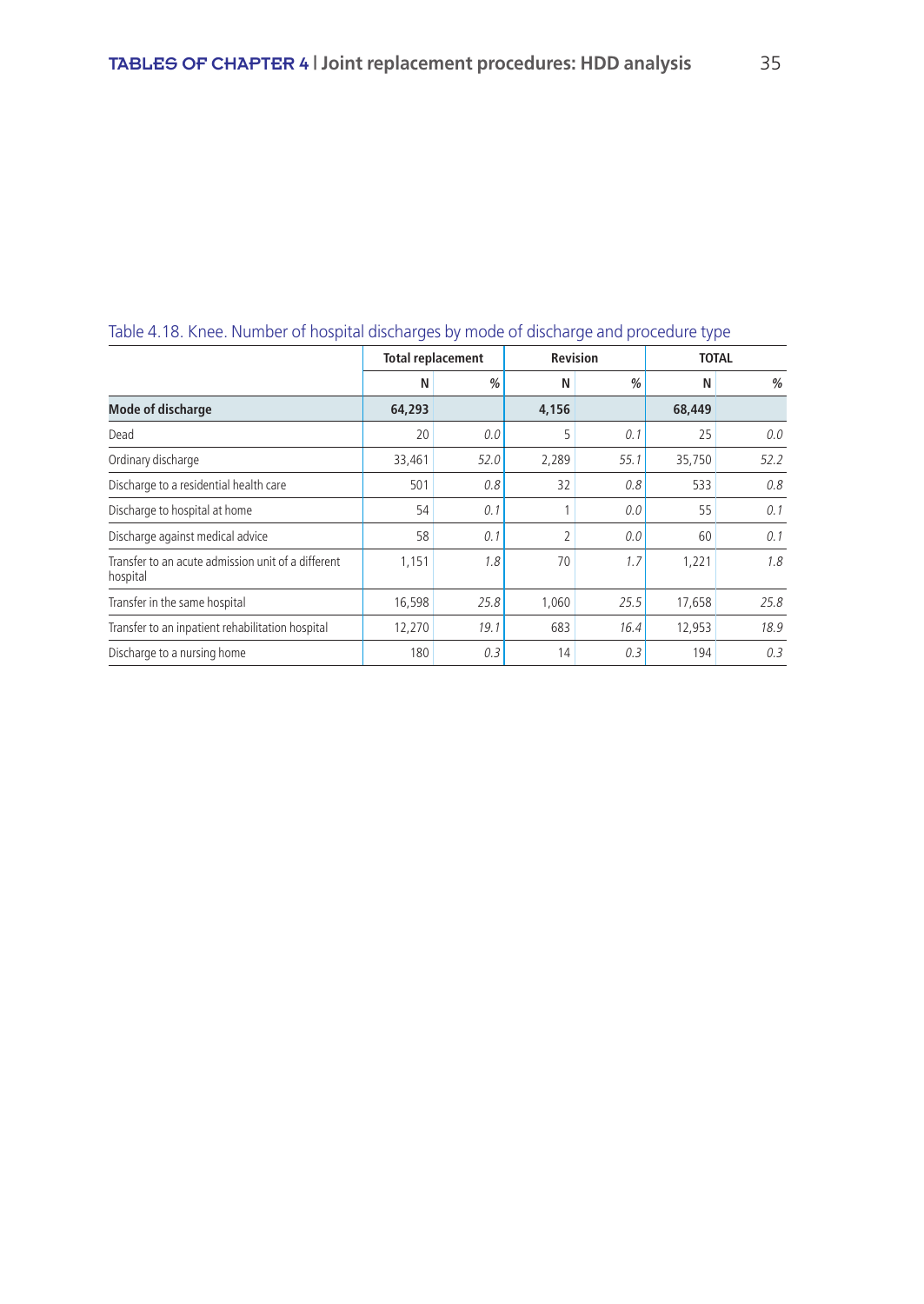| Table 4. TO. KIRCE. Hamber of Hospital alscharges by mode or alscharge and procedule type |                          |      |                |                 |              |               |  |  |  |
|-------------------------------------------------------------------------------------------|--------------------------|------|----------------|-----------------|--------------|---------------|--|--|--|
|                                                                                           | <b>Total replacement</b> |      |                | <b>Revision</b> | <b>TOTAL</b> |               |  |  |  |
|                                                                                           | N                        | %    | N              | %               | N            | $\frac{a}{2}$ |  |  |  |
| <b>Mode of discharge</b>                                                                  | 64,293                   |      | 4,156          |                 | 68,449       |               |  |  |  |
| Dead                                                                                      | 20                       | 0.0  | 5              | 0.1             | 25           | 0.0           |  |  |  |
| Ordinary discharge                                                                        | 33,461                   | 52.0 | 2,289          | 55.1            | 35,750       | 52.2          |  |  |  |
| Discharge to a residential health care                                                    | 501                      | 0.8  | 32             | 0.8             | 533          | 0.8           |  |  |  |
| Discharge to hospital at home                                                             | 54                       | 0.1  |                | 0.0             | 55           | 0.1           |  |  |  |
| Discharge against medical advice                                                          | 58                       | 0.1  | $\overline{2}$ | 0.0             | 60           | 0.1           |  |  |  |
| Transfer to an acute admission unit of a different<br>hospital                            | 1,151                    | 1.8  | 70             | 1.7             | 1,221        | 1.8           |  |  |  |
| Transfer in the same hospital                                                             | 16,598                   | 25.8 | 1,060          | 25.5            | 17,658       | 25.8          |  |  |  |
| Transfer to an inpatient rehabilitation hospital                                          | 12,270                   | 19.1 | 683            | 16.4            | 12,953       | 18.9          |  |  |  |
| Discharge to a nursing home                                                               | 180                      | 0.3  | 14             | 0.3             | 194          | 0.3           |  |  |  |

# Table 4.18. Knee. Number of hospital discharges by mode of discharge and procedure type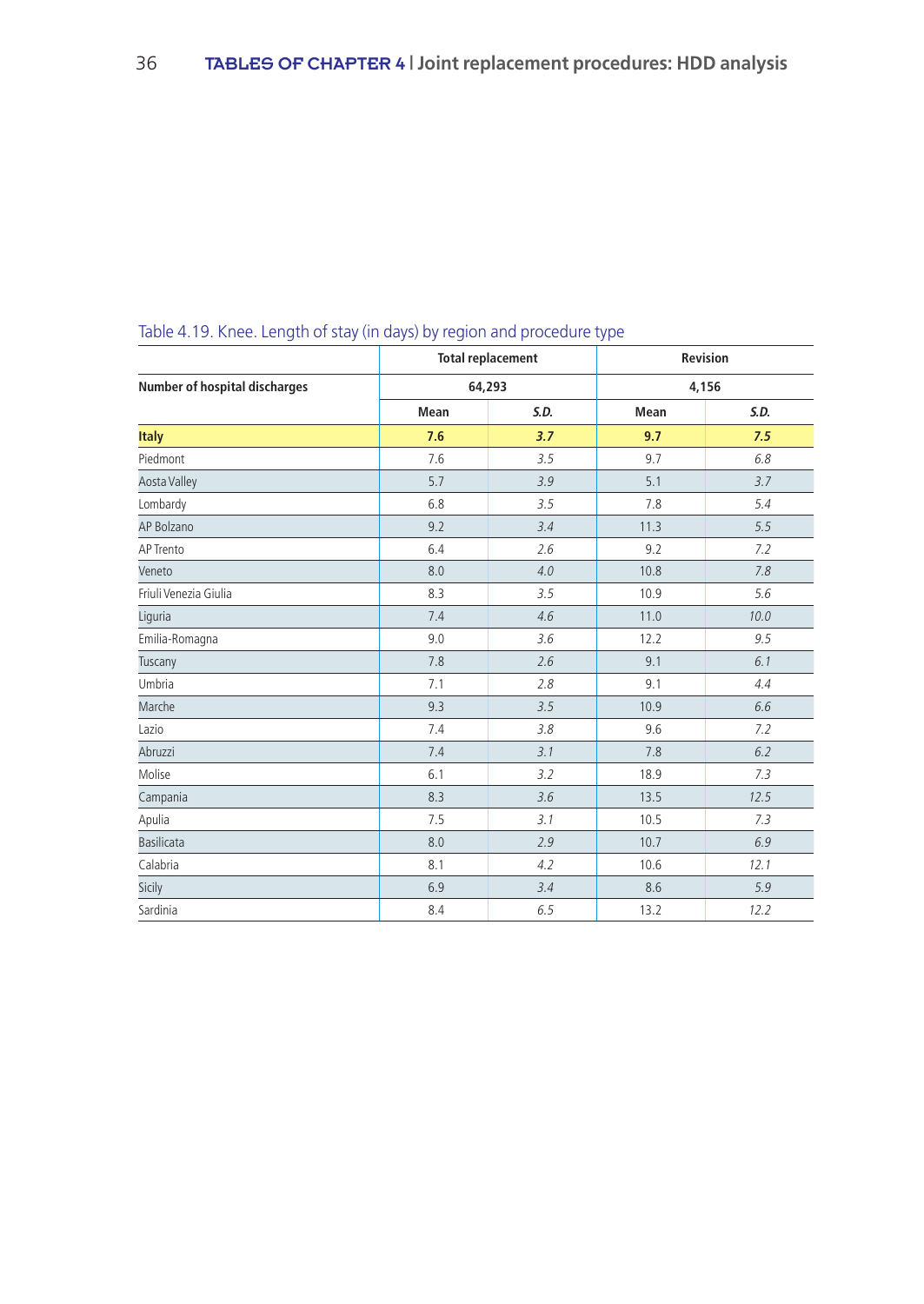|                                      |      | <b>Total replacement</b> | Revision<br>4,156 |      |  |
|--------------------------------------|------|--------------------------|-------------------|------|--|
| <b>Number of hospital discharges</b> |      | 64,293                   |                   |      |  |
|                                      | Mean | S.D.                     | Mean              | S.D. |  |
| <b>Italy</b>                         | 7.6  | 3.7                      | 9.7               | 7.5  |  |
| Piedmont                             | 7.6  | 3.5                      | 9.7               | 6.8  |  |
| Aosta Valley                         | 5.7  | 3.9                      | 5.1               | 3.7  |  |
| Lombardy                             | 6.8  | 3.5                      | 7.8               | 5.4  |  |
| AP Bolzano                           | 9.2  | 3.4                      | 11.3              | 5.5  |  |
| AP Trento                            | 6.4  | 2.6                      | 9.2               | 7.2  |  |
| Veneto                               | 8.0  | 4.0                      | 10.8              | 7.8  |  |
| Friuli Venezia Giulia                | 8.3  | 3.5                      | 10.9              | 5.6  |  |
| Liguria                              | 7.4  | 4.6                      | 11.0              | 10.0 |  |
| Emilia-Romagna                       | 9.0  | 3.6                      | 12.2              | 9.5  |  |
| Tuscany                              | 7.8  | 2.6                      | 9.1               | 6.1  |  |
| Umbria                               | 7.1  | 2.8                      | 9.1               | 4.4  |  |
| Marche                               | 9.3  | 3.5                      | 10.9              | 6.6  |  |
| Lazio                                | 7.4  | 3.8                      | 9.6               | 7.2  |  |
| Abruzzi                              | 7.4  | 3.1                      | 7.8               | 6.2  |  |
| Molise                               | 6.1  | 3.2                      | 18.9              | 7.3  |  |
| Campania                             | 8.3  | 3.6                      | 13.5              | 12.5 |  |
| Apulia                               | 7.5  | 3.1                      | 10.5              | 7.3  |  |
| <b>Basilicata</b>                    | 8.0  | 2.9                      | 10.7              | 6.9  |  |
| Calabria                             | 8.1  | 4.2                      | 10.6              | 12.1 |  |
| Sicily                               | 6.9  | 3.4                      | 8.6               | 5.9  |  |
| Sardinia                             | 8.4  | 6.5                      | 13.2              | 12.2 |  |

# Table 4.19. Knee. Length of stay (in days) by region and procedure type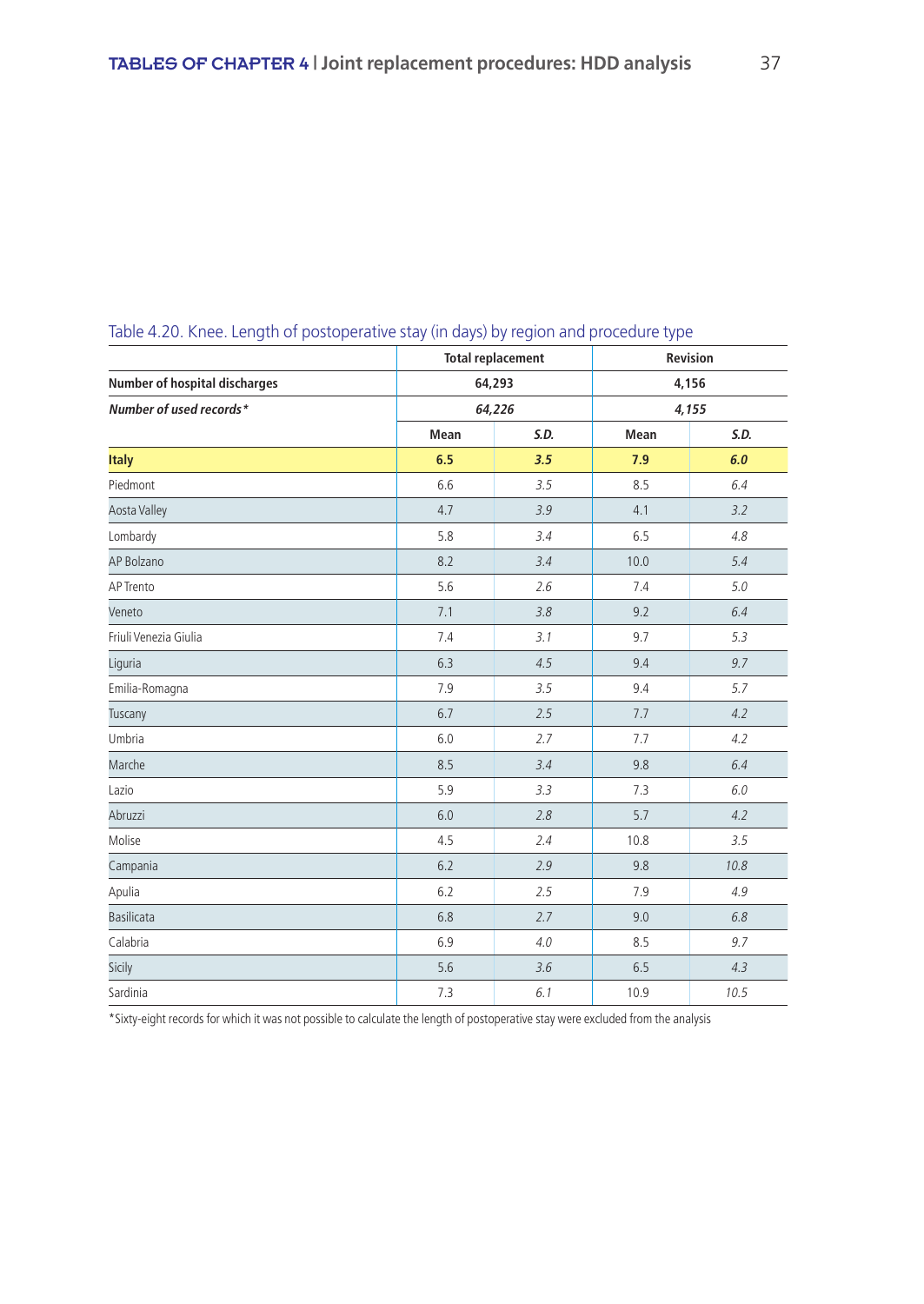| -                                    |      | <b>Total replacement</b> | Revision |       |  |
|--------------------------------------|------|--------------------------|----------|-------|--|
| <b>Number of hospital discharges</b> |      | 64,293                   |          | 4,156 |  |
| Number of used records*              |      | 64,226                   |          | 4,155 |  |
|                                      | Mean | S.D.                     | Mean     | S.D.  |  |
| <b>Italy</b>                         | 6.5  | 3.5                      | 7.9      | 6.0   |  |
| Piedmont                             | 6.6  | 3.5                      | 8.5      | 6.4   |  |
| Aosta Valley                         | 4.7  | 3.9                      | 4.1      | 3.2   |  |
| Lombardy                             | 5.8  | 3.4                      | 6.5      | 4.8   |  |
| AP Bolzano                           | 8.2  | 3.4                      | 10.0     | 5.4   |  |
| AP Trento                            | 5.6  | 2.6                      | 7.4      | 5.0   |  |
| Veneto                               | 7.1  | 3.8                      | 9.2      | 6.4   |  |
| Friuli Venezia Giulia                | 7.4  | 3.1                      | 9.7      | 5.3   |  |
| Liguria                              | 6.3  | 4.5                      | 9.4      | 9.7   |  |
| Emilia-Romagna                       | 7.9  | 3.5                      | 9.4      | 5.7   |  |
| Tuscany                              | 6.7  | 2.5                      | 7.7      | 4.2   |  |
| Umbria                               | 6.0  | 2.7                      | 7.7      | 4.2   |  |
| Marche                               | 8.5  | 3.4                      | 9.8      | 6.4   |  |
| Lazio                                | 5.9  | 3.3                      | 7.3      | 6.0   |  |
| Abruzzi                              | 6.0  | 2.8                      | 5.7      | 4.2   |  |
| Molise                               | 4.5  | 2.4                      | 10.8     | 3.5   |  |
| Campania                             | 6.2  | 2.9                      | 9.8      | 10.8  |  |
| Apulia                               | 6.2  | 2.5                      | 7.9      | 4.9   |  |
| <b>Basilicata</b>                    | 6.8  | 2.7                      | 9.0      | 6.8   |  |
| Calabria                             | 6.9  | 4.0                      | 8.5      | 9.7   |  |
| Sicily                               | 5.6  | 3.6                      | 6.5      | 4.3   |  |
| Sardinia                             | 7.3  | 6.1                      | 10.9     | 10.5  |  |

## Table 4.20. Knee. Length of postoperative stay (in days) by region and procedure type

\*Sixty-eight records for which it was not possible to calculate the length of postoperative stay were excluded from the analysis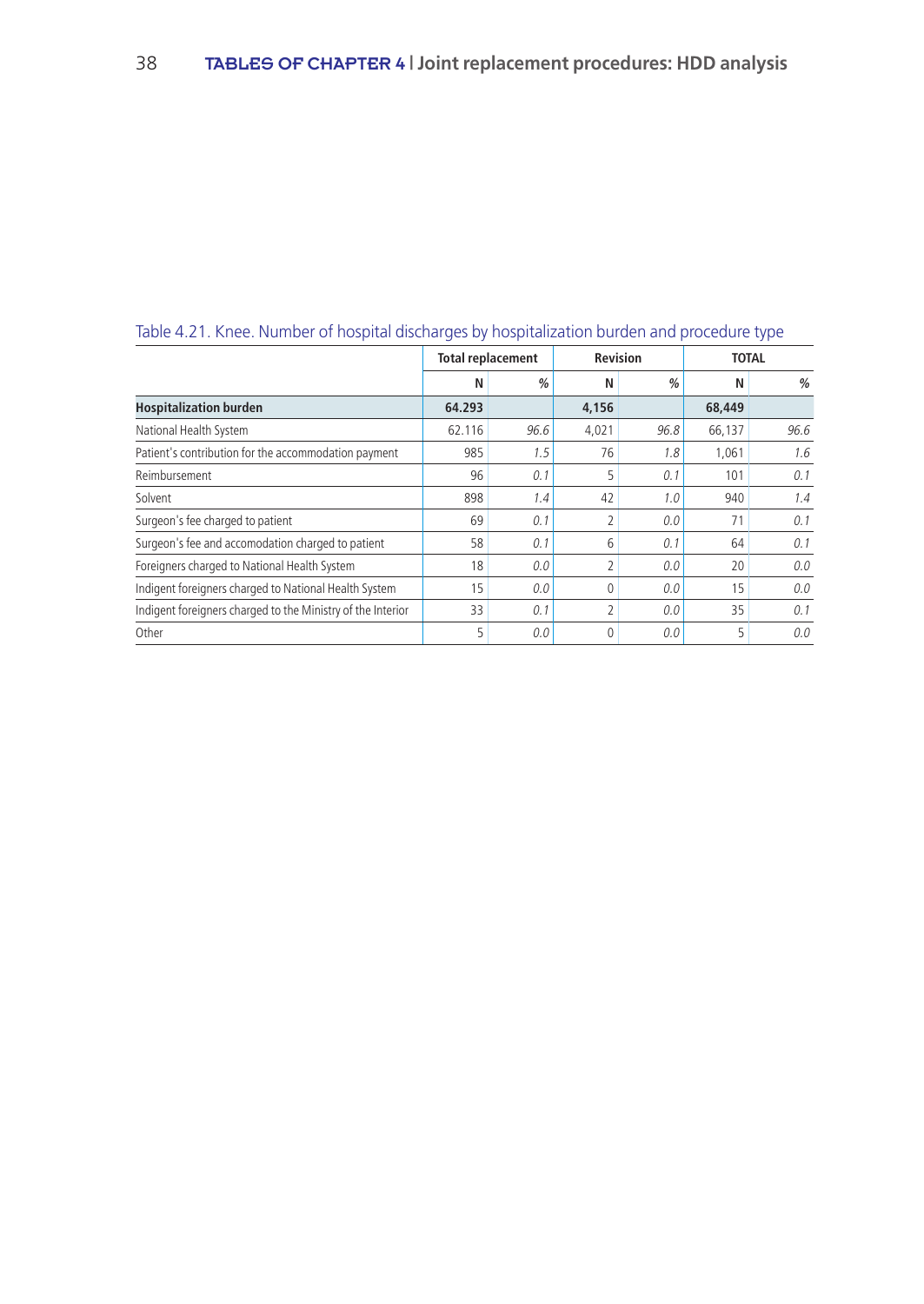|                                                             | <b>Total replacement</b> |      | <b>Revision</b> |               | <b>TOTAL</b> |      |
|-------------------------------------------------------------|--------------------------|------|-----------------|---------------|--------------|------|
|                                                             | Ν                        | %    | N               | $\frac{0}{0}$ | N            | %    |
| <b>Hospitalization burden</b>                               | 64.293                   |      | 4,156           |               | 68,449       |      |
| National Health System                                      | 62.116                   | 96.6 | 4,021           | 96.8          | 66,137       | 96.6 |
| Patient's contribution for the accommodation payment        | 985                      | 1.5  | 76              | 1.8           | 1,061        | 1.6  |
| Reimbursement                                               | 96                       | 0.1  | 5               | 0.1           | 101          | 0.1  |
| Solvent                                                     | 898                      | 1.4  | 42              | 1.0           | 940          | 1.4  |
| Surgeon's fee charged to patient                            | 69                       | 0.1  | 2               | 0.0           | 71           | 0.1  |
| Surgeon's fee and accomodation charged to patient           | 58                       | 0.1  | 6               | 0.1           | 64           | 0.1  |
| Foreigners charged to National Health System                | 18                       | 0.0  | 2               | 0.0           | 20           | 0.0  |
| Indigent foreigners charged to National Health System       | 15                       | 0.0  | 0               | 0.0           | 15           | 0.0  |
| Indigent foreigners charged to the Ministry of the Interior | 33                       | 0.1  | 2               | 0.0           | 35           | 0.1  |
| Other                                                       | 5                        | 0.0  | $\Omega$        | 0.0           | 5            | 0.0  |

### Table 4.21. Knee. Number of hospital discharges by hospitalization burden and procedure type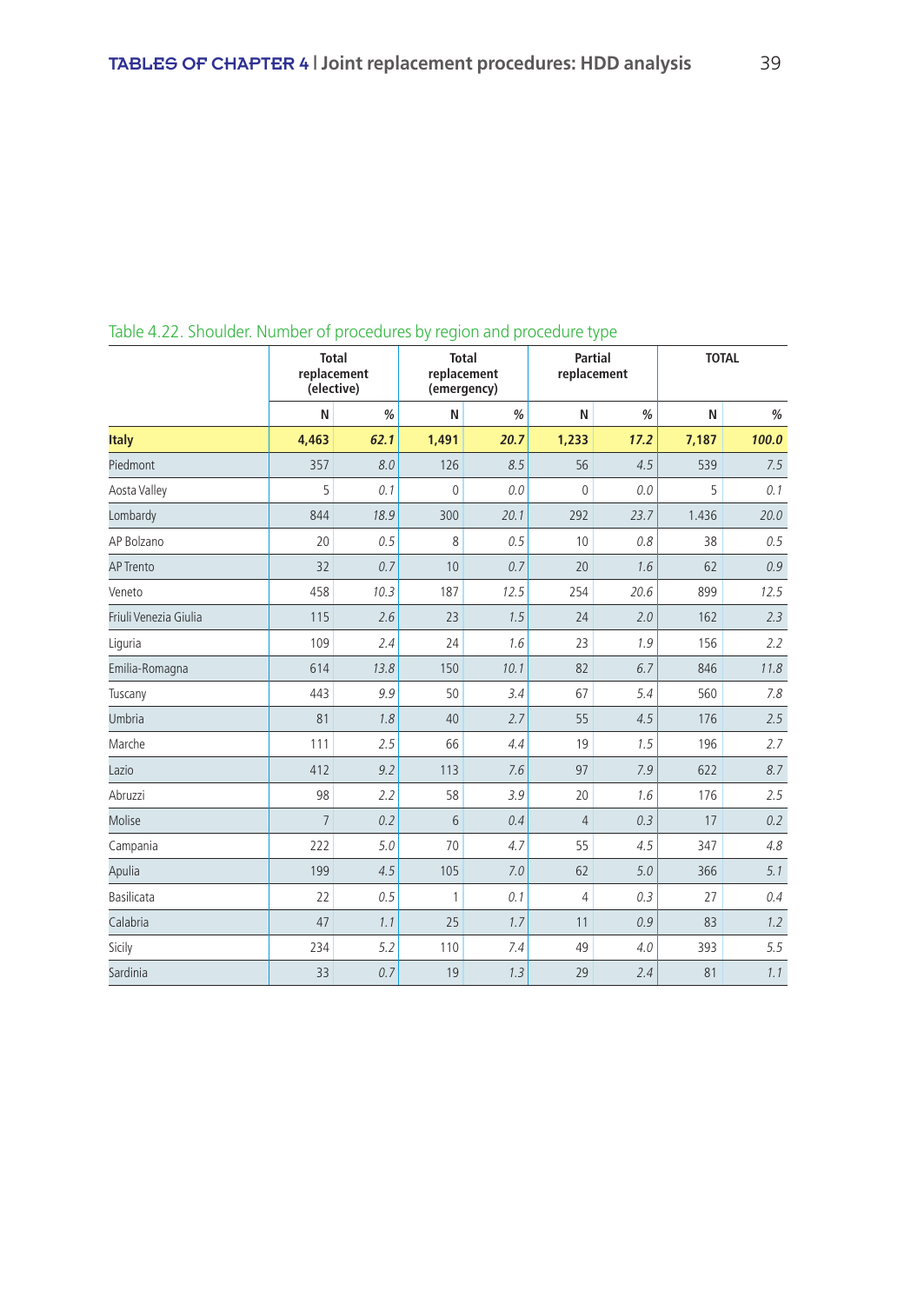|                       | <b>Total</b><br>replacement<br>(elective) |               | replacement<br>(emergency) | <b>Total</b>  | <b>Partial</b><br>replacement | -21- |       | <b>TOTAL</b> |  |
|-----------------------|-------------------------------------------|---------------|----------------------------|---------------|-------------------------------|------|-------|--------------|--|
|                       | N                                         | $\frac{0}{0}$ | N                          | $\frac{0}{0}$ | N                             | %    | N     | $\%$         |  |
| <b>Italy</b>          | 4,463                                     | 62.1          | 1,491                      | 20.7          | 1,233                         | 17.2 | 7,187 | 100.0        |  |
| Piedmont              | 357                                       | 8.0           | 126                        | 8.5           | 56                            | 4.5  | 539   | 7.5          |  |
| Aosta Valley          | 5                                         | 0.1           | $\mathbf 0$                | 0.0           | $\mathbf{0}$                  | 0.0  | 5     | 0.1          |  |
| Lombardy              | 844                                       | 18.9          | 300                        | 20.1          | 292                           | 23.7 | 1.436 | 20.0         |  |
| AP Bolzano            | 20                                        | 0.5           | 8                          | 0.5           | 10                            | 0.8  | 38    | 0.5          |  |
| <b>AP Trento</b>      | 32                                        | 0.7           | 10                         | 0.7           | 20                            | 1.6  | 62    | 0.9          |  |
| Veneto                | 458                                       | 10.3          | 187                        | 12.5          | 254                           | 20.6 | 899   | 12.5         |  |
| Friuli Venezia Giulia | 115                                       | 2.6           | 23                         | 1.5           | 24                            | 2.0  | 162   | 2.3          |  |
| Liguria               | 109                                       | 2.4           | 24                         | 1.6           | 23                            | 1.9  | 156   | 2.2          |  |
| Emilia-Romagna        | 614                                       | 13.8          | 150                        | 10.1          | 82                            | 6.7  | 846   | 11.8         |  |
| Tuscany               | 443                                       | 9.9           | 50                         | 3.4           | 67                            | 5.4  | 560   | 7.8          |  |
| <b>Umbria</b>         | 81                                        | 1.8           | 40                         | 2.7           | 55                            | 4.5  | 176   | 2.5          |  |
| Marche                | 111                                       | 2.5           | 66                         | 4.4           | 19                            | 1.5  | 196   | 2.7          |  |
| Lazio                 | 412                                       | 9.2           | 113                        | 7.6           | 97                            | 7.9  | 622   | 8.7          |  |
| Abruzzi               | 98                                        | 2.2           | 58                         | 3.9           | 20                            | 1.6  | 176   | 2.5          |  |
| Molise                | $\overline{7}$                            | 0.2           | 6                          | 0.4           | $\overline{4}$                | 0.3  | 17    | 0.2          |  |
| Campania              | 222                                       | 5.0           | 70                         | 4.7           | 55                            | 4.5  | 347   | 4.8          |  |
| Apulia                | 199                                       | 4.5           | 105                        | 7.0           | 62                            | 5.0  | 366   | 5.1          |  |
| Basilicata            | 22                                        | 0.5           | $\mathbf{1}$               | 0.1           | 4                             | 0.3  | 27    | 0.4          |  |
| Calabria              | 47                                        | 1.1           | 25                         | 1.7           | 11                            | 0.9  | 83    | 1.2          |  |
| Sicily                | 234                                       | 5.2           | 110                        | 7.4           | 49                            | 4.0  | 393   | 5.5          |  |
| Sardinia              | 33                                        | 0.7           | 19                         | 1.3           | 29                            | 2.4  | 81    | 1.1          |  |

## Table 4.22. Shoulder. Number of procedures by region and procedure type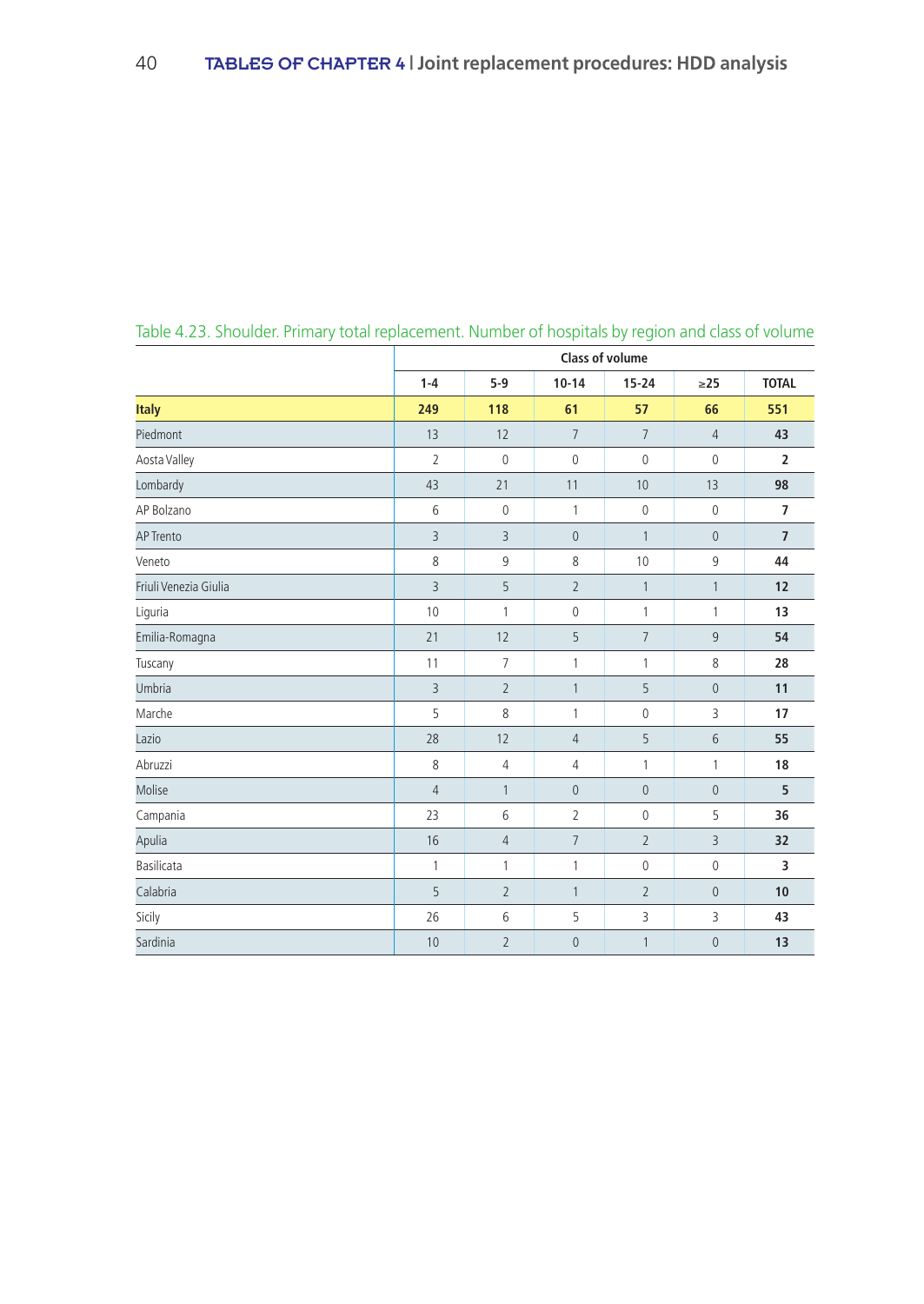|                       | <b>Class of volume</b> |                |                |                |                  |                |  |  |
|-----------------------|------------------------|----------------|----------------|----------------|------------------|----------------|--|--|
|                       | $1 - 4$                | $5-9$          | $10 - 14$      | $15 - 24$      | $\geq$ 25        | <b>TOTAL</b>   |  |  |
| <b>Italy</b>          | 249                    | 118            | 61             | 57             | 66               | 551            |  |  |
| Piedmont              | 13                     | 12             | $\overline{7}$ | $\overline{7}$ | $\overline{4}$   | 43             |  |  |
| Aosta Valley          | $\overline{2}$         | $\mathbb O$    | $\mathbb O$    | $\mathbb O$    | $\mathbf 0$      | $\overline{2}$ |  |  |
| Lombardy              | 43                     | 21             | 11             | 10             | 13               | 98             |  |  |
| AP Bolzano            | 6                      | $\mathbf{0}$   | 1              | $\mathbf 0$    | $\mathbf{0}$     | $\overline{7}$ |  |  |
| <b>AP Trento</b>      | $\overline{3}$         | 3              | $\mathbf 0$    | $\mathbf{1}$   | $\mathbf 0$      | $\overline{7}$ |  |  |
| Veneto                | 8                      | 9              | 8              | 10             | 9                | 44             |  |  |
| Friuli Venezia Giulia | $\overline{3}$         | 5              | $\overline{2}$ | 1              | $\mathbf{1}$     | 12             |  |  |
| Liguria               | 10                     | $\mathbf{1}$   | 0              | $\mathbf{1}$   | $\mathbf{1}$     | 13             |  |  |
| Emilia-Romagna        | 21                     | 12             | 5              | $\overline{7}$ | 9                | 54             |  |  |
| Tuscany               | 11                     | $\overline{7}$ | 1              | 1              | 8                | 28             |  |  |
| Umbria                | $\overline{3}$         | $\overline{2}$ | $\mathbf{1}$   | 5              | $\boldsymbol{0}$ | 11             |  |  |
| Marche                | 5                      | 8              | 1              | $\mathbb O$    | 3                | 17             |  |  |
| Lazio                 | 28                     | 12             | $\overline{4}$ | 5              | 6                | 55             |  |  |
| Abruzzi               | $\,8\,$                | $\overline{4}$ | 4              | 1              | $\mathbf{1}$     | 18             |  |  |
| Molise                | $\overline{4}$         | $\mathbf{1}$   | $\overline{0}$ | $\mathbf{0}$   | $\overline{0}$   | 5              |  |  |
| Campania              | 23                     | 6              | $\overline{2}$ | $\mathbb O$    | 5                | 36             |  |  |
| Apulia                | 16                     | $\overline{4}$ | $\overline{7}$ | $\overline{2}$ | $\overline{3}$   | 32             |  |  |
| Basilicata            | 1                      | $\mathbf{1}$   | 1              | $\mathbb O$    | $\mathbf 0$      | 3              |  |  |
| Calabria              | 5                      | $\overline{2}$ | 1              | $\overline{2}$ | $\overline{0}$   | 10             |  |  |
| Sicily                | 26                     | 6              | 5              | 3              | 3                | 43             |  |  |
| Sardinia              | 10                     | $\overline{2}$ | $\mathbf 0$    | 1              | $\overline{0}$   | 13             |  |  |

Table 4.23. Shoulder. Primary total replacement. Number of hospitals by region and class of volume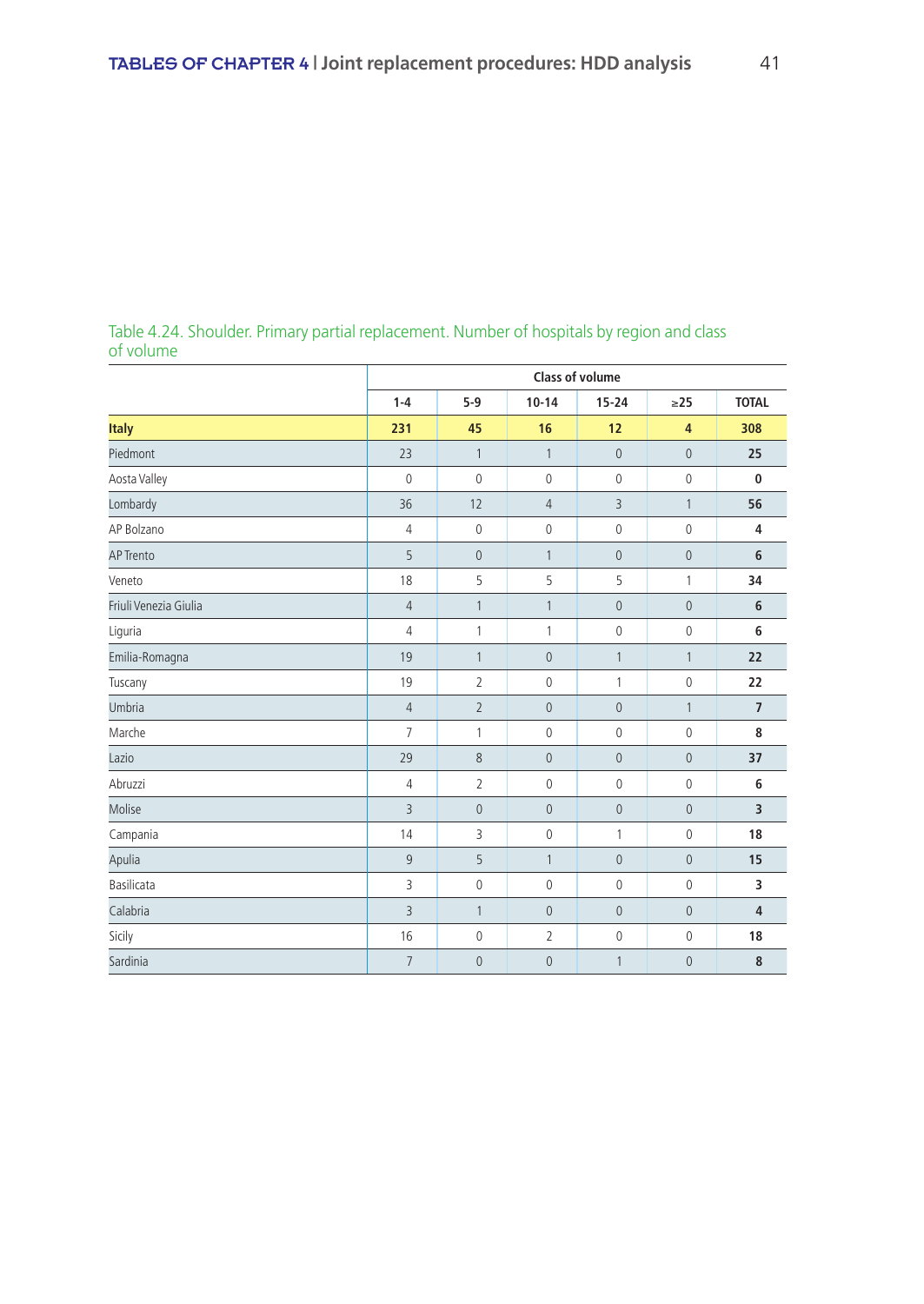|                       | <b>Class of volume</b> |                |                |                     |                |                |  |  |  |
|-----------------------|------------------------|----------------|----------------|---------------------|----------------|----------------|--|--|--|
|                       | $1 - 4$                | $5-9$          | $10 - 14$      | $15 - 24$           | $\geq$ 25      | <b>TOTAL</b>   |  |  |  |
| <b>Italy</b>          | 231                    | 45             | 16             | 12                  | $\overline{4}$ | 308            |  |  |  |
| Piedmont              | 23                     | $\mathbf{1}$   | $\mathbf{1}$   | $\mathbf 0$         | $\mathbf{0}$   | 25             |  |  |  |
| Aosta Valley          | $\overline{0}$         | $\mathbf{0}$   | $\mathbf{0}$   | $\mathbf 0$         | $\mathbf{0}$   | $\bf{0}$       |  |  |  |
| Lombardy              | 36                     | 12             | $\overline{4}$ | 3                   | $\mathbf{1}$   | 56             |  |  |  |
| AP Bolzano            | 4                      | $\mathbb O$    | $\mathbb O$    | $\mathbb O$         | $\mathbf 0$    | 4              |  |  |  |
| <b>AP Trento</b>      | 5                      | $\mathbf{0}$   | $\mathbf{1}$   | $\mathbf{0}$        | $\mathbf{0}$   | $6\phantom{1}$ |  |  |  |
| Veneto                | 18                     | 5              | 5              | 5                   | 1              | 34             |  |  |  |
| Friuli Venezia Giulia | $\overline{4}$         | $\mathbf{1}$   | $\mathbf{1}$   | $\mathbf 0$         | $\mathbf{0}$   | $6\phantom{1}$ |  |  |  |
| Liguria               | $\overline{4}$         | 1              | 1              | $\mathbb O$         | 0              | 6              |  |  |  |
| Emilia-Romagna        | 19                     | $\mathbf{1}$   | $\mathbf{0}$   | $\mathbf{1}$        | $\mathbf{1}$   | 22             |  |  |  |
| Tuscany               | 19                     | $\overline{2}$ | $\mathbb O$    | $\mathbf{1}$        | $\mathbf 0$    | 22             |  |  |  |
| Umbria                | $\sqrt{4}$             | $\overline{2}$ | $\mathbf 0$    | $\mathbb O$         | $\mathbf{1}$   | $\overline{7}$ |  |  |  |
| Marche                | $\overline{7}$         | 1              | $\mathbb O$    | $\mathbb O$         | 0              | 8              |  |  |  |
| Lazio                 | 29                     | 8              | $\mathbf{0}$   | $\mathbb O$         | $\overline{0}$ | 37             |  |  |  |
| Abruzzi               | $\overline{4}$         | $\overline{2}$ | $\mathbf{0}$   | $\mathbf{0}$        | 0              | 6              |  |  |  |
| Molise                | $\overline{3}$         | $\overline{0}$ | $\mathbf 0$    | $\mathbb O$         | $\mathbf 0$    | $\overline{3}$ |  |  |  |
| Campania              | 14                     | 3              | $\mathbb O$    | $\mathbf{1}$        | 0              | 18             |  |  |  |
| Apulia                | 9                      | 5              | $\mathbf{1}$   | $\mathbb O$         | $\mathbf{0}$   | 15             |  |  |  |
| Basilicata            | 3                      | $\mathbf 0$    | $\mathbb O$    | $\mathbb O$         | 0              | 3              |  |  |  |
| Calabria              | $\overline{3}$         | $\mathbf{1}$   | $\mathbf{0}$   | $\mathsf{O}\xspace$ | $\mathbf{0}$   | $\overline{4}$ |  |  |  |
| Sicily                | 16                     | 0              | 2              | 0                   | 0              | 18             |  |  |  |
| Sardinia              | $\overline{7}$         | $\overline{0}$ | $\mathbf{0}$   | 1                   | $\mathbf{0}$   | 8              |  |  |  |

Table 4.24. Shoulder. Primary partial replacement. Number of hospitals by region and class of volume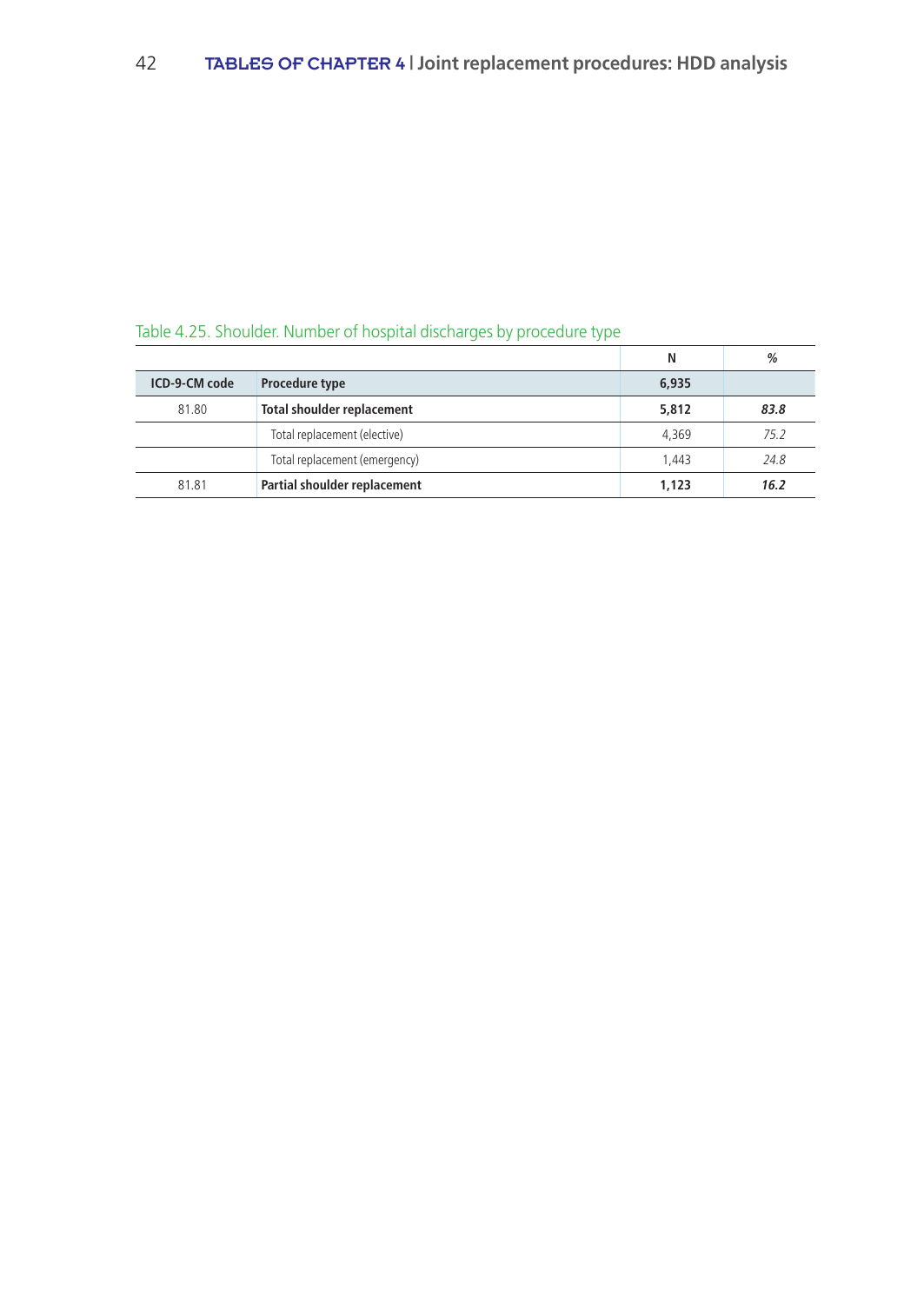|               | rapid in European and the model of model and driving do by procedure type |       |      |
|---------------|---------------------------------------------------------------------------|-------|------|
|               |                                                                           | Ν     | %    |
| ICD-9-CM code | Procedure type                                                            | 6,935 |      |
| 81.80         | Total shoulder replacement                                                | 5,812 | 83.8 |
|               | Total replacement (elective)                                              | 4.369 | 75.2 |
|               | Total replacement (emergency)                                             | 1.443 | 24.8 |
| 81.81         | Partial shoulder replacement                                              | 1,123 | 16.2 |

# Table 4.25. Shoulder. Number of hospital discharges by procedure type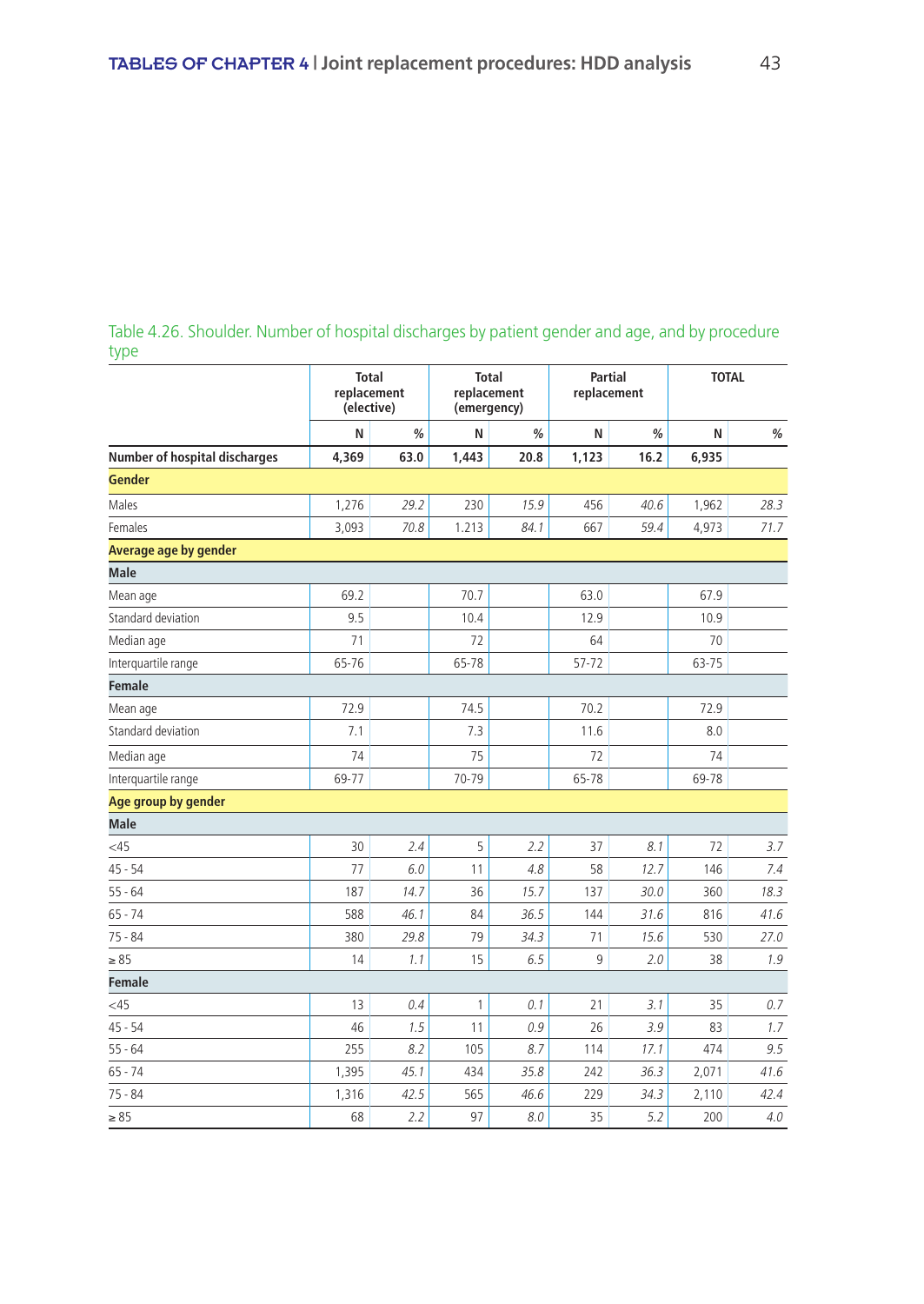### Table 4.26. Shoulder. Number of hospital discharges by patient gender and age, and by procedure type

|                                      | <b>Total</b><br>replacement<br>(elective) |      | (emergency) | <b>Total</b><br>replacement | Partial<br>replacement |      | <b>TOTAL</b> |      |
|--------------------------------------|-------------------------------------------|------|-------------|-----------------------------|------------------------|------|--------------|------|
|                                      | N                                         | %    | N           | %                           | N                      | %    | N            | $\%$ |
| <b>Number of hospital discharges</b> | 4,369                                     | 63.0 | 1,443       | 20.8                        | 1,123                  | 16.2 | 6,935        |      |
| <b>Gender</b>                        |                                           |      |             |                             |                        |      |              |      |
| Males                                | 1,276                                     | 29.2 | 230         | 15.9                        | 456                    | 40.6 | 1,962        | 28.3 |
| Females                              | 3,093                                     | 70.8 | 1.213       | 84.1                        | 667                    | 59.4 | 4,973        | 71.7 |
| Average age by gender                |                                           |      |             |                             |                        |      |              |      |
| <b>Male</b>                          |                                           |      |             |                             |                        |      |              |      |
| Mean age                             | 69.2                                      |      | 70.7        |                             | 63.0                   |      | 67.9         |      |
| Standard deviation                   | 9.5                                       |      | 10.4        |                             | 12.9                   |      | 10.9         |      |
| Median age                           | 71                                        |      | 72          |                             | 64                     |      | 70           |      |
| Interquartile range                  | 65-76                                     |      | 65-78       |                             | 57-72                  |      | 63-75        |      |
| <b>Female</b>                        |                                           |      |             |                             |                        |      |              |      |
| Mean age                             | 72.9                                      |      | 74.5        |                             | 70.2                   |      | 72.9         |      |
| Standard deviation                   | 7.1                                       |      | 7.3         |                             | 11.6                   |      | 8.0          |      |
| Median age                           | 74                                        |      | 75          |                             | 72                     |      | 74           |      |
| Interquartile range                  | 69-77                                     |      | 70-79       |                             | 65-78                  |      | 69-78        |      |
| Age group by gender                  |                                           |      |             |                             |                        |      |              |      |
| <b>Male</b>                          |                                           |      |             |                             |                        |      |              |      |
| <45                                  | 30                                        | 2.4  | 5           | 2.2                         | 37                     | 8.1  | 72           | 3.7  |
| $45 - 54$                            | 77                                        | 6.0  | 11          | 4.8                         | 58                     | 12.7 | 146          | 7.4  |
| $55 - 64$                            | 187                                       | 14.7 | 36          | 15.7                        | 137                    | 30.0 | 360          | 18.3 |
| $65 - 74$                            | 588                                       | 46.1 | 84          | 36.5                        | 144                    | 31.6 | 816          | 41.6 |
| $75 - 84$                            | 380                                       | 29.8 | 79          | 34.3                        | 71                     | 15.6 | 530          | 27.0 |
| $\geq 85$                            | 14                                        | 1.1  | 15          | 6.5                         | 9                      | 2.0  | 38           | 1.9  |
| <b>Female</b>                        |                                           |      |             |                             |                        |      |              |      |
| <45                                  | 13                                        | 0.4  | 1           | 0.1                         | 21                     | 3.1  | 35           | 0.7  |
| $45 - 54$                            | 46                                        | 1.5  | 11          | 0.9                         | 26                     | 3.9  | 83           | 1.7  |
| $55 - 64$                            | 255                                       | 8.2  | 105         | 8.7                         | 114                    | 17.1 | 474          | 9.5  |
| $65 - 74$                            | 1,395                                     | 45.1 | 434         | 35.8                        | 242                    | 36.3 | 2,071        | 41.6 |
| $75 - 84$                            | 1,316                                     | 42.5 | 565         | 46.6                        | 229                    | 34.3 | 2,110        | 42.4 |
| $\geq 85$                            | 68                                        | 2.2  | 97          | 8.0                         | 35                     | 5.2  | 200          | 4.0  |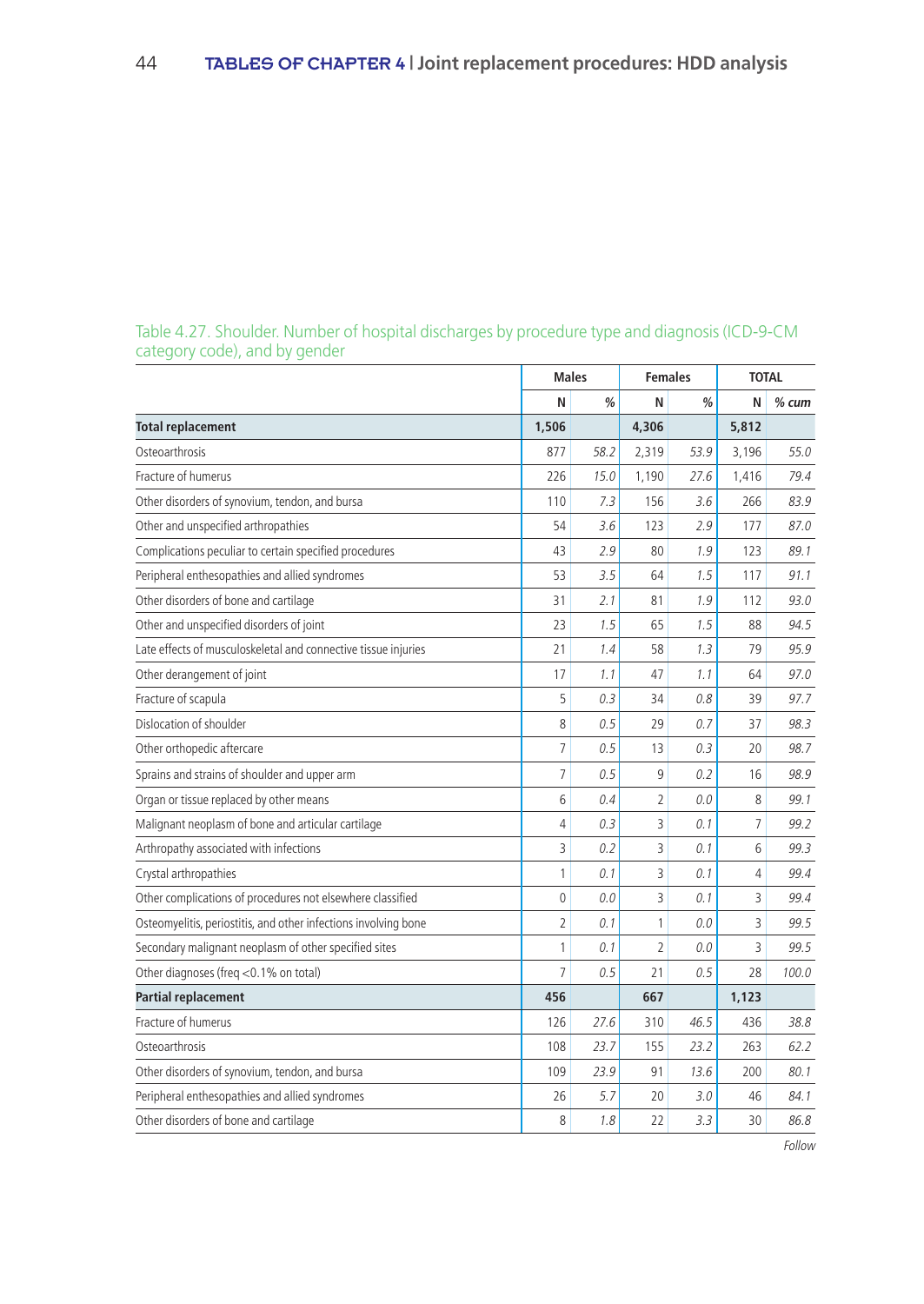|                                                                 |                | <b>Males</b> | <b>Females</b> |      | <b>TOTAL</b> |         |
|-----------------------------------------------------------------|----------------|--------------|----------------|------|--------------|---------|
|                                                                 | N              | %            | N              | %    | N            | $%$ cum |
| <b>Total replacement</b>                                        | 1,506          |              | 4,306          |      | 5,812        |         |
| Osteoarthrosis                                                  | 877            | 58.2         | 2,319          | 53.9 | 3,196        | 55.0    |
| Fracture of humerus                                             | 226            | 15.0         | 1,190          | 27.6 | 1,416        | 79.4    |
| Other disorders of synovium, tendon, and bursa                  | 110            | 7.3          | 156            | 3.6  | 266          | 83.9    |
| Other and unspecified arthropathies                             | 54             | 3.6          | 123            | 2.9  | 177          | 87.0    |
| Complications peculiar to certain specified procedures          | 43             | 2.9          | 80             | 1.9  | 123          | 89.1    |
| Peripheral enthesopathies and allied syndromes                  | 53             | 3.5          | 64             | 1.5  | 117          | 91.1    |
| Other disorders of bone and cartilage                           | 31             | 2.1          | 81             | 1.9  | 112          | 93.0    |
| Other and unspecified disorders of joint                        | 23             | 1.5          | 65             | 1.5  | 88           | 94.5    |
| Late effects of musculoskeletal and connective tissue injuries  | 21             | 1.4          | 58             | 1.3  | 79           | 95.9    |
| Other derangement of joint                                      | 17             | 1.1          | 47             | 1.1  | 64           | 97.0    |
| Fracture of scapula                                             | 5              | 0.3          | 34             | 0.8  | 39           | 97.7    |
| Dislocation of shoulder                                         | 8              | 0.5          | 29             | 0.7  | 37           | 98.3    |
| Other orthopedic aftercare                                      | 7              | 0.5          | 13             | 0.3  | 20           | 98.7    |
| Sprains and strains of shoulder and upper arm                   | 7              | 0.5          | 9              | 0.2  | 16           | 98.9    |
| Organ or tissue replaced by other means                         | 6              | 0.4          | $\overline{2}$ | 0.0  | 8            | 99.1    |
| Malignant neoplasm of bone and articular cartilage              | 4              | 0.3          | 3              | 0.1  | 7            | 99.2    |
| Arthropathy associated with infections                          | 3              | 0.2          | 3              | 0.1  | 6            | 99.3    |
| Crystal arthropathies                                           | 1              | 0.1          | 3              | 0.1  | 4            | 99.4    |
| Other complications of procedures not elsewhere classified      | $\Omega$       | 0.0          | 3              | 0.1  | 3            | 99.4    |
| Osteomyelitis, periostitis, and other infections involving bone | $\overline{2}$ | 0.1          | 1              | 0.0  | 3            | 99.5    |
| Secondary malignant neoplasm of other specified sites           | 1              | 0.1          | $\overline{2}$ | 0.0  | 3            | 99.5    |
| Other diagnoses (freg <0.1% on total)                           | $\overline{7}$ | 0.5          | 21             | 0.5  | 28           | 100.0   |
| <b>Partial replacement</b>                                      | 456            |              | 667            |      | 1,123        |         |
| Fracture of humerus                                             | 126            | 27.6         | 310            | 46.5 | 436          | 38.8    |
| Osteoarthrosis                                                  | 108            | 23.7         | 155            | 23.2 | 263          | 62.2    |
| Other disorders of synovium, tendon, and bursa                  | 109            | 23.9         | 91             | 13.6 | 200          | 80.1    |
| Peripheral enthesopathies and allied syndromes                  | 26             | 5.7          | 20             | 3.0  | 46           | 84.1    |
| Other disorders of bone and cartilage                           | 8              | 1.8          | 22             | 3.3  | 30           | 86.8    |

### Table 4.27. Shoulder. Number of hospital discharges by procedure type and diagnosis (ICD-9-CM category code), and by gender

Follow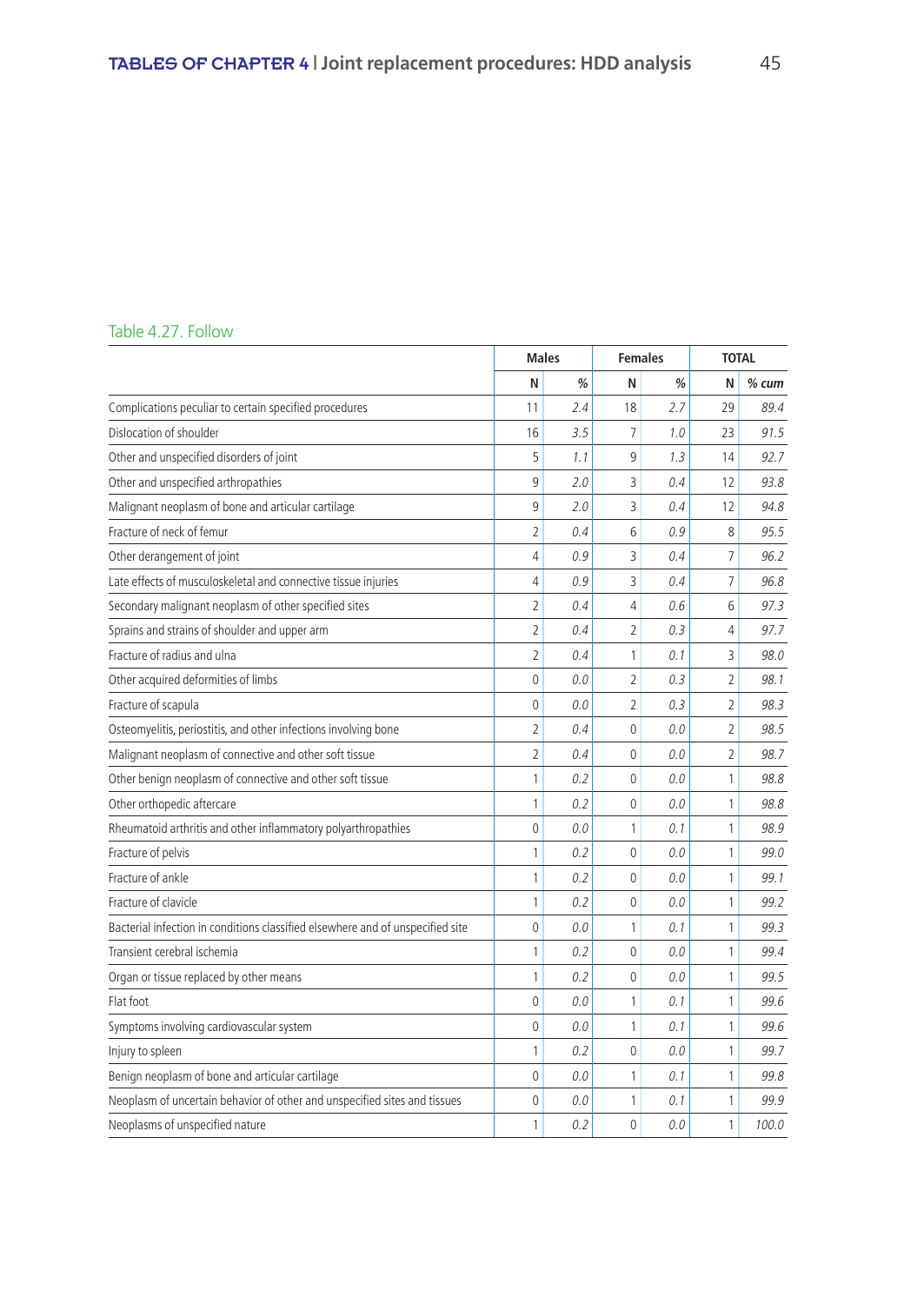### Table 4.27. Follow

|                                                                                | <b>Males</b><br><b>Females</b> |     | <b>TOTAL</b>   |     |                |         |
|--------------------------------------------------------------------------------|--------------------------------|-----|----------------|-----|----------------|---------|
|                                                                                | N                              | %   | N              | %   | N              | $%$ cum |
| Complications peculiar to certain specified procedures                         | 11                             | 2.4 | 18             | 2.7 | 29             | 89.4    |
| Dislocation of shoulder                                                        | 16                             | 3.5 | 7              | 1.0 | 23             | 91.5    |
| Other and unspecified disorders of joint                                       | 5                              | 1.1 | 9              | 1.3 | 14             | 92.7    |
| Other and unspecified arthropathies                                            | 9                              | 2.0 | 3              | 0.4 | 12             | 93.8    |
| Malignant neoplasm of bone and articular cartilage                             | 9                              | 2.0 | 3              | 0.4 | 12             | 94.8    |
| Fracture of neck of femur                                                      | $\overline{2}$                 | 0.4 | 6              | 0.9 | 8              | 95.5    |
| Other derangement of joint                                                     | 4                              | 0.9 | 3              | 0.4 | $\overline{7}$ | 96.2    |
| Late effects of musculoskeletal and connective tissue injuries                 | 4                              | 0.9 | 3              | 0.4 | $\overline{7}$ | 96.8    |
| Secondary malignant neoplasm of other specified sites                          | $\overline{2}$                 | 0.4 | 4              | 0.6 | 6              | 97.3    |
| Sprains and strains of shoulder and upper arm                                  | $\overline{2}$                 | 0.4 | $\overline{2}$ | 0.3 | 4              | 97.7    |
| Fracture of radius and ulna                                                    | $\overline{2}$                 | 0.4 | 1              | 0.1 | 3              | 98.0    |
| Other acquired deformities of limbs                                            | $\Omega$                       | 0.0 | $\overline{2}$ | 0.3 | $\overline{2}$ | 98.1    |
| Fracture of scapula                                                            | 0                              | 0.0 | $\overline{2}$ | 0.3 | $\overline{2}$ | 98.3    |
| Osteomyelitis, periostitis, and other infections involving bone                | $\overline{2}$                 | 0.4 | $\mathbf 0$    | 0.0 | $\overline{2}$ | 98.5    |
| Malignant neoplasm of connective and other soft tissue                         | $\overline{2}$                 | 0.4 | $\mathbf 0$    | 0.0 | $\overline{2}$ | 98.7    |
| Other benign neoplasm of connective and other soft tissue                      | 1                              | 0.2 | $\mathbf{0}$   | 0.0 | 1              | 98.8    |
| Other orthopedic aftercare                                                     | 1                              | 0.2 | $\mathbf{0}$   | 0.0 | 1              | 98.8    |
| Rheumatoid arthritis and other inflammatory polyarthropathies                  | 0                              | 0.0 | 1              | 0.1 | 1              | 98.9    |
| Fracture of pelvis                                                             | 1                              | 0.2 | $\mathbf 0$    | 0.0 | 1              | 99.0    |
| Fracture of ankle                                                              | 1                              | 0.2 | $\mathbf{0}$   | 0.0 | 1              | 99.1    |
| Fracture of clavicle                                                           | 1                              | 0.2 | $\mathbf{0}$   | 0.0 | 1              | 99.2    |
| Bacterial infection in conditions classified elsewhere and of unspecified site | 0                              | 0.0 | 1              | 0.1 | 1              | 99.3    |
| Transient cerebral ischemia                                                    | 1                              | 0.2 | $\mathbf{0}$   | 0.0 | 1              | 99.4    |
| Organ or tissue replaced by other means                                        | 1                              | 0.2 | $\mathbf{0}$   | 0.0 | 1              | 99.5    |
| Flat foot                                                                      | 0                              | 0.0 | 1              | 0.1 | 1              | 99.6    |
| Symptoms involving cardiovascular system                                       | 0                              | 0.0 | 1              | 0.1 | 1              | 99.6    |
| Injury to spleen                                                               | 1                              | 0.2 | $\mathbf{0}$   | 0.0 | 1              | 99.7    |
| Benign neoplasm of bone and articular cartilage                                | 0                              | 0.0 | 1              | 0.1 | 1              | 99.8    |
| Neoplasm of uncertain behavior of other and unspecified sites and tissues      | $\Omega$                       | 0.0 | 1              | 0.1 | 1              | 99.9    |
| Neoplasms of unspecified nature                                                | 1                              | 0.2 | $\Omega$       | 0.0 | 1              | 100.0   |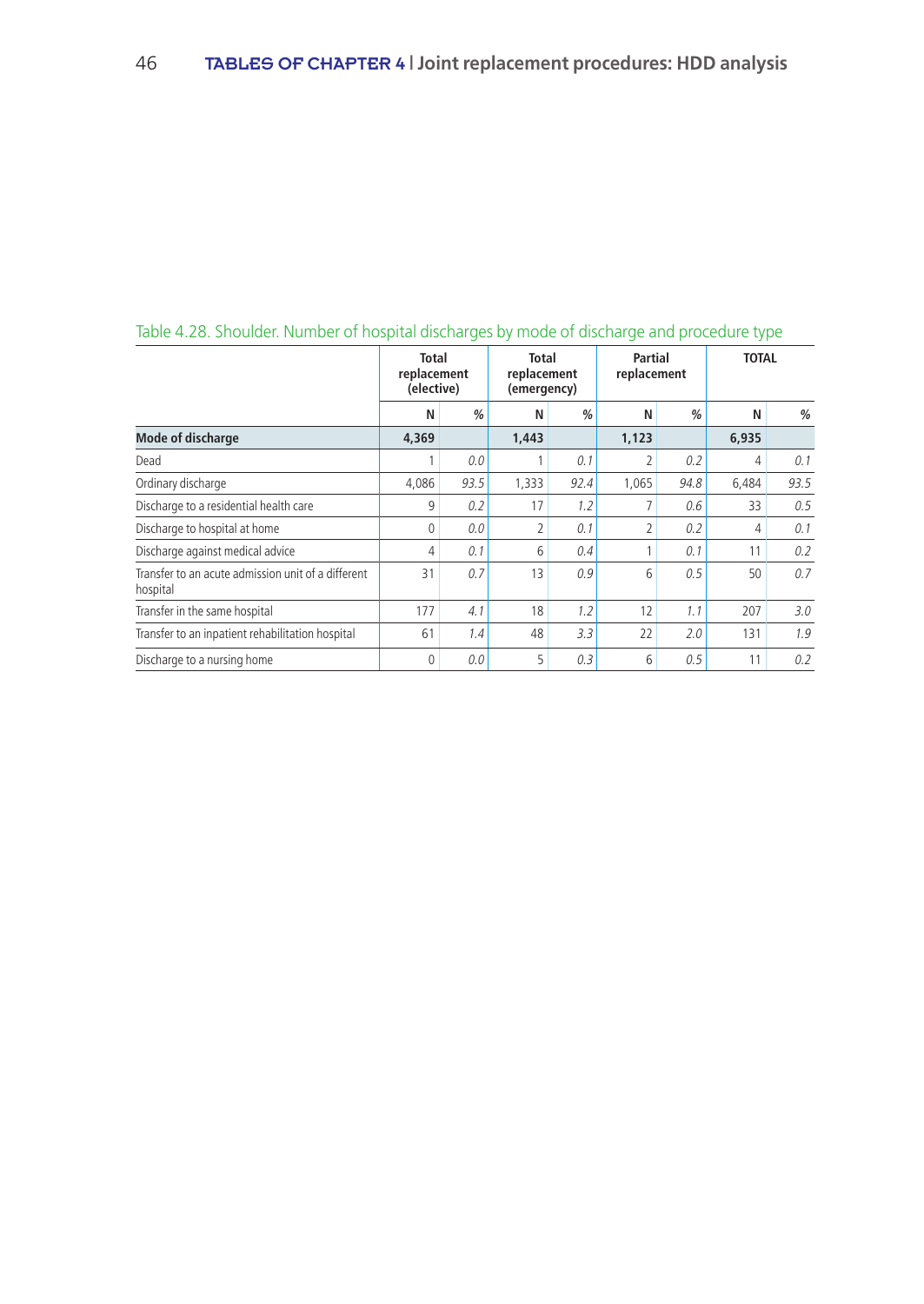|                                                                | <b>Total</b><br>replacement<br>(elective) |               | Total<br>replacement<br>(emergency) |               | Partial<br>replacement |               | <b>TOTAL</b>   |      |
|----------------------------------------------------------------|-------------------------------------------|---------------|-------------------------------------|---------------|------------------------|---------------|----------------|------|
|                                                                | N                                         | $\frac{0}{0}$ | N                                   | $\frac{0}{0}$ | N                      | $\frac{0}{0}$ | N              | $\%$ |
| <b>Mode of discharge</b>                                       | 4,369                                     |               | 1,443                               |               | 1,123                  |               | 6,935          |      |
| Dead                                                           |                                           | 0.0           |                                     | 0.1           | 2                      | 0.2           | 4              | 0.1  |
| Ordinary discharge                                             | 4,086                                     | 93.5          | 1,333                               | 92.4          | 1,065                  | 94.8          | 6,484          | 93.5 |
| Discharge to a residential health care                         | 9                                         | 0.2           | 17                                  | 1.2           | 7                      | 0.6           | 33             | 0.5  |
| Discharge to hospital at home                                  | 0                                         | 0.0           | $\overline{2}$                      | 0.1           | 2                      | 0.2           | $\overline{4}$ | 0.1  |
| Discharge against medical advice                               | 4                                         | 0.1           | 6                                   | 0.4           | 1                      | 0.1           | 11             | 0.2  |
| Transfer to an acute admission unit of a different<br>hospital | 31                                        | 0.7           | 13                                  | 0.9           | 6                      | 0.5           | 50             | 0.7  |
| Transfer in the same hospital                                  | 177                                       | 4.1           | 18                                  | 1.2           | 12                     | 1.1           | 207            | 3.0  |
| Transfer to an inpatient rehabilitation hospital               | 61                                        | 1.4           | 48                                  | 3.3           | 22                     | 2.0           | 131            | 1.9  |
| Discharge to a nursing home                                    | 0                                         | 0.0           | 5                                   | 0.3           | 6                      | 0.5           | 11             | 0.2  |

# Table 4.28. Shoulder. Number of hospital discharges by mode of discharge and procedure type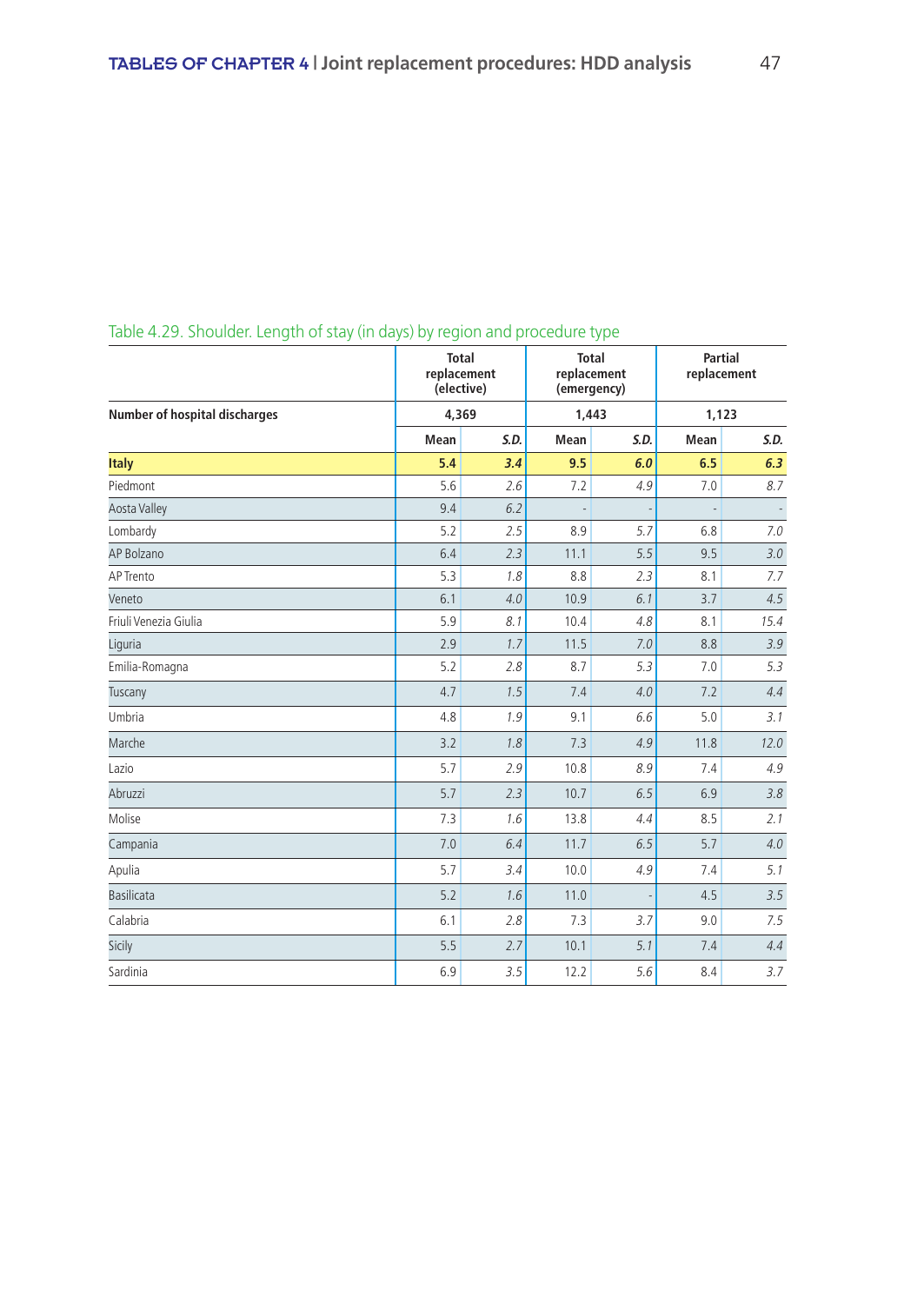|                                      |      | <b>Total</b><br>replacement<br>(elective) |      | <b>Total</b><br>replacement<br>(emergency) | <b>Partial</b><br>replacement |      |  |
|--------------------------------------|------|-------------------------------------------|------|--------------------------------------------|-------------------------------|------|--|
| <b>Number of hospital discharges</b> |      | 4,369                                     |      | 1,443                                      | 1,123                         |      |  |
|                                      | Mean | S.D.                                      | Mean | S.D.                                       | Mean                          | S.D. |  |
| <b>Italy</b>                         | 5.4  | 3.4                                       | 9.5  | 6.0                                        | 6.5                           | 6.3  |  |
| Piedmont                             | 5.6  | 2.6                                       | 7.2  | 4.9                                        | 7.0                           | 8.7  |  |
| <b>Aosta Valley</b>                  | 9.4  | 6.2                                       |      |                                            |                               |      |  |
| Lombardy                             | 5.2  | 2.5                                       | 8.9  | 5.7                                        | 6.8                           | 7.0  |  |
| AP Bolzano                           | 6.4  | 2.3                                       | 11.1 | 5.5                                        | 9.5                           | 3.0  |  |
| AP Trento                            | 5.3  | 1.8                                       | 8.8  | 2.3                                        | 8.1                           | 7.7  |  |
| Veneto                               | 6.1  | 4.0                                       | 10.9 | 6.1                                        | 3.7                           | 4.5  |  |
| Friuli Venezia Giulia                | 5.9  | 8.1                                       | 10.4 | 4.8                                        | 8.1                           | 15.4 |  |
| Liguria                              | 2.9  | 1.7                                       | 11.5 | 7.0                                        | 8.8                           | 3.9  |  |
| Emilia-Romagna                       | 5.2  | 2.8                                       | 8.7  | 5.3                                        | 7.0                           | 5.3  |  |
| Tuscany                              | 4.7  | 1.5                                       | 7.4  | 4.0                                        | 7.2                           | 4.4  |  |
| Umbria                               | 4.8  | 1.9                                       | 9.1  | 6.6                                        | 5.0                           | 3.1  |  |
| Marche                               | 3.2  | 1.8                                       | 7.3  | 4.9                                        | 11.8                          | 12.0 |  |
| Lazio                                | 5.7  | 2.9                                       | 10.8 | 8.9                                        | 7.4                           | 4.9  |  |
| Abruzzi                              | 5.7  | 2.3                                       | 10.7 | 6.5                                        | 6.9                           | 3.8  |  |
| Molise                               | 7.3  | 1.6                                       | 13.8 | 4.4                                        | 8.5                           | 2.1  |  |
| Campania                             | 7.0  | 6.4                                       | 11.7 | 6.5                                        | 5.7                           | 4.0  |  |
| Apulia                               | 5.7  | 3.4                                       | 10.0 | 4.9                                        | 7.4                           | 5.1  |  |
| <b>Basilicata</b>                    | 5.2  | 1.6                                       | 11.0 |                                            | 4.5                           | 3.5  |  |
| Calabria                             | 6.1  | 2.8                                       | 7.3  | 3.7                                        | 9.0                           | 7.5  |  |
| Sicily                               | 5.5  | 2.7                                       | 10.1 | 5.1                                        | 7.4                           | 4.4  |  |
| Sardinia                             | 6.9  | 3.5                                       | 12.2 | 5.6                                        | 8.4                           | 3.7  |  |

# Table 4.29. Shoulder. Length of stay (in days) by region and procedure type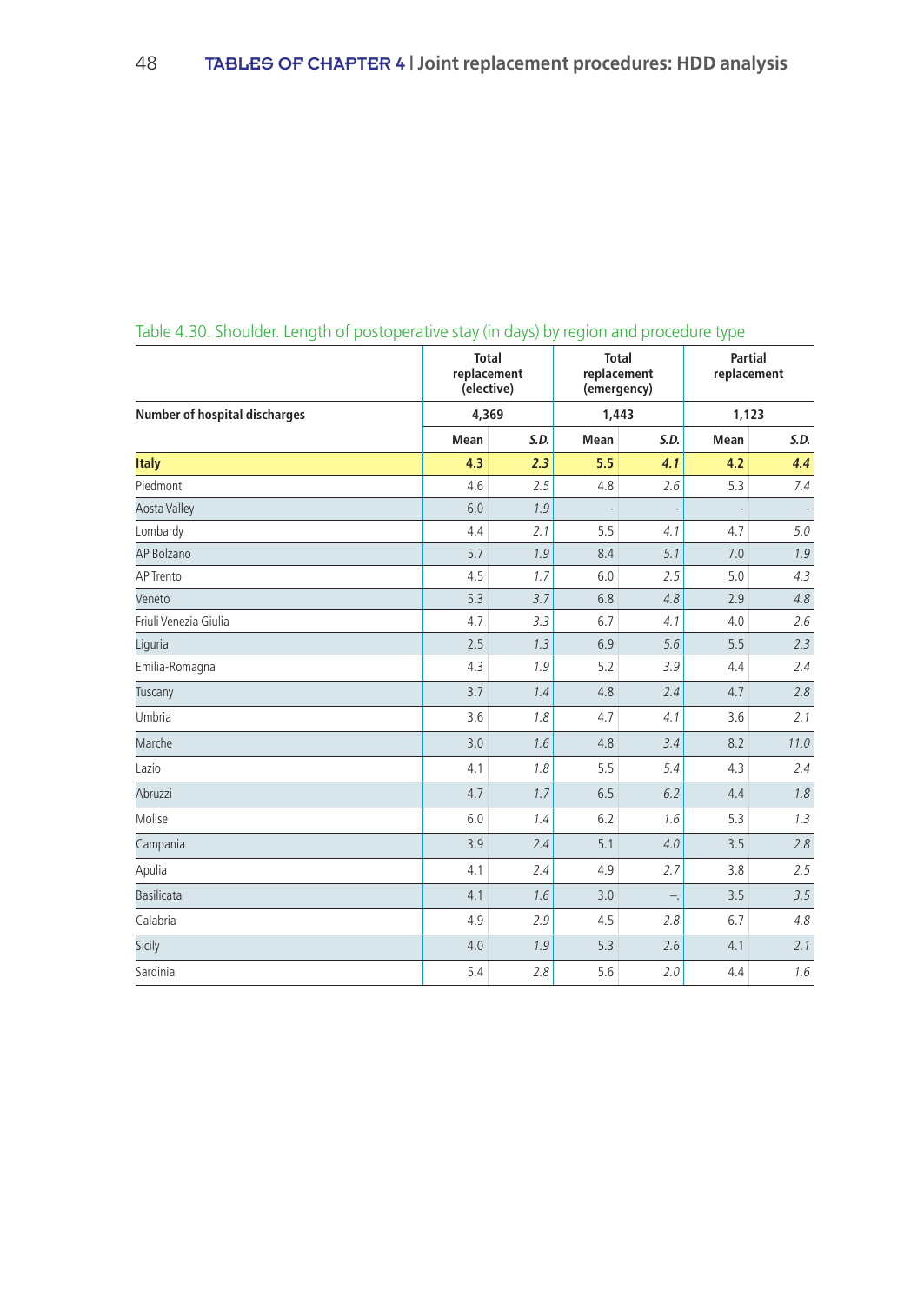|                                      |      | <b>Total</b><br>replacement<br>(elective) | <b>Total</b> | replacement<br>(emergency) | <b>Partial</b><br>replacement<br>1,123 |      |  |
|--------------------------------------|------|-------------------------------------------|--------------|----------------------------|----------------------------------------|------|--|
| <b>Number of hospital discharges</b> |      | 4,369                                     |              | 1,443                      |                                        |      |  |
|                                      | Mean | S.D.                                      | Mean         | S.D.                       | Mean                                   | S.D. |  |
| <b>Italy</b>                         | 4.3  | 2.3                                       | 5.5          | 4.1                        | 4.2                                    | 4.4  |  |
| Piedmont                             | 4.6  | 2.5                                       | 4.8          | 2.6                        | 5.3                                    | 7.4  |  |
| <b>Aosta Valley</b>                  | 6.0  | 1.9                                       |              |                            |                                        |      |  |
| Lombardy                             | 4.4  | 2.1                                       | 5.5          | 4.1                        | 4.7                                    | 5.0  |  |
| AP Bolzano                           | 5.7  | 1.9                                       | 8.4          | 5.1                        | 7.0                                    | 1.9  |  |
| AP Trento                            | 4.5  | 1.7                                       | 6.0          | 2.5                        | 5.0                                    | 4.3  |  |
| Veneto                               | 5.3  | 3.7                                       | 6.8          | 4.8                        | 2.9                                    | 4.8  |  |
| Friuli Venezia Giulia                | 4.7  | 3.3                                       | 6.7          | 4.1                        | 4.0                                    | 2.6  |  |
| Liguria                              | 2.5  | 1.3                                       | 6.9          | 5.6                        | 5.5                                    | 2.3  |  |
| Emilia-Romagna                       | 4.3  | 1.9                                       | 5.2          | 3.9                        | 4.4                                    | 2.4  |  |
| Tuscany                              | 3.7  | 1.4                                       | 4.8          | 2.4                        | 4.7                                    | 2.8  |  |
| Umbria                               | 3.6  | 1.8                                       | 4.7          | 4.1                        | 3.6                                    | 2.1  |  |
| Marche                               | 3.0  | 1.6                                       | 4.8          | 3.4                        | 8.2                                    | 11.0 |  |
| Lazio                                | 4.1  | 1.8                                       | 5.5          | 5.4                        | 4.3                                    | 2.4  |  |
| Abruzzi                              | 4.7  | 1.7                                       | 6.5          | 6.2                        | 4.4                                    | 1.8  |  |
| Molise                               | 6.0  | 1.4                                       | 6.2          | 1.6                        | 5.3                                    | 1.3  |  |
| Campania                             | 3.9  | 2.4                                       | 5.1          | 4.0                        | 3.5                                    | 2.8  |  |
| Apulia                               | 4.1  | 2.4                                       | 4.9          | 2.7                        | 3.8                                    | 2.5  |  |
| <b>Basilicata</b>                    | 4.1  | 1.6                                       | 3.0          | Ξ.                         | 3.5                                    | 3.5  |  |
| Calabria                             | 4.9  | 2.9                                       | 4.5          | 2.8                        | 6.7                                    | 4.8  |  |
| Sicily                               | 4.0  | 1.9                                       | 5.3          | 2.6                        | 4.1                                    | 2.1  |  |
| Sardinia                             | 5.4  | 2.8                                       | 5.6          | 2.0                        | 4.4                                    | 1.6  |  |

# Table 4.30. Shoulder. Length of postoperative stay (in days) by region and procedure type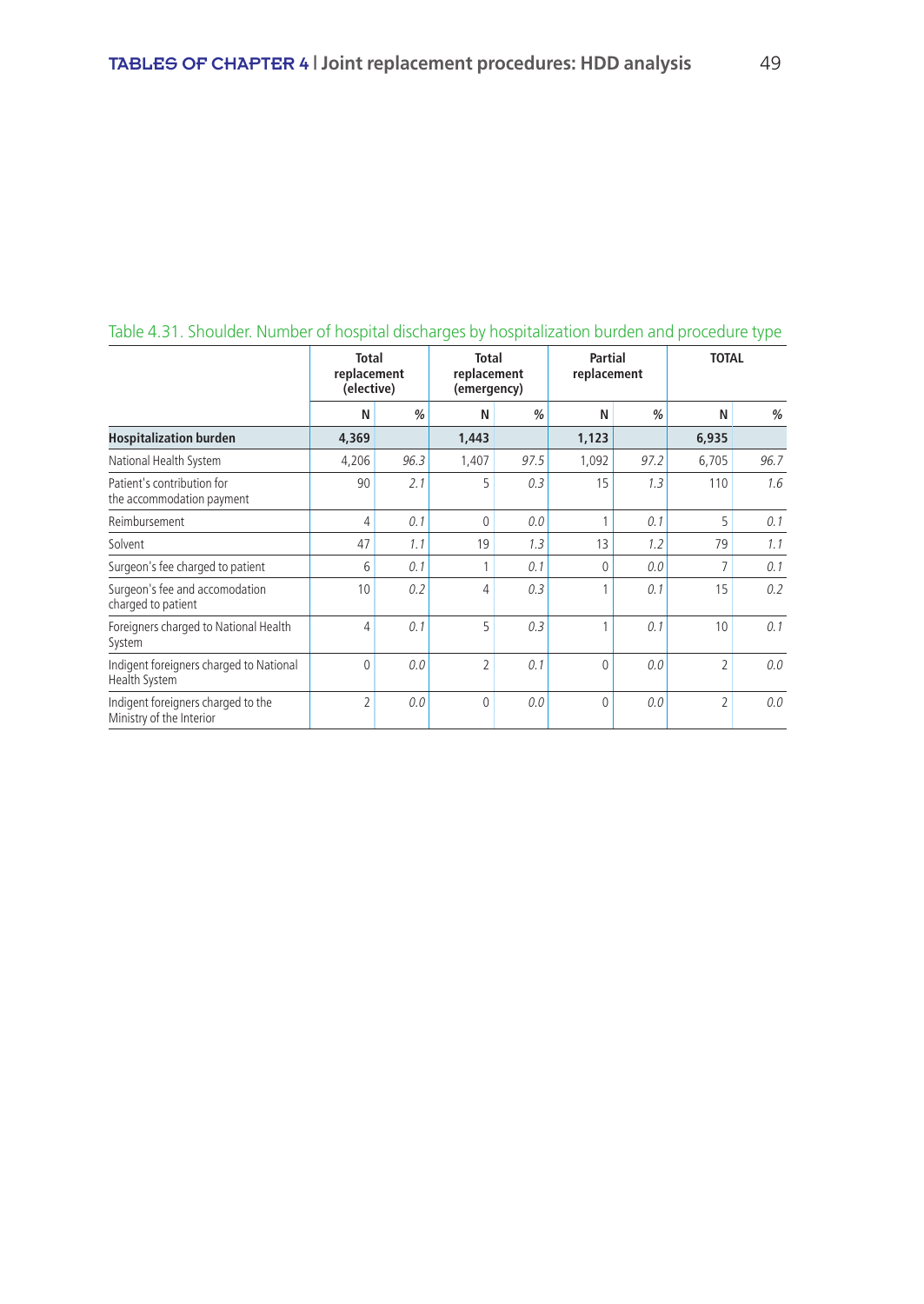|                                                                | <b>Total</b><br>replacement<br>(elective) |               | <b>Partial</b><br><b>Total</b><br>replacement<br>replacement<br>(emergency) |               | <b>TOTAL</b> |               |                |      |  |  |
|----------------------------------------------------------------|-------------------------------------------|---------------|-----------------------------------------------------------------------------|---------------|--------------|---------------|----------------|------|--|--|
|                                                                | N                                         | $\frac{0}{0}$ | N                                                                           | $\frac{0}{0}$ | N            | $\frac{0}{0}$ | N              | $\%$ |  |  |
| <b>Hospitalization burden</b>                                  | 4,369                                     |               | 1,443                                                                       |               | 1,123        |               | 6,935          |      |  |  |
| National Health System                                         | 4,206                                     | 96.3          | 1,407                                                                       | 97.5          | 1,092        | 97.2          | 6,705          | 96.7 |  |  |
| Patient's contribution for<br>the accommodation payment        | 90                                        | 2.1           | 5                                                                           | 0.3           | 15           | 1.3           | 110            | 1.6  |  |  |
| Reimbursement                                                  | 4                                         | 0.1           | $\mathbf{0}$                                                                | 0.0           |              | 0.1           | 5              | 0.1  |  |  |
| Solvent                                                        | 47                                        | 1.1           | 19                                                                          | 1.3           | 13           | 1.2           | 79             | 1.1  |  |  |
| Surgeon's fee charged to patient                               | 6                                         | 0.1           |                                                                             | 0.1           | $\Omega$     | 0.0           | 7              | 0.1  |  |  |
| Surgeon's fee and accomodation<br>charged to patient           | 10                                        | 0.2           | 4                                                                           | 0.3           |              | 0.1           | 15             | 0.2  |  |  |
| Foreigners charged to National Health<br>System                | 4                                         | 0.1           | 5                                                                           | 0.3           |              | 0.1           | 10             | 0.1  |  |  |
| Indigent foreigners charged to National<br>Health System       | 0                                         | 0.0           | $\overline{\phantom{a}}$                                                    | 0.1           | $\Omega$     | 0.0           | $\overline{2}$ | 0.0  |  |  |
| Indigent foreigners charged to the<br>Ministry of the Interior | $\overline{2}$                            | 0.0           | $\Omega$                                                                    | 0.0           | $\Omega$     | 0.0           | 2              | 0.0  |  |  |

# Table 4.31. Shoulder. Number of hospital discharges by hospitalization burden and procedure type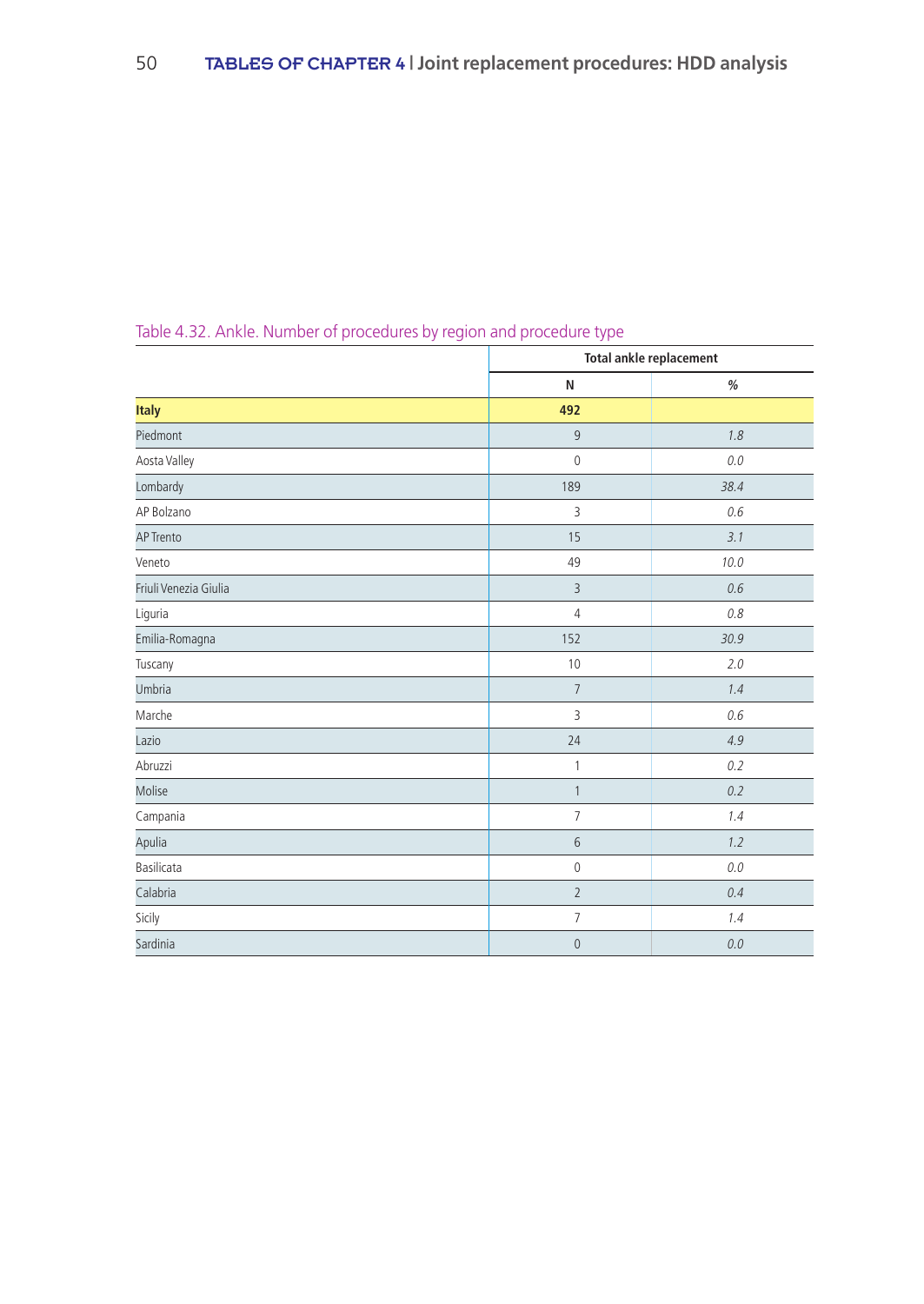|                       |                | <b>Total ankle replacement</b> |
|-----------------------|----------------|--------------------------------|
|                       | N              | $\%$                           |
| <b>Italy</b>          | 492            |                                |
| Piedmont              | $\overline{9}$ | 1.8                            |
| Aosta Valley          | $\mathbb O$    | 0.0                            |
| Lombardy              | 189            | 38.4                           |
| AP Bolzano            | 3              | 0.6                            |
| AP Trento             | 15             | 3.1                            |
| Veneto                | 49             | 10.0                           |
| Friuli Venezia Giulia | $\overline{3}$ | 0.6                            |
| Liguria               | $\overline{4}$ | 0.8                            |
| Emilia-Romagna        | 152            | 30.9                           |
| Tuscany               | 10             | 2.0                            |
| Umbria                | $\overline{7}$ | 1.4                            |
| Marche                | 3              | 0.6                            |
| Lazio                 | 24             | 4.9                            |
| Abruzzi               | 1              | 0.2                            |
| Molise                | $\mathbf{1}$   | 0.2                            |
| Campania              | $\overline{7}$ | 1.4                            |
| Apulia                | 6              | 1.2                            |
| Basilicata            | $\mathbb O$    | 0.0                            |
| Calabria              | $\overline{2}$ | 0.4                            |
| Sicily                | $\overline{7}$ | 1.4                            |
| Sardinia              | $\mathbb O$    | 0.0                            |

# Table 4.32. Ankle. Number of procedures by region and procedure type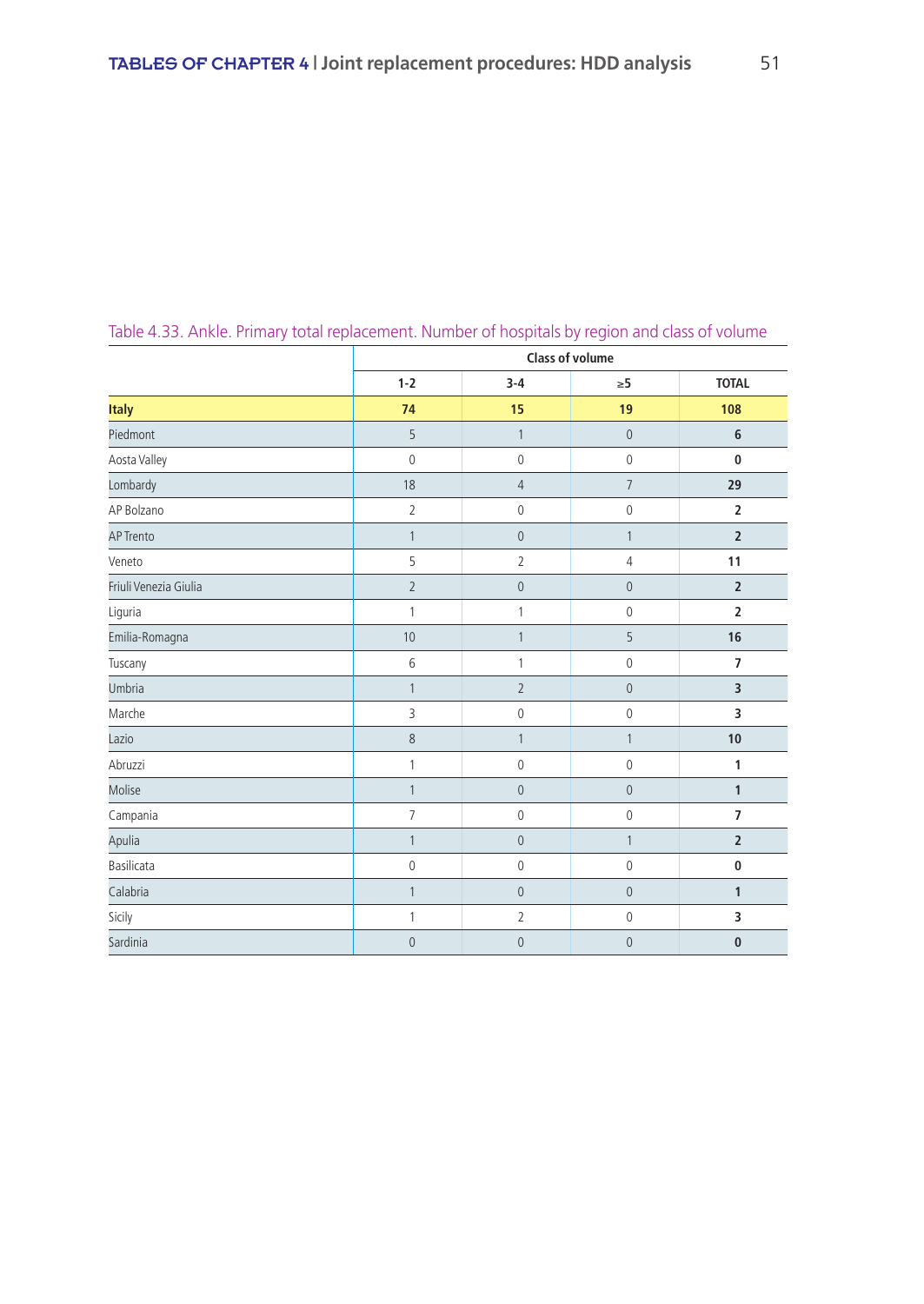|                       |                |                | <b>Class of volume</b> |                |
|-----------------------|----------------|----------------|------------------------|----------------|
|                       | $1 - 2$        | $3 - 4$        | $\geq 5$               | <b>TOTAL</b>   |
| <b>Italy</b>          | 74             | 15             | 19                     | 108            |
| Piedmont              | 5              | $\mathbf{1}$   | $\mathbf{0}$           | 6              |
| Aosta Valley          | $\mathbf 0$    | $\mathbb O$    | $\mathbb O$            | $\mathbf 0$    |
| Lombardy              | 18             | $\sqrt{4}$     | $\overline{7}$         | 29             |
| AP Bolzano            | $\overline{2}$ | $\mathbb O$    | $\mathbf 0$            | $\mathbf 2$    |
| <b>AP Trento</b>      | $\mathbf{1}$   | $\mathbf{0}$   | $\mathbf{1}$           | $\overline{2}$ |
| Veneto                | 5              | $\overline{2}$ | $\overline{4}$         | 11             |
| Friuli Venezia Giulia | $\overline{2}$ | $\mathbf{0}$   | $\overline{0}$         | $\overline{2}$ |
| Liguria               | $\mathbf{1}$   | 1              | $\mathbf 0$            | $\overline{2}$ |
| Emilia-Romagna        | 10             | $\mathbf{1}$   | 5                      | 16             |
| Tuscany               | 6              | 1              | $\mathbb O$            | $\overline{7}$ |
| Umbria                | $\mathbf{1}$   | $\overline{2}$ | $\mathbf 0$            | 3              |
| Marche                | 3              | $\mathbb O$    | $\mathbb O$            | 3              |
| Lazio                 | 8              | $\mathbf{1}$   | $\mathbf{1}$           | 10             |
| Abruzzi               | 1              | $\mathbb O$    | $\mathbb O$            | 1              |
| Molise                | $\mathbf{1}$   | $\mathbf{0}$   | $\overline{0}$         | $\mathbf{1}$   |
| Campania              | $\overline{7}$ | $\mathbb O$    | $\mathbf 0$            | $\overline{7}$ |
| Apulia                | $\mathbf{1}$   | $\mathbf 0$    | $\mathbf{1}$           | $\overline{2}$ |
| Basilicata            | $\mathbf 0$    | $\mathbb O$    | $\mathbb O$            | $\bf{0}$       |
| Calabria              | $\mathbf{1}$   | $\mathbf 0$    | $\mathbf{0}$           | $\mathbf{1}$   |
| Sicily                | $\mathbf{1}$   | $\overline{2}$ | $\mathbb O$            | 3              |
| Sardinia              | $\overline{0}$ | $\overline{0}$ | $\mathbf{0}$           | $\bf{0}$       |

Table 4.33. Ankle. Primary total replacement. Number of hospitals by region and class of volume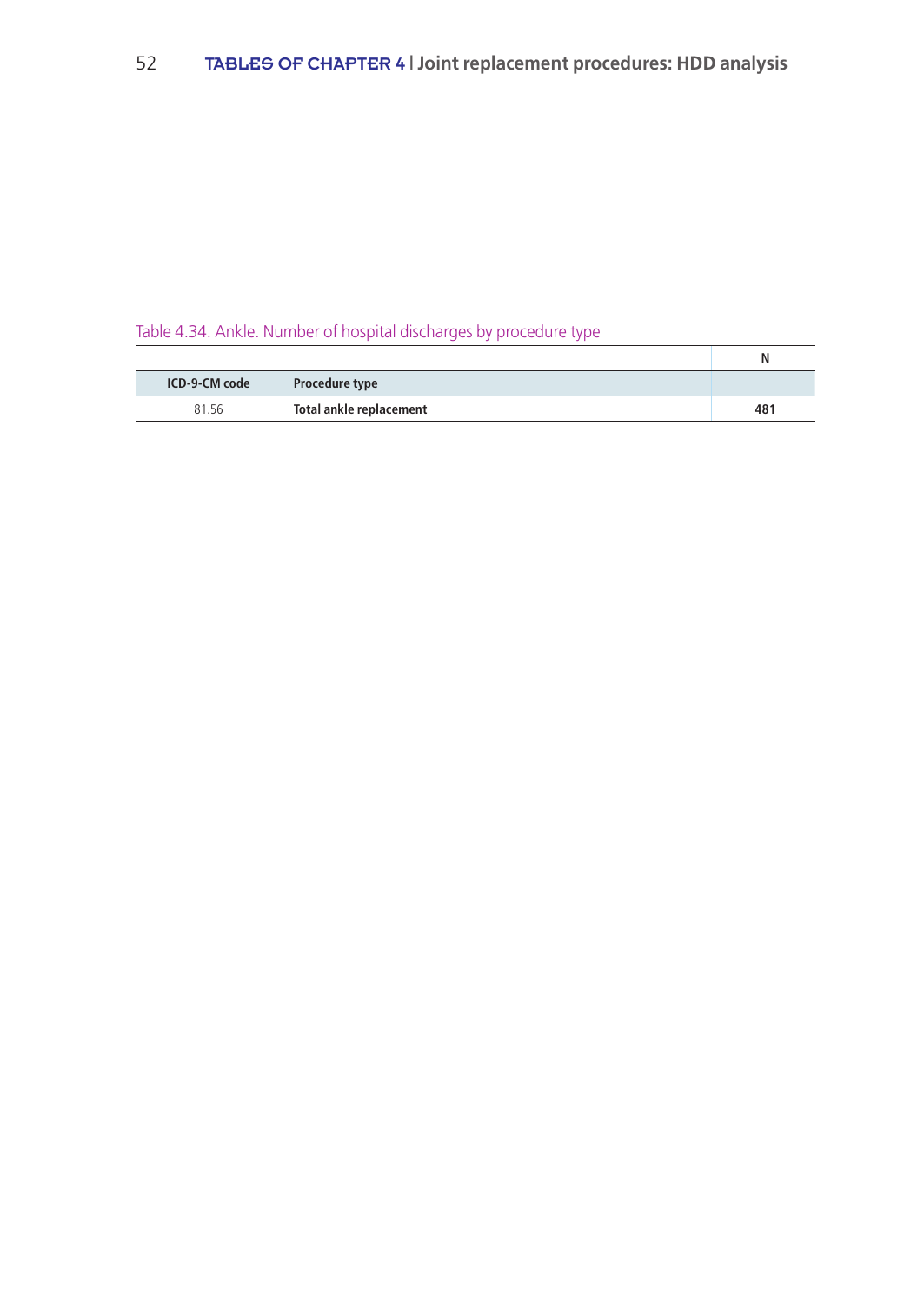# Table 4.34. Ankle. Number of hospital discharges by procedure type

|               |                         | N   |
|---------------|-------------------------|-----|
| ICD-9-CM code | <b>Procedure type</b>   |     |
| 81.56         | Total ankle replacement | 481 |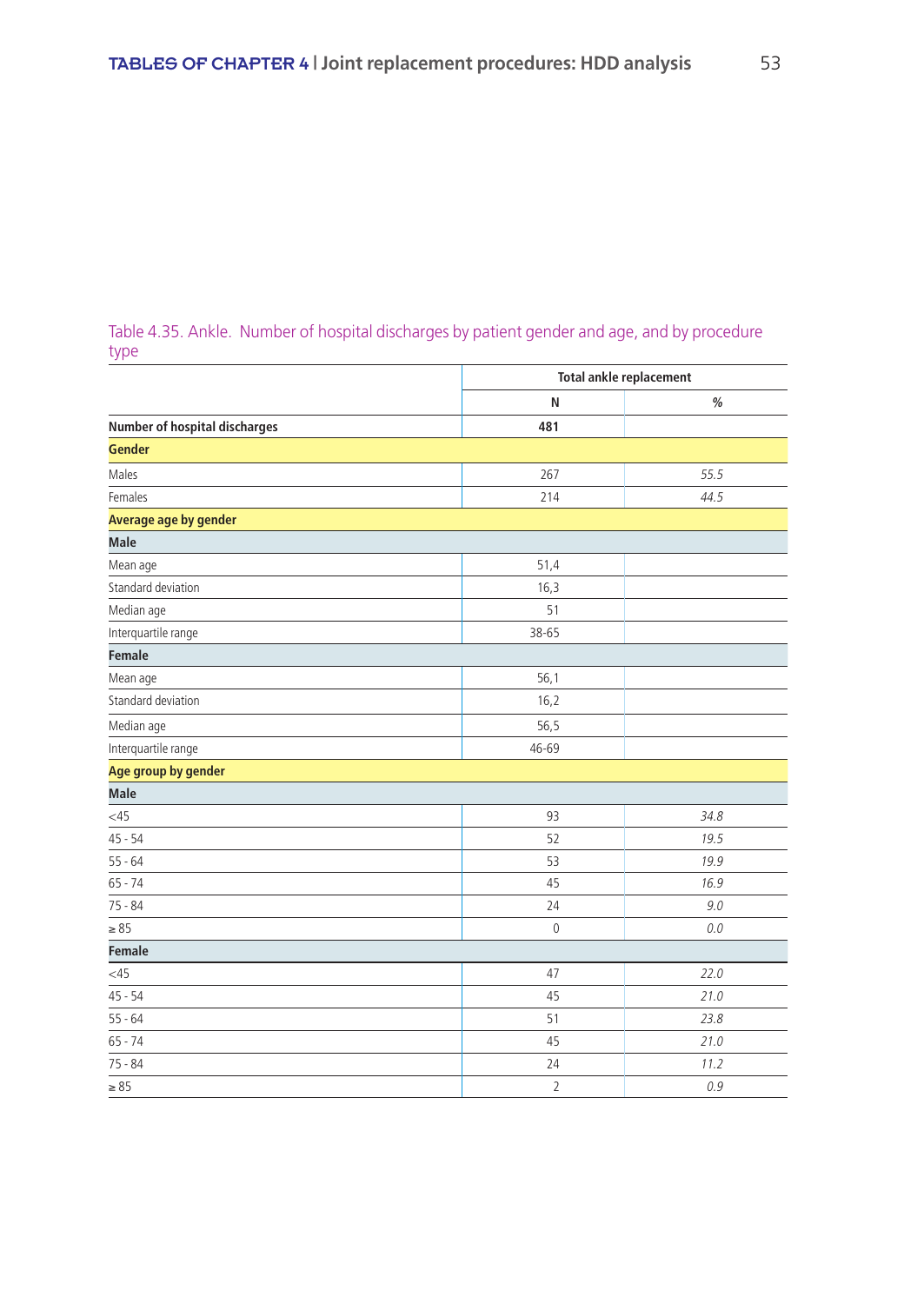### Table 4.35. Ankle. Number of hospital discharges by patient gender and age, and by procedure type

|                                      |                | <b>Total ankle replacement</b> |
|--------------------------------------|----------------|--------------------------------|
|                                      | N              | $\%$                           |
| <b>Number of hospital discharges</b> | 481            |                                |
| <b>Gender</b>                        |                |                                |
| Males                                | 267            | 55.5                           |
| Females                              | 214            | 44.5                           |
| <b>Average age by gender</b>         |                |                                |
| <b>Male</b>                          |                |                                |
| Mean age                             | 51,4           |                                |
| Standard deviation                   | 16,3           |                                |
| Median age                           | 51             |                                |
| Interquartile range                  | 38-65          |                                |
| <b>Female</b>                        |                |                                |
| Mean age                             | 56,1           |                                |
| Standard deviation                   | 16,2           |                                |
| Median age                           | 56,5           |                                |
| Interquartile range                  | 46-69          |                                |
| Age group by gender                  |                |                                |
| <b>Male</b>                          |                |                                |
| $<$ 45                               | 93             | 34.8                           |
| $45 - 54$                            | 52             | 19.5                           |
| $55 - 64$                            | 53             | 19.9                           |
| $65 - 74$                            | 45             | 16.9                           |
| $75 - 84$                            | 24             | 9.0                            |
| $\geq 85$                            | $\mathbf{0}$   | $0.0$                          |
| <b>Female</b>                        |                |                                |
| $<$ 45                               | 47             | 22.0                           |
| $45 - 54$                            | 45             | 21.0                           |
| $55 - 64$                            | 51             | 23.8                           |
| $65 - 74$                            | 45             | 21.0                           |
| $75 - 84$                            | 24             | 11.2                           |
| $\geq 85$                            | $\overline{2}$ | 0.9                            |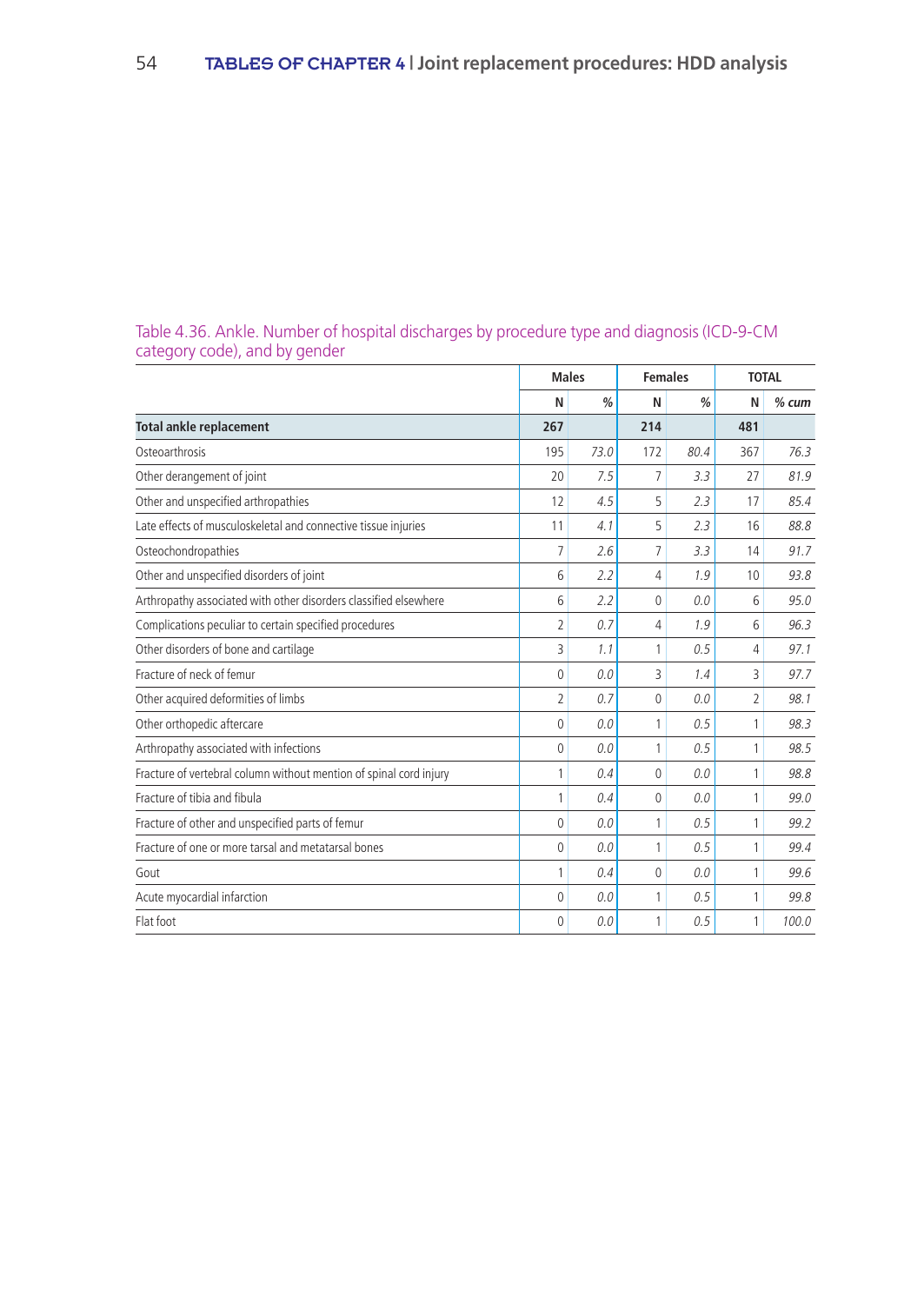|                                                                    |                | <b>Males</b>  | <b>Females</b> |      | <b>TOTAL</b>   |         |
|--------------------------------------------------------------------|----------------|---------------|----------------|------|----------------|---------|
|                                                                    | N              | $\frac{0}{0}$ | N              | %    | N              | $%$ cum |
| <b>Total ankle replacement</b>                                     | 267            |               | 214            |      | 481            |         |
| Osteoarthrosis                                                     | 195            | 73.0          | 172            | 80.4 | 367            | 76.3    |
| Other derangement of joint                                         | 20             | 7.5           | 7              | 3.3  | 27             | 81.9    |
| Other and unspecified arthropathies                                | 12             | 4.5           | 5              | 2.3  | 17             | 85.4    |
| Late effects of musculoskeletal and connective tissue injuries     | 11             | 4.1           | 5              | 2.3  | 16             | 88.8    |
| Osteochondropathies                                                | $\overline{7}$ | 2.6           | $\overline{7}$ | 3.3  | 14             | 91.7    |
| Other and unspecified disorders of joint                           | 6              | 2.2           | 4              | 1.9  | 10             | 93.8    |
| Arthropathy associated with other disorders classified elsewhere   | 6              | 2.2           | 0              | 0.0  | 6              | 95.0    |
| Complications peculiar to certain specified procedures             | $\overline{2}$ | 0.7           | 4              | 1.9  | 6              | 96.3    |
| Other disorders of bone and cartilage                              | 3              | 1.1           | 1              | 0.5  | $\overline{4}$ | 97.1    |
| Fracture of neck of femur                                          | $\Omega$       | 0.0           | 3              | 1.4  | 3              | 97.7    |
| Other acquired deformities of limbs                                | $\overline{2}$ | 0.7           | 0              | 0.0  | $\overline{2}$ | 98.1    |
| Other orthopedic aftercare                                         | $\theta$       | 0.0           | 1              | 0.5  | 1              | 98.3    |
| Arthropathy associated with infections                             | $\Omega$       | 0.0           | 1              | 0.5  | 1              | 98.5    |
| Fracture of vertebral column without mention of spinal cord injury | 1              | 0.4           | $\Omega$       | 0.0  | 1              | 98.8    |
| Fracture of tibia and fibula                                       | 1              | 0.4           | 0              | 0.0  | 1              | 99.0    |
| Fracture of other and unspecified parts of femur                   | $\Omega$       | 0.0           | 1              | 0.5  | 1              | 99.2    |
| Fracture of one or more tarsal and metatarsal bones                | $\mathbf{0}$   | 0.0           | 1              | 0.5  | 1              | 99.4    |
| Gout                                                               | 1              | 0.4           | 0              | 0.0  | 1              | 99.6    |
| Acute myocardial infarction                                        | $\Omega$       | 0.0           | 1              | 0.5  | 1              | 99.8    |
| Flat foot                                                          | $\Omega$       | 0.0           | 1              | 0.5  | 1              | 100.0   |

### Table 4.36. Ankle. Number of hospital discharges by procedure type and diagnosis (ICD-9-CM category code), and by gender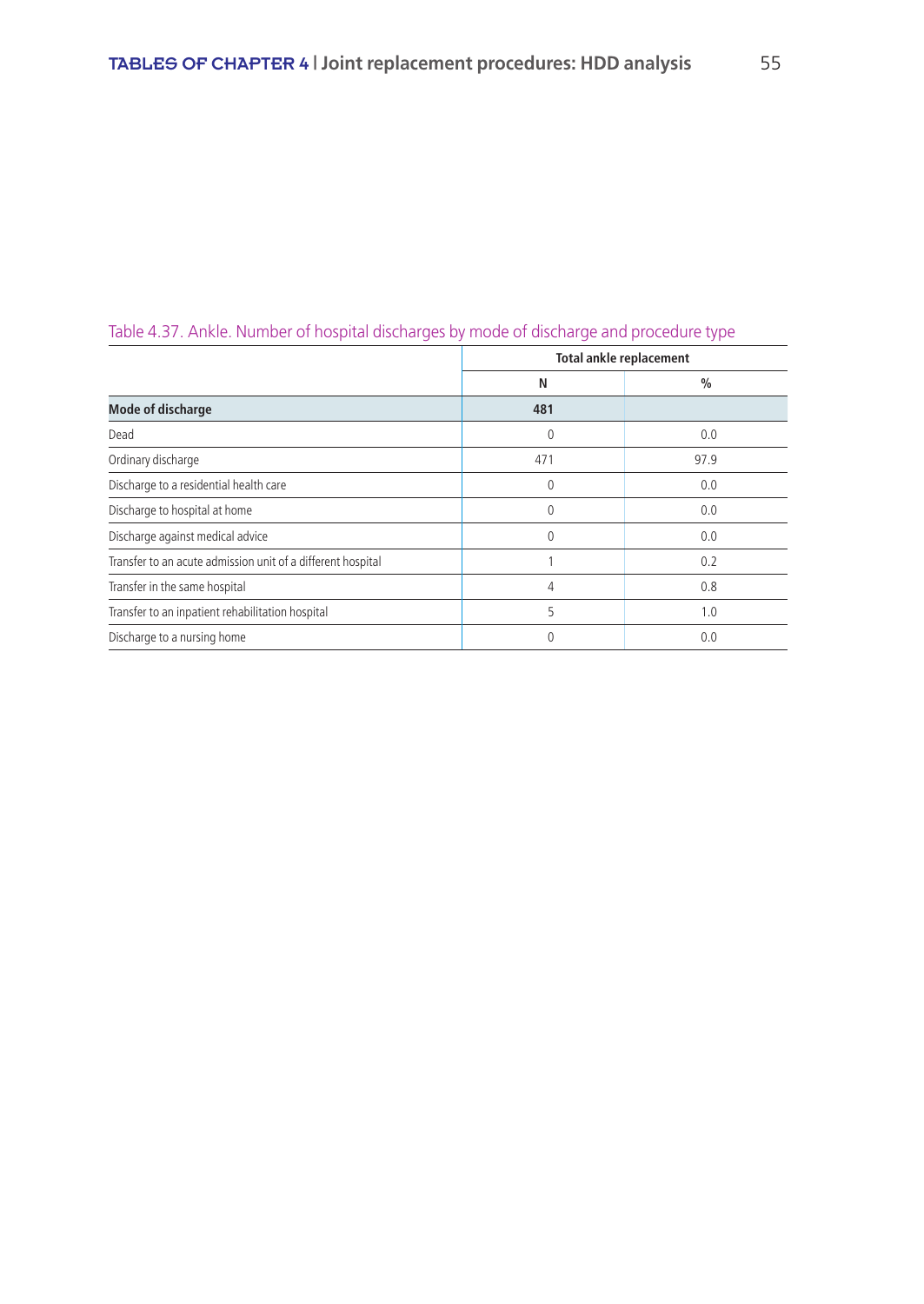|                                                             |          | <b>Total ankle replacement</b> |
|-------------------------------------------------------------|----------|--------------------------------|
|                                                             | N        | $\frac{0}{0}$                  |
| <b>Mode of discharge</b>                                    | 481      |                                |
| Dead                                                        | 0        | 0.0                            |
| Ordinary discharge                                          | 471      | 97.9                           |
| Discharge to a residential health care                      | $\Omega$ | 0.0                            |
| Discharge to hospital at home                               | $\Omega$ | 0.0                            |
| Discharge against medical advice                            | $\Omega$ | 0.0                            |
| Transfer to an acute admission unit of a different hospital |          | 0.2                            |
| Transfer in the same hospital                               | 4        | 0.8                            |
| Transfer to an inpatient rehabilitation hospital            | 5        | 1.0                            |
| Discharge to a nursing home                                 | 0        | 0.0                            |

## Table 4.37. Ankle. Number of hospital discharges by mode of discharge and procedure type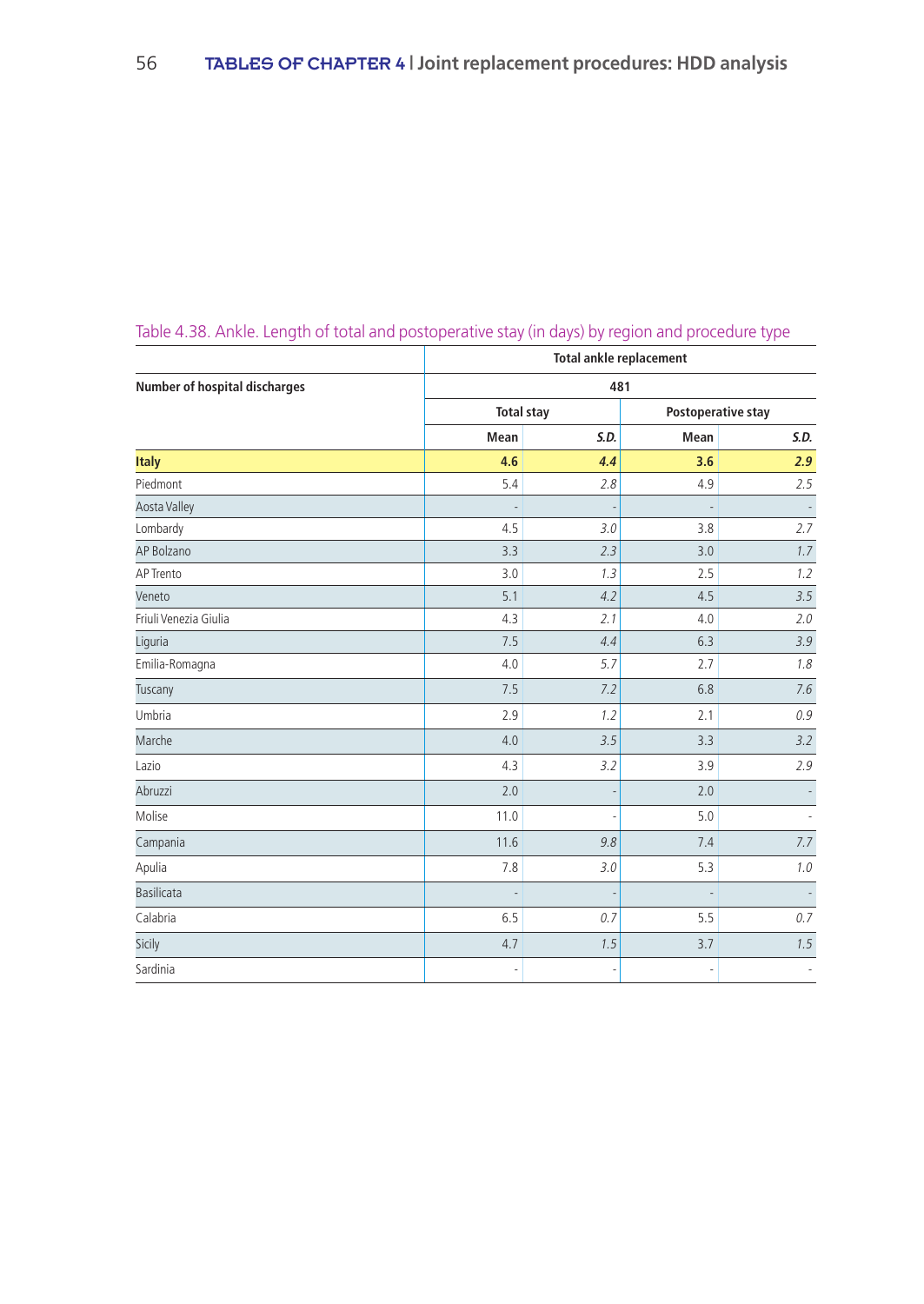|                                      |                          | Total ankle replacement  |      |                           |  |  |  |  |  |
|--------------------------------------|--------------------------|--------------------------|------|---------------------------|--|--|--|--|--|
| <b>Number of hospital discharges</b> |                          | 481                      |      |                           |  |  |  |  |  |
|                                      | <b>Total stay</b>        |                          |      | <b>Postoperative stay</b> |  |  |  |  |  |
|                                      | Mean                     | S.D.                     | Mean | S.D.                      |  |  |  |  |  |
| <b>Italy</b>                         | 4.6                      | 4.4                      | 3.6  | 2.9                       |  |  |  |  |  |
| Piedmont                             | 5.4                      | 2.8                      | 4.9  | 2.5                       |  |  |  |  |  |
| <b>Aosta Valley</b>                  | $\overline{\phantom{a}}$ |                          |      |                           |  |  |  |  |  |
| Lombardy                             | 4.5                      | 3.0                      | 3.8  | 2.7                       |  |  |  |  |  |
| AP Bolzano                           | 3.3                      | 2.3                      | 3.0  | 1.7                       |  |  |  |  |  |
| AP Trento                            | 3.0                      | 1.3                      | 2.5  | 1.2                       |  |  |  |  |  |
| Veneto                               | 5.1                      | 4.2                      | 4.5  | 3.5                       |  |  |  |  |  |
| Friuli Venezia Giulia                | 4.3                      | 2.1                      | 4.0  | 2.0                       |  |  |  |  |  |
| Liguria                              | 7.5                      | 4.4                      | 6.3  | 3.9                       |  |  |  |  |  |
| Emilia-Romagna                       | 4.0                      | 5.7                      | 2.7  | 1.8                       |  |  |  |  |  |
| Tuscany                              | 7.5                      | 7.2                      | 6.8  | 7.6                       |  |  |  |  |  |
| Umbria                               | 2.9                      | 1.2                      | 2.1  | 0.9                       |  |  |  |  |  |
| Marche                               | 4.0                      | 3.5                      | 3.3  | 3.2                       |  |  |  |  |  |
| Lazio                                | 4.3                      | 3.2                      | 3.9  | 2.9                       |  |  |  |  |  |
| Abruzzi                              | 2.0                      |                          | 2.0  |                           |  |  |  |  |  |
| Molise                               | 11.0                     |                          | 5.0  |                           |  |  |  |  |  |
| Campania                             | 11.6                     | 9.8                      | 7.4  | 7.7                       |  |  |  |  |  |
| Apulia                               | 7.8                      | 3.0                      | 5.3  | 1.0                       |  |  |  |  |  |
| <b>Basilicata</b>                    |                          |                          |      |                           |  |  |  |  |  |
| Calabria                             | 6.5                      | 0.7                      | 5.5  | 0.7                       |  |  |  |  |  |
| Sicily                               | 4.7                      | 1.5                      | 3.7  | 1.5                       |  |  |  |  |  |
| Sardinia                             | $\overline{\phantom{a}}$ | $\overline{\phantom{a}}$ |      |                           |  |  |  |  |  |

# Table 4.38. Ankle. Length of total and postoperative stay (in days) by region and procedure type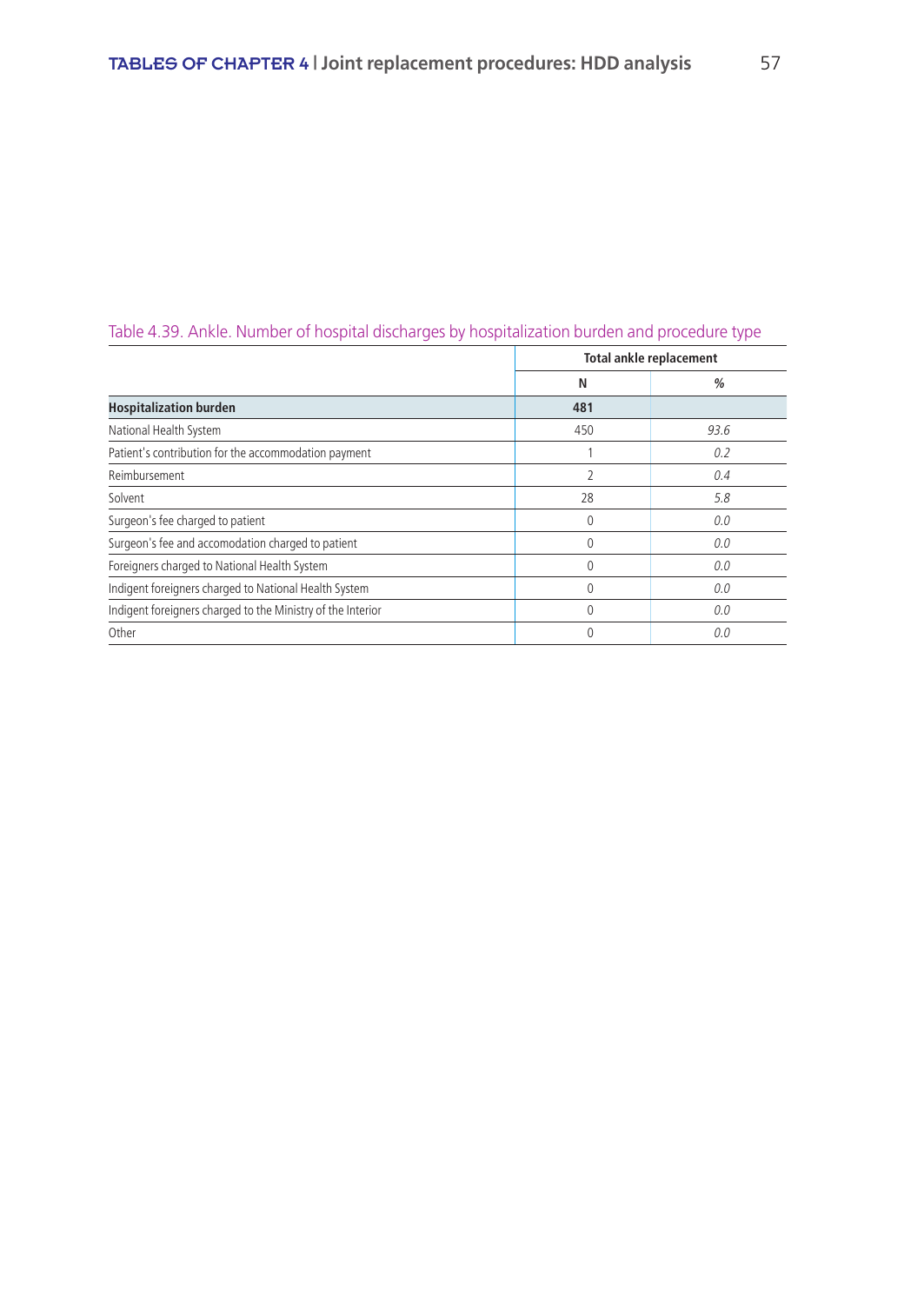|                                                             |                          | <b>Total ankle replacement</b> |
|-------------------------------------------------------------|--------------------------|--------------------------------|
|                                                             | N                        | %                              |
| <b>Hospitalization burden</b>                               | 481                      |                                |
| National Health System                                      | 450                      | 93.6                           |
| Patient's contribution for the accommodation payment        |                          | 0.2                            |
| Reimbursement                                               | $\overline{\phantom{a}}$ | 0.4                            |
| Solvent                                                     | 28                       | 5.8                            |
| Surgeon's fee charged to patient                            | 0                        | 0.0                            |
| Surgeon's fee and accomodation charged to patient           | $\Omega$                 | 0.0                            |
| Foreigners charged to National Health System                | $\Omega$                 | 0.0                            |
| Indigent foreigners charged to National Health System       | 0                        | 0.0                            |
| Indigent foreigners charged to the Ministry of the Interior | 0                        | 0.0                            |
| Other                                                       | 0                        | 0.0                            |

## Table 4.39. Ankle. Number of hospital discharges by hospitalization burden and procedure type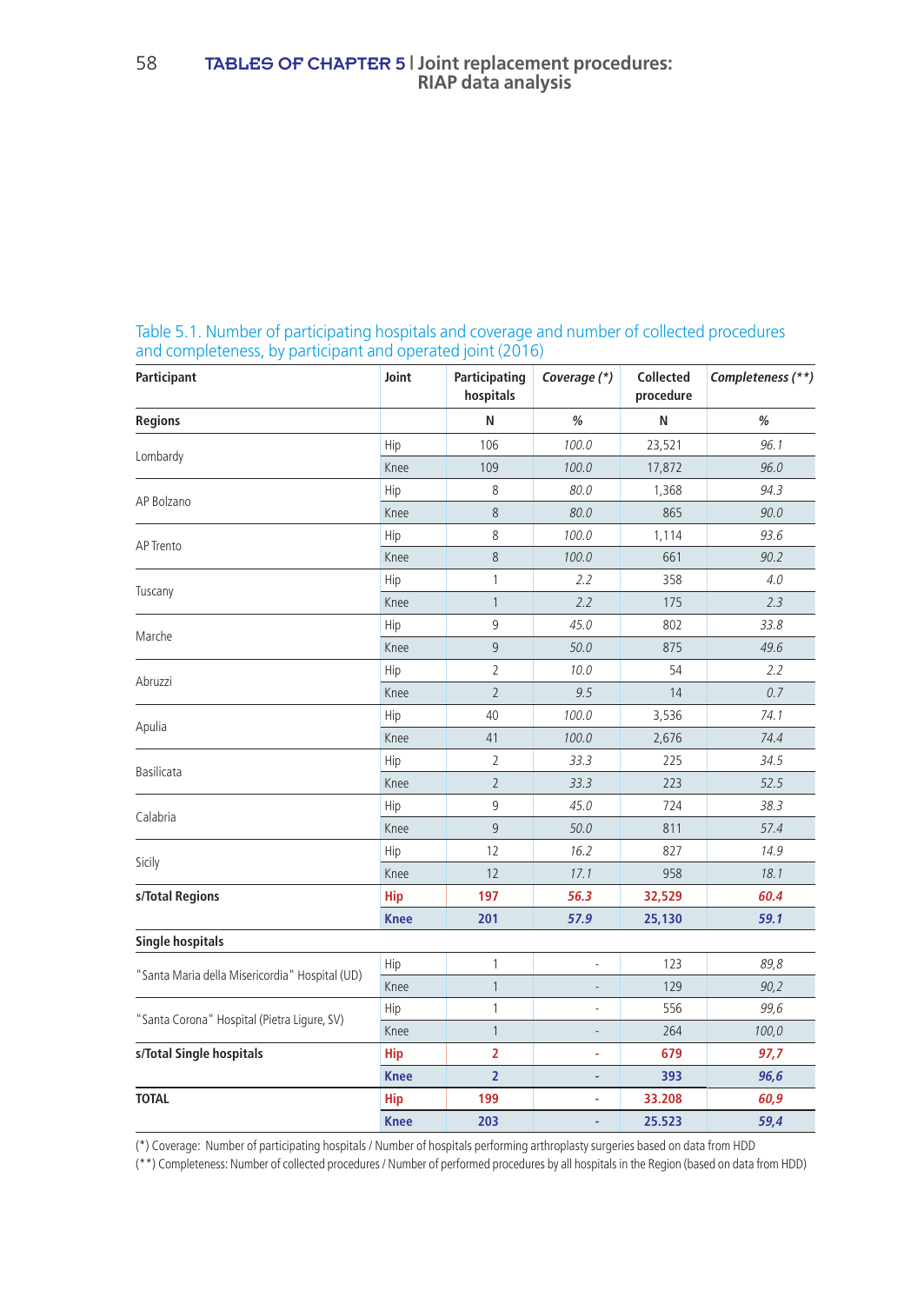| Participant                                                                                                                                                                    | Joint                                                                                                                                                                                                                                                            | Participating<br>hospitals | Coverage (*) | <b>Collected</b><br>procedure | Completeness (**) |
|--------------------------------------------------------------------------------------------------------------------------------------------------------------------------------|------------------------------------------------------------------------------------------------------------------------------------------------------------------------------------------------------------------------------------------------------------------|----------------------------|--------------|-------------------------------|-------------------|
| <b>Regions</b>                                                                                                                                                                 |                                                                                                                                                                                                                                                                  | N                          | %            | N                             | %                 |
|                                                                                                                                                                                | Hip                                                                                                                                                                                                                                                              | 106                        | 100.0        | 23,521                        | 96.1              |
|                                                                                                                                                                                | Knee<br>Hip<br>Knee<br>Hip<br>Knee<br>Hip<br>Knee<br>Hip<br>Knee<br>Hip<br>Knee<br>Hip<br>Knee<br>Hip<br>Knee<br>Hip<br>Knee<br>Hip<br>Knee<br><b>Hip</b><br><b>Knee</b><br>Hip<br>Knee<br>Hip<br>Knee<br><b>Hip</b><br><b>Knee</b><br><b>Hip</b><br><b>Knee</b> | 109                        | 100.0        | 17,872                        | 96.0              |
|                                                                                                                                                                                |                                                                                                                                                                                                                                                                  | 8                          | 80.0         | 1,368                         | 94.3              |
|                                                                                                                                                                                |                                                                                                                                                                                                                                                                  | 8                          | 80.0         | 865                           | 90.0              |
|                                                                                                                                                                                |                                                                                                                                                                                                                                                                  | 8                          | 100.0        | 1,114                         | 93.6              |
|                                                                                                                                                                                |                                                                                                                                                                                                                                                                  | 8                          | 100.0        | 661                           | 90.2              |
|                                                                                                                                                                                |                                                                                                                                                                                                                                                                  | 1                          | 2.2          | 358                           | 4.0               |
|                                                                                                                                                                                |                                                                                                                                                                                                                                                                  | $\mathbf{1}$               | 2.2          | 175                           | 2.3               |
|                                                                                                                                                                                |                                                                                                                                                                                                                                                                  | 9                          | 45.0         | 802                           | 33.8              |
|                                                                                                                                                                                |                                                                                                                                                                                                                                                                  | 9                          | 50.0         | 875                           | 49.6              |
|                                                                                                                                                                                |                                                                                                                                                                                                                                                                  | $\overline{2}$             | 10.0         | 54                            | 2.2               |
|                                                                                                                                                                                |                                                                                                                                                                                                                                                                  | $\overline{2}$             | 9.5          | 14                            | 0.7               |
| Apulia                                                                                                                                                                         |                                                                                                                                                                                                                                                                  | 40                         | 100.0        | 3,536                         | 74.1              |
|                                                                                                                                                                                |                                                                                                                                                                                                                                                                  | 41                         | 100.0        | 2,676                         | 74.4              |
| Basilicata<br>Calabria                                                                                                                                                         |                                                                                                                                                                                                                                                                  | $\overline{2}$             | 33.3         | 225                           | 34.5              |
|                                                                                                                                                                                |                                                                                                                                                                                                                                                                  | $\overline{2}$             | 33.3         | 223                           | 52.5              |
|                                                                                                                                                                                |                                                                                                                                                                                                                                                                  | 9                          | 45.0         | 724                           | 38.3              |
|                                                                                                                                                                                |                                                                                                                                                                                                                                                                  | 9                          | 50.0         | 811                           | 57.4              |
|                                                                                                                                                                                |                                                                                                                                                                                                                                                                  | 12                         | 16.2         | 827                           | 14.9              |
| Lombardy<br>AP Bolzano<br>AP Trento<br>Tuscany<br>Marche<br>Abruzzi<br>Sicily<br>"Santa Maria della Misericordia" Hospital (UD)<br>"Santa Corona" Hospital (Pietra Ligure, SV) |                                                                                                                                                                                                                                                                  | 12                         | 17.1         | 958                           | 18.1              |
| s/Total Regions                                                                                                                                                                |                                                                                                                                                                                                                                                                  | 197                        | 56.3         | 32,529                        | 60.4              |
|                                                                                                                                                                                |                                                                                                                                                                                                                                                                  | 201                        | 57.9         | 25,130                        | 59.1              |
| <b>Single hospitals</b>                                                                                                                                                        |                                                                                                                                                                                                                                                                  |                            |              |                               |                   |
|                                                                                                                                                                                |                                                                                                                                                                                                                                                                  | 1                          |              | 123                           | 89,8              |
|                                                                                                                                                                                |                                                                                                                                                                                                                                                                  | $\mathbf{1}$               |              | 129                           | 90,2              |
|                                                                                                                                                                                |                                                                                                                                                                                                                                                                  | 1                          | ł,           | 556                           | 99,6              |
|                                                                                                                                                                                |                                                                                                                                                                                                                                                                  | $\mathbf{1}$               | ÷            | 264                           | 100,0             |
| s/Total Single hospitals                                                                                                                                                       |                                                                                                                                                                                                                                                                  | $\overline{2}$             | ÷            | 679                           | 97,7              |
|                                                                                                                                                                                |                                                                                                                                                                                                                                                                  | $\overline{2}$             |              | 393                           | 96,6              |
| <b>TOTAL</b>                                                                                                                                                                   |                                                                                                                                                                                                                                                                  | 199                        | í,           | 33.208                        | 60,9              |
|                                                                                                                                                                                |                                                                                                                                                                                                                                                                  | 203                        |              | 25.523                        | 59,4              |

Table 5.1. Number of participating hospitals and coverage and number of collected procedures and completeness, by participant and operated joint (2016)

(\*) Coverage: Number of participating hospitals / Number of hospitals performing arthroplasty surgeries based on data from HDD

(\*\*) Completeness: Number of collected procedures / Number of performed procedures by all hospitals in the Region (based on data from HDD)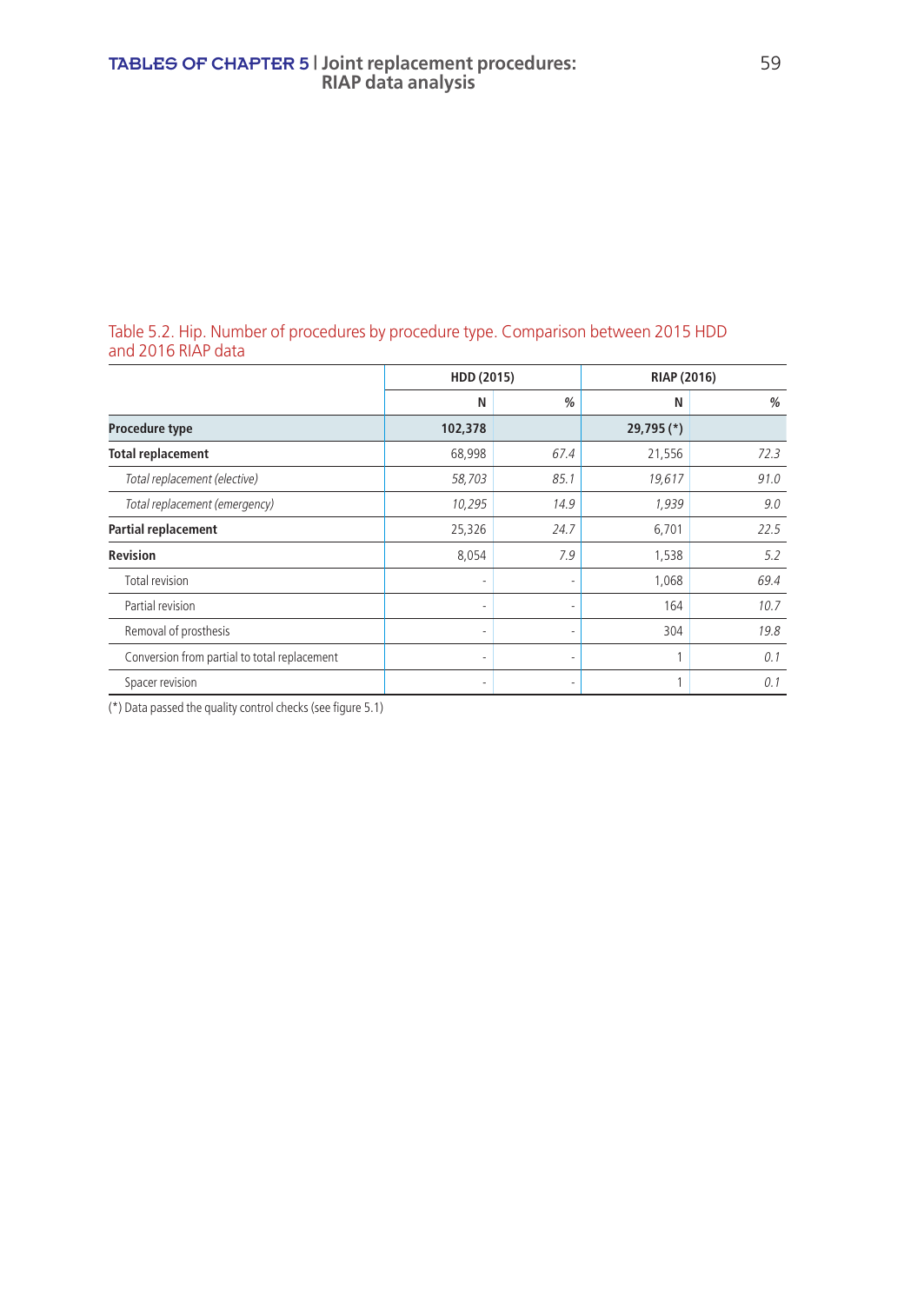#### Table 5.2. Hip. Number of procedures by procedure type. Comparison between 2015 HDD and 2016 RIAP data

|                                              |         | HDD (2015) |            | RIAP (2016) |  |
|----------------------------------------------|---------|------------|------------|-------------|--|
|                                              | N       | %          | N          | %           |  |
| Procedure type                               | 102,378 |            | 29,795 (*) |             |  |
| <b>Total replacement</b>                     | 68,998  | 67.4       | 21,556     | 72.3        |  |
| Total replacement (elective)                 | 58,703  | 85.1       | 19,617     | 91.0        |  |
| Total replacement (emergency)                | 10,295  | 14.9       | 1,939      | 9.0         |  |
| Partial replacement                          | 25,326  | 24.7       | 6,701      | 22.5        |  |
| <b>Revision</b>                              | 8,054   | 7.9        | 1,538      | 5.2         |  |
| Total revision                               | ٠       |            | 1,068      | 69.4        |  |
| Partial revision                             | ٠       | ۰          | 164        | 10.7        |  |
| Removal of prosthesis                        | ۰       |            | 304        | 19.8        |  |
| Conversion from partial to total replacement | ۰       | ۰          |            | 0.1         |  |
| Spacer revision                              | ۰       | ٠          |            | 0.1         |  |

(\*) Data passed the quality control checks (see figure 5.1)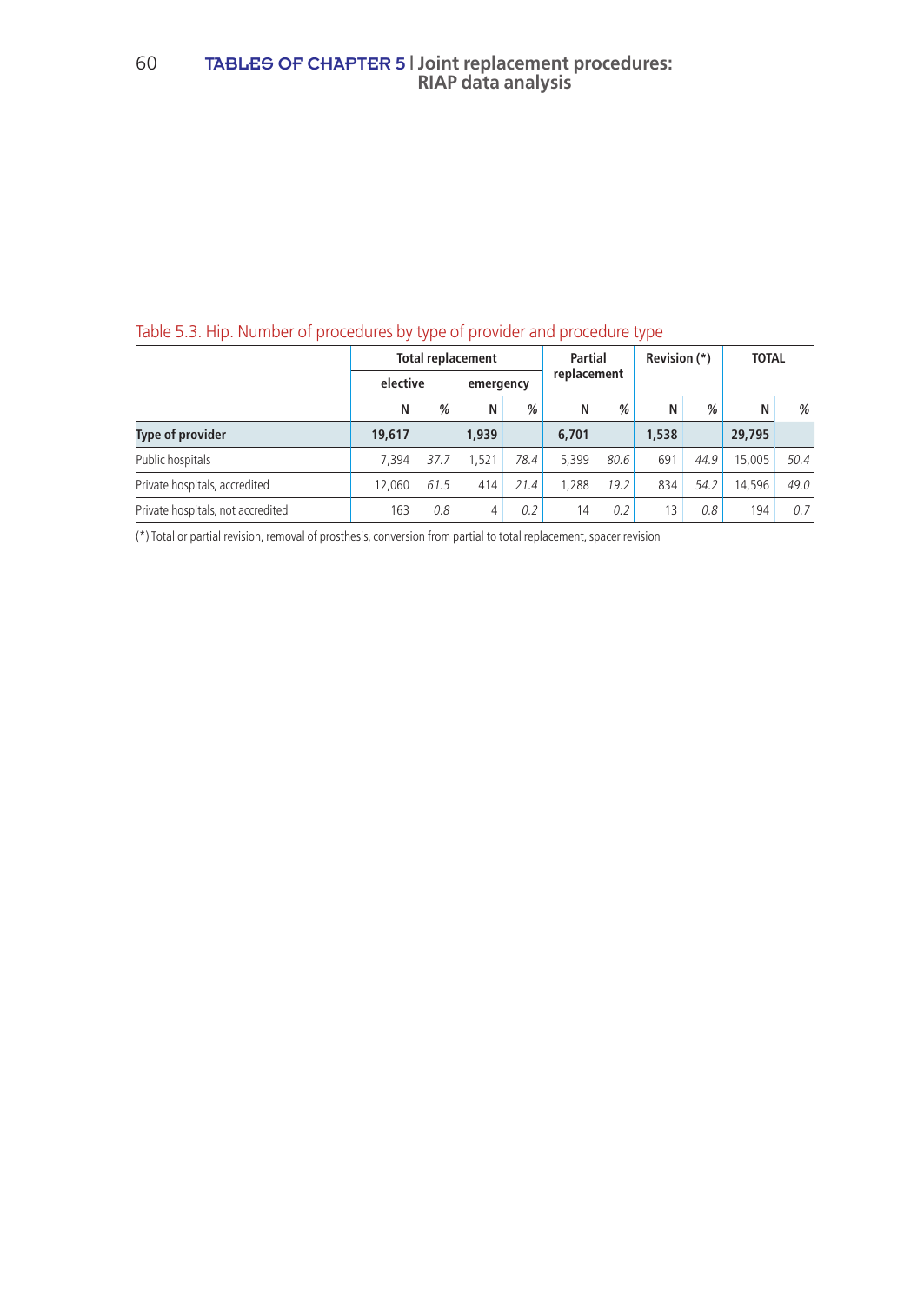#### 60 TABLES OF CHAPTER 5 **| Joint replacement procedures: RIAP data analysis**

### Table 5.3. Hip. Number of procedures by type of provider and procedure type

|                                   | <b>Total replacement</b> |      |           |      | <b>Partial</b> |             | Revision (*) |               | <b>TOTAL</b> |      |
|-----------------------------------|--------------------------|------|-----------|------|----------------|-------------|--------------|---------------|--------------|------|
|                                   | elective                 |      | emergency |      |                | replacement |              |               |              |      |
|                                   | Ν                        | %    | N         | $\%$ | N              | $\%$        | N            | $\frac{0}{0}$ | N            | %    |
| <b>Type of provider</b>           | 19,617                   |      | 1,939     |      | 6,701          |             | 1,538        |               | 29,795       |      |
| Public hospitals                  | 7.394                    | 37.7 | 1.521     | 78.4 | 5.399          | 80.6        | 691          | 44.9          | 15,005       | 50.4 |
| Private hospitals, accredited     | 12.060                   | 61.5 | 414       | 21.4 | 1.288          | 19.2        | 834          | 54.2          | 14.596       | 49.0 |
| Private hospitals, not accredited | 163                      | 0.8  | 4         | 0.2  | 14             | 0.2         | 13           | 0.8           | 194          | 0.7  |

(\*) Total or partial revision, removal of prosthesis, conversion from partial to total replacement, spacer revision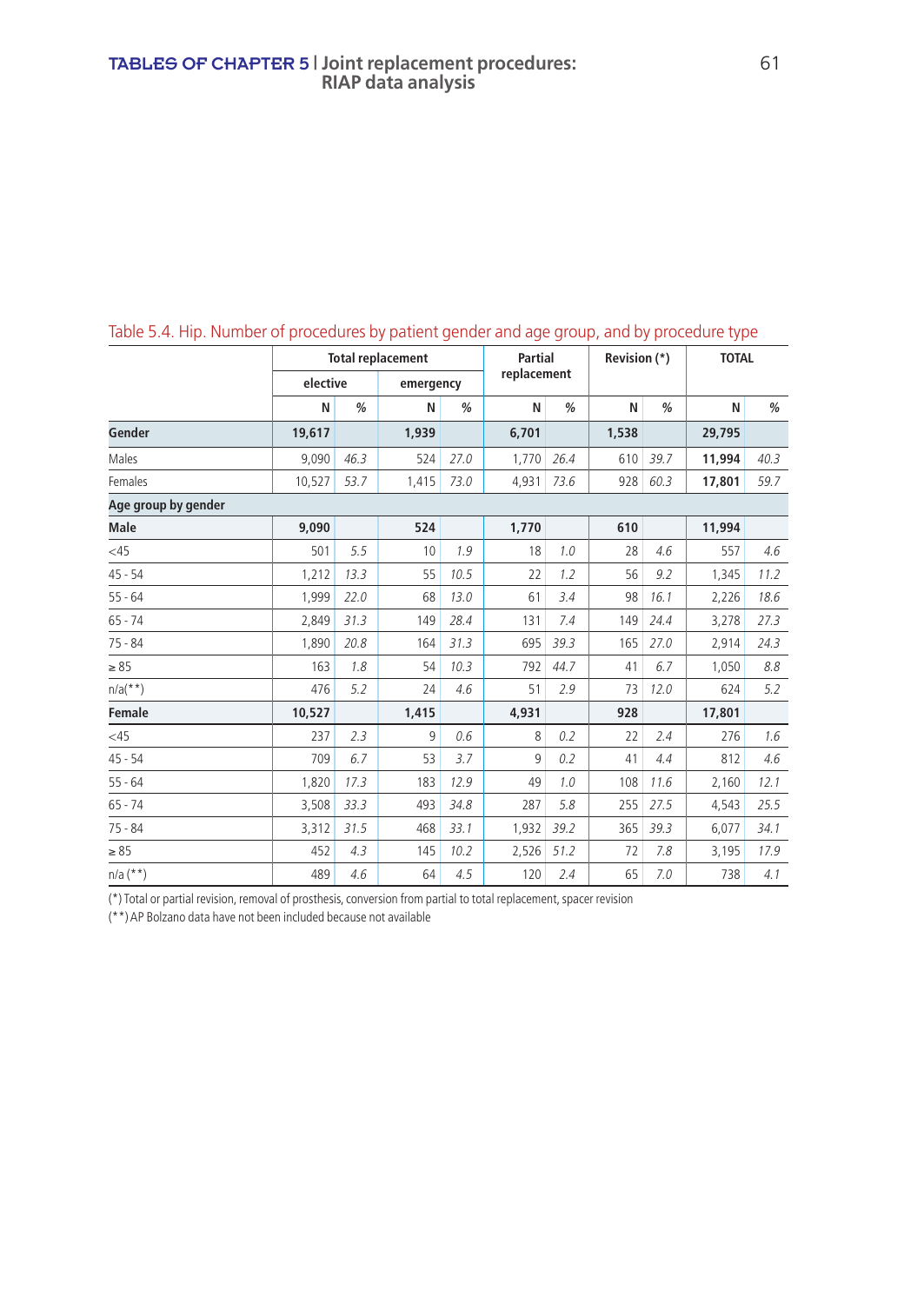|                     |          |      | <b>Total replacement</b> |      | <b>Partial</b> |      | Revision (*) |      | <b>TOTAL</b> |      |
|---------------------|----------|------|--------------------------|------|----------------|------|--------------|------|--------------|------|
|                     | elective |      | emergency                |      | replacement    |      |              |      |              |      |
|                     | N        | %    | N                        | %    | N              | %    | N            | %    | N            | %    |
| Gender              | 19,617   |      | 1,939                    |      | 6,701          |      | 1,538        |      | 29,795       |      |
| Males               | 9,090    | 46.3 | 524                      | 27.0 | 1,770          | 26.4 | 610          | 39.7 | 11,994       | 40.3 |
| Females             | 10,527   | 53.7 | 1,415                    | 73.0 | 4,931          | 73.6 | 928          | 60.3 | 17,801       | 59.7 |
| Age group by gender |          |      |                          |      |                |      |              |      |              |      |
| Male                | 9,090    |      | 524                      |      | 1,770          |      | 610          |      | 11,994       |      |
| <45                 | 501      | 5.5  | 10                       | 1.9  | 18             | 1.0  | 28           | 4.6  | 557          | 4.6  |
| $45 - 54$           | 1,212    | 13.3 | 55                       | 10.5 | 22             | 1.2  | 56           | 9.2  | 1,345        | 11.2 |
| $55 - 64$           | 1,999    | 22.0 | 68                       | 13.0 | 61             | 3.4  | 98           | 16.1 | 2,226        | 18.6 |
| $65 - 74$           | 2,849    | 31.3 | 149                      | 28.4 | 131            | 7.4  | 149          | 24.4 | 3,278        | 27.3 |
| $75 - 84$           | 1,890    | 20.8 | 164                      | 31.3 | 695            | 39.3 | 165          | 27.0 | 2,914        | 24.3 |
| $\geq 85$           | 163      | 1.8  | 54                       | 10.3 | 792            | 44.7 | 41           | 6.7  | 1,050        | 8.8  |
| $n/a(**)$           | 476      | 5.2  | 24                       | 4.6  | 51             | 2.9  | 73           | 12.0 | 624          | 5.2  |
| Female              | 10,527   |      | 1,415                    |      | 4,931          |      | 928          |      | 17,801       |      |
| <45                 | 237      | 2.3  | 9                        | 0.6  | 8              | 0.2  | 22           | 2.4  | 276          | 1.6  |
| $45 - 54$           | 709      | 6.7  | 53                       | 3.7  | 9              | 0.2  | 41           | 4.4  | 812          | 4.6  |
| $55 - 64$           | 1,820    | 17.3 | 183                      | 12.9 | 49             | 1.0  | 108          | 11.6 | 2,160        | 12.1 |
| $65 - 74$           | 3,508    | 33.3 | 493                      | 34.8 | 287            | 5.8  | 255          | 27.5 | 4,543        | 25.5 |
| $75 - 84$           | 3,312    | 31.5 | 468                      | 33.1 | 1,932          | 39.2 | 365          | 39.3 | 6,077        | 34.1 |
| $\geq 85$           | 452      | 4.3  | 145                      | 10.2 | 2,526          | 51.2 | 72           | 7.8  | 3,195        | 17.9 |
| $n/a$ (**)          | 489      | 4.6  | 64                       | 4.5  | 120            | 2.4  | 65           | 7.0  | 738          | 4.1  |

### Table 5.4. Hip. Number of procedures by patient gender and age group, and by procedure type

(\*) Total or partial revision, removal of prosthesis, conversion from partial to total replacement, spacer revision

(\*\*) AP Bolzano data have not been included because not available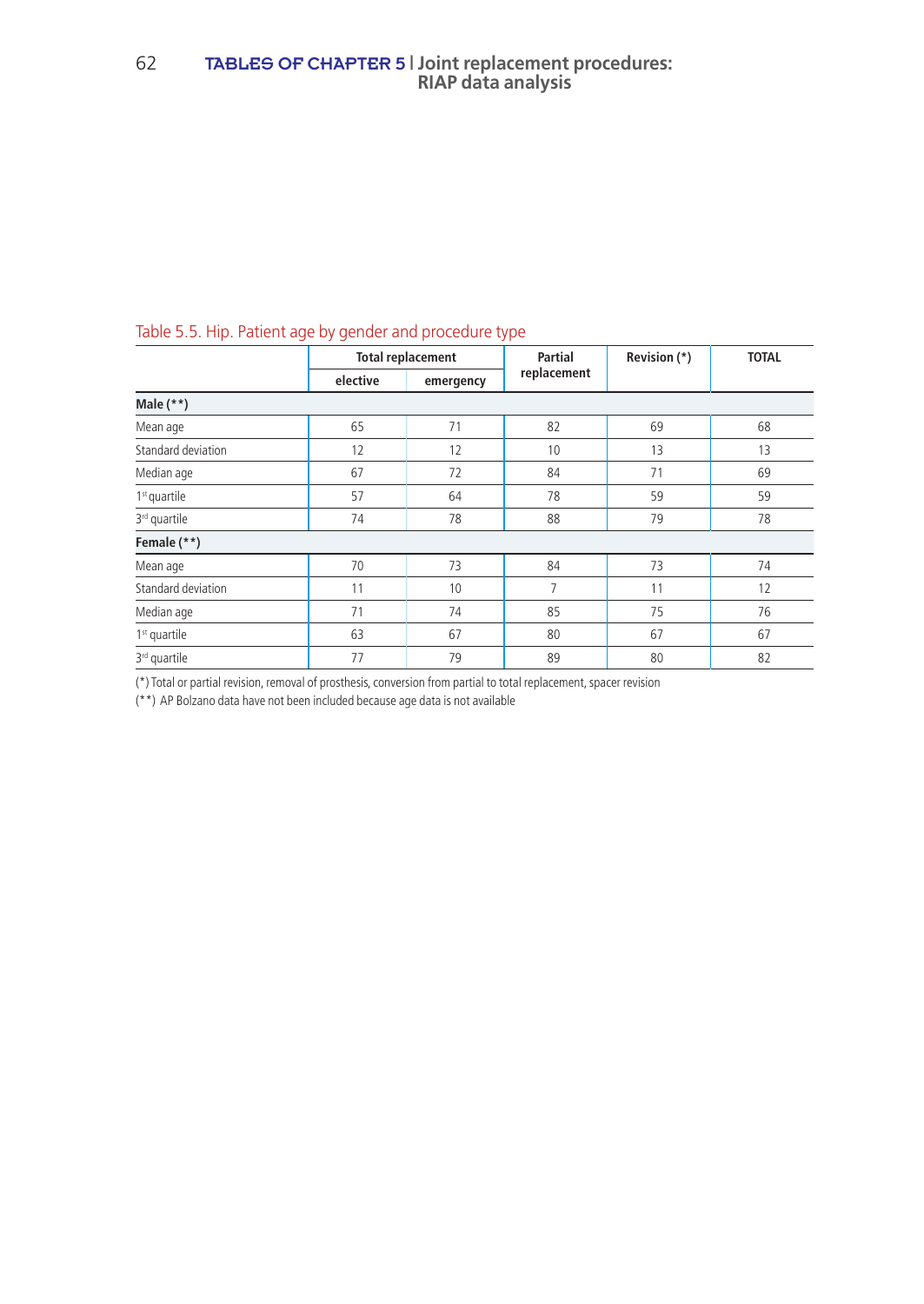| rapic b.b. rinp. ration tage by genuer and procedure type |          |                          |                        |              |              |
|-----------------------------------------------------------|----------|--------------------------|------------------------|--------------|--------------|
|                                                           |          | <b>Total replacement</b> | Partial<br>replacement | Revision (*) | <b>TOTAL</b> |
|                                                           | elective | emergency                |                        |              |              |
| Male $(**)$                                               |          |                          |                        |              |              |
| Mean age                                                  | 65       | 71                       | 82                     | 69           | 68           |
| Standard deviation                                        | 12       | 12                       | 10                     | 13           | 13           |
| Median age                                                | 67       | 72                       | 84                     | 71           | 69           |
| $1st$ quartile                                            | 57       | 64                       | 78                     | 59           | 59           |
| 3 <sup>rd</sup> quartile                                  | 74       | 78                       | 88                     | 79           | 78           |
| Female (**)                                               |          |                          |                        |              |              |
| Mean age                                                  | 70       | 73                       | 84                     | 73           | 74           |
| Standard deviation                                        | 11       | 10                       | 7                      | 11           | 12           |
| Median age                                                | 71       | 74                       | 85                     | 75           | 76           |
| 1 <sup>st</sup> quartile                                  | 63       | 67                       | 80                     | 67           | 67           |
| 3 <sup>rd</sup> quartile                                  | 77       | 79                       | 89                     | 80           | 82           |

### Table 5.5. Hip. Patient age by gender and procedure type

(\*) Total or partial revision, removal of prosthesis, conversion from partial to total replacement, spacer revision

(\*\*) AP Bolzano data have not been included because age data is not available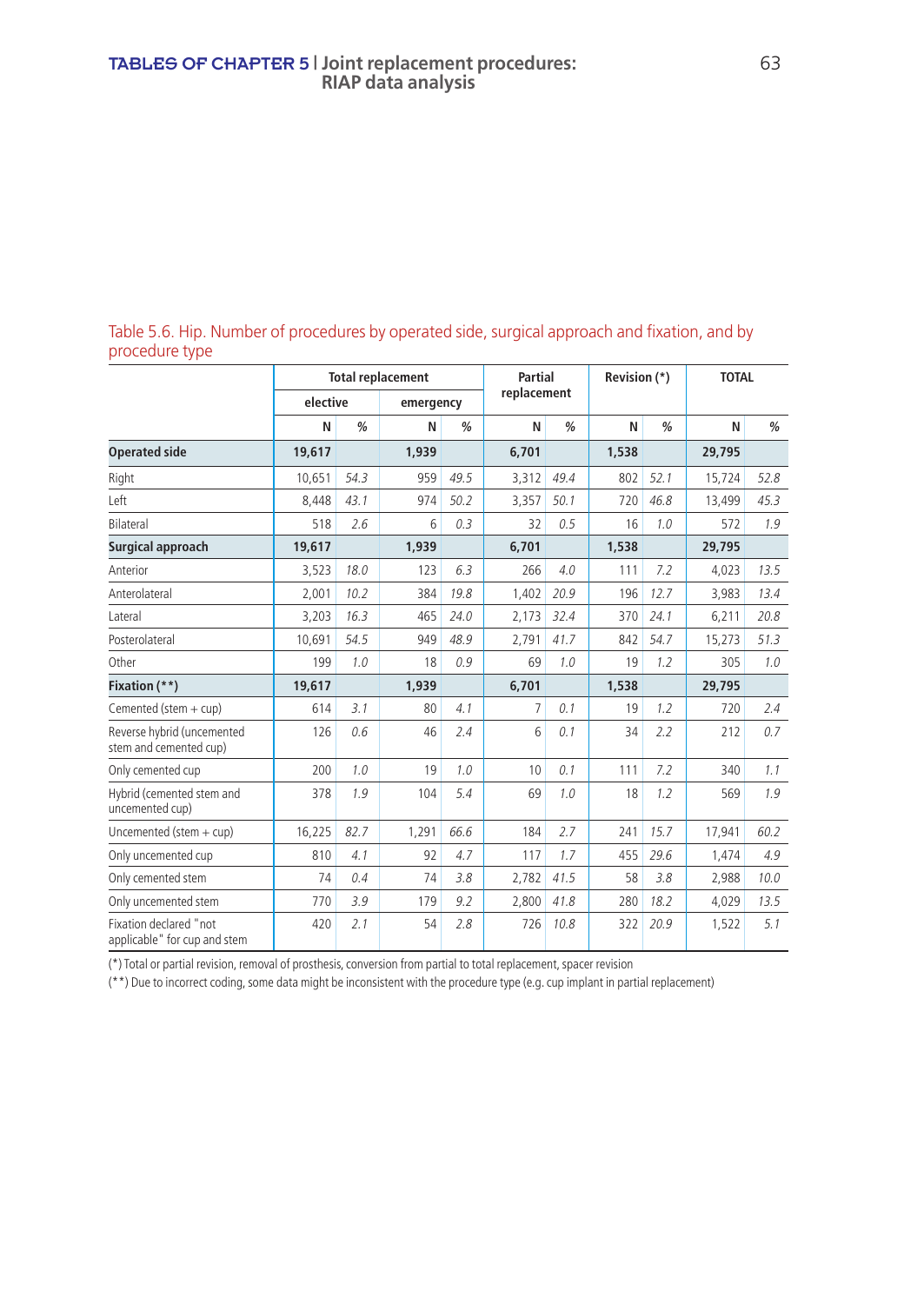Table 5.6. Hip. Number of procedures by operated side, surgical approach and fixation, and by procedure type

|                                                        |          |               | <b>Total replacement</b> |               | Partial     |               | Revision (*) |               |        | <b>TOTAL</b>  |  |
|--------------------------------------------------------|----------|---------------|--------------------------|---------------|-------------|---------------|--------------|---------------|--------|---------------|--|
|                                                        | elective |               | emergency                |               | replacement |               |              |               |        |               |  |
|                                                        | N        | $\frac{9}{6}$ | N                        | $\frac{0}{0}$ | N           | $\frac{9}{6}$ | N            | $\frac{0}{0}$ | N      | $\frac{0}{0}$ |  |
| <b>Operated side</b>                                   | 19,617   |               | 1,939                    |               | 6,701       |               | 1,538        |               | 29,795 |               |  |
| Right                                                  | 10.651   | 54.3          | 959                      | 49.5          | 3,312       | 49.4          | 802          | 52.1          | 15,724 | 52.8          |  |
| Left                                                   | 8,448    | 43.1          | 974                      | 50.2          | 3,357       | 50.1          | 720          | 46.8          | 13,499 | 45.3          |  |
| <b>Bilateral</b>                                       | 518      | 2.6           | 6                        | 0.3           | 32          | 0.5           | 16           | 1.0           | 572    | 1.9           |  |
| Surgical approach                                      | 19,617   |               | 1,939                    |               | 6,701       |               | 1,538        |               | 29,795 |               |  |
| Anterior                                               | 3,523    | 18.0          | 123                      | 6.3           | 266         | 4.0           | 111          | 7.2           | 4,023  | 13.5          |  |
| Anterolateral                                          | 2,001    | 10.2          | 384                      | 19.8          | 1,402       | 20.9          | 196          | 12.7          | 3,983  | 13.4          |  |
| Lateral                                                | 3,203    | 16.3          | 465                      | 24.0          | 2,173       | 32.4          | 370          | 24.1          | 6,211  | 20.8          |  |
| Posterolateral                                         | 10,691   | 54.5          | 949                      | 48.9          | 2,791       | 41.7          | 842          | 54.7          | 15,273 | 51.3          |  |
| Other                                                  | 199      | 1.0           | 18                       | 0.9           | 69          | 1.0           | 19           | 1.2           | 305    | 1.0           |  |
| Fixation (**)                                          | 19,617   |               | 1,939                    |               | 6,701       |               | 1,538        |               | 29,795 |               |  |
| Cemented (stem + cup)                                  | 614      | 3.1           | 80                       | 4.1           | 7           | 0.1           | 19           | 1.2           | 720    | 2.4           |  |
| Reverse hybrid (uncemented<br>stem and cemented cup)   | 126      | 0.6           | 46                       | 2.4           | 6           | 0.1           | 34           | 2.2           | 212    | 0.7           |  |
| Only cemented cup                                      | 200      | 1.0           | 19                       | 1.0           | 10          | 0.1           | 111          | 7.2           | 340    | 1.1           |  |
| Hybrid (cemented stem and<br>uncemented cup)           | 378      | 1.9           | 104                      | 5.4           | 69          | 1.0           | 18           | 1.2           | 569    | 1.9           |  |
| Uncemented (stem $+$ cup)                              | 16,225   | 82.7          | 1,291                    | 66.6          | 184         | 2.7           | 241          | 15.7          | 17,941 | 60.2          |  |
| Only uncemented cup                                    | 810      | 4.1           | 92                       | 4.7           | 117         | 1.7           | 455          | 29.6          | 1.474  | 4.9           |  |
| Only cemented stem                                     | 74       | 0.4           | 74                       | 3.8           | 2,782       | 41.5          | 58           | 3.8           | 2,988  | 10.0          |  |
| Only uncemented stem                                   | 770      | 3.9           | 179                      | 9.2           | 2,800       | 41.8          | 280          | 18.2          | 4,029  | 13.5          |  |
| Fixation declared "not<br>applicable" for cup and stem | 420      | 2.1           | 54                       | 2.8           | 726         | 10.8          | 322          | 20.9          | 1,522  | 5.1           |  |

(\*) Total or partial revision, removal of prosthesis, conversion from partial to total replacement, spacer revision

(\*\*) Due to incorrect coding, some data might be inconsistent with the procedure type (e.g. cup implant in partial replacement)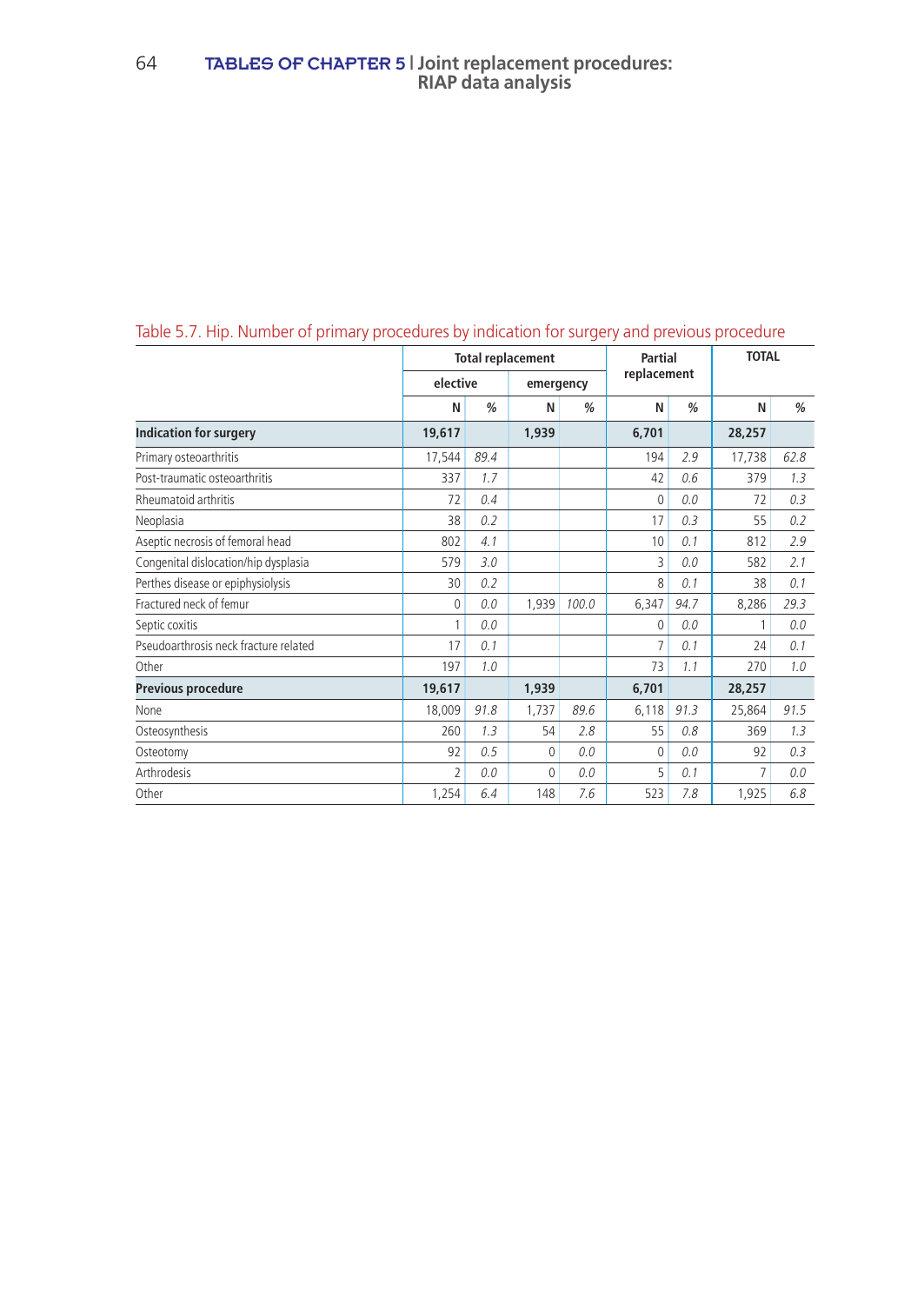|                                       | <b>Total replacement</b> |               |           |               | Partial     |               | <b>TOTAL</b> |      |
|---------------------------------------|--------------------------|---------------|-----------|---------------|-------------|---------------|--------------|------|
|                                       | elective                 |               | emergency |               | replacement |               |              |      |
|                                       | N                        | $\frac{0}{0}$ | N         | $\frac{0}{0}$ | N           | $\frac{0}{0}$ | N            | %    |
| <b>Indication for surgery</b>         | 19,617                   |               | 1,939     |               | 6,701       |               | 28,257       |      |
| Primary osteoarthritis                | 17,544                   | 89.4          |           |               | 194         | 2.9           | 17,738       | 62.8 |
| Post-traumatic osteoarthritis         | 337                      | 1.7           |           |               | 42          | 0.6           | 379          | 1.3  |
| Rheumatoid arthritis                  | 72                       | 0.4           |           |               | 0           | 0.0           | 72           | 0.3  |
| Neoplasia                             | 38                       | 0.2           |           |               | 17          | 0.3           | 55           | 0.2  |
| Aseptic necrosis of femoral head      | 802                      | 4.1           |           |               | 10          | 0.1           | 812          | 2.9  |
| Congenital dislocation/hip dysplasia  | 579                      | 3.0           |           |               | 3           | 0.0           | 582          | 2.1  |
| Perthes disease or epiphysiolysis     | 30                       | 0.2           |           |               | 8           | 0.1           | 38           | 0.1  |
| Fractured neck of femur               | 0                        | 0.0           | 1,939     | 100.0         | 6,347       | 94.7          | 8,286        | 29.3 |
| Septic coxitis                        | 1                        | 0.0           |           |               | $\Omega$    | 0.0           |              | 0.0  |
| Pseudoarthrosis neck fracture related | 17                       | 0.1           |           |               | 7           | 0.1           | 24           | 0.1  |
| Other                                 | 197                      | 1.0           |           |               | 73          | 1.1           | 270          | 1.0  |
| Previous procedure                    | 19,617                   |               | 1,939     |               | 6,701       |               | 28,257       |      |
| None                                  | 18,009                   | 91.8          | 1,737     | 89.6          | 6,118       | 91.3          | 25,864       | 91.5 |
| Osteosynthesis                        | 260                      | 1.3           | 54        | 2.8           | 55          | 0.8           | 369          | 1.3  |
| Osteotomy                             | 92                       | 0.5           | 0         | 0.0           | 0           | 0.0           | 92           | 0.3  |
| Arthrodesis                           | $\overline{\mathcal{L}}$ | 0.0           | $\Omega$  | 0.0           | 5           | 0.1           | 7            | 0.0  |
| Other                                 | 1,254                    | 6.4           | 148       | 7.6           | 523         | 7.8           | 1,925        | 6.8  |

## Table 5.7. Hip. Number of primary procedures by indication for surgery and previous procedure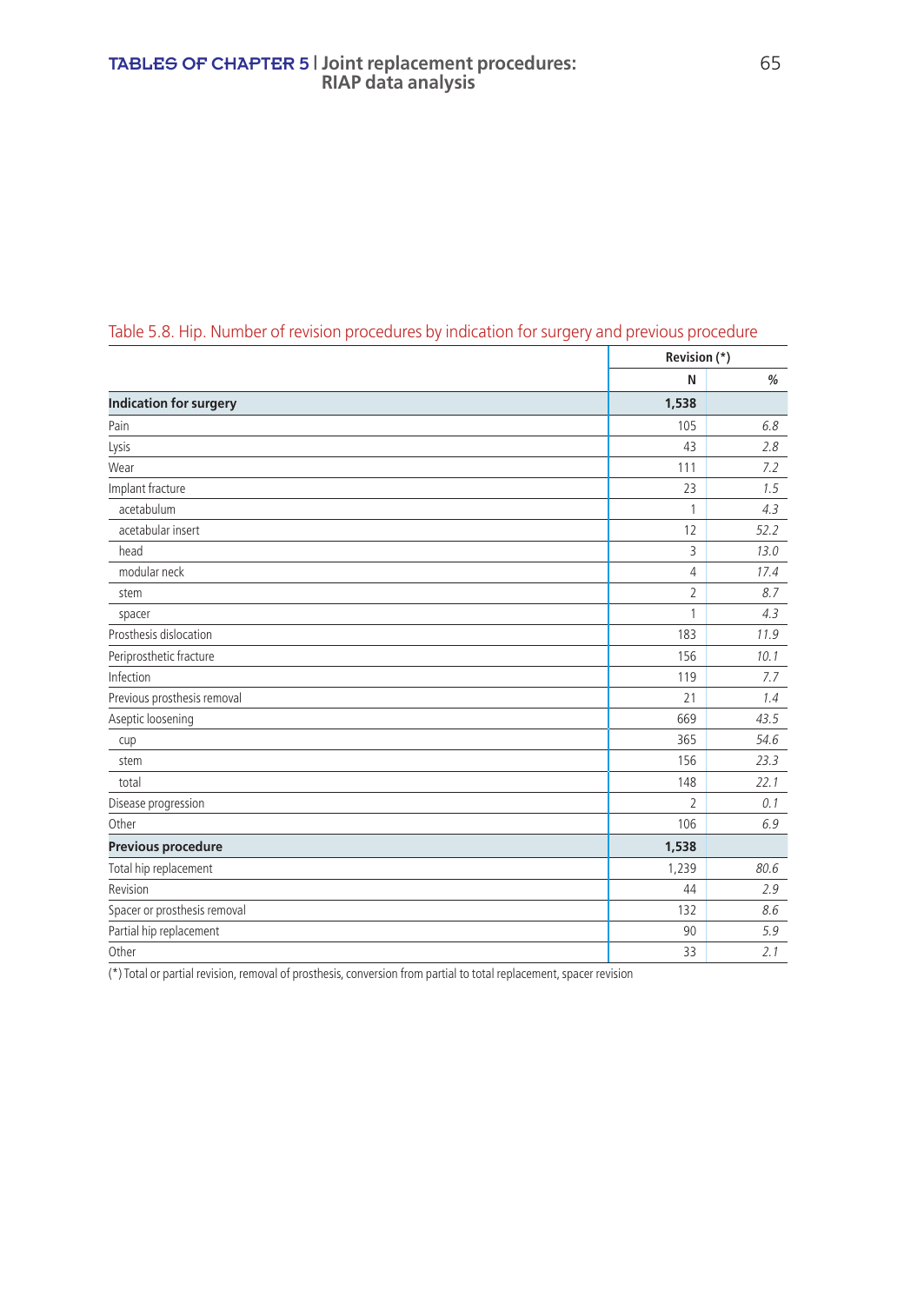|                               | Revision (*)             |      |
|-------------------------------|--------------------------|------|
|                               | N                        | $\%$ |
| <b>Indication for surgery</b> | 1,538                    |      |
| Pain                          | 105                      | 6.8  |
| Lysis                         | 43                       | 2.8  |
| Wear                          | 111                      | 7.2  |
| Implant fracture              | 23                       | 1.5  |
| acetabulum                    | 1                        | 4.3  |
| acetabular insert             | 12                       | 52.2 |
| head                          | 3                        | 13.0 |
| modular neck                  | 4                        | 17.4 |
| stem                          | $\overline{2}$           | 8.7  |
| spacer                        | 1                        | 4.3  |
| Prosthesis dislocation        | 183                      | 11.9 |
| Periprosthetic fracture       | 156                      | 10.1 |
| Infection                     | 119                      | 7.7  |
| Previous prosthesis removal   | 21                       | 1.4  |
| Aseptic loosening             | 669                      | 43.5 |
| cup                           | 365                      | 54.6 |
| stem                          | 156                      | 23.3 |
| total                         | 148                      | 22.1 |
| Disease progression           | $\overline{\phantom{a}}$ | 0.1  |
| Other                         | 106                      | 6.9  |
| Previous procedure            | 1,538                    |      |
| Total hip replacement         | 1,239                    | 80.6 |
| Revision                      | 44                       | 2.9  |
| Spacer or prosthesis removal  | 132                      | 8.6  |
| Partial hip replacement       | 90                       | 5.9  |
| Other                         | 33                       | 2.1  |

## Table 5.8. Hip. Number of revision procedures by indication for surgery and previous procedure

(\*) Total or partial revision, removal of prosthesis, conversion from partial to total replacement, spacer revision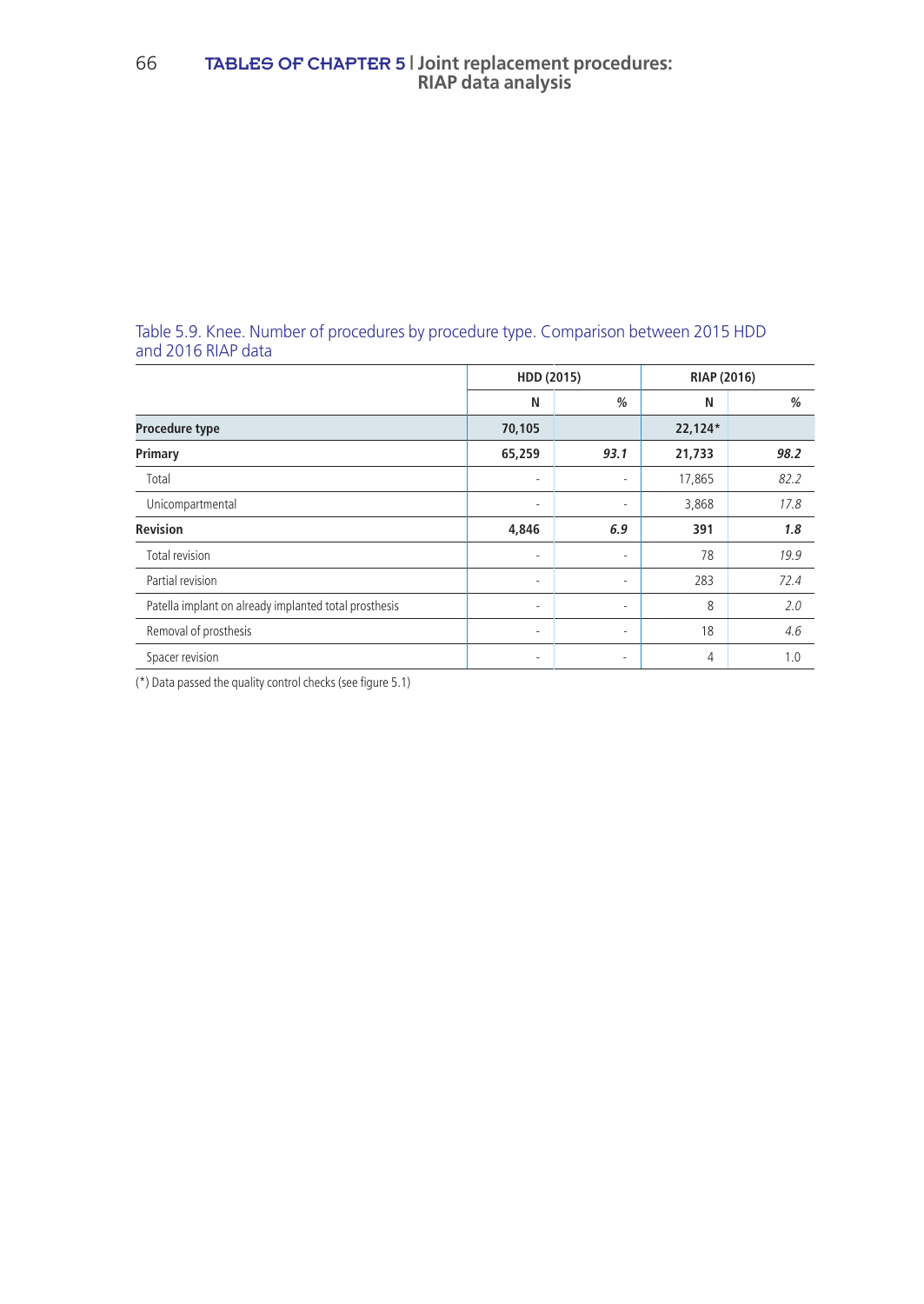#### Table 5.9. Knee. Number of procedures by procedure type. Comparison between 2015 HDD and 2016 RIAP data

|                                                       | HDD (2015)               |        | RIAP (2016) |      |
|-------------------------------------------------------|--------------------------|--------|-------------|------|
|                                                       | N                        | %      | N           | %    |
| Procedure type                                        | 70,105                   |        | 22,124*     |      |
| Primary                                               | 65,259                   | 93.1   | 21,733      | 98.2 |
| Total                                                 | ٠                        | ۰      | 17,865      | 82.2 |
| Unicompartmental                                      | $\overline{\phantom{a}}$ | ۰      | 3,868       | 17.8 |
| <b>Revision</b>                                       | 4,846                    | 6.9    | 391         | 1.8  |
| Total revision                                        | $\overline{\phantom{a}}$ | ٠      | 78          | 19.9 |
| Partial revision                                      | $\sim$                   | ٠      | 283         | 72.4 |
| Patella implant on already implanted total prosthesis | ٠                        | ٠      | 8           | 2.0  |
| Removal of prosthesis                                 | $\sim$                   | ٠      | 18          | 4.6  |
| Spacer revision                                       | $\sim$                   | $\sim$ | 4           | 1.0  |

(\*) Data passed the quality control checks (see figure 5.1)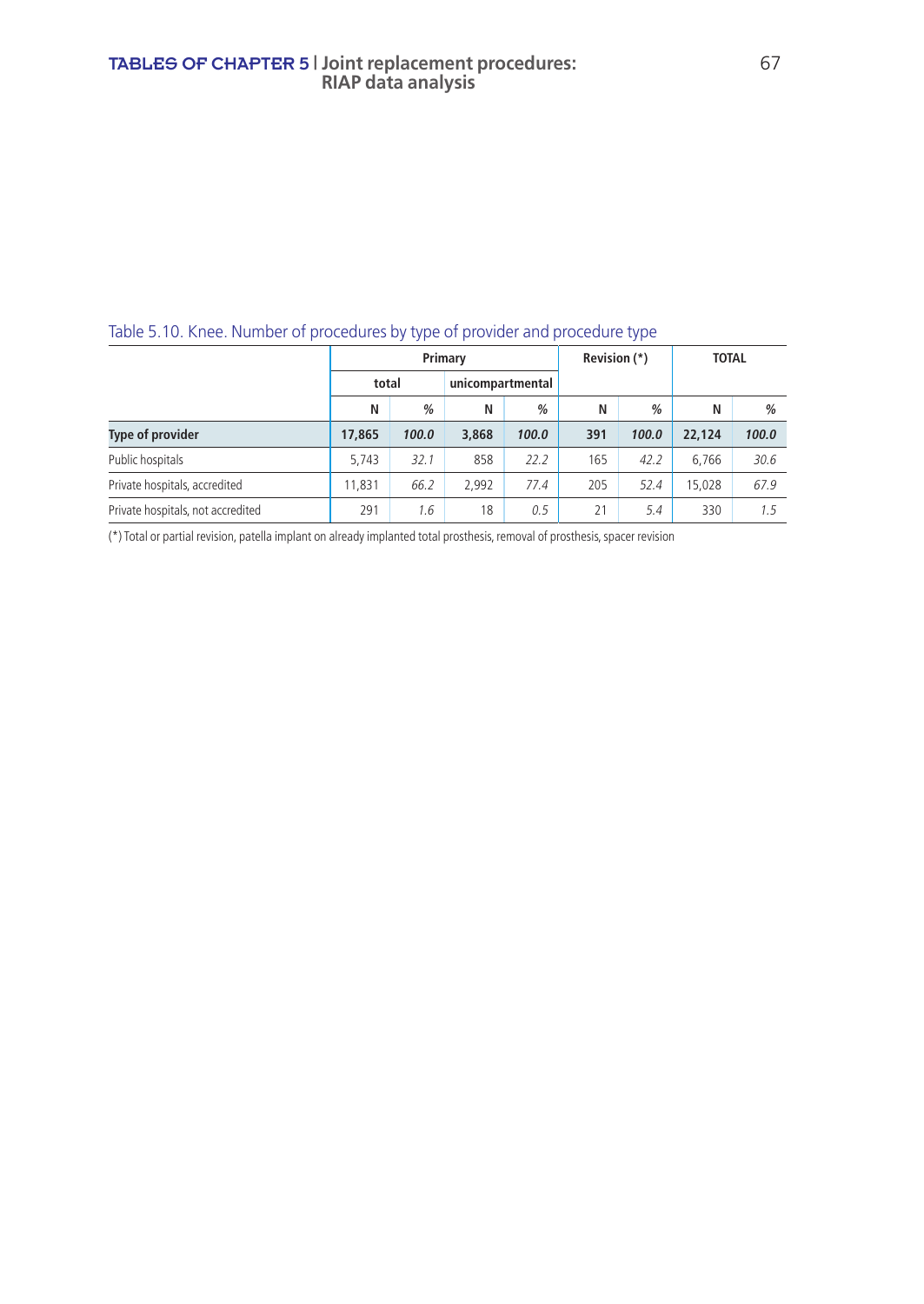### Table 5.10. Knee. Number of procedures by type of provider and procedure type

|                                   | Primary |       |       |                  | Revision (*) |               | <b>TOTAL</b> |       |
|-----------------------------------|---------|-------|-------|------------------|--------------|---------------|--------------|-------|
|                                   | total   |       |       | unicompartmental |              |               |              |       |
|                                   | N       | %     | Ν     | %                | N            | $\frac{0}{0}$ | N            | $\%$  |
| Type of provider                  | 17,865  | 100.0 | 3,868 | 100.0            | 391          | 100.0         | 22,124       | 100.0 |
| Public hospitals                  | 5.743   | 32.1  | 858   | 22.2             | 165          | 42.2          | 6.766        | 30.6  |
| Private hospitals, accredited     | 11.831  | 66.2  | 2.992 | 77.4             | 205          | 52.4          | 15.028       | 67.9  |
| Private hospitals, not accredited | 291     | 1.6   | 18    | 0.5              | 21           | 5.4           | 330          | 1.5   |

(\*) Total or partial revision, patella implant on already implanted total prosthesis, removal of prosthesis, spacer revision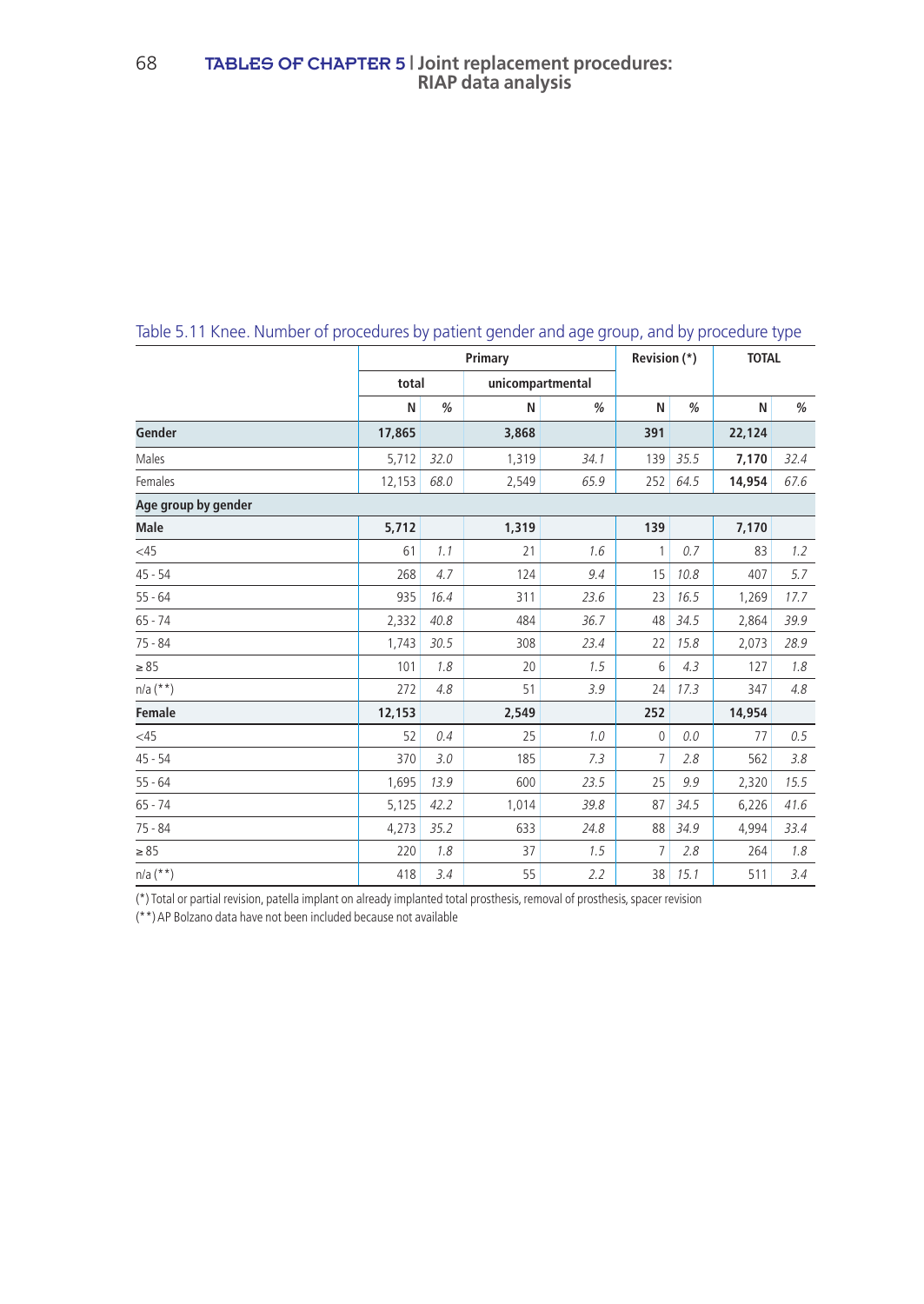|                     | Primary |      |                  |      | Revision (*) |      | <b>TOTAL</b> |      |
|---------------------|---------|------|------------------|------|--------------|------|--------------|------|
|                     | total   |      | unicompartmental |      |              |      |              |      |
|                     | N       | %    | N                | %    | N            | %    | N            | %    |
| Gender              | 17,865  |      | 3,868            |      | 391          |      | 22,124       |      |
| Males               | 5,712   | 32.0 | 1,319            | 34.1 | 139          | 35.5 | 7,170        | 32.4 |
| Females             | 12,153  | 68.0 | 2,549            | 65.9 | 252          | 64.5 | 14,954       | 67.6 |
| Age group by gender |         |      |                  |      |              |      |              |      |
| <b>Male</b>         | 5,712   |      | 1,319            |      | 139          |      | 7,170        |      |
| <45                 | 61      | 1.1  | 21               | 1.6  | 1            | 0.7  | 83           | 1.2  |
| $45 - 54$           | 268     | 4.7  | 124              | 9.4  | 15           | 10.8 | 407          | 5.7  |
| $55 - 64$           | 935     | 16.4 | 311              | 23.6 | 23           | 16.5 | 1,269        | 17.7 |
| $65 - 74$           | 2,332   | 40.8 | 484              | 36.7 | 48           | 34.5 | 2,864        | 39.9 |
| $75 - 84$           | 1,743   | 30.5 | 308              | 23.4 | 22           | 15.8 | 2,073        | 28.9 |
| $\geq 85$           | 101     | 1.8  | 20               | 1.5  | 6            | 4.3  | 127          | 1.8  |
| $n/a$ (**)          | 272     | 4.8  | 51               | 3.9  | 24           | 17.3 | 347          | 4.8  |
| Female              | 12,153  |      | 2,549            |      | 252          |      | 14,954       |      |
| <45                 | 52      | 0.4  | 25               | 1.0  | 0            | 0.0  | 77           | 0.5  |
| $45 - 54$           | 370     | 3.0  | 185              | 7.3  | 7            | 2.8  | 562          | 3.8  |
| $55 - 64$           | 1,695   | 13.9 | 600              | 23.5 | 25           | 9.9  | 2,320        | 15.5 |
| $65 - 74$           | 5,125   | 42.2 | 1,014            | 39.8 | 87           | 34.5 | 6,226        | 41.6 |
| $75 - 84$           | 4,273   | 35.2 | 633              | 24.8 | 88           | 34.9 | 4,994        | 33.4 |
| $\geq 85$           | 220     | 1.8  | 37               | 1.5  | 7            | 2.8  | 264          | 1.8  |
| $n/a$ (**)          | 418     | 3.4  | 55               | 2.2  | 38           | 15.1 | 511          | 3.4  |

### Table 5.11 Knee. Number of procedures by patient gender and age group, and by procedure type

(\*) Total or partial revision, patella implant on already implanted total prosthesis, removal of prosthesis, spacer revision

(\*\*) AP Bolzano data have not been included because not available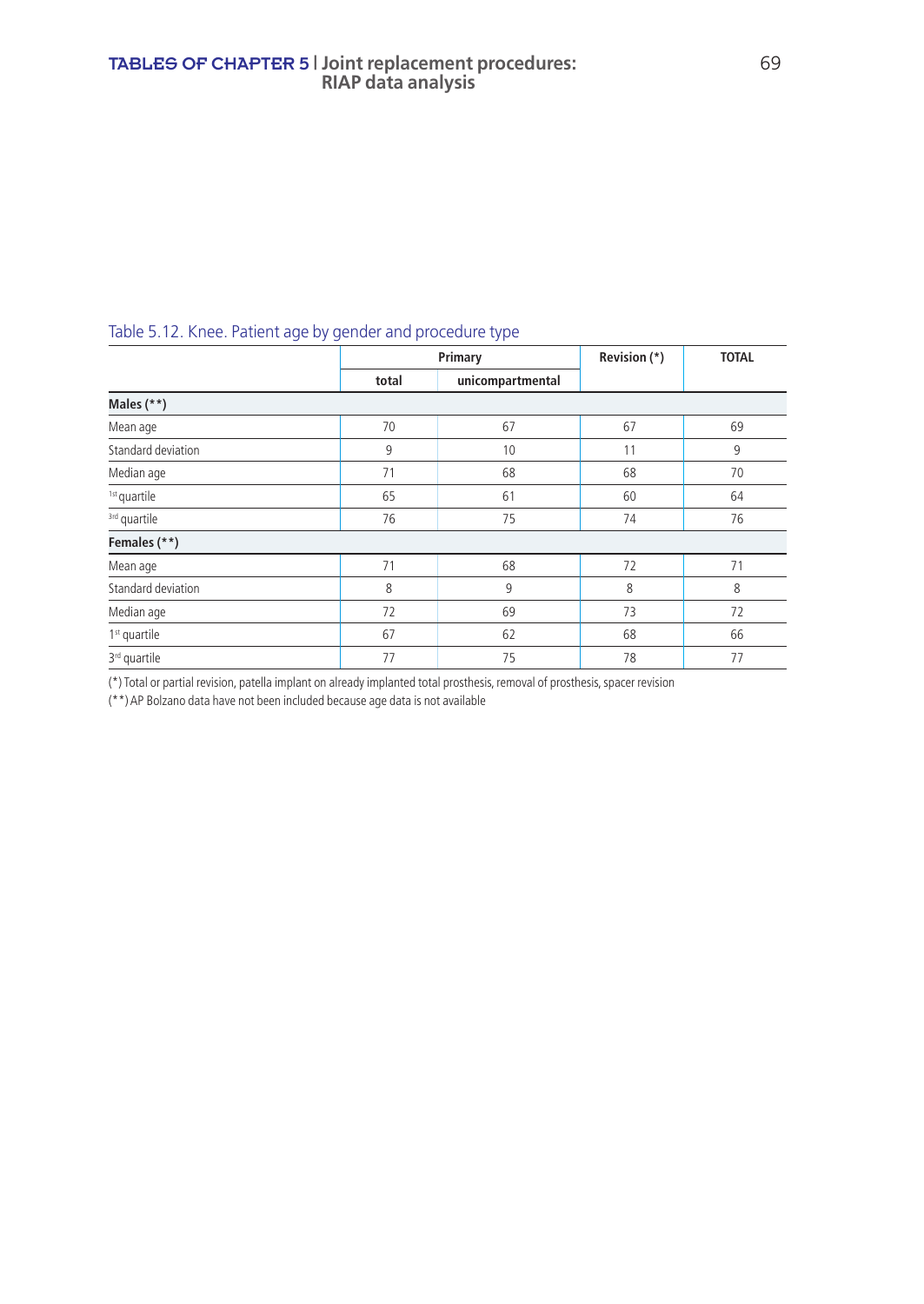|  | Table 5.12. Knee. Patient age by gender and procedure type |  |
|--|------------------------------------------------------------|--|
|--|------------------------------------------------------------|--|

|                          |       | Primary          | Revision (*) | <b>TOTAL</b> |
|--------------------------|-------|------------------|--------------|--------------|
|                          | total | unicompartmental |              |              |
| Males (**)               |       |                  |              |              |
| Mean age                 | 70    | 67               | 67           | 69           |
| Standard deviation       | 9     | 10               | 11           | 9            |
| Median age               | 71    | 68               | 68           | 70           |
| <sup>1st</sup> quartile  | 65    | 61               | 60           | 64           |
| <sup>3rd</sup> quartile  | 76    | 75               | 74           | 76           |
| Females (**)             |       |                  |              |              |
| Mean age                 | 71    | 68               | 72           | 71           |
| Standard deviation       | 8     | 9                | 8            | 8            |
| Median age               | 72    | 69               | 73           | 72           |
| 1 <sup>st</sup> quartile | 67    | 62               | 68           | 66           |
| 3 <sup>rd</sup> quartile | 77    | 75               | 78           | 77           |

(\*) Total or partial revision, patella implant on already implanted total prosthesis, removal of prosthesis, spacer revision

(\*\*) AP Bolzano data have not been included because age data is not available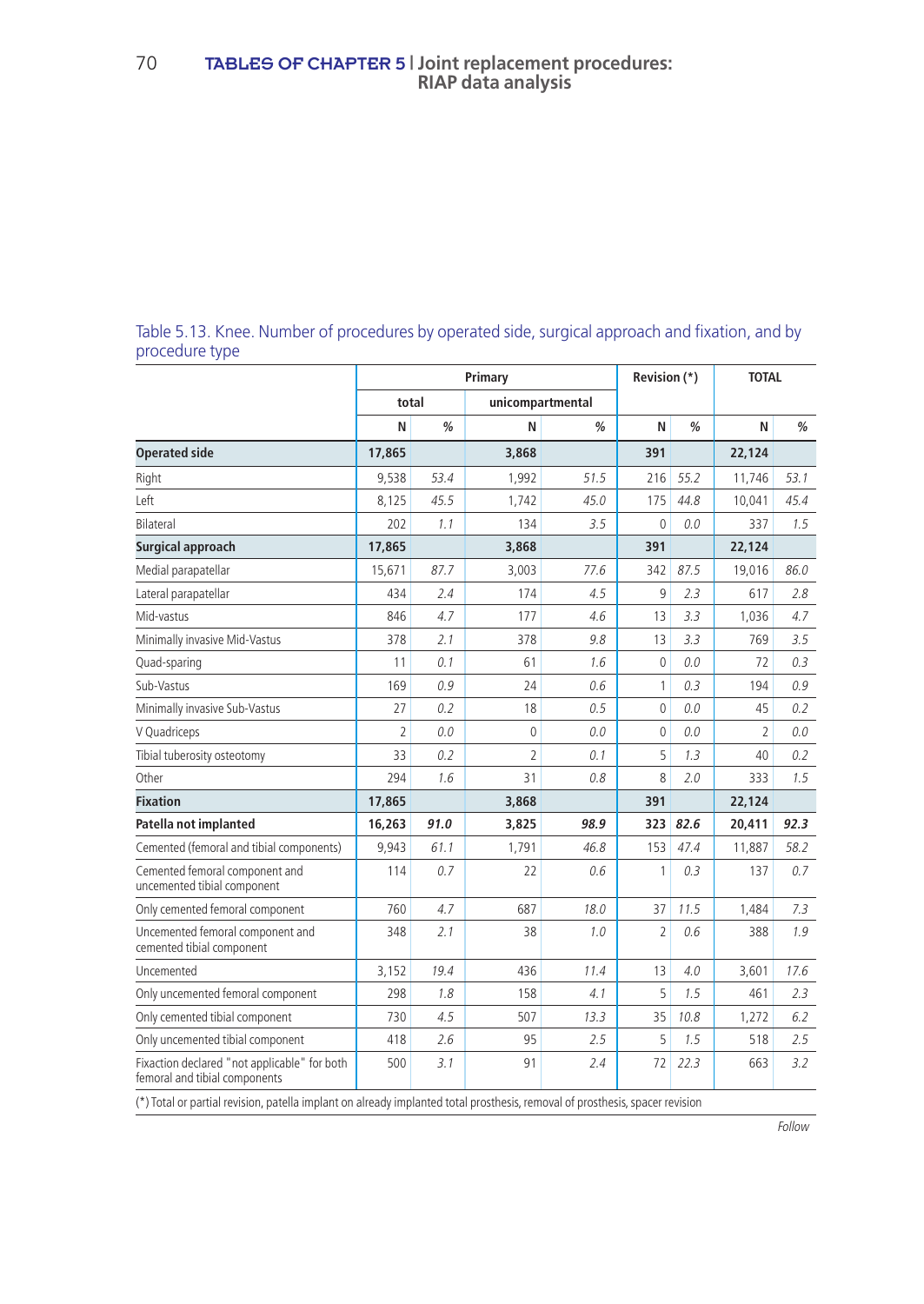### Table 5.13. Knee. Number of procedures by operated side, surgical approach and fixation, and by procedure type

|                                                                               |                |      | Primary          |               | Revision (*) |      | <b>TOTAL</b>   |               |
|-------------------------------------------------------------------------------|----------------|------|------------------|---------------|--------------|------|----------------|---------------|
|                                                                               | total          |      | unicompartmental |               |              |      |                |               |
|                                                                               | N              | %    | N                | $\frac{0}{0}$ | N            | %    | N              | $\frac{0}{0}$ |
| <b>Operated side</b>                                                          | 17,865         |      | 3,868            |               | 391          |      | 22,124         |               |
| Right                                                                         | 9,538          | 53.4 | 1,992            | 51.5          | 216          | 55.2 | 11,746         | 53.1          |
| Left                                                                          | 8,125          | 45.5 | 1,742            | 45.0          | 175          | 44.8 | 10,041         | 45.4          |
| Bilateral                                                                     | 202            | 1.1  | 134              | 3.5           | $\mathbf{0}$ | 0.0  | 337            | 1.5           |
| Surgical approach                                                             | 17,865         |      | 3,868            |               | 391          |      | 22,124         |               |
| Medial parapatellar                                                           | 15,671         | 87.7 | 3,003            | 77.6          | 342          | 87.5 | 19,016         | 86.0          |
| Lateral parapatellar                                                          | 434            | 2.4  | 174              | 4.5           | 9            | 2.3  | 617            | 2.8           |
| Mid-vastus                                                                    | 846            | 4.7  | 177              | 4.6           | 13           | 3.3  | 1,036          | 4.7           |
| Minimally invasive Mid-Vastus                                                 | 378            | 2.1  | 378              | 9.8           | 13           | 3.3  | 769            | 3.5           |
| Quad-sparing                                                                  | 11             | 0.1  | 61               | 1.6           | $\mathbf{0}$ | 0.0  | 72             | 0.3           |
| Sub-Vastus                                                                    | 169            | 0.9  | 24               | 0.6           | 1            | 0.3  | 194            | 0.9           |
| Minimally invasive Sub-Vastus                                                 | 27             | 0.2  | 18               | 0.5           | $\mathbf{0}$ | 0.0  | 45             | 0.2           |
| V Quadriceps                                                                  | $\overline{2}$ | 0.0  | $\mathbf{0}$     | 0.0           | $\mathbf{0}$ | 0.0  | $\overline{2}$ | 0.0           |
| Tibial tuberosity osteotomy                                                   | 33             | 0.2  | $\overline{2}$   | 0.1           | 5            | 1.3  | 40             | 0.2           |
| Other                                                                         | 294            | 1.6  | 31               | 0.8           | 8            | 2.0  | 333            | 1.5           |
| <b>Fixation</b>                                                               | 17,865         |      | 3,868            |               | 391          |      | 22,124         |               |
| Patella not implanted                                                         | 16,263         | 91.0 | 3,825            | 98.9          | 323          | 82.6 | 20,411         | 92.3          |
| Cemented (femoral and tibial components)                                      | 9,943          | 61.1 | 1,791            | 46.8          | 153          | 47.4 | 11,887         | 58.2          |
| Cemented femoral component and<br>uncemented tibial component                 | 114            | 0.7  | 22               | 0.6           | 1            | 0.3  | 137            | 0.7           |
| Only cemented femoral component                                               | 760            | 4.7  | 687              | 18.0          | 37           | 11.5 | 1,484          | 7.3           |
| Uncemented femoral component and<br>cemented tibial component                 | 348            | 2.1  | 38               | 1.0           | 2            | 0.6  | 388            | 1.9           |
| Uncemented                                                                    | 3.152          | 19.4 | 436              | 11.4          | 13           | 4.0  | 3,601          | 17.6          |
| Only uncemented femoral component                                             | 298            | 1.8  | 158              | 4.1           | 5            | 1.5  | 461            | 2.3           |
| Only cemented tibial component                                                | 730            | 4.5  | 507              | 13.3          | 35           | 10.8 | 1,272          | 6.2           |
| Only uncemented tibial component                                              | 418            | 2.6  | 95               | 2.5           | 5            | 1.5  | 518            | 2.5           |
| Fixaction declared "not applicable" for both<br>femoral and tibial components | 500            | 3.1  | 91               | 2.4           | 72           | 22.3 | 663            | 3.2           |

(\*) Total or partial revision, patella implant on already implanted total prosthesis, removal of prosthesis, spacer revision

Follow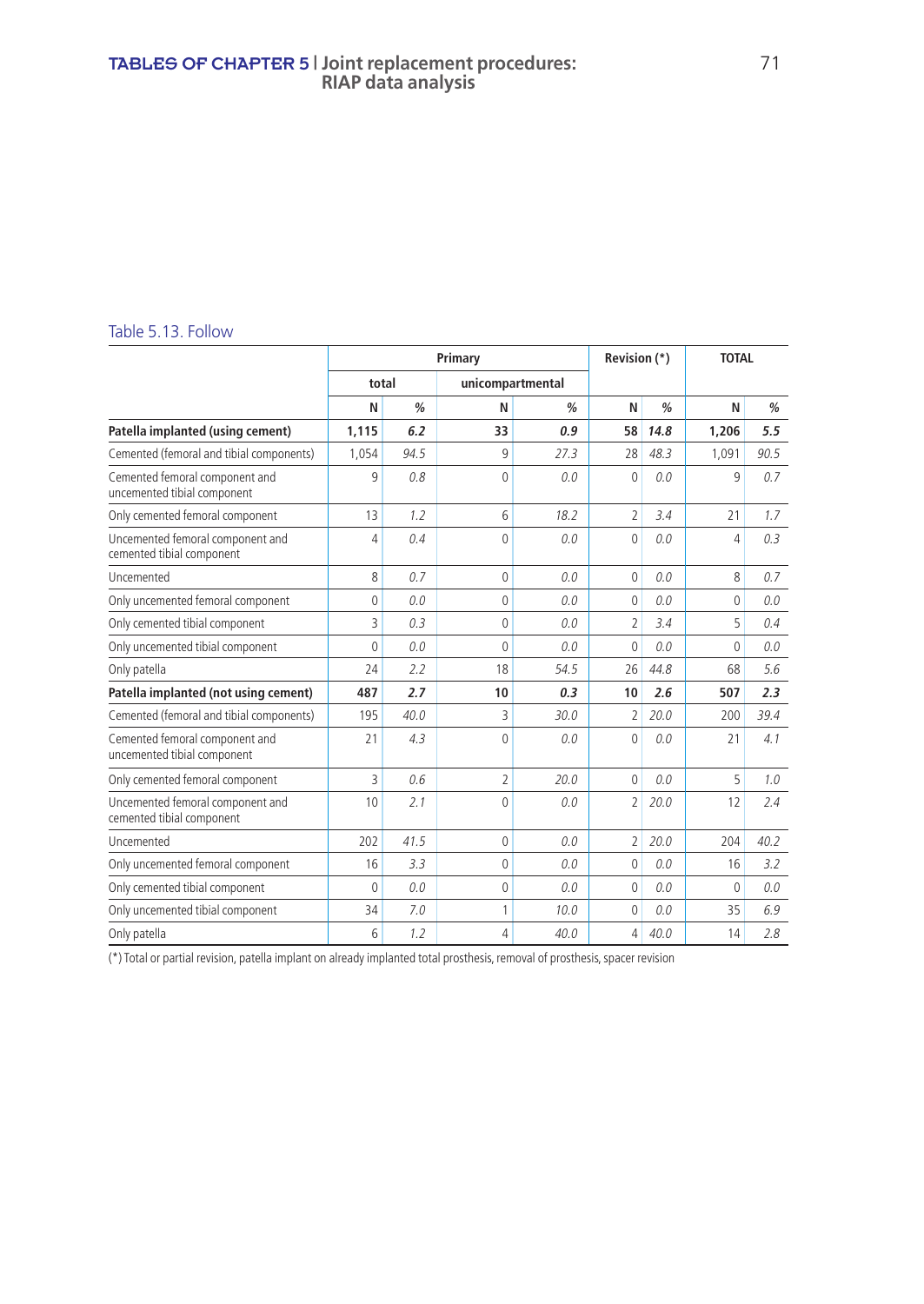#### TABLES OF CHAPTER 5 **| Joint replacement procedures:** 71 **RIAP data analysis**

#### Table 5.13. Follow

|                                                               |              |               | Primary          |               | Revision (*)   |               | <b>TOTAL</b>   |      |
|---------------------------------------------------------------|--------------|---------------|------------------|---------------|----------------|---------------|----------------|------|
|                                                               | total        |               | unicompartmental |               |                |               |                |      |
|                                                               | N            | $\frac{a}{2}$ | N                | $\frac{a}{2}$ | N              | $\frac{0}{0}$ | N              | %    |
| Patella implanted (using cement)                              | 1,115        | 6.2           | 33               | 0.9           | 58             | 14.8          | 1.206          | 5.5  |
| Cemented (femoral and tibial components)                      | 1,054        | 94.5          | q                | 27.3          | 28             | 48.3          | 1,091          | 90.5 |
| Cemented femoral component and<br>uncemented tibial component | 9            | 0.8           | $\Omega$         | 0.0           | $\mathbf{0}$   | 0.0           | 9              | 0.7  |
| Only cemented femoral component                               | 13           | 1.2           | 6                | 18.2          | $\overline{2}$ | 3.4           | 21             | 1.7  |
| Uncemented femoral component and<br>cemented tibial component | 4            | 0.4           | $\Omega$         | 0.0           | $\mathbf{0}$   | 0.0           | 4              | 0.3  |
| Uncemented                                                    | 8            | 0.7           | 0                | 0.0           | 0              | 0.0           | 8              | 0.7  |
| Only uncemented femoral component                             | $\mathbf{0}$ | 0.0           | $\Omega$         | 0.0           | $\mathbf{0}$   | 0.0           | $\overline{0}$ | 0.0  |
| Only cemented tibial component                                | 3            | 0.3           | $\Omega$         | 0.0           | $\overline{2}$ | 3.4           | 5              | 0.4  |
| Only uncemented tibial component                              | $\Omega$     | 0.0           | $\Omega$         | 0.0           | $\mathbf{0}$   | 0.0           | $\Omega$       | 0.0  |
| Only patella                                                  | 24           | 2.2           | 18               | 54.5          | 26             | 44.8          | 68             | 5.6  |
| Patella implanted (not using cement)                          | 487          | 2.7           | 10               | 0.3           | 10             | 2.6           | 507            | 2.3  |
| Cemented (femoral and tibial components)                      | 195          | 40.0          | 3                | 30.0          | 2              | 20.0          | 200            | 39.4 |
| Cemented femoral component and<br>uncemented tibial component | 21           | 4.3           | $\Omega$         | 0.0           | $\mathbf{0}$   | 0.0           | 21             | 4.1  |
| Only cemented femoral component                               | 3            | 0.6           | $\overline{2}$   | 20.0          | $\mathbf{0}$   | 0.0           | 5              | 1.0  |
| Uncemented femoral component and<br>cemented tibial component | 10           | 2.1           | $\Omega$         | 0.0           | $\overline{2}$ | 20.0          | 12             | 2.4  |
| Uncemented                                                    | 202          | 41.5          | $\Omega$         | 0.0           | $\overline{2}$ | 20.0          | 204            | 40.2 |
| Only uncemented femoral component                             | 16           | 3.3           | $\Omega$         | 0.0           | $\mathbf{0}$   | 0.0           | 16             | 3.2  |
| Only cemented tibial component                                | $\mathbf{0}$ | 0.0           | $\mathbf 0$      | 0.0           | $\mathbf{0}$   | 0.0           | 0              | 0.0  |
| Only uncemented tibial component                              | 34           | 7.0           | 1                | 10.0          | $\mathbf{0}$   | 0.0           | 35             | 6.9  |
| Only patella                                                  | 6            | 1.2           | 4                | 40.0          | 4              | 40.0          | 14             | 2.8  |

(\*) Total or partial revision, patella implant on already implanted total prosthesis, removal of prosthesis, spacer revision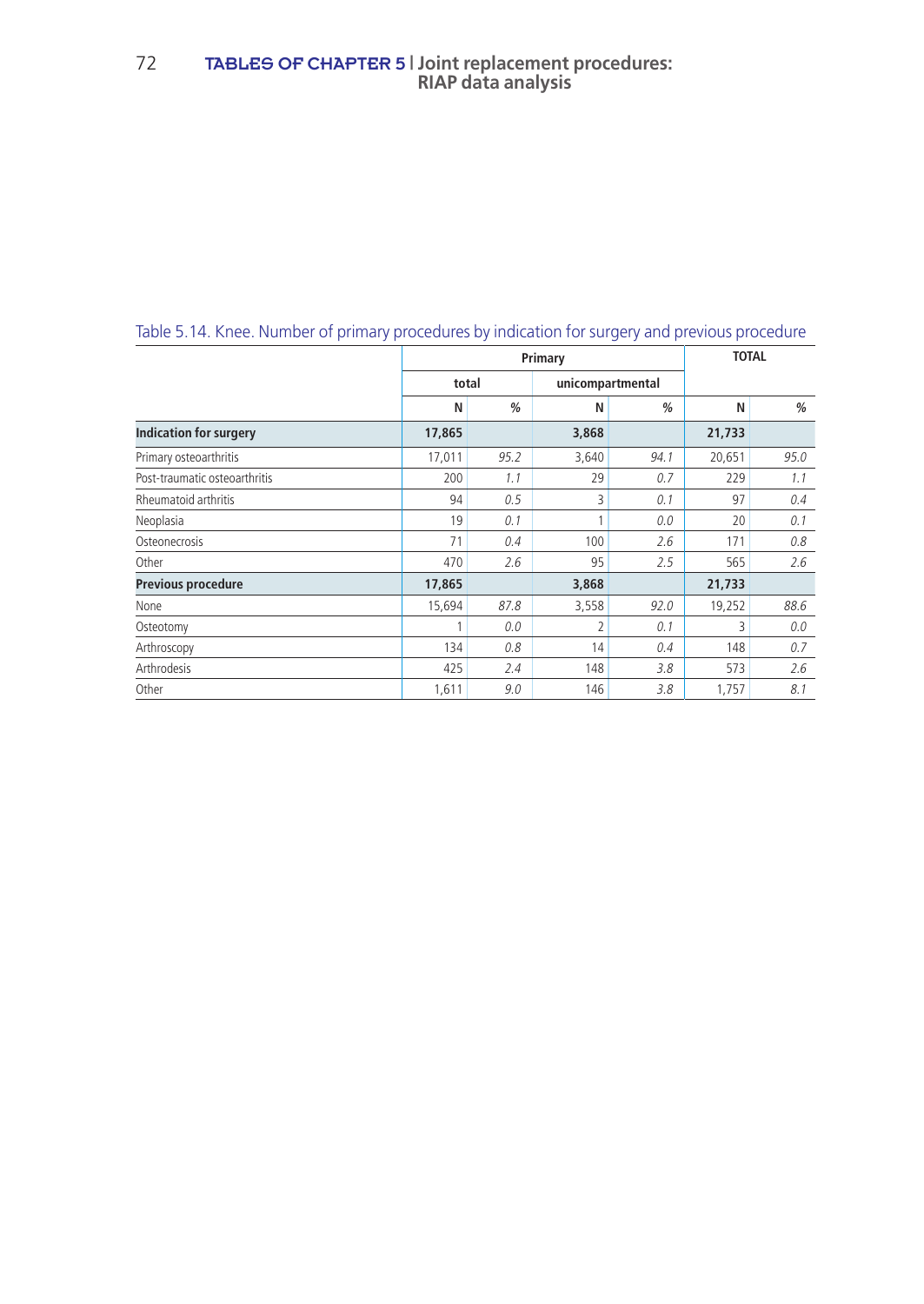|                               | Primary |      |                  |      | <b>TOTAL</b> |      |
|-------------------------------|---------|------|------------------|------|--------------|------|
|                               | total   |      | unicompartmental |      |              |      |
|                               | N       | %    | N                | %    | N            | %    |
| <b>Indication for surgery</b> | 17,865  |      | 3,868            |      | 21,733       |      |
| Primary osteoarthritis        | 17,011  | 95.2 | 3,640            | 94.1 | 20,651       | 95.0 |
| Post-traumatic osteoarthritis | 200     | 1.1  | 29               | 0.7  | 229          | 1.1  |
| Rheumatoid arthritis          | 94      | 0.5  | 3                | 0.1  | 97           | 0.4  |
| Neoplasia                     | 19      | 0.1  |                  | 0.0  | 20           | 0.1  |
| Osteonecrosis                 | 71      | 0.4  | 100              | 2.6  | 171          | 0.8  |
| Other                         | 470     | 2.6  | 95               | 2.5  | 565          | 2.6  |
| <b>Previous procedure</b>     | 17,865  |      | 3,868            |      | 21,733       |      |
| None                          | 15,694  | 87.8 | 3,558            | 92.0 | 19,252       | 88.6 |
| Osteotomy                     |         | 0.0  | $\overline{2}$   | 0.1  | 3            | 0.0  |
| Arthroscopy                   | 134     | 0.8  | 14               | 0.4  | 148          | 0.7  |
| Arthrodesis                   | 425     | 2.4  | 148              | 3.8  | 573          | 2.6  |
| Other                         | 1,611   | 9.0  | 146              | 3.8  | 1,757        | 8.1  |

## Table 5.14. Knee. Number of primary procedures by indication for surgery and previous procedure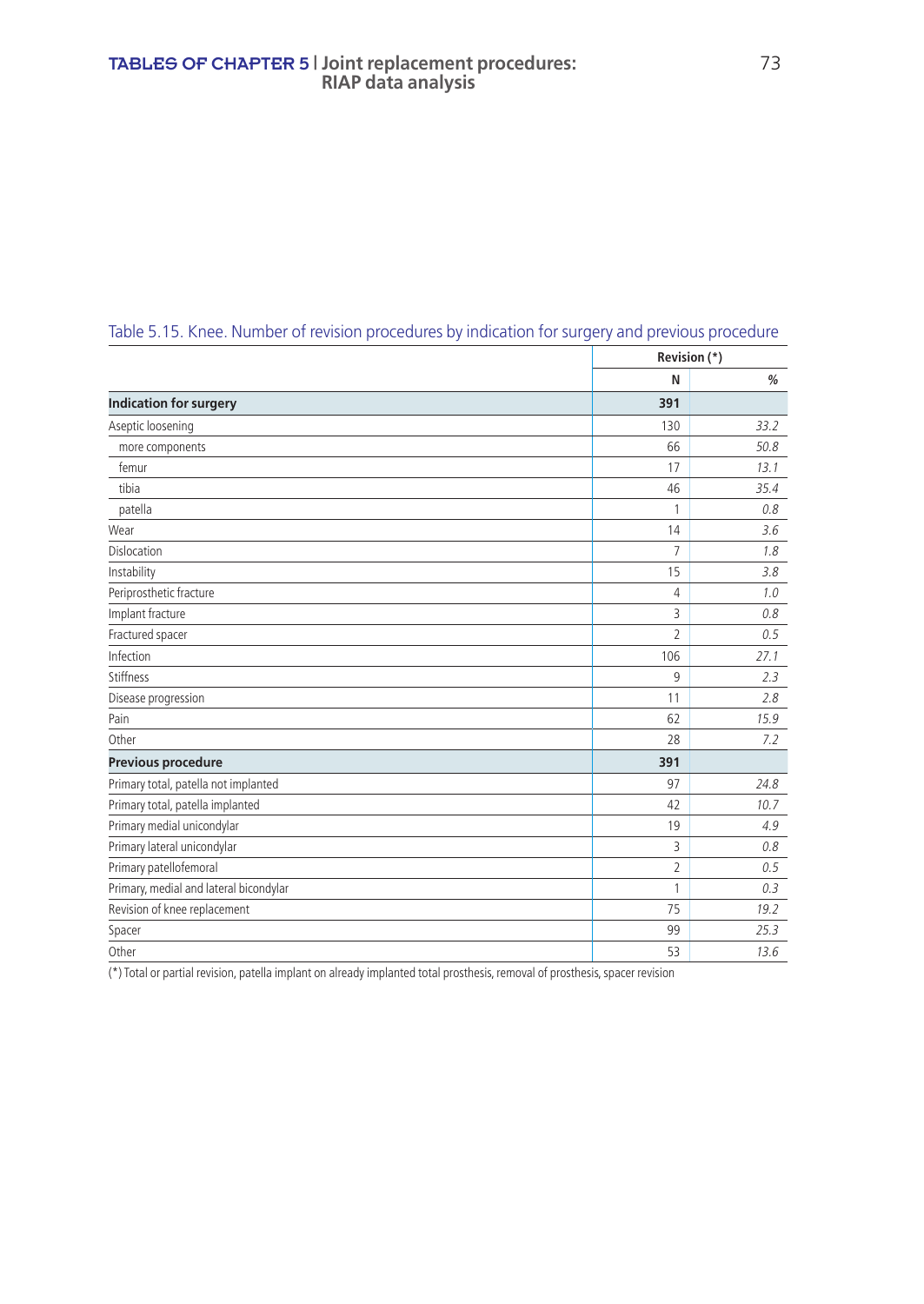#### TABLES OF CHAPTER 5 **| Joint replacement procedures:** 73 **RIAP data analysis**

|                                        |                | Revision (*) |
|----------------------------------------|----------------|--------------|
|                                        | N              | %            |
| <b>Indication for surgery</b>          | 391            |              |
| Aseptic loosening                      | 130            | 33.2         |
| more components                        | 66             | 50.8         |
| femur                                  | 17             | 13.1         |
| tibia                                  | 46             | 35.4         |
| patella                                | 1              | 0.8          |
| Wear                                   | 14             | 3.6          |
| <b>Dislocation</b>                     | $\overline{7}$ | 1.8          |
| Instability                            | 15             | 3.8          |
| Periprosthetic fracture                | 4              | 1.0          |
| Implant fracture                       | 3              | 0.8          |
| Fractured spacer                       | $\overline{2}$ | 0.5          |
| Infection                              | 106            | 27.1         |
| Stiffness                              | 9              | 2.3          |
| Disease progression                    | 11             | 2.8          |
| Pain                                   | 62             | 15.9         |
| Other                                  | 28             | 7.2          |
| Previous procedure                     | 391            |              |
| Primary total, patella not implanted   | 97             | 24.8         |
| Primary total, patella implanted       | 42             | 10.7         |
| Primary medial unicondylar             | 19             | 4.9          |
| Primary lateral unicondylar            | 3              | 0.8          |
| Primary patellofemoral                 | $\overline{2}$ | 0.5          |
| Primary, medial and lateral bicondylar | 1              | 0.3          |
| Revision of knee replacement           | 75             | 19.2         |
| Spacer                                 | 99             | 25.3         |
| Other                                  | 53             | 13.6         |

## Table 5.15. Knee. Number of revision procedures by indication for surgery and previous procedure

 $\overline{(*)}$  Total or partial revision, patella implant on already implanted total prosthesis, removal of prosthesis, spacer revision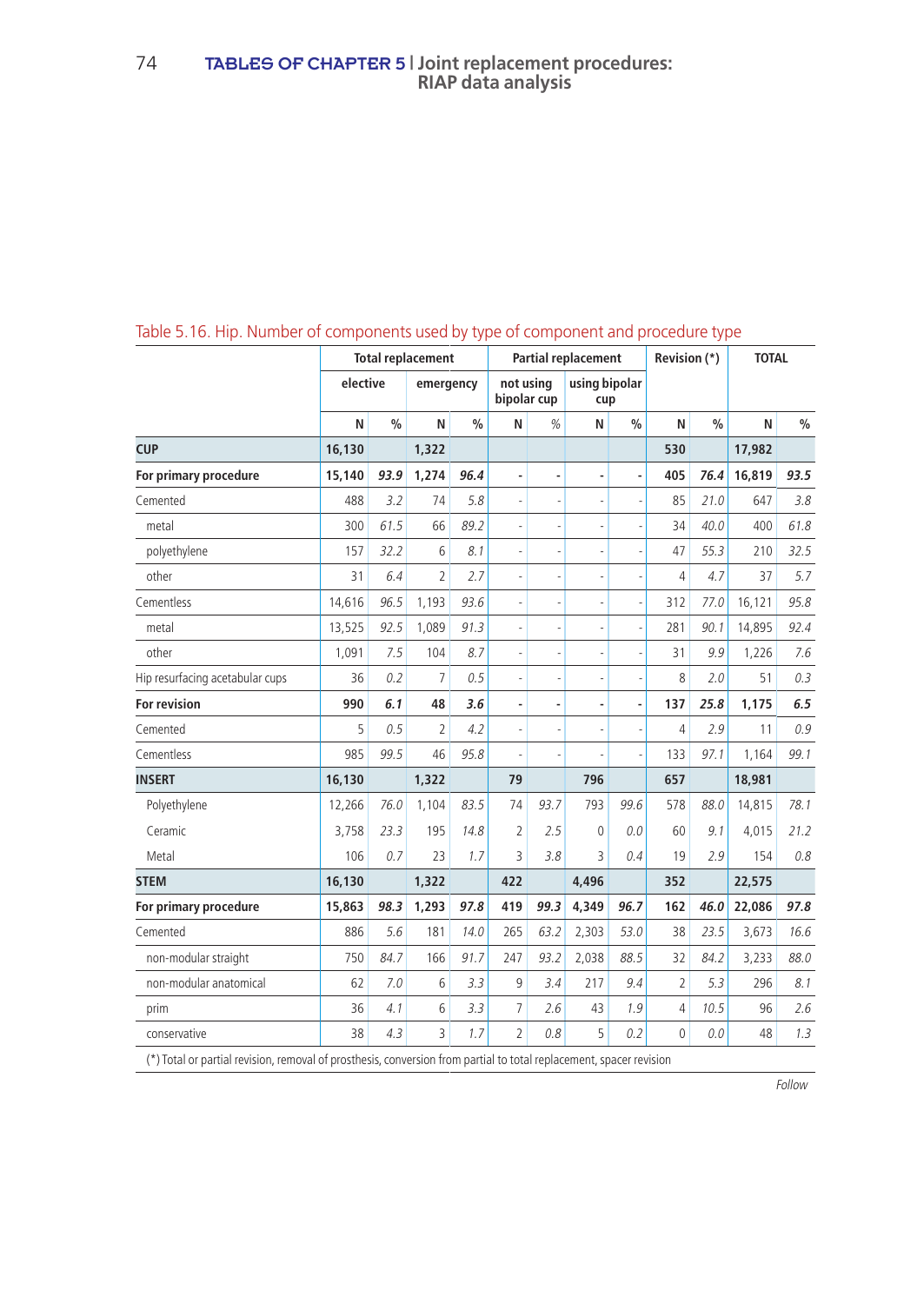|                                 | <b>Total replacement</b> |               |                          | <b>Partial replacement</b> |                          |                          |                      | Revision (*)  |                | <b>TOTAL</b>  |        |               |
|---------------------------------|--------------------------|---------------|--------------------------|----------------------------|--------------------------|--------------------------|----------------------|---------------|----------------|---------------|--------|---------------|
|                                 | elective                 |               | emergency                |                            | not usina<br>bipolar cup |                          | using bipolar<br>cup |               |                |               |        |               |
|                                 | N                        | $\frac{0}{0}$ | N                        | $\frac{0}{0}$              | N                        | %                        | N                    | $\frac{9}{6}$ | N              | $\frac{0}{0}$ | N      | $\frac{0}{0}$ |
| <b>CUP</b>                      | 16,130                   |               | 1,322                    |                            |                          |                          |                      |               | 530            |               | 17,982 |               |
| For primary procedure           | 15,140                   | 93.9          | 1,274                    | 96.4                       | $\overline{a}$           | ٠                        | $\overline{a}$       |               | 405            | 76.4          | 16,819 | 93.5          |
| Cemented                        | 488                      | 3.2           | 74                       | 5.8                        | $\overline{a}$           | ÷,                       |                      |               | 85             | 21.0          | 647    | 3.8           |
| metal                           | 300                      | 61.5          | 66                       | 89.2                       | ä,                       | $\overline{\phantom{a}}$ |                      |               | 34             | 40.0          | 400    | 61.8          |
| polyethylene                    | 157                      | 32.2          | 6                        | 8.1                        | i,                       | ÷,                       |                      |               | 47             | 55.3          | 210    | 32.5          |
| other                           | 31                       | 6.4           | $\overline{2}$           | 2.7                        | L,                       | ÷,                       |                      |               | 4              | 4.7           | 37     | 5.7           |
| Cementless                      | 14,616                   | 96.5          | 1,193                    | 93.6                       | ä,                       | $\overline{\phantom{a}}$ |                      |               | 312            | 77.0          | 16,121 | 95.8          |
| metal                           | 13,525                   | 92.5          | 1,089                    | 91.3                       | ä,                       | ÷,                       |                      |               | 281            | 90.1          | 14,895 | 92.4          |
| other                           | 1,091                    | 7.5           | 104                      | 8.7                        | L,                       | ÷,                       |                      |               | 31             | 9.9           | 1,226  | 7.6           |
| Hip resurfacing acetabular cups | 36                       | 0.2           | 7                        | 0.5                        | i,                       | $\overline{\phantom{a}}$ |                      |               | 8              | 2.0           | 51     | 0.3           |
| For revision                    | 990                      | 6.1           | 48                       | 3.6                        |                          | ٠                        | $\overline{a}$       |               | 137            | 25.8          | 1,175  | 6.5           |
| Cemented                        | 5                        | 0.5           | $\overline{\phantom{a}}$ | 4.2                        | ÷,                       | $\overline{\phantom{a}}$ | ÷,                   |               | $\overline{4}$ | 2.9           | 11     | 0.9           |
| Cementless                      | 985                      | 99.5          | 46                       | 95.8                       | i,                       | $\overline{\phantom{a}}$ |                      |               | 133            | 97.1          | 1,164  | 99.1          |
| <b>INSERT</b>                   | 16,130                   |               | 1,322                    |                            | 79                       |                          | 796                  |               | 657            |               | 18,981 |               |
| Polyethylene                    | 12.266                   | 76.0          | 1,104                    | 83.5                       | 74                       | 93.7                     | 793                  | 99.6          | 578            | 88.0          | 14.815 | 78.1          |
| Ceramic                         | 3,758                    | 23.3          | 195                      | 14.8                       | $\overline{2}$           | 2.5                      | $\Omega$             | 0.0           | 60             | 9.1           | 4,015  | 21.2          |
| Metal                           | 106                      | 0.7           | 23                       | 1.7                        | 3                        | 3.8                      | 3                    | 0.4           | 19             | 2.9           | 154    | 0.8           |
| <b>STEM</b>                     | 16,130                   |               | 1,322                    |                            | 422                      |                          | 4,496                |               | 352            |               | 22,575 |               |
| For primary procedure           | 15,863                   | 98.3          | 1,293                    | 97.8                       | 419                      | 99.3                     | 4,349                | 96.7          | 162            | 46.0          | 22,086 | 97.8          |
| Cemented                        | 886                      | 5.6           | 181                      | 14.0                       | 265                      | 63.2                     | 2,303                | 53.0          | 38             | 23.5          | 3,673  | 16.6          |
| non-modular straight            | 750                      | 84.7          | 166                      | 91.7                       | 247                      | 93.2                     | 2,038                | 88.5          | 32             | 84.2          | 3,233  | 88.0          |
| non-modular anatomical          | 62                       | 7.0           | 6                        | 3.3                        | 9                        | 3.4                      | 217                  | 9.4           | 2              | 5.3           | 296    | 8.1           |
| prim                            | 36                       | 4.1           | 6                        | 3.3                        | 7                        | 2.6                      | 43                   | 1.9           | 4              | 10.5          | 96     | 2.6           |
| conservative                    | 38                       | 4.3           | 3                        | 1.7                        | $\overline{2}$           | 0.8                      | 5                    | 0.2           | $\overline{0}$ | 0.0           | 48     | 1.3           |

### Table 5.16. Hip. Number of components used by type of component and procedure type

(\*) Total or partial revision, removal of prosthesis, conversion from partial to total replacement, spacer revision

Follow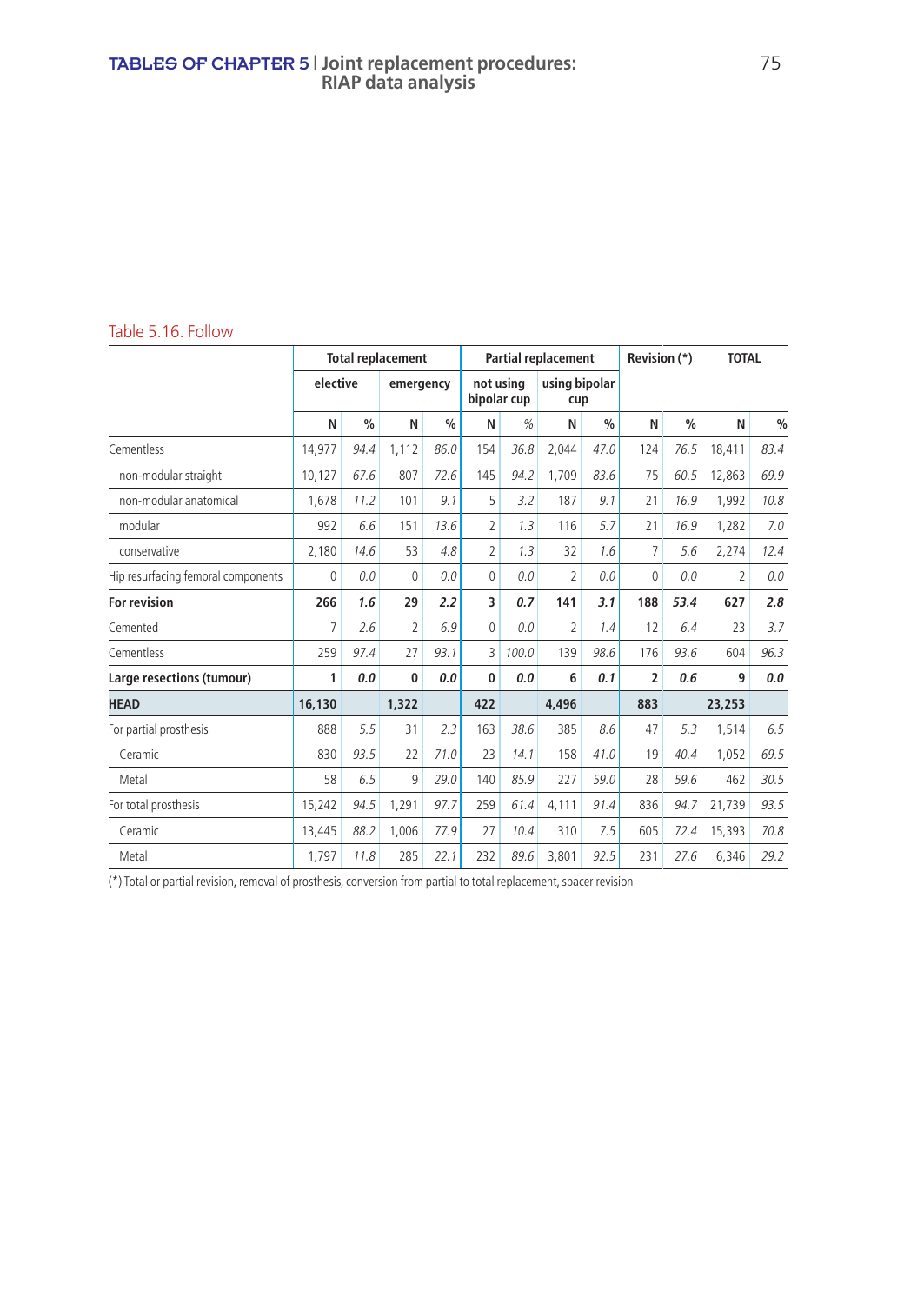#### TABLES OF CHAPTER 5 **| Joint replacement procedures:** 75 **RIAP data analysis**

#### Table 5.16. Follow

|                                    | <b>Total replacement</b> |               |              |               | <b>Partial replacement</b> |       |                      |               | Revision (*)   |               | <b>TOTAL</b>   |               |
|------------------------------------|--------------------------|---------------|--------------|---------------|----------------------------|-------|----------------------|---------------|----------------|---------------|----------------|---------------|
|                                    | elective                 |               | emergency    |               | not usina<br>bipolar cup   |       | using bipolar<br>cup |               |                |               |                |               |
|                                    | N                        | $\frac{0}{0}$ | N            | $\frac{0}{0}$ | N                          | %     | N                    | $\frac{0}{0}$ | N              | $\frac{0}{0}$ | N              | $\frac{0}{0}$ |
| Cementless                         | 14.977                   | 94.4          | 1,112        | 86.0          | 154                        | 36.8  | 2.044                | 47.0          | 124            | 76.5          | 18.411         | 83.4          |
| non-modular straight               | 10.127                   | 67.6          | 807          | 72.6          | 145                        | 94.2  | 1.709                | 83.6          | 75             | 60.5          | 12.863         | 69.9          |
| non-modular anatomical             | 1.678                    | 11.2          | 101          | 9.1           | 5                          | 3.2   | 187                  | 9.1           | 21             | 16.9          | 1.992          | 10.8          |
| modular                            | 992                      | 6.6           | 151          | 13.6          | $\overline{2}$             | 1.3   | 116                  | 5.7           | 21             | 16.9          | 1,282          | 7.0           |
| conservative                       | 2,180                    | 14.6          | 53           | 4.8           | $\overline{2}$             | 1.3   | 32                   | 1.6           | $\overline{7}$ | 5.6           | 2,274          | 12.4          |
| Hip resurfacing femoral components | 0                        | 0.0           | $\mathbf{0}$ | 0.0           | $\mathbf{0}$               | 0.0   | $\overline{2}$       | 0.0           | $\Omega$       | 0.0           | $\overline{2}$ | 0.0           |
| <b>For revision</b>                | 266                      | 1.6           | 29           | 2.2           | 3                          | 0.7   | 141                  | 3.1           | 188            | 53.4          | 627            | 2.8           |
| Cemented                           | 7                        | 2.6           | 2            | 6.9           | $\mathbf 0$                | 0.0   | $\overline{2}$       | 1.4           | 12             | 6.4           | 23             | 3.7           |
| Cementless                         | 259                      | 97.4          | 27           | 93.1          | 3                          | 100.0 | 139                  | 98.6          | 176            | 93.6          | 604            | 96.3          |
| Large resections (tumour)          | 1                        | 0.0           | $\bf{0}$     | 0.0           | $\bf{0}$                   | 0.0   | 6                    | 0.1           | $\overline{2}$ | 0.6           | 9              | 0.0           |
| <b>HEAD</b>                        | 16,130                   |               | 1,322        |               | 422                        |       | 4.496                |               | 883            |               | 23,253         |               |
| For partial prosthesis             | 888                      | 5.5           | 31           | 2.3           | 163                        | 38.6  | 385                  | 8.6           | 47             | 5.3           | 1.514          | 6.5           |
| Ceramic                            | 830                      | 93.5          | 22           | 71.0          | 23                         | 14.1  | 158                  | 41.0          | 19             | 40.4          | 1,052          | 69.5          |
| Metal                              | 58                       | 6.5           | 9            | 29.0          | 140                        | 85.9  | 227                  | 59.0          | 28             | 59.6          | 462            | 30.5          |
| For total prosthesis               | 15.242                   | 94.5          | 1,291        | 97.7          | 259                        | 61.4  | 4,111                | 91.4          | 836            | 94.7          | 21.739         | 93.5          |
| Ceramic                            | 13,445                   | 88.2          | 1,006        | 77.9          | 27                         | 10.4  | 310                  | 7.5           | 605            | 72.4          | 15.393         | 70.8          |
| Metal                              | 1,797                    | 11.8          | 285          | 22.1          | 232                        | 89.6  | 3,801                | 92.5          | 231            | 27.6          | 6,346          | 29.2          |

(\*) Total or partial revision, removal of prosthesis, conversion from partial to total replacement, spacer revision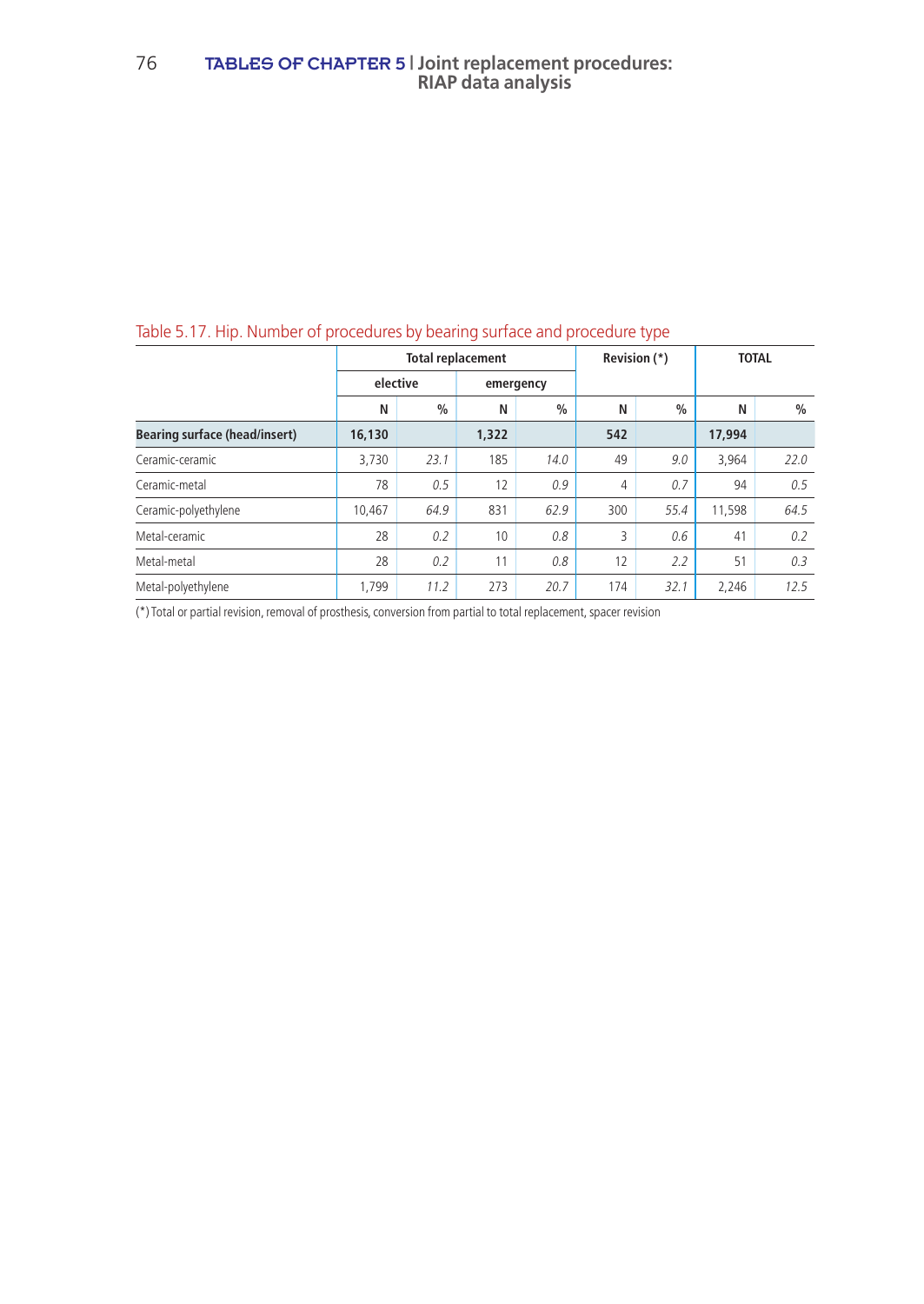## Table 5.17. Hip. Number of procedures by bearing surface and procedure type

|                                      |        |               | <b>Total replacement</b> |               |     | Revision (*)  | <b>TOTAL</b> |               |  |
|--------------------------------------|--------|---------------|--------------------------|---------------|-----|---------------|--------------|---------------|--|
|                                      |        | elective      |                          | emergency     |     |               |              |               |  |
|                                      | N      | $\frac{0}{0}$ | N                        | $\frac{0}{0}$ | N   | $\frac{0}{0}$ | N            | $\frac{0}{0}$ |  |
| <b>Bearing surface (head/insert)</b> | 16,130 |               | 1,322                    |               | 542 |               | 17,994       |               |  |
| Ceramic-ceramic                      | 3.730  | 23.1          | 185                      | 14.0          | 49  | 9.0           | 3.964        | 22.0          |  |
| Ceramic-metal                        | 78     | 0.5           | 12                       | 0.9           | 4   | 0.7           | 94           | 0.5           |  |
| Ceramic-polyethylene                 | 10,467 | 64.9          | 831                      | 62.9          | 300 | 55.4          | 11,598       | 64.5          |  |
| Metal-ceramic                        | 28     | 0.2           | 10                       | 0.8           | 3   | 0.6           | 41           | 0.2           |  |
| Metal-metal                          | 28     | 0.2           | 11                       | 0.8           | 12  | 2.2           | 51           | 0.3           |  |
| Metal-polyethylene                   | 1.799  | 11.2          | 273                      | 20.7          | 174 | 32.1          | 2.246        | 12.5          |  |

(\*) Total or partial revision, removal of prosthesis, conversion from partial to total replacement, spacer revision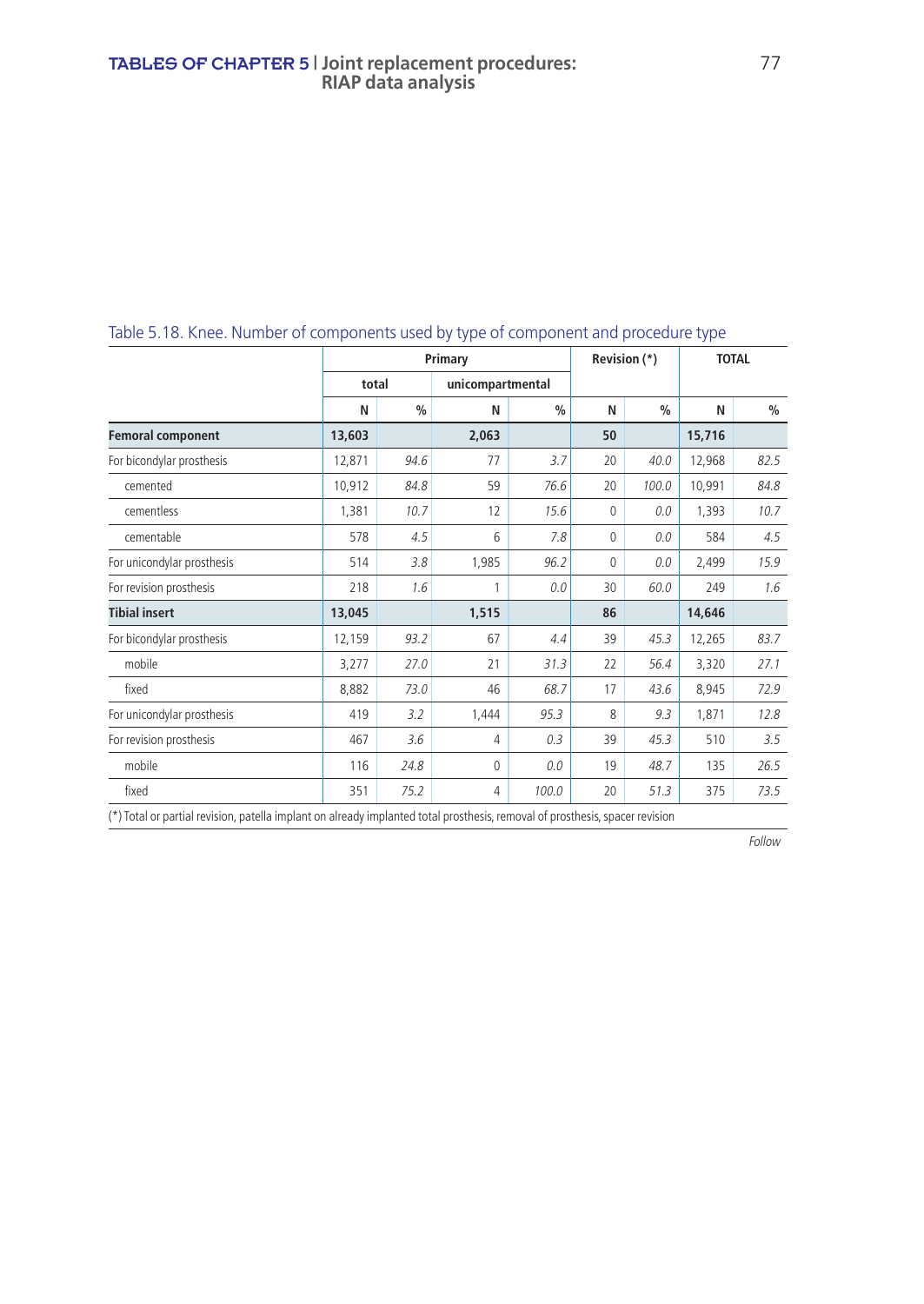|                                                                                                                                |        |               | Revision (*)                | <b>TOTAL</b>                                                                                                                                                                                                                      |    |               |        |               |  |
|--------------------------------------------------------------------------------------------------------------------------------|--------|---------------|-----------------------------|-----------------------------------------------------------------------------------------------------------------------------------------------------------------------------------------------------------------------------------|----|---------------|--------|---------------|--|
|                                                                                                                                | total  |               | Primary<br>unicompartmental |                                                                                                                                                                                                                                   |    |               |        |               |  |
|                                                                                                                                | N      | $\frac{0}{0}$ | N                           | $\frac{0}{0}$                                                                                                                                                                                                                     | N  | $\frac{0}{0}$ | N      | $\frac{0}{0}$ |  |
| <b>Femoral component</b>                                                                                                       | 13,603 |               | 2,063                       |                                                                                                                                                                                                                                   | 50 |               | 15,716 |               |  |
| For bicondylar prosthesis                                                                                                      | 12,871 | 94.6          | 77                          | 3.7                                                                                                                                                                                                                               | 20 | 40.0          | 12,968 | 82.5          |  |
| cemented                                                                                                                       | 10,912 | 84.8          | 59                          | 76.6                                                                                                                                                                                                                              | 20 | 100.0         | 10,991 | 84.8          |  |
| cementless                                                                                                                     | 1,381  | 10.7          | 12                          | 15.6                                                                                                                                                                                                                              | 0  | 0.0           | 1,393  | 10.7          |  |
| cementable                                                                                                                     | 578    | 4.5           | 6                           | 7.8                                                                                                                                                                                                                               | 0  | 0.0           | 584    | 4.5           |  |
| For unicondylar prosthesis                                                                                                     | 514    | 3.8           | 1,985                       | 96.2                                                                                                                                                                                                                              | 0  | 0.0           | 2,499  | 15.9          |  |
| For revision prosthesis                                                                                                        | 218    | 1.6           | 1                           | 0.0                                                                                                                                                                                                                               | 30 | 60.0          | 249    | 1.6           |  |
| <b>Tibial insert</b>                                                                                                           | 13,045 |               | 1,515                       |                                                                                                                                                                                                                                   | 86 |               | 14,646 |               |  |
| For bicondylar prosthesis                                                                                                      | 12,159 | 93.2          | 67                          | 4.4                                                                                                                                                                                                                               | 39 | 45.3          | 12,265 | 83.7          |  |
| mobile                                                                                                                         | 3,277  | 27.0          | 21                          | 31.3                                                                                                                                                                                                                              | 22 | 56.4          | 3,320  | 27.1          |  |
| fixed                                                                                                                          | 8,882  | 73.0          | 46                          | 68.7                                                                                                                                                                                                                              | 17 | 43.6          | 8,945  | 72.9          |  |
| For unicondylar prosthesis                                                                                                     | 419    | 3.2           | 1,444                       | 95.3                                                                                                                                                                                                                              | 8  | 9.3           | 1,871  | 12.8          |  |
| For revision prosthesis                                                                                                        | 467    | 3.6           | $\overline{4}$              | 0.3                                                                                                                                                                                                                               | 39 | 45.3          | 510    | 3.5           |  |
| mobile                                                                                                                         | 116    | 24.8          | $\Omega$                    | 0.0                                                                                                                                                                                                                               | 19 | 48.7          | 135    | 26.5          |  |
| fixed                                                                                                                          | 351    | 75.2          | 4                           | 100.0                                                                                                                                                                                                                             | 20 | 51.3          | 375    | 73.5          |  |
| the contract of the contract of the contract of the contract of the contract of the contract of the contract of<br>$1 + 1 - 1$ |        |               |                             | $\mathbf{r}$ . The contract of the contract of the contract of the contract of the contract of the contract of the contract of the contract of the contract of the contract of the contract of the contract of the contract of th |    |               |        |               |  |

# Table 5.18. Knee. Number of components used by type of component and procedure type

(\*) Total or partial revision, patella implant on already implanted total prosthesis, removal of prosthesis, spacer revision

Follow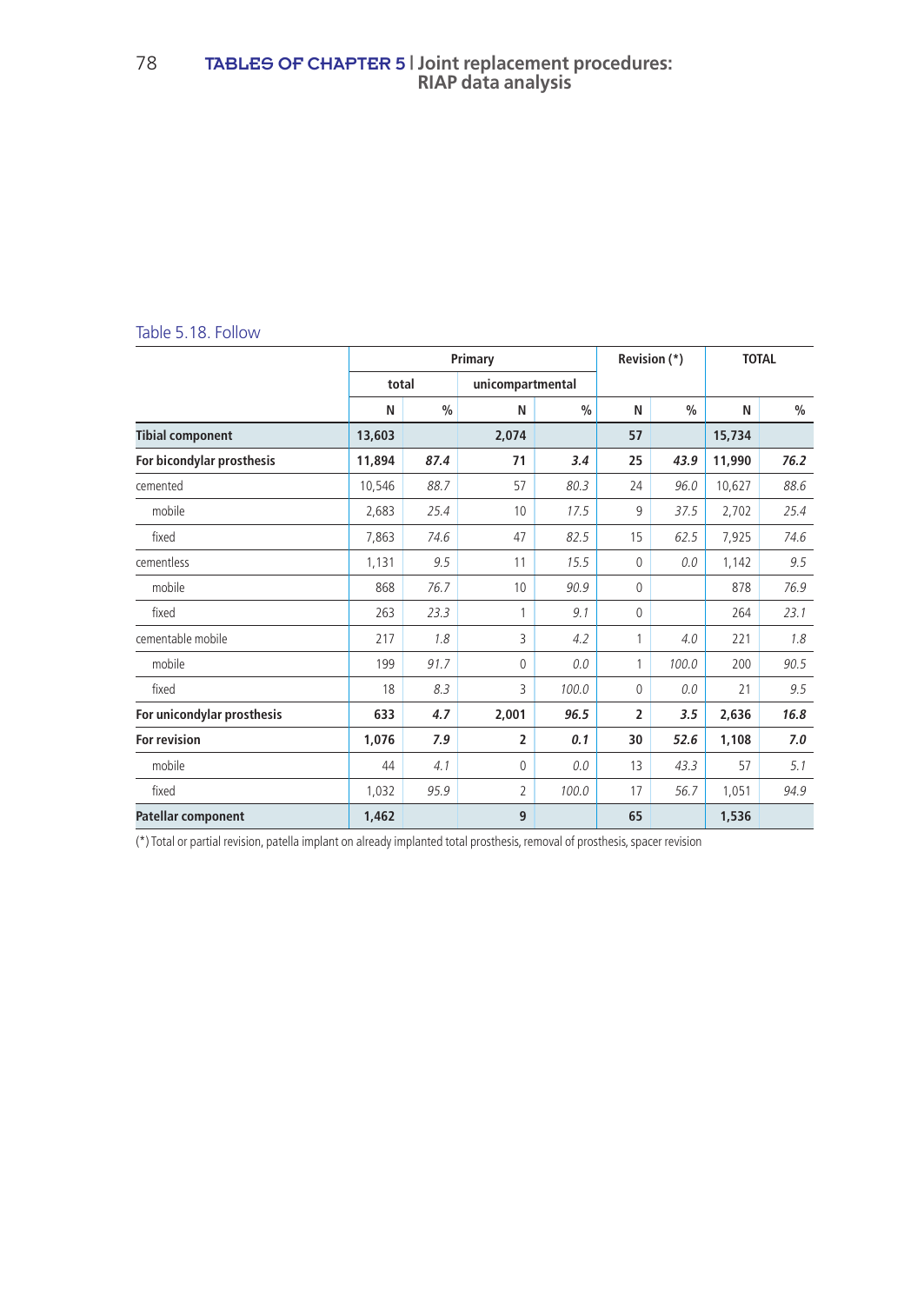#### 78 TABLES OF CHAPTER 5 **| Joint replacement procedures: RIAP data analysis**

#### Table 5.18. Follow

|                            |                           | Revision (*)  |                | <b>TOTAL</b>  |              |               |        |               |
|----------------------------|---------------------------|---------------|----------------|---------------|--------------|---------------|--------|---------------|
|                            | total<br>unicompartmental |               |                |               |              |               |        |               |
|                            | N                         | $\frac{0}{0}$ | N              | $\frac{0}{0}$ | N            | $\frac{0}{0}$ | N      | $\frac{0}{0}$ |
| <b>Tibial component</b>    | 13,603                    |               | 2.074          |               | 57           |               | 15,734 |               |
| For bicondylar prosthesis  | 11,894                    | 87.4          | 71             | 3.4           | 25           | 43.9          | 11,990 | 76.2          |
| cemented                   | 10,546                    | 88.7          | 57             | 80.3          | 24           | 96.0          | 10,627 | 88.6          |
| mobile                     | 2,683                     | 25.4          | 10             | 17.5          | 9            | 37.5          | 2,702  | 25.4          |
| fixed                      | 7,863                     | 74.6          | 47             | 82.5          | 15           | 62.5          | 7,925  | 74.6          |
| cementless                 | 1,131                     | 9.5           | 11             | 15.5          | $\mathbf{0}$ | 0.0           | 1,142  | 9.5           |
| mobile                     | 868                       | 76.7          | 10             | 90.9          | 0            |               | 878    | 76.9          |
| fixed                      | 263                       | 23.3          | 1              | 9.1           | $\mathbf{0}$ |               | 264    | 23.1          |
| cementable mobile          | 217                       | 1.8           | 3              | 4.2           | 1            | 4.0           | 221    | 1.8           |
| mobile                     | 199                       | 91.7          | 0              | 0.0           | 1            | 100.0         | 200    | 90.5          |
| fixed                      | 18                        | 8.3           | 3              | 100.0         | $\Omega$     | 0.0           | 21     | 9.5           |
| For unicondylar prosthesis | 633                       | 4.7           | 2,001          | 96.5          | 2            | 3.5           | 2,636  | 16.8          |
| <b>For revision</b>        | 1,076                     | 7.9           | $\overline{2}$ | 0.1           | 30           | 52.6          | 1,108  | 7.0           |
| mobile                     | 44                        | 4.1           | 0              | 0.0           | 13           | 43.3          | 57     | 5.1           |
| fixed                      | 1,032                     | 95.9          | 2              | 100.0         | 17           | 56.7          | 1,051  | 94.9          |
| Patellar component         | 1,462                     |               | 9              |               | 65           |               | 1,536  |               |

(\*) Total or partial revision, patella implant on already implanted total prosthesis, removal of prosthesis, spacer revision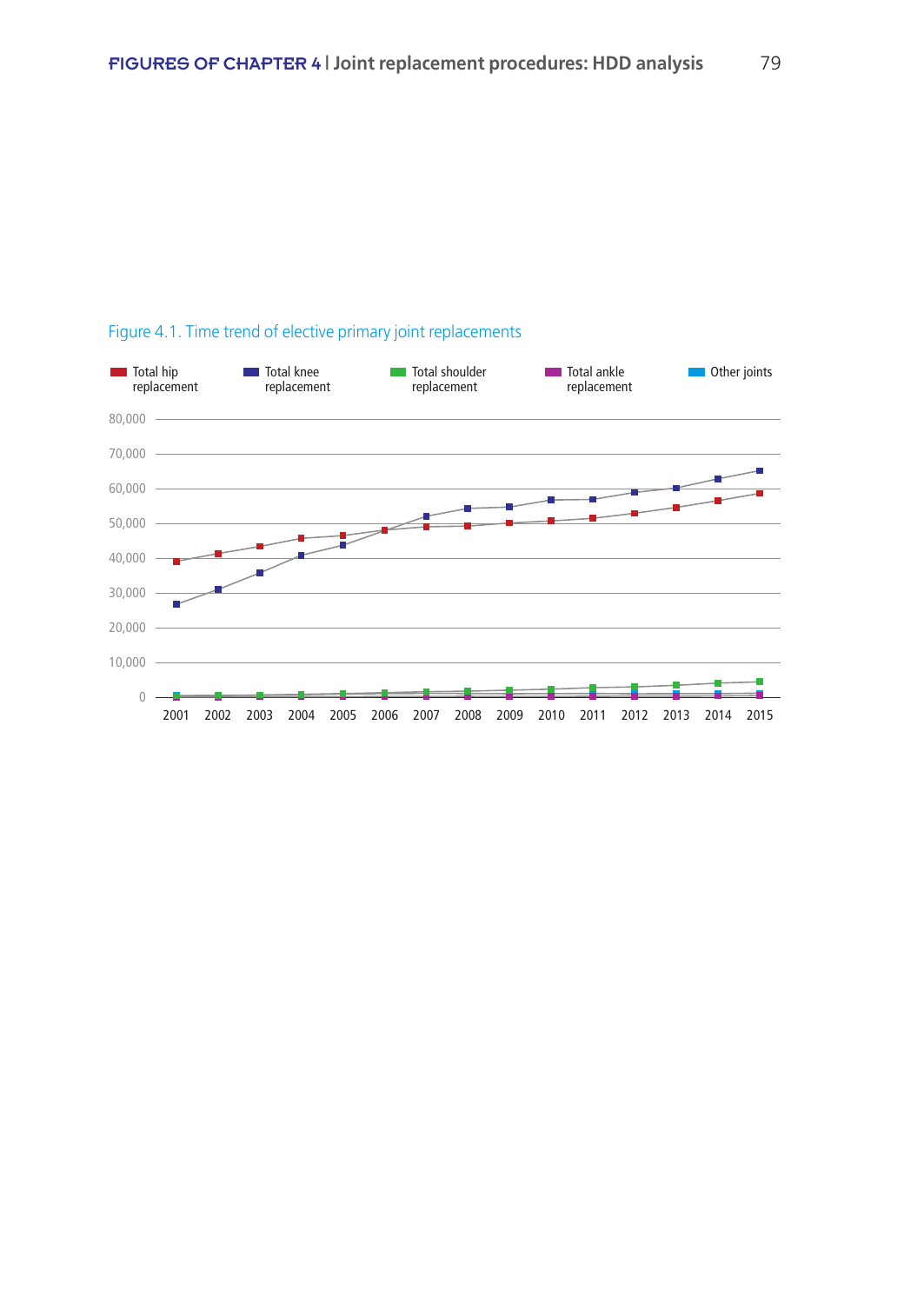

## Figure 4.1. Time trend of elective primary joint replacements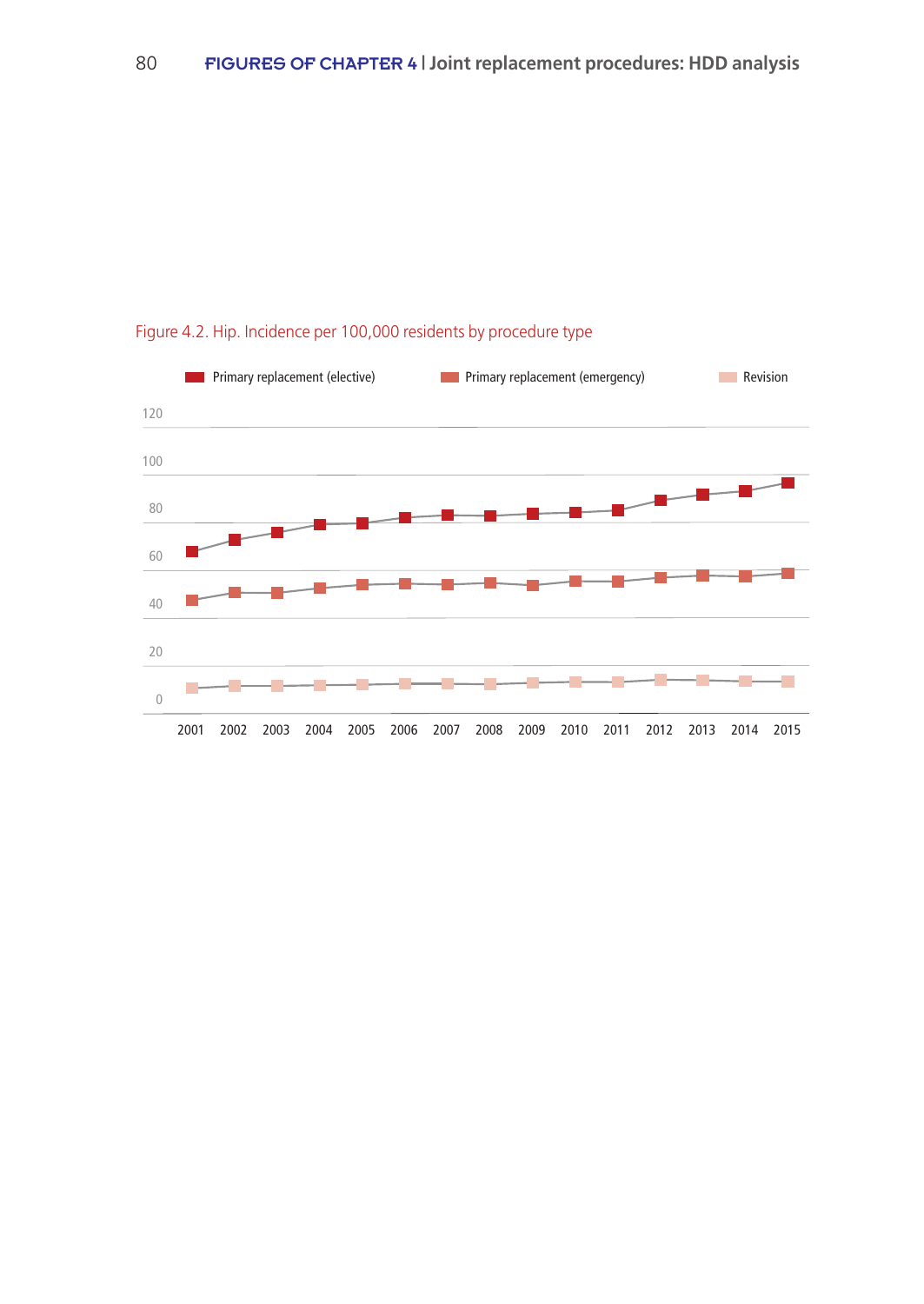

## Figure 4.2. Hip. Incidence per 100,000 residents by procedure type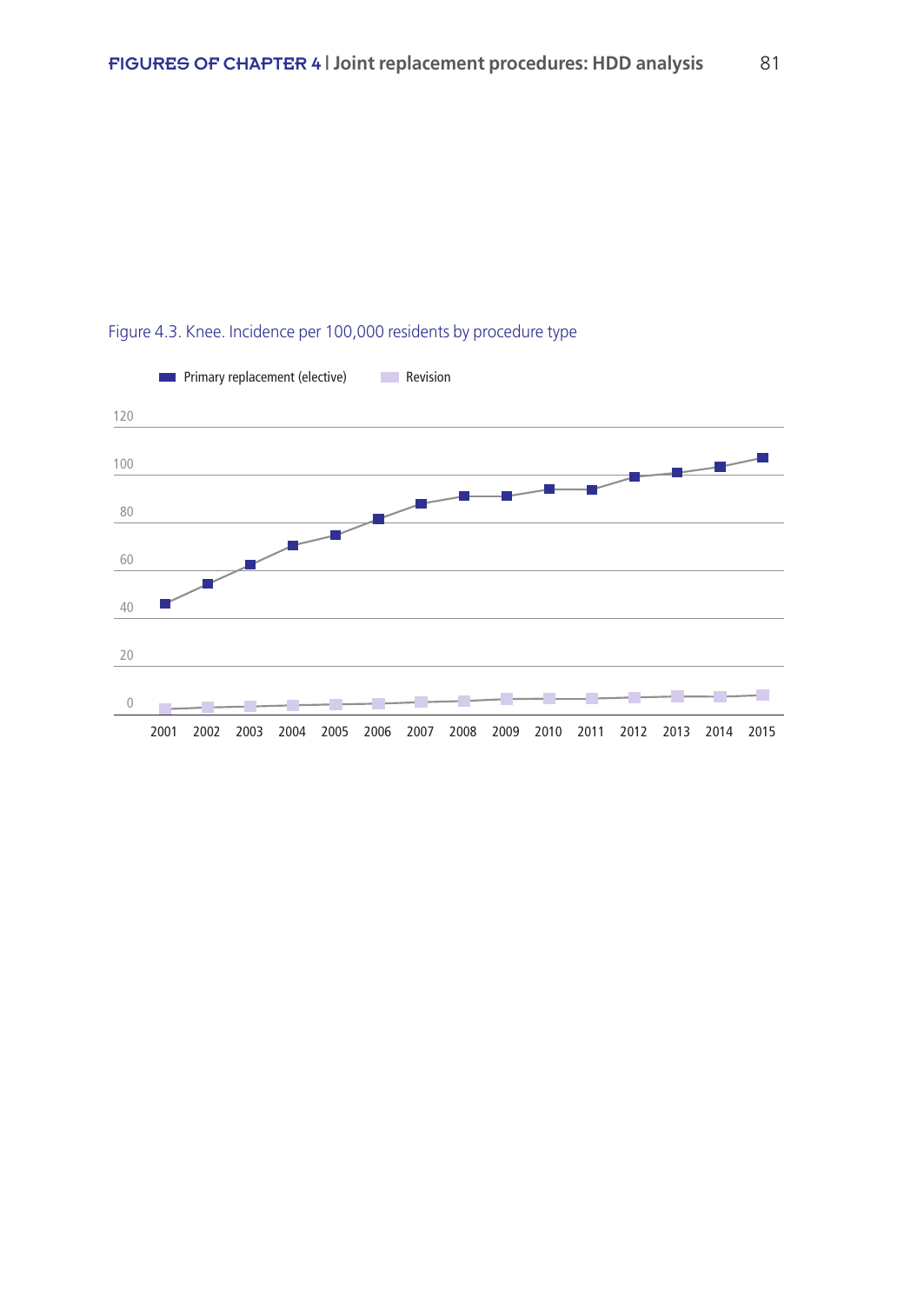

## Figure 4.3. Knee. Incidence per 100,000 residents by procedure type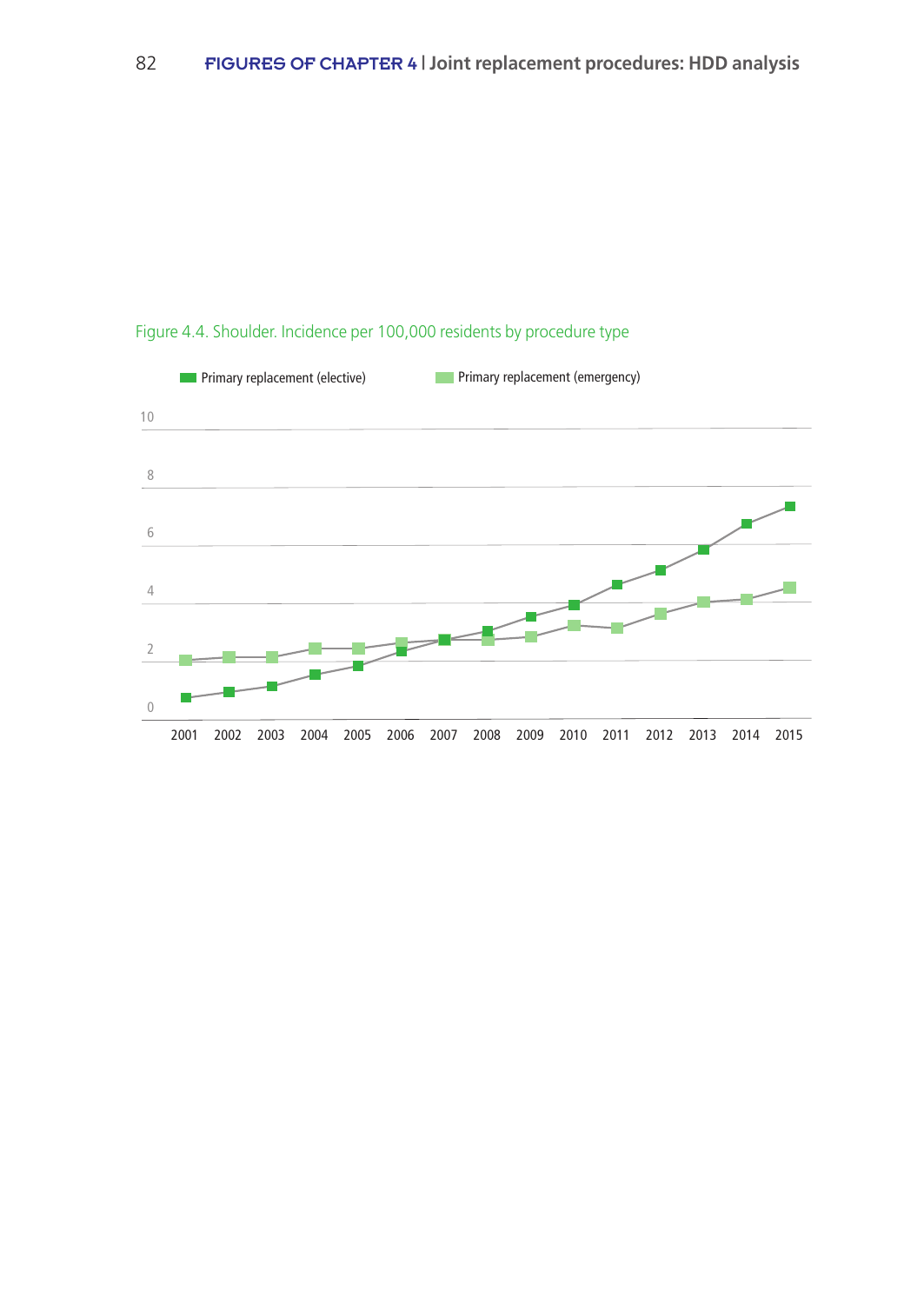

# Figure 4.4. Shoulder. Incidence per 100,000 residents by procedure type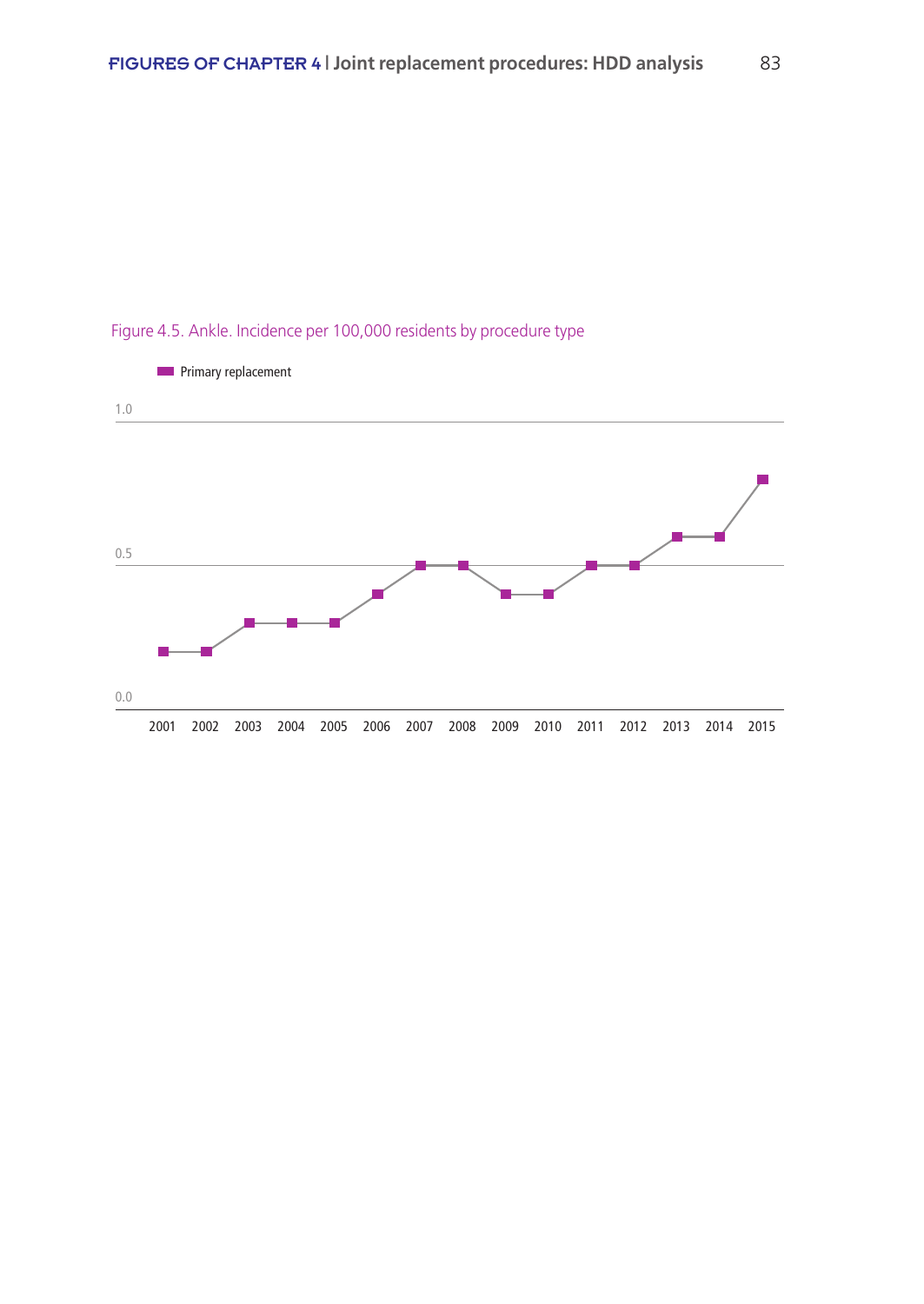

# Figure 4.5. Ankle. Incidence per 100,000 residents by procedure type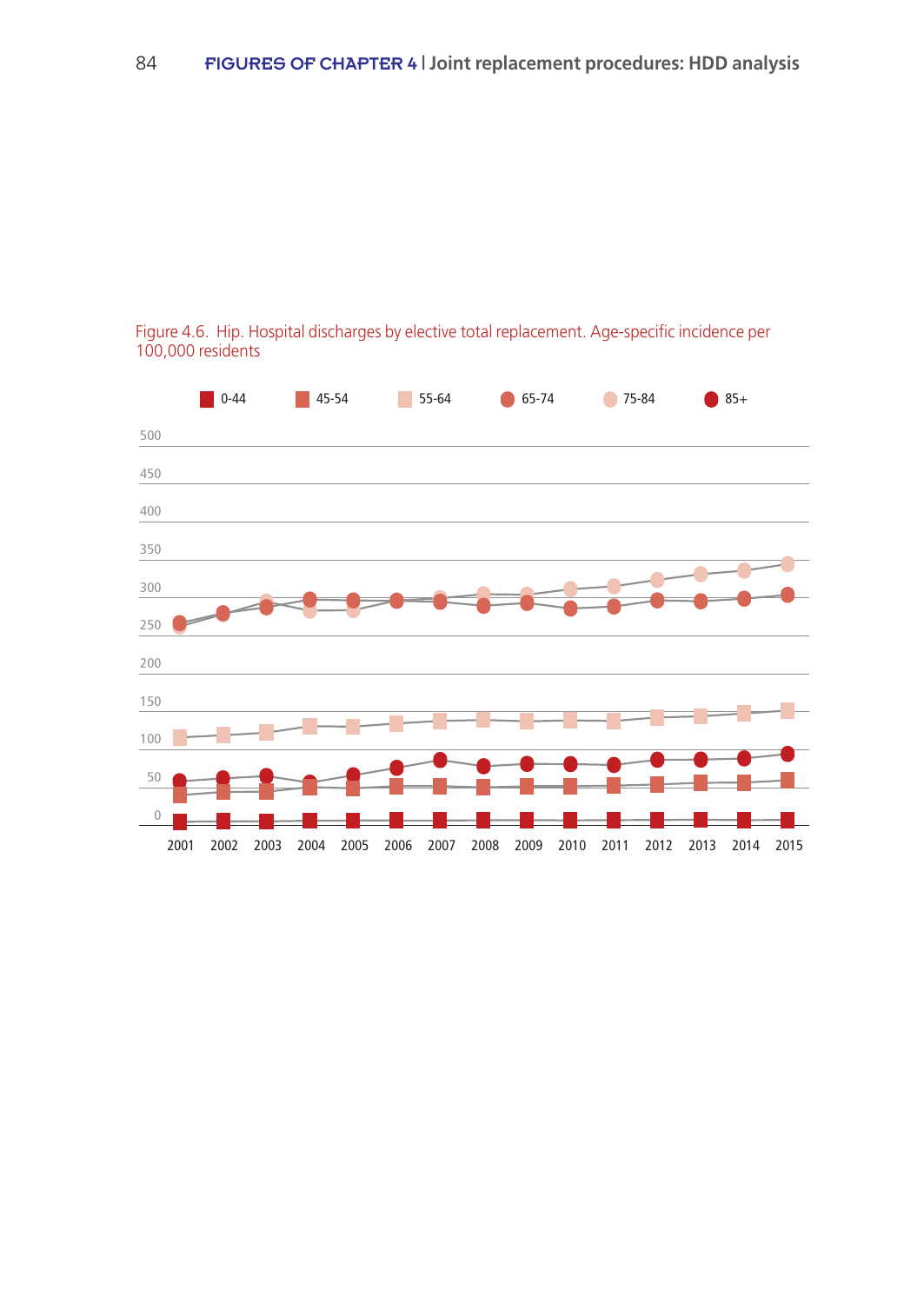

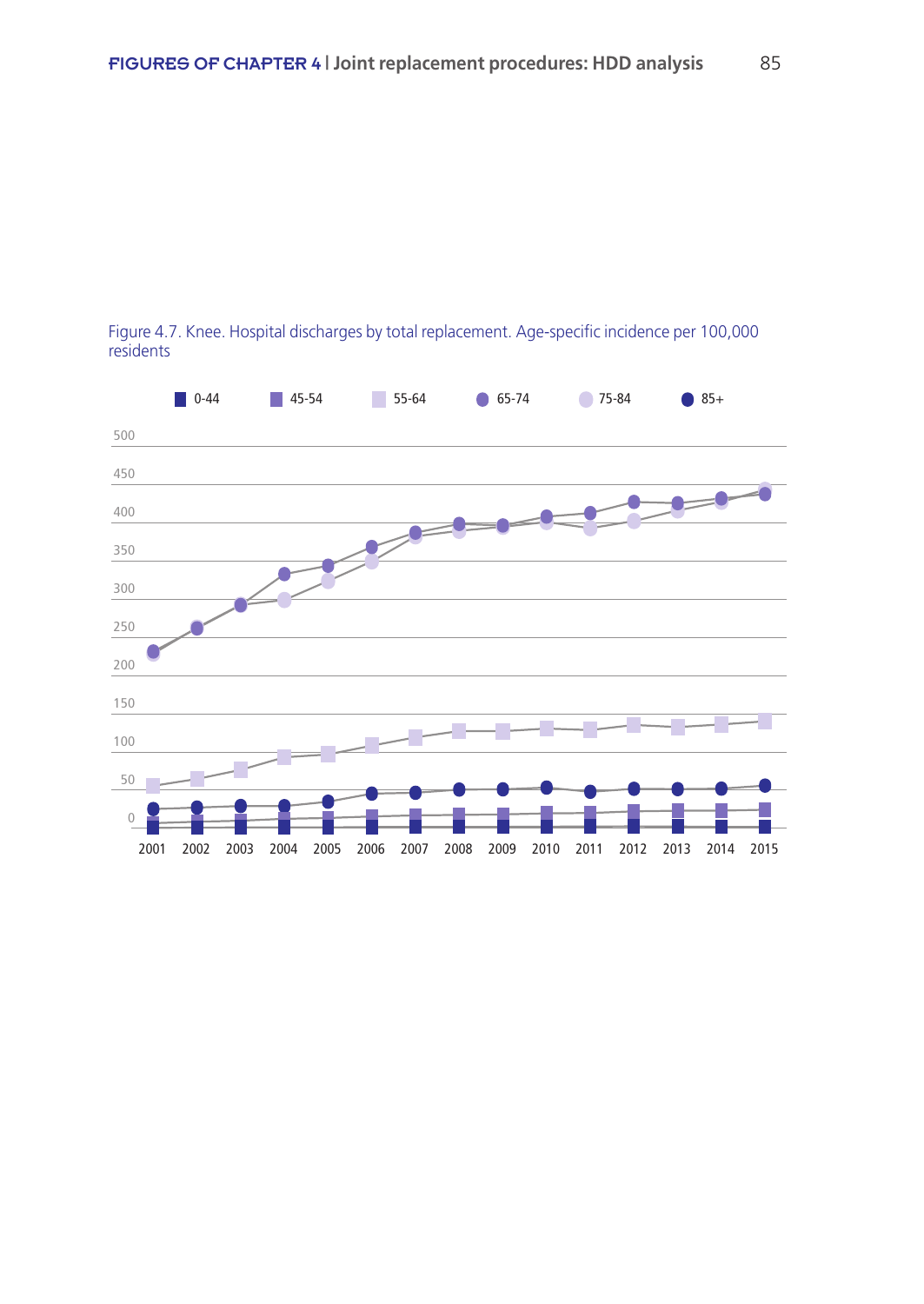

Figure 4.7. Knee. Hospital discharges by total replacement. Age-specific incidence per 100,000 residents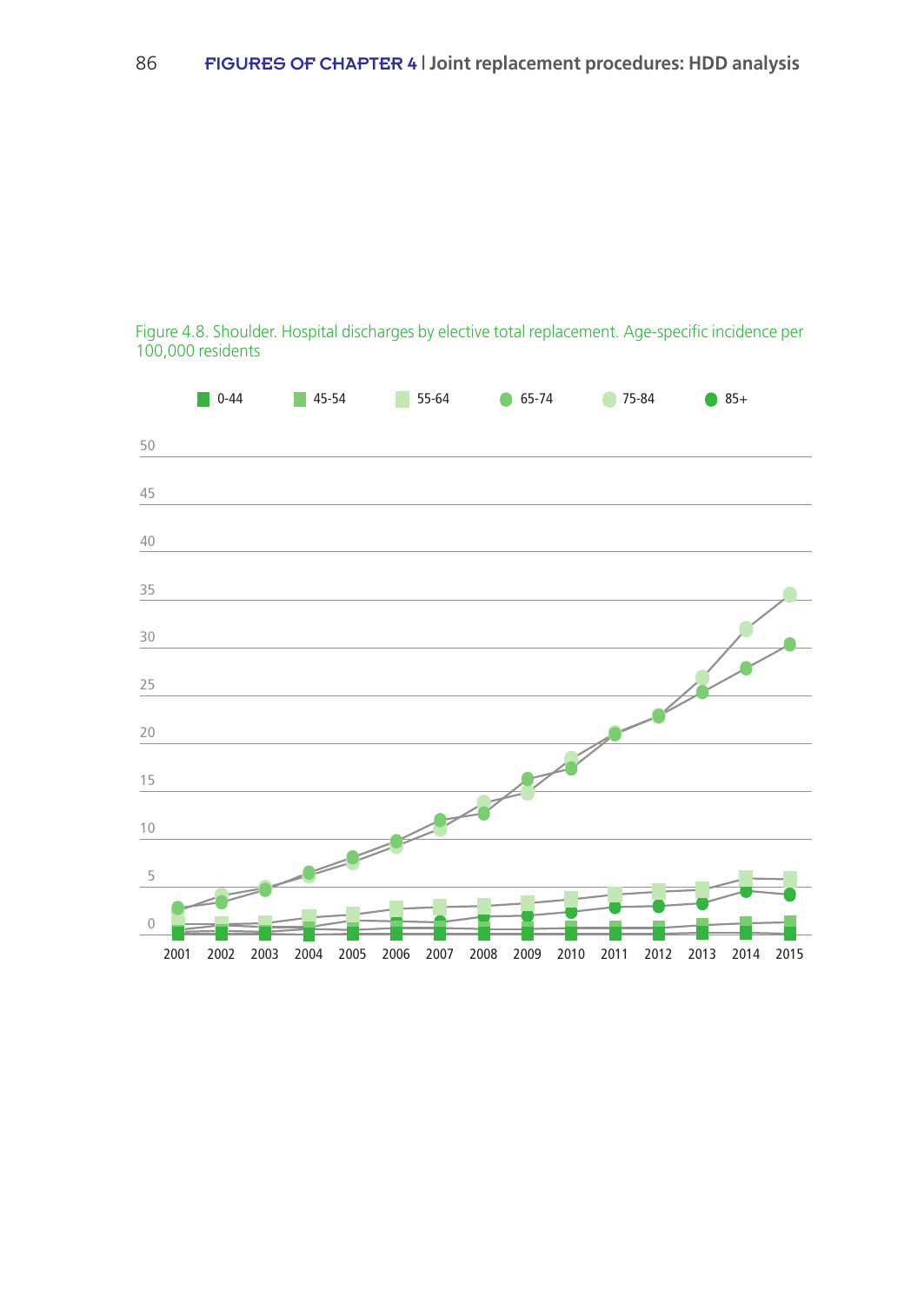#### Figure 4.8. Shoulder. Hospital discharges by elective total replacement. Age-specific incidence per 100,000 residents

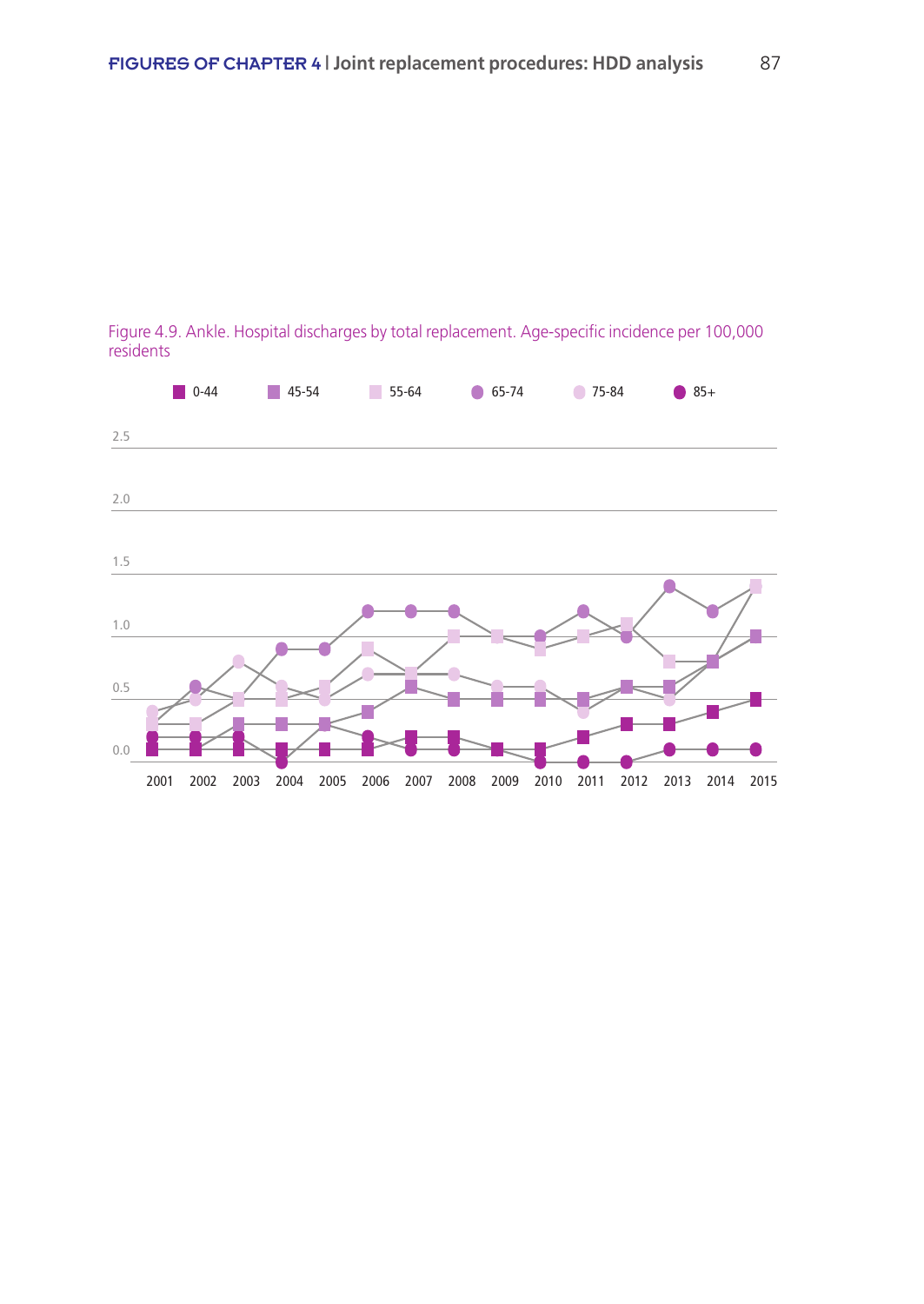

Figure 4.9. Ankle. Hospital discharges by total replacement. Age-specific incidence per 100,000 residents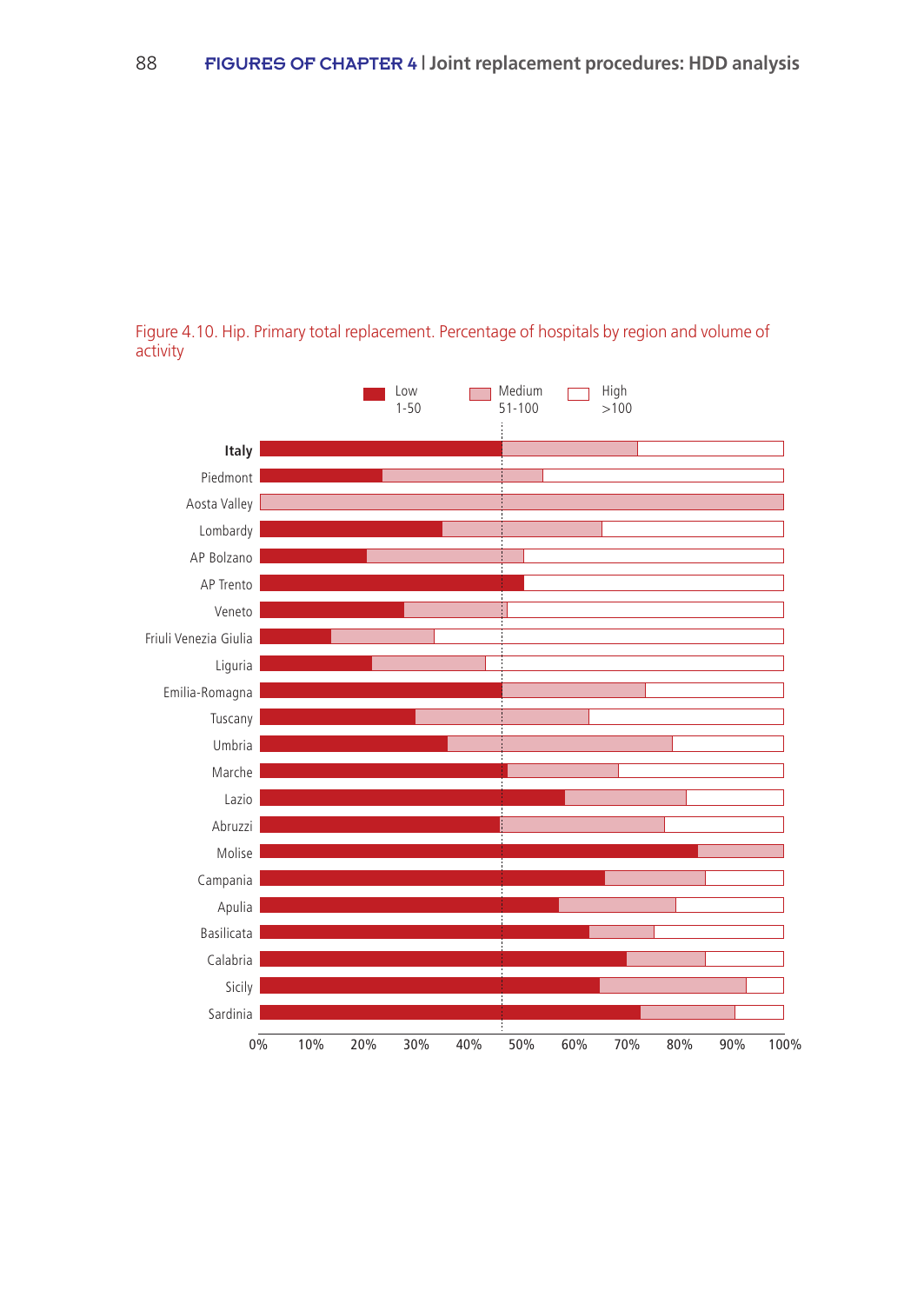

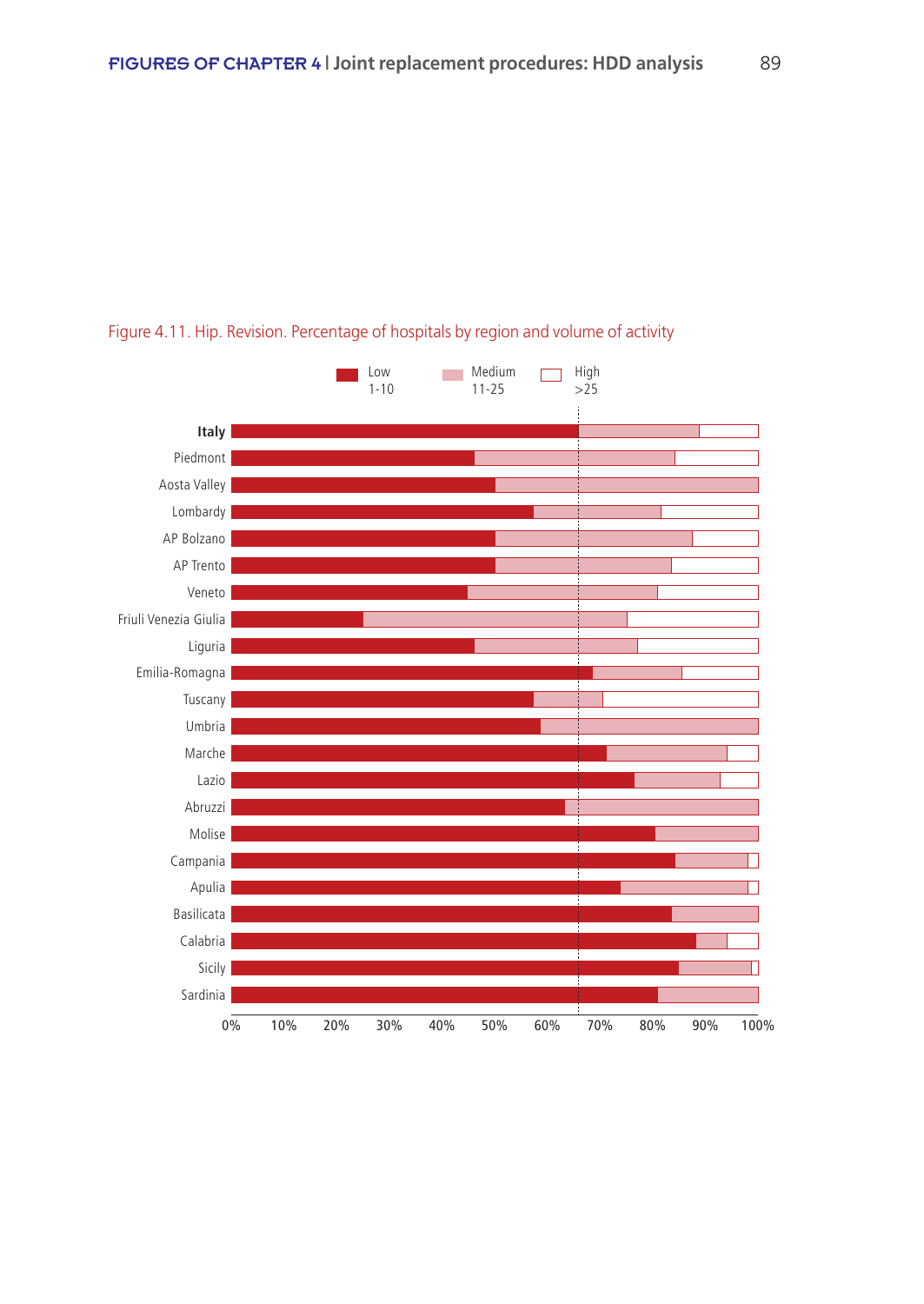

#### Figure 4.11. Hip. Revision. Percentage of hospitals by region and volume of activity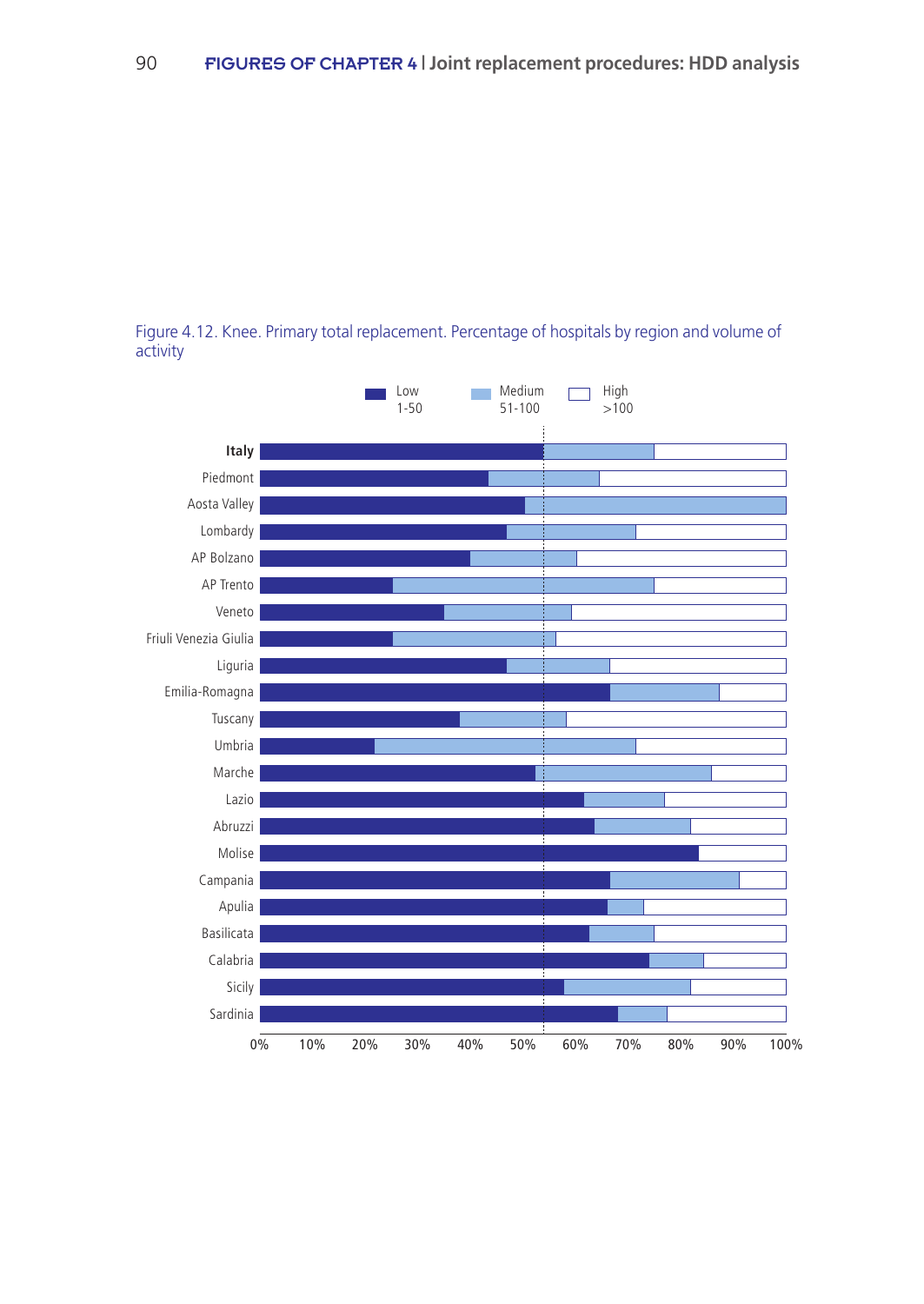

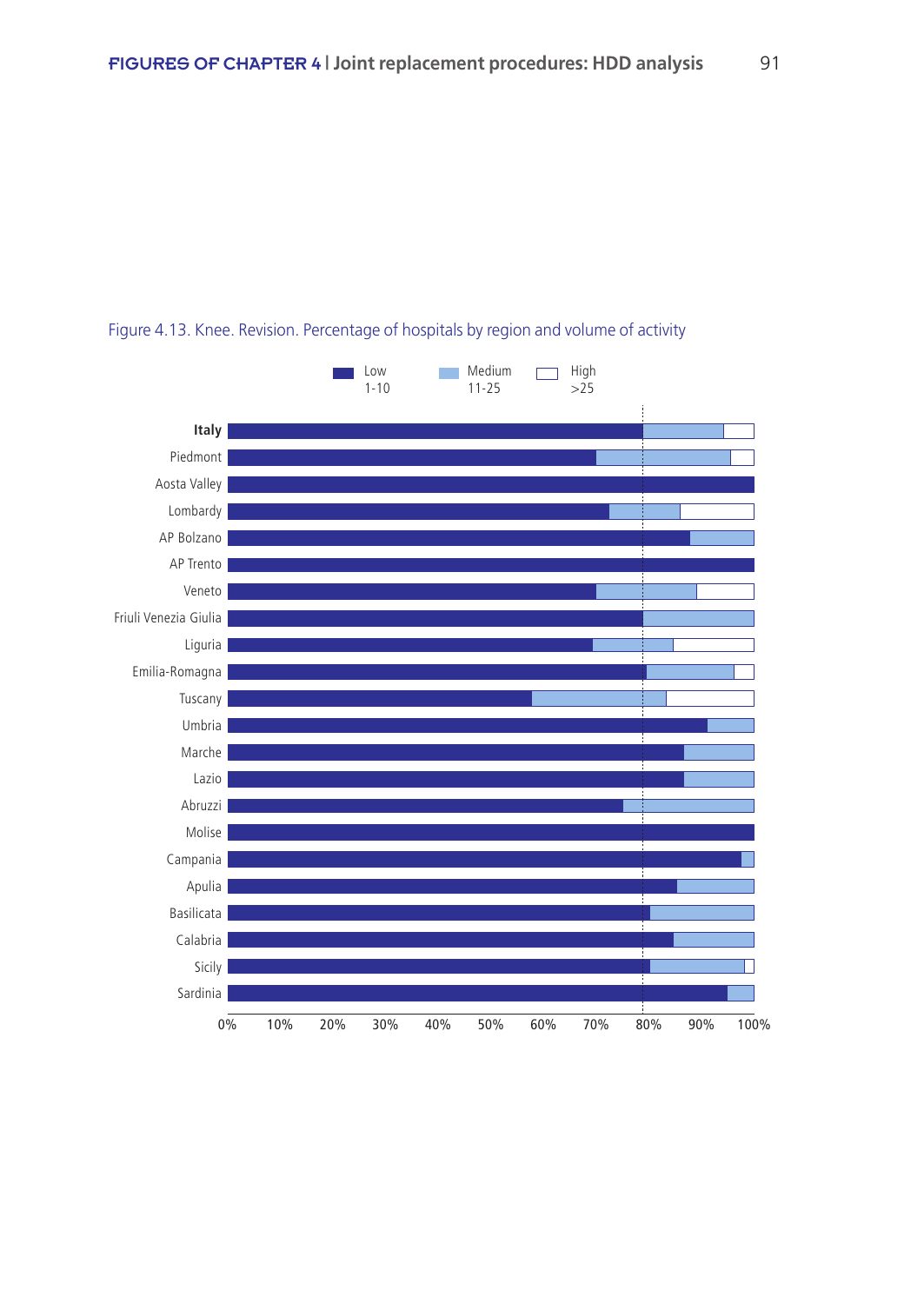

## Figure 4.13. Knee. Revision. Percentage of hospitals by region and volume of activity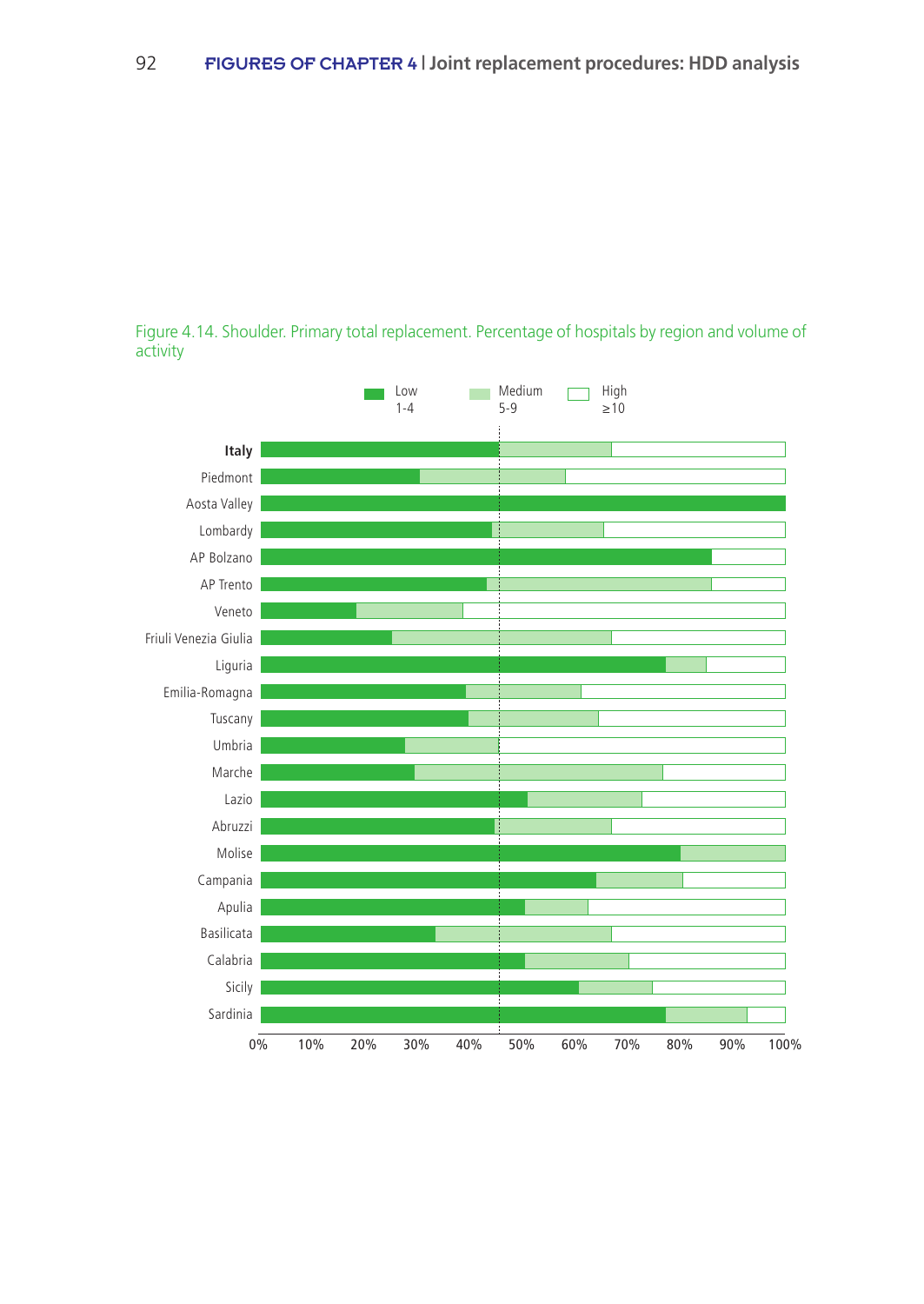

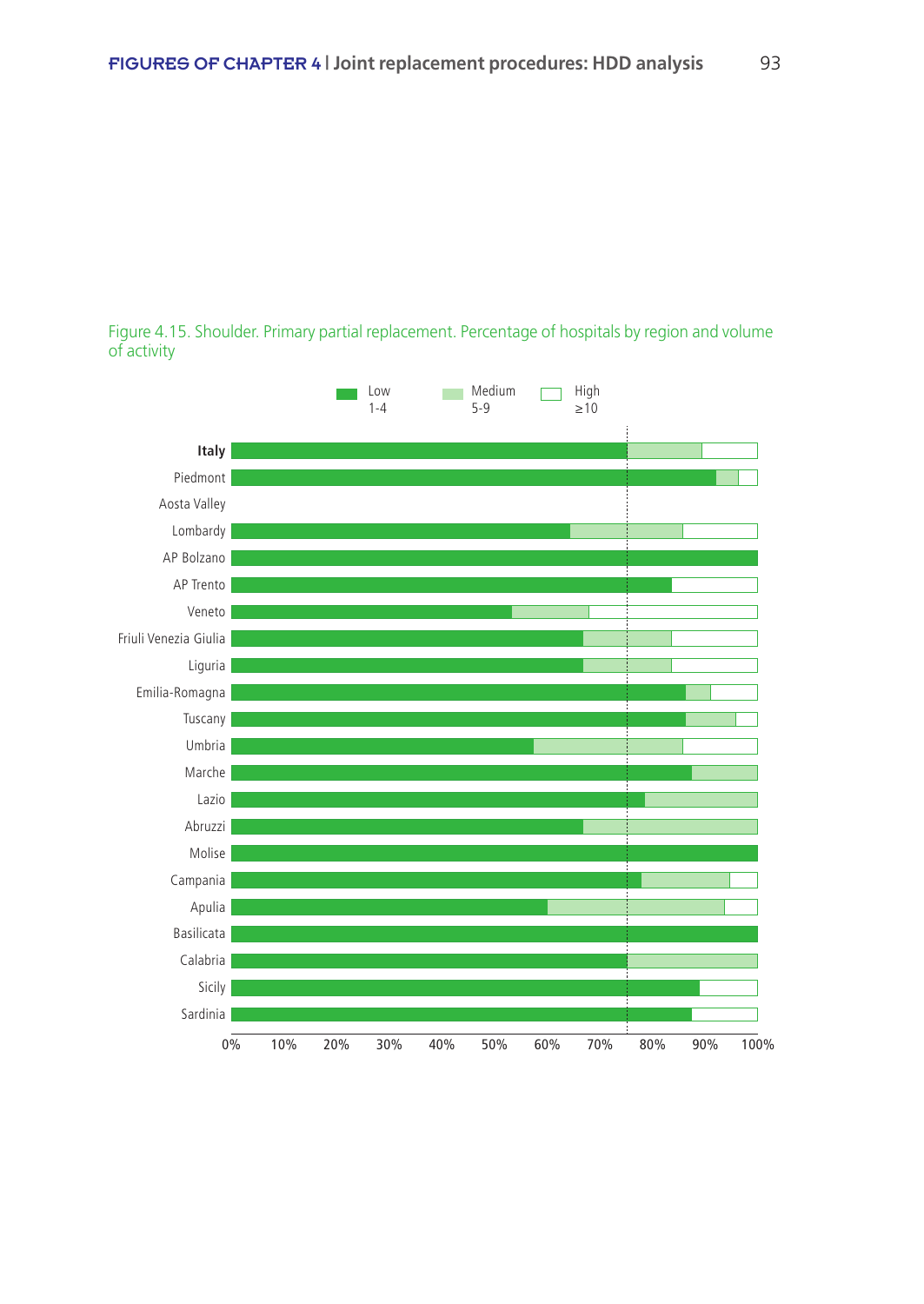Figure 4.15. Shoulder. Primary partial replacement. Percentage of hospitals by region and volume of activity

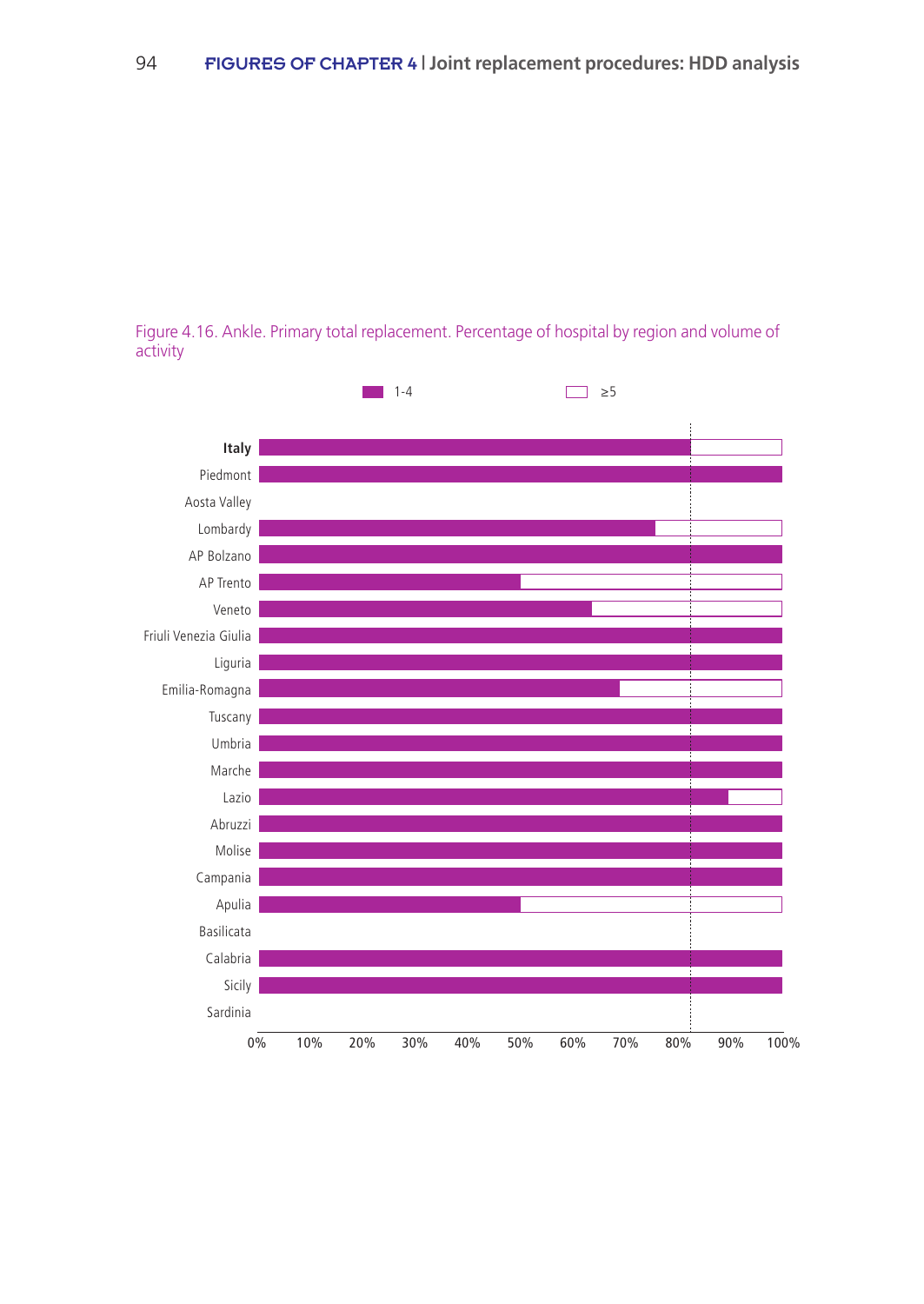Figure 4.16. Ankle. Primary total replacement. Percentage of hospital by region and volume of activity

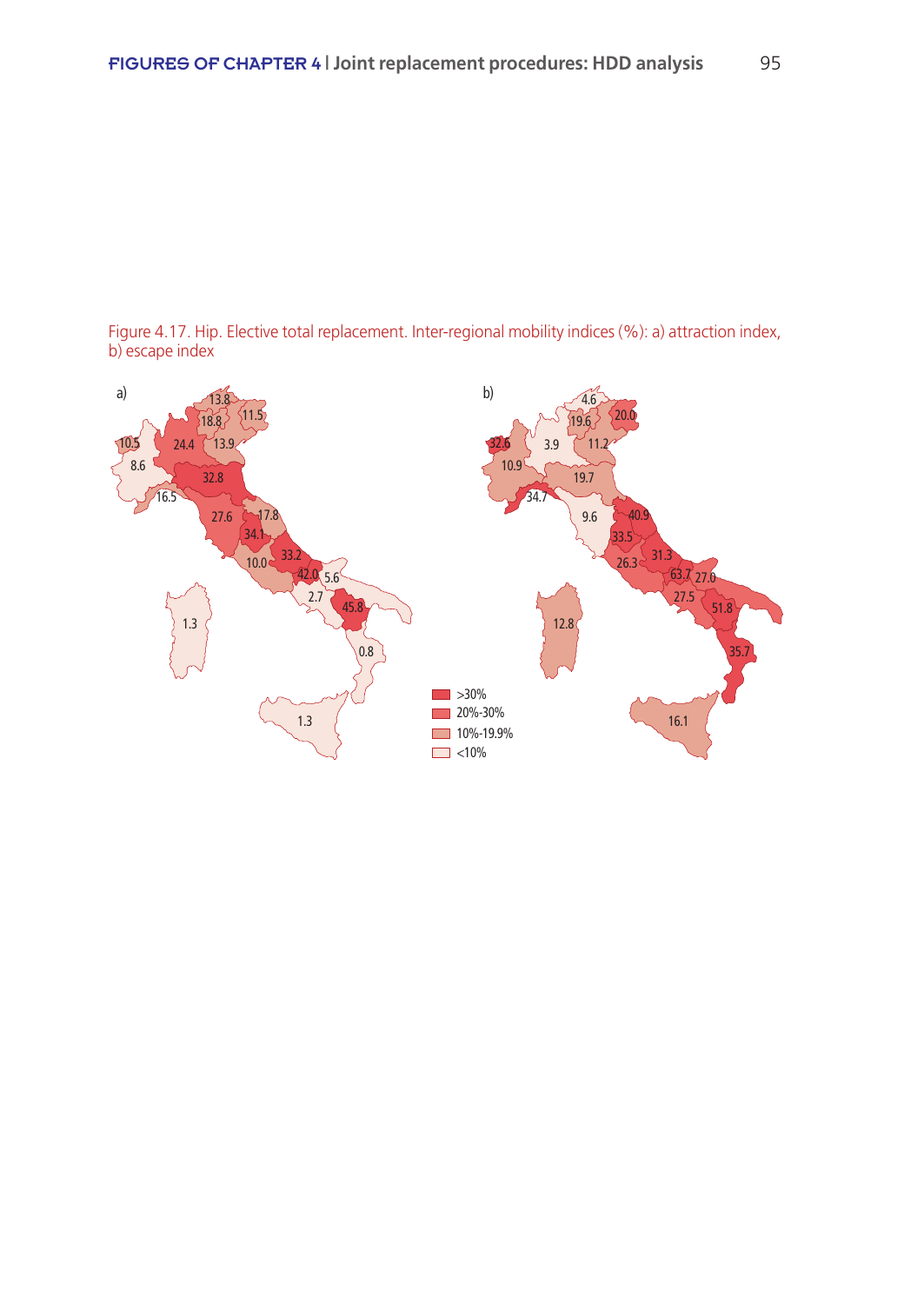

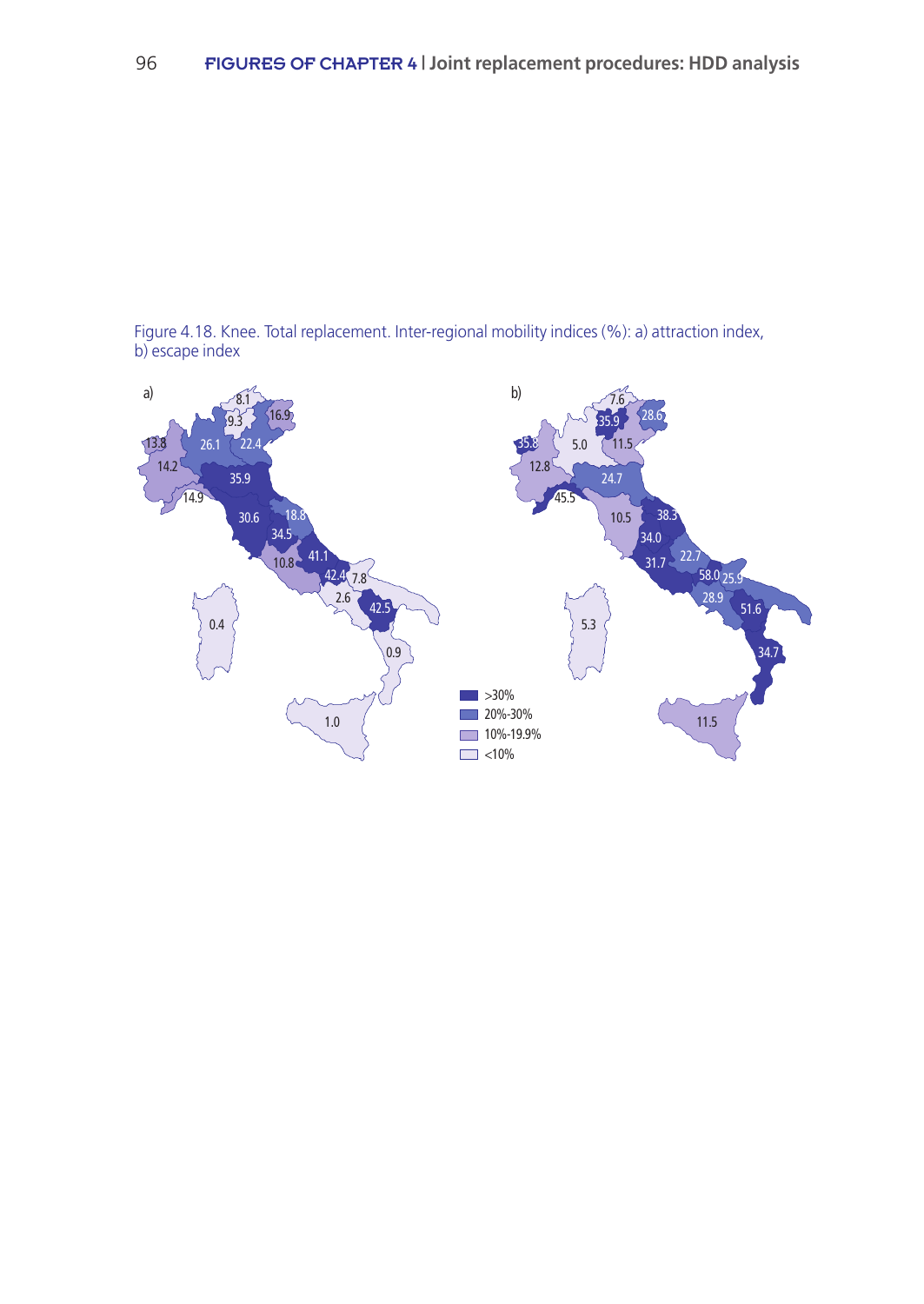

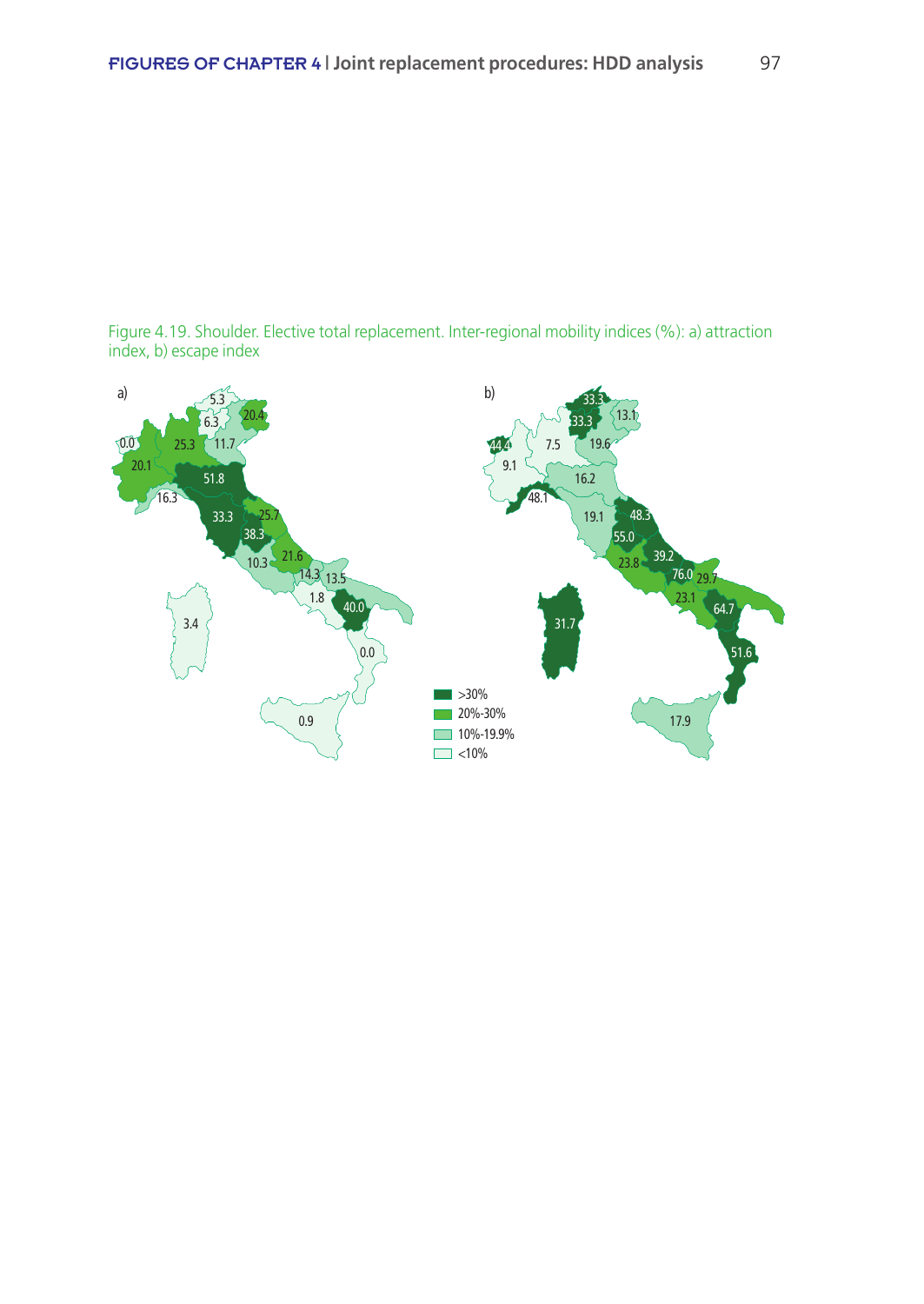

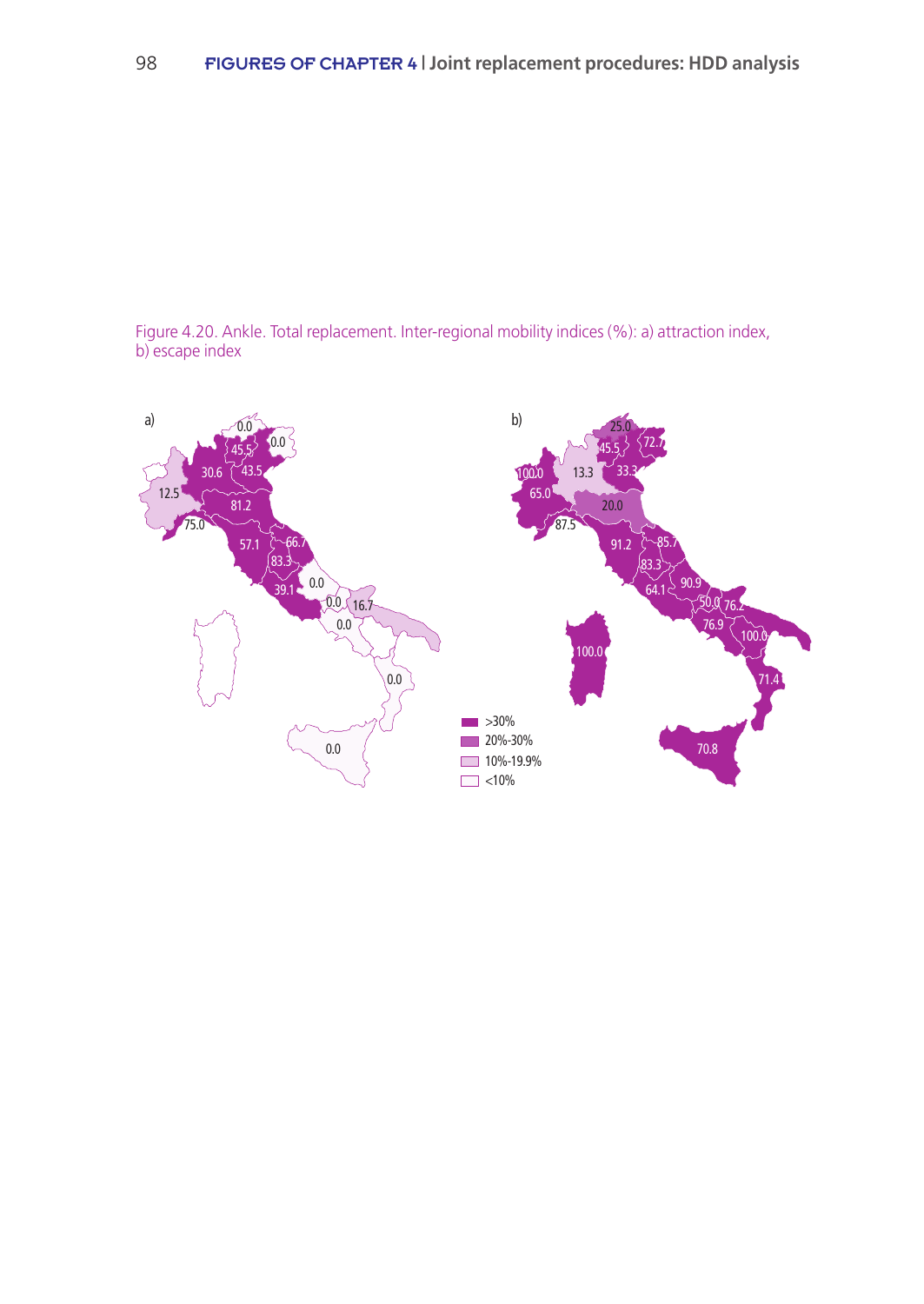